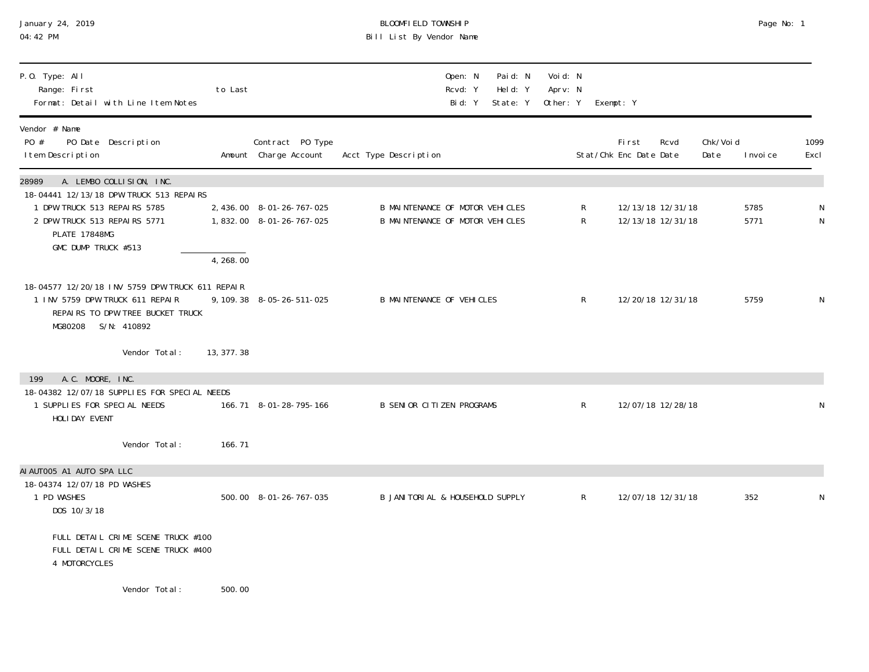| January 24, 2019<br>04:42 PM                                                                                                                     |             |                                                       | BLOOMFIELD TOWNSHIP<br>Bill List By Vendor Name                    |                                |                                 |        |                                        |      |                   | Page No: 1   |              |
|--------------------------------------------------------------------------------------------------------------------------------------------------|-------------|-------------------------------------------------------|--------------------------------------------------------------------|--------------------------------|---------------------------------|--------|----------------------------------------|------|-------------------|--------------|--------------|
| P.O. Type: All<br>Range: First<br>Format: Detail with Line Item Notes                                                                            | to Last     |                                                       | Open: N<br>Rcvd: Y<br>Bid: Y                                       | Paid: N<br>Held: Y<br>State: Y | Voi d: N<br>Aprv: N<br>Other: Y |        | Exempt: Y                              |      |                   |              |              |
| Vendor # Name<br>PO #<br>PO Date Description<br>I tem Description                                                                                |             | Contract PO Type<br>Amount Charge Account             | Acct Type Description                                              |                                |                                 |        | First<br>Stat/Chk Enc Date Date        | Rcvd | Chk/Voi d<br>Date | I nvoi ce    | 1099<br>Excl |
| 28989<br>A. LEMBO COLLISION, INC.<br>18-04441 12/13/18 DPW TRUCK 513 REPAIRS                                                                     |             |                                                       |                                                                    |                                |                                 |        |                                        |      |                   |              |              |
| 1 DPW TRUCK 513 REPAIRS 5785<br>2 DPW TRUCK 513 REPAIRS 5771<br><b>PLATE 17848MG</b><br>GMC DUMP TRUCK #513                                      |             | 2, 436.00 8-01-26-767-025<br>1,832.00 8-01-26-767-025 | B MAINTENANCE OF MOTOR VEHICLES<br>B MAINTENANCE OF MOTOR VEHICLES |                                |                                 | R<br>R | 12/13/18 12/31/18<br>12/13/18 12/31/18 |      |                   | 5785<br>5771 | N            |
|                                                                                                                                                  | 4, 268.00   |                                                       |                                                                    |                                |                                 |        |                                        |      |                   |              |              |
| 18-04577 12/20/18 INV 5759 DPW TRUCK 611 REPAIR<br>1 INV 5759 DPW TRUCK 611 REPAIR<br>REPAIRS TO DPW TREE BUCKET TRUCK<br>S/N: 410892<br>MG80208 |             | 9, 109. 38 8-05-26-511-025                            | <b>B MAINTENANCE OF VEHICLES</b>                                   |                                |                                 | R      | 12/20/18 12/31/18                      |      |                   | 5759         | N            |
| Vendor Total:                                                                                                                                    | 13, 377. 38 |                                                       |                                                                    |                                |                                 |        |                                        |      |                   |              |              |
| A.C. MOORE, INC.<br>199                                                                                                                          |             |                                                       |                                                                    |                                |                                 |        |                                        |      |                   |              |              |
| 18-04382 12/07/18 SUPPLIES FOR SPECIAL NEEDS<br>1 SUPPLIES FOR SPECIAL NEEDS<br>HOLIDAY EVENT                                                    |             | 166.71 8-01-28-795-166                                | <b>B SENIOR CITIZEN PROGRAMS</b>                                   |                                |                                 | R      | 12/07/18 12/28/18                      |      |                   |              |              |
| Vendor Total:                                                                                                                                    | 166.71      |                                                       |                                                                    |                                |                                 |        |                                        |      |                   |              |              |
| AI AUTOO5 A1 AUTO SPA LLC<br>18-04374 12/07/18 PD WASHES<br>1 PD WASHES<br>DOS 10/3/18                                                           |             | 500.00 8-01-26-767-035                                | B JANITORIAL & HOUSEHOLD SUPPLY                                    |                                |                                 | R      | 12/07/18 12/31/18                      |      |                   | 352          | N            |
| FULL DETAIL CRIME SCENE TRUCK #100<br>FULL DETAIL CRIME SCENE TRUCK #400<br>4 MOTORCYCLES                                                        |             |                                                       |                                                                    |                                |                                 |        |                                        |      |                   |              |              |
| Vendor Total:                                                                                                                                    | 500.00      |                                                       |                                                                    |                                |                                 |        |                                        |      |                   |              |              |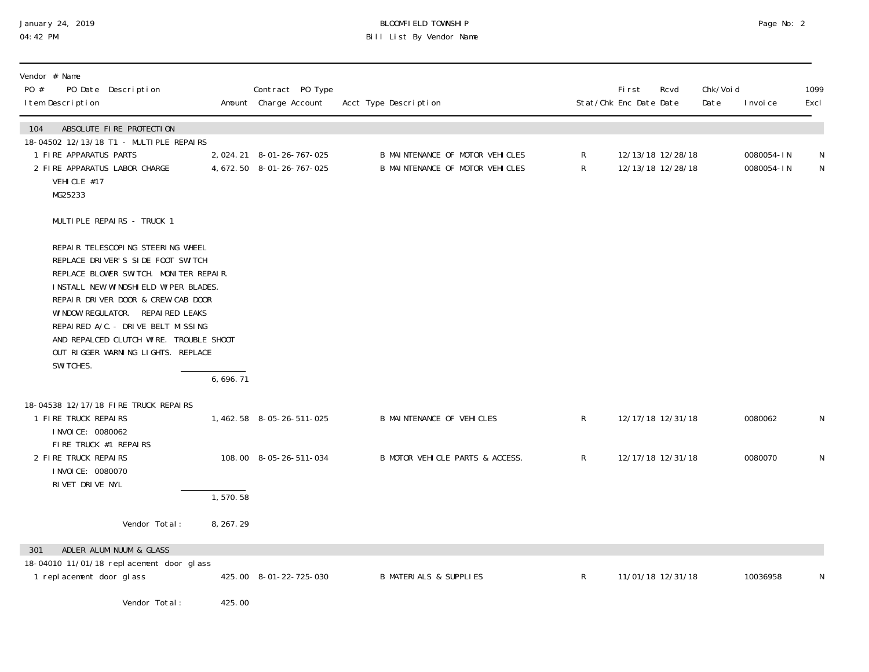## January 24, 2019 BLOOMFIELD TOWNSHIP Page No: 2 04:42 PM Bill List By Vendor Name

| Vendor # Name<br>PO #<br>PO Date Description<br>I tem Description                                                                                                                                                                                                                                                                                                                                     |            | Contract PO Type<br>Amount Charge Account                | Acct Type Description                                              |              | <b>First</b><br>Stat/Chk Enc Date Date | Rcvd                                   | Chk/Voi d<br>Date | I nvoi ce                | 1099<br>Excl   |
|-------------------------------------------------------------------------------------------------------------------------------------------------------------------------------------------------------------------------------------------------------------------------------------------------------------------------------------------------------------------------------------------------------|------------|----------------------------------------------------------|--------------------------------------------------------------------|--------------|----------------------------------------|----------------------------------------|-------------------|--------------------------|----------------|
| 104<br>ABSOLUTE FIRE PROTECTION<br>18-04502 12/13/18 T1 - MULTIPLE REPAIRS<br>1 FIRE APPARATUS PARTS<br>2 FIRE APPARATUS LABOR CHARGE<br>VEHICLE #17<br>MG25233                                                                                                                                                                                                                                       |            | 2, 024. 21 8-01-26-767-025<br>4, 672. 50 8-01-26-767-025 | B MAINTENANCE OF MOTOR VEHICLES<br>B MAINTENANCE OF MOTOR VEHICLES | R<br>R       |                                        | 12/13/18 12/28/18<br>12/13/18 12/28/18 |                   | 0080054-IN<br>0080054-IN | N<br>${\sf N}$ |
| MULTIPLE REPAIRS - TRUCK 1<br>REPAIR TELESCOPING STEERING WHEEL<br>REPLACE DRIVER'S SIDE FOOT SWITCH<br>REPLACE BLOWER SWITCH. MONITER REPAIR.<br>INSTALL NEW WINDSHIELD WIPER BLADES.<br>REPAIR DRIVER DOOR & CREW CAB DOOR<br>WINDOW REGULATOR. REPAIRED LEAKS<br>REPAIRED A/C. - DRIVE BELT MISSING<br>AND REPALCED CLUTCH WIRE. TROUBLE SHOOT<br>OUT RIGGER WARNING LIGHTS. REPLACE<br>SWI TCHES. | 6,696.71   |                                                          |                                                                    |              |                                        |                                        |                   |                          |                |
| 18-04538 12/17/18 FIRE TRUCK REPAIRS<br>1 FIRE TRUCK REPAIRS<br>I NVOI CE: 0080062                                                                                                                                                                                                                                                                                                                    |            | 1, 462. 58 8-05-26-511-025                               | <b>B MAINTENANCE OF VEHICLES</b>                                   | $\mathsf{R}$ |                                        | 12/17/18 12/31/18                      |                   | 0080062                  | N              |
| FIRE TRUCK #1 REPAIRS<br>2 FIRE TRUCK REPAIRS<br>I NVOI CE: 0080070<br>RIVET DRIVE NYL                                                                                                                                                                                                                                                                                                                |            | 108.00 8-05-26-511-034                                   | B MOTOR VEHICLE PARTS & ACCESS.                                    | $\mathsf{R}$ |                                        | 12/17/18 12/31/18                      |                   | 0080070                  | N              |
|                                                                                                                                                                                                                                                                                                                                                                                                       | 1,570.58   |                                                          |                                                                    |              |                                        |                                        |                   |                          |                |
| Vendor Total:                                                                                                                                                                                                                                                                                                                                                                                         | 8, 267. 29 |                                                          |                                                                    |              |                                        |                                        |                   |                          |                |
| ADLER ALUMINUUM & GLASS<br>301<br>18-04010 11/01/18 replacement door glass<br>1 replacement door glass                                                                                                                                                                                                                                                                                                |            | 425.00 8-01-22-725-030                                   | <b>B MATERIALS &amp; SUPPLIES</b>                                  | R            |                                        | 11/01/18 12/31/18                      |                   | 10036958                 | N              |
| Vendor Total:                                                                                                                                                                                                                                                                                                                                                                                         | 425.00     |                                                          |                                                                    |              |                                        |                                        |                   |                          |                |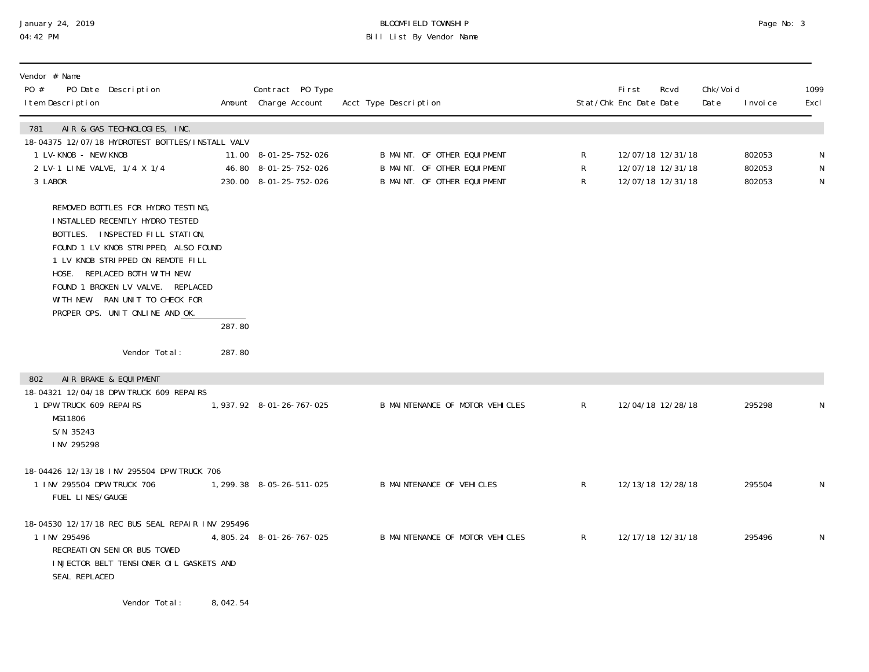## January 24, 2019 BLOOMFIELD TOWNSHIP Page No: 3 Bill List By Vendor Name

| Vendor # Name<br>PO #<br>PO Date Description<br>I tem Description                                                                                                                                                                                                                                                                  |          | Contract PO Type<br>Amount Charge Account                                | Acct Type Description |                                                                                           |              | First<br>Rcvd<br>Stat/Chk Enc Date Date                     | Chk/Voi d<br>Date | I nvoi ce                  | 1099<br>Excl                  |
|------------------------------------------------------------------------------------------------------------------------------------------------------------------------------------------------------------------------------------------------------------------------------------------------------------------------------------|----------|--------------------------------------------------------------------------|-----------------------|-------------------------------------------------------------------------------------------|--------------|-------------------------------------------------------------|-------------------|----------------------------|-------------------------------|
| AIR & GAS TECHNOLOGIES, INC.<br>781<br>18-04375 12/07/18 HYDROTEST BOTTLES/INSTALL VALV<br>1 LV-KNOB - NEW KNOB<br>2 LV-1 LINE VALVE, 1/4 X 1/4<br>3 LABOR                                                                                                                                                                         |          | 11.00 8-01-25-752-026<br>46.80 8-01-25-752-026<br>230.00 8-01-25-752-026 |                       | B MAINT. OF OTHER EQUIPMENT<br>B MAINT. OF OTHER EQUIPMENT<br>B MAINT. OF OTHER EQUIPMENT | R<br>R<br>R  | 12/07/18 12/31/18<br>12/07/18 12/31/18<br>12/07/18 12/31/18 |                   | 802053<br>802053<br>802053 | N<br>${\sf N}$<br>$\mathsf N$ |
| REMOVED BOTTLES FOR HYDRO TESTING,<br>INSTALLED RECENTLY HYDRO TESTED<br>BOTTLES. INSPECTED FILL STATION,<br>FOUND 1 LV KNOB STRIPPED, ALSO FOUND<br>1 LV KNOB STRIPPED ON REMOTE FILL<br>HOSE. REPLACED BOTH WITH NEW.<br>FOUND 1 BROKEN LV VALVE. REPLACED<br>WITH NEW. RAN UNIT TO CHECK FOR<br>PROPER OPS. UNIT ONLINE AND OK. | 287.80   |                                                                          |                       |                                                                                           |              |                                                             |                   |                            |                               |
| Vendor Total:                                                                                                                                                                                                                                                                                                                      | 287.80   |                                                                          |                       |                                                                                           |              |                                                             |                   |                            |                               |
| AIR BRAKE & EQUIPMENT<br>802<br>18-04321 12/04/18 DPW TRUCK 609 REPAIRS<br>1 DPW TRUCK 609 REPAIRS<br>MG11806<br>S/N 35243<br>INV 295298                                                                                                                                                                                           |          | 1, 937. 92  8-01-26-767-025                                              |                       | B MAINTENANCE OF MOTOR VEHICLES                                                           | $\mathsf{R}$ | 12/04/18 12/28/18                                           |                   | 295298                     | N                             |
| 18-04426 12/13/18 INV 295504 DPW TRUCK 706<br>1 INV 295504 DPW TRUCK 706<br>FUEL LINES/GAUGE                                                                                                                                                                                                                                       |          | 1, 299. 38 8-05-26-511-025                                               |                       | <b>B MAINTENANCE OF VEHICLES</b>                                                          | $\mathsf{R}$ | 12/13/18 12/28/18                                           |                   | 295504                     | N                             |
| 18-04530 12/17/18 REC BUS SEAL REPAIR INV 295496<br>1 INV 295496<br>RECREATION SENIOR BUS TOWED<br>INJECTOR BELT TENSIONER OIL GASKETS AND<br>SEAL REPLACED                                                                                                                                                                        |          | 4, 805. 24 8-01-26-767-025                                               |                       | B MAINTENANCE OF MOTOR VEHICLES                                                           | $\mathsf{R}$ | 12/17/18 12/31/18                                           |                   | 295496                     | $\mathsf N$                   |
| Vendor Total:                                                                                                                                                                                                                                                                                                                      | 8,042.54 |                                                                          |                       |                                                                                           |              |                                                             |                   |                            |                               |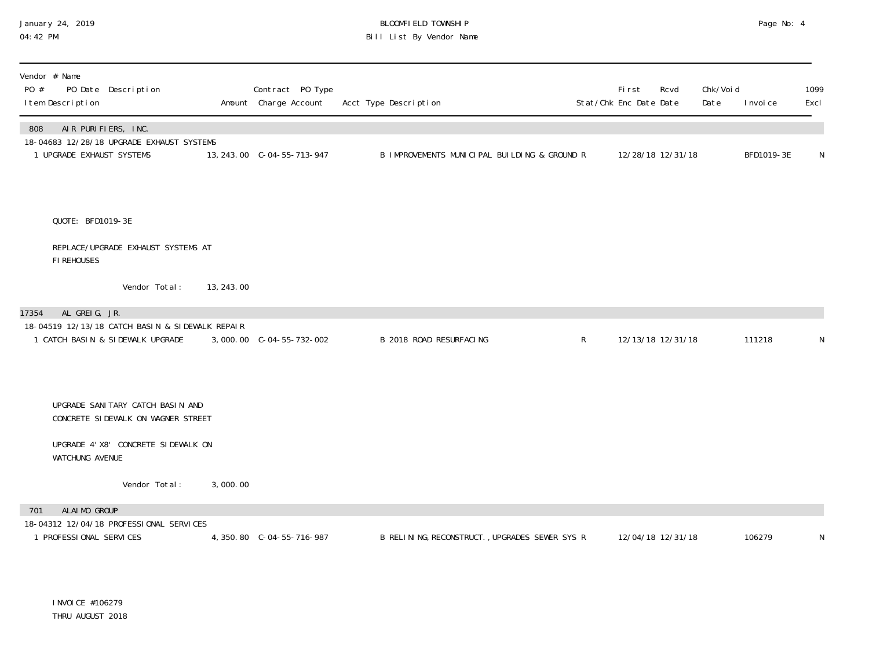### January 24, 2019 BLOOMFIELD TOWNSHIP Page No: 4 04:42 PM Bill List By Vendor Name

| Vendor # Name<br>PO #<br>PO Date Description<br>I tem Description                   |            | Contract PO Type<br>Amount Charge Account | Acct Type Description                          |              | <b>First</b><br>Stat/Chk Enc Date Date | Rcvd              | Chk/Void<br>Date | I nvoi ce  | 1099<br>Excl |
|-------------------------------------------------------------------------------------|------------|-------------------------------------------|------------------------------------------------|--------------|----------------------------------------|-------------------|------------------|------------|--------------|
| AIR PURIFIERS, INC.<br>808<br>18-04683 12/28/18 UPGRADE EXHAUST SYSTEMS             |            |                                           |                                                |              |                                        |                   |                  |            |              |
| 1 UPGRADE EXHAUST SYSTEMS                                                           |            | 13, 243.00 C-04-55-713-947                | B IMPROVEMENTS MUNICIPAL BUILDING & GROUND R   |              | 12/28/18 12/31/18                      |                   |                  | BFD1019-3E | N            |
| QUOTE: BFD1019-3E                                                                   |            |                                           |                                                |              |                                        |                   |                  |            |              |
| REPLACE/UPGRADE EXHAUST SYSTEMS AT<br>FI REHOUSES                                   |            |                                           |                                                |              |                                        |                   |                  |            |              |
| Vendor Total:                                                                       | 13, 243.00 |                                           |                                                |              |                                        |                   |                  |            |              |
| AL GREIG, JR.<br>17354                                                              |            |                                           |                                                |              |                                        |                   |                  |            |              |
| 18-04519 12/13/18 CATCH BASIN & SIDEWALK REPAIR<br>1 CATCH BASIN & SIDEWALK UPGRADE |            |                                           | B 2018 ROAD RESURFACING                        | $\mathsf{R}$ |                                        | 12/13/18 12/31/18 |                  | 111218     | N            |
|                                                                                     |            |                                           |                                                |              |                                        |                   |                  |            |              |
| UPGRADE SANI TARY CATCH BASIN AND<br>CONCRETE SIDEWALK ON WAGNER STREET             |            |                                           |                                                |              |                                        |                   |                  |            |              |
| UPGRADE 4' X8' CONCRETE SIDEWALK ON<br>WATCHUNG AVENUE                              |            |                                           |                                                |              |                                        |                   |                  |            |              |
| Vendor Total:                                                                       | 3,000.00   |                                           |                                                |              |                                        |                   |                  |            |              |
| ALAIMO GROUP<br>701                                                                 |            |                                           |                                                |              |                                        |                   |                  |            |              |
| 18-04312 12/04/18 PROFESSIONAL SERVICES<br>1 PROFESSIONAL SERVICES                  |            | 4, 350.80 C-04-55-716-987                 | B RELINING, RECONSTRUCT., UPGRADES SEWER SYS R |              |                                        | 12/04/18 12/31/18 |                  | 106279     | N            |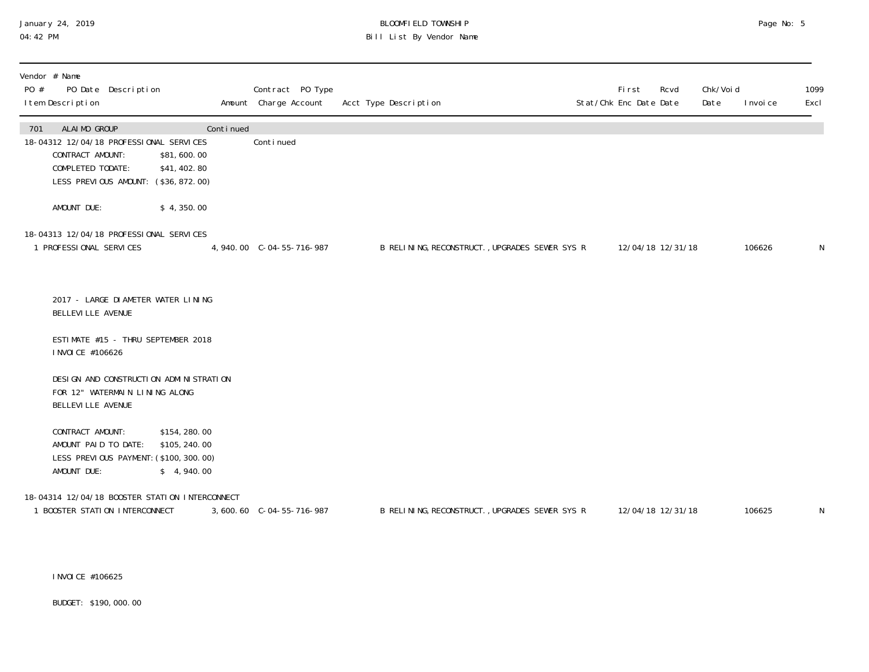### January 24, 2019 BLOOMFIELD TOWNSHIP Page No: 5 04:42 PM Bill List By Vendor Name

| Vendor # Name<br>PO Date Description<br>PO #<br>I tem Description                                                                                                            |           | Contract PO Type<br>Amount Charge Account | Acct Type Description                          | <b>First</b><br>Stat/Chk Enc Date Date | Rcvd              | Chk/Voi d<br>Date | I nvoi ce | 1099<br>Excl |
|------------------------------------------------------------------------------------------------------------------------------------------------------------------------------|-----------|-------------------------------------------|------------------------------------------------|----------------------------------------|-------------------|-------------------|-----------|--------------|
| ALAIMO GROUP<br>701<br>18-04312 12/04/18 PROFESSIONAL SERVICES<br>CONTRACT AMOUNT:<br>\$81,600.00<br>COMPLETED TODATE:<br>\$41,402.80<br>LESS PREVIOUS AMOUNT: (\$36,872.00) | Continued | Continued                                 |                                                |                                        |                   |                   |           |              |
| AMOUNT DUE:<br>\$4,350.00                                                                                                                                                    |           |                                           |                                                |                                        |                   |                   |           |              |
| 18-04313 12/04/18 PROFESSIONAL SERVICES<br>1 PROFESSIONAL SERVICES                                                                                                           |           | 4,940.00 C-04-55-716-987                  | B RELINING, RECONSTRUCT., UPGRADES SEWER SYS R |                                        | 12/04/18 12/31/18 |                   | 106626    | N            |
| 2017 - LARGE DI AMETER WATER LINING<br>BELLEVI LLE AVENUE                                                                                                                    |           |                                           |                                                |                                        |                   |                   |           |              |
| ESTIMATE #15 - THRU SEPTEMBER 2018<br>I NVOI CE #106626                                                                                                                      |           |                                           |                                                |                                        |                   |                   |           |              |
| DESI GN AND CONSTRUCTI ON ADMINISTRATION<br>FOR 12" WATERMAIN LINING ALONG<br><b>BELLEVILLE AVENUE</b>                                                                       |           |                                           |                                                |                                        |                   |                   |           |              |
| CONTRACT AMOUNT:<br>\$154, 280.00<br>\$105, 240.00<br>AMOUNT PAID TO DATE:<br>LESS PREVIOUS PAYMENT: (\$100, 300. 00)<br>AMOUNT DUE:<br>\$4,940.00                           |           |                                           |                                                |                                        |                   |                   |           |              |
| 18-04314 12/04/18 BOOSTER STATION INTERCONNECT<br>1 BOOSTER STATION INTERCONNECT                                                                                             |           |                                           | B RELINING, RECONSTRUCT., UPGRADES SEWER SYS R |                                        | 12/04/18 12/31/18 |                   | 106625    | N            |

INVOICE #106625

BUDGET: \$190,000.00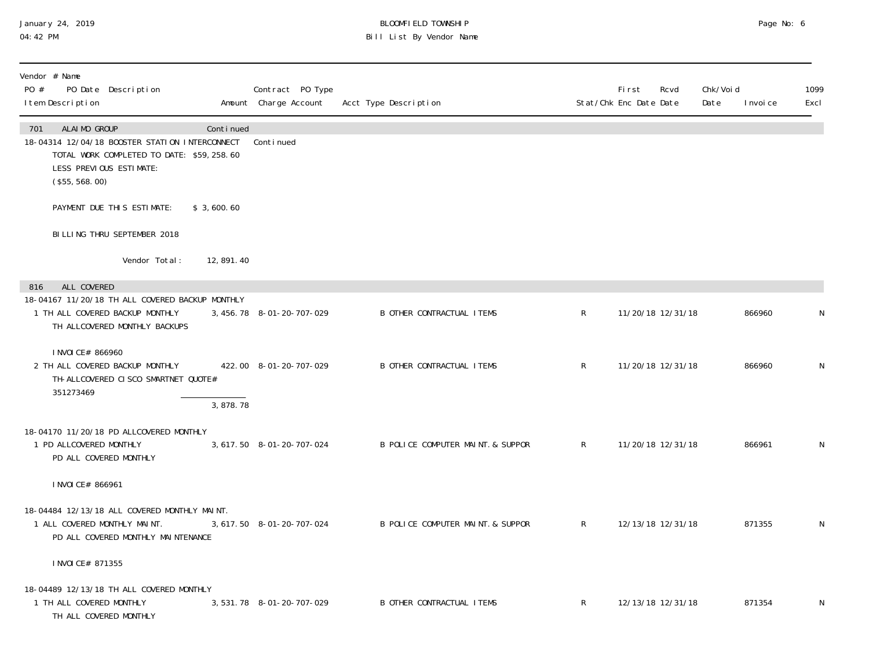### January 24, 2019 BLOOMFIELD TOWNSHIP Page No: 6 04:42 PM Bill List By Vendor Name

| Vendor # Name<br>PO #<br>PO Date Description<br>I tem Description                                                                                               |            | Contract PO Type<br>Amount Charge Account | Acct Type Description             |              | <b>First</b><br>Rcvd<br>Stat/Chk Enc Date Date | Chk/Voi d<br>Date | 1099<br>I nvoi ce<br>Excl |
|-----------------------------------------------------------------------------------------------------------------------------------------------------------------|------------|-------------------------------------------|-----------------------------------|--------------|------------------------------------------------|-------------------|---------------------------|
| ALAIMO GROUP<br>701<br>18-04314 12/04/18 BOOSTER STATION INTERCONNECT<br>TOTAL WORK COMPLETED TO DATE: \$59,258.60<br>LESS PREVIOUS ESTIMATE:<br>(\$55, 568.00) | Continued  | Continued                                 |                                   |              |                                                |                   |                           |
| PAYMENT DUE THIS ESTIMATE:                                                                                                                                      | \$3,600.60 |                                           |                                   |              |                                                |                   |                           |
| BILLING THRU SEPTEMBER 2018                                                                                                                                     |            |                                           |                                   |              |                                                |                   |                           |
| Vendor Total:                                                                                                                                                   | 12,891.40  |                                           |                                   |              |                                                |                   |                           |
| ALL COVERED<br>816                                                                                                                                              |            |                                           |                                   |              |                                                |                   |                           |
| 18-04167 11/20/18 TH ALL COVERED BACKUP MONTHLY<br>1 TH ALL COVERED BACKUP MONTHLY<br>TH ALLCOVERED MONTHLY BACKUPS                                             |            | 3, 456. 78 8-01-20-707-029                | <b>B OTHER CONTRACTUAL ITEMS</b>  | $\mathsf{R}$ | 11/20/18 12/31/18                              |                   | 866960<br>N               |
| I NVOI CE# 866960<br>2 TH ALL COVERED BACKUP MONTHLY<br>TH-ALLCOVERED CISCO SMARTNET QUOTE#<br>351273469                                                        | 3,878.78   | 422.00 8-01-20-707-029                    | <b>B OTHER CONTRACTUAL ITEMS</b>  | $\mathsf{R}$ | 11/20/18 12/31/18                              |                   | 866960<br>N               |
|                                                                                                                                                                 |            |                                           |                                   |              |                                                |                   |                           |
| 18-04170 11/20/18 PD ALLCOVERED MONTHLY<br>1 PD ALLCOVERED MONTHLY<br>PD ALL COVERED MONTHLY                                                                    |            | 3, 617.50 8-01-20-707-024                 | B POLICE COMPUTER MAINT. & SUPPOR | R            | 11/20/18 12/31/18                              |                   | 866961<br>N               |
| I NVOI CE# 866961                                                                                                                                               |            |                                           |                                   |              |                                                |                   |                           |
| 18-04484 12/13/18 ALL COVERED MONTHLY MAINT.<br>1 ALL COVERED MONTHLY MAINT.<br>PD ALL COVERED MONTHLY MAINTENANCE                                              |            | 3, 617.50 8-01-20-707-024                 | B POLICE COMPUTER MAINT. & SUPPOR | $\mathsf{R}$ | 12/13/18 12/31/18                              |                   | 871355<br>N               |
| I NVOI CE# 871355                                                                                                                                               |            |                                           |                                   |              |                                                |                   |                           |
| 18-04489 12/13/18 TH ALL COVERED MONTHLY<br>1 TH ALL COVERED MONTHLY<br>TH ALL COVERED MONTHLY                                                                  |            | 3,531.78 8-01-20-707-029                  | <b>B OTHER CONTRACTUAL ITEMS</b>  | $\mathsf{R}$ | 12/13/18 12/31/18                              |                   | 871354<br>N               |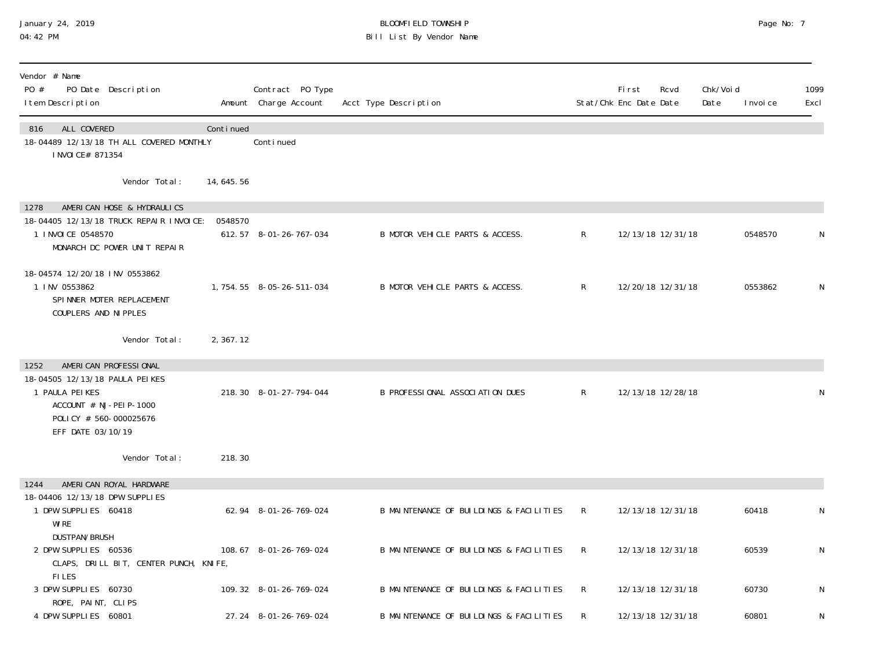### January 24, 2019 BLOOMFIELD TOWNSHIP Page No: 7 04:42 PM Bill List By Vendor Name

| Vendor # Name<br>PO #<br>PO Date Description<br>I tem Description                                                                                           |           | Contract PO Type<br>Amount Charge Account | Acct Type Description                   |              | <b>First</b><br>Rcvd<br>Stat/Chk Enc Date Date | Chk/Voi d<br>Date | I nvoi ce | 1099<br>Excl |
|-------------------------------------------------------------------------------------------------------------------------------------------------------------|-----------|-------------------------------------------|-----------------------------------------|--------------|------------------------------------------------|-------------------|-----------|--------------|
| ALL COVERED<br>816<br>18-04489 12/13/18 TH ALL COVERED MONTHLY<br>I NVOI CE# 871354                                                                         | Continued | Continued                                 |                                         |              |                                                |                   |           |              |
| Vendor Total:                                                                                                                                               | 14,645.56 |                                           |                                         |              |                                                |                   |           |              |
| AMERICAN HOSE & HYDRAULICS<br>1278<br>18-04405 12/13/18 TRUCK REPAIR INVOICE:<br>1 I NVOI CE 0548570<br>MONARCH DC POWER UNIT REPAIR                        | 0548570   | 612.57 8-01-26-767-034                    | B MOTOR VEHICLE PARTS & ACCESS.         | $\mathsf{R}$ | 12/13/18 12/31/18                              |                   | 0548570   | N            |
| 18-04574 12/20/18 INV 0553862<br>1 INV 0553862<br>SPINNER MOTER REPLACEMENT<br>COUPLERS AND NI PPLES                                                        |           | 1, 754. 55 8-05-26-511-034                | B MOTOR VEHICLE PARTS & ACCESS.         | $\mathsf{R}$ | 12/20/18 12/31/18                              |                   | 0553862   | N            |
| Vendor Total:                                                                                                                                               | 2,367.12  |                                           |                                         |              |                                                |                   |           |              |
| AMERICAN PROFESSIONAL<br>1252<br>18-04505 12/13/18 PAULA PEIKES<br>1 PAULA PEIKES<br>ACCOUNT # NJ-PEI P-1000<br>POLICY # 560-000025676<br>EFF DATE 03/10/19 |           | 218.30 8-01-27-794-044                    | B PROFESSIONAL ASSOCIATION DUES         | $\mathsf{R}$ | 12/13/18 12/28/18                              |                   |           | N            |
| Vendor Total:                                                                                                                                               | 218.30    |                                           |                                         |              |                                                |                   |           |              |
| AMERICAN ROYAL HARDWARE<br>1244                                                                                                                             |           |                                           |                                         |              |                                                |                   |           |              |
| 18-04406 12/13/18 DPW SUPPLIES<br>1 DPW SUPPLIES 60418<br>WI RE<br><b>DUSTPAN/BRUSH</b>                                                                     |           | 62.94 8-01-26-769-024                     | B MAINTENANCE OF BUILDINGS & FACILITIES | $\mathsf{R}$ | 12/13/18 12/31/18                              |                   | 60418     | ${\sf N}$    |
| 2 DPW SUPPLIES 60536<br>CLAPS, DRILL BIT, CENTER PUNCH, KNIFE,<br><b>FILES</b>                                                                              |           | 108.67 8-01-26-769-024                    | B MAINTENANCE OF BUILDINGS & FACILITIES | R            | 12/13/18 12/31/18                              |                   | 60539     | N            |
| 3 DPW SUPPLIES 60730<br>ROPE, PAINT, CLIPS                                                                                                                  |           | 109.32 8-01-26-769-024                    | B MAINTENANCE OF BUILDINGS & FACILITIES | R            | 12/13/18 12/31/18                              |                   | 60730     | N            |
| 4 DPW SUPPLIES 60801                                                                                                                                        |           | 27.24 8-01-26-769-024                     | B MAINTENANCE OF BUILDINGS & FACILITIES | R            | 12/13/18 12/31/18                              |                   | 60801     | ${\sf N}$    |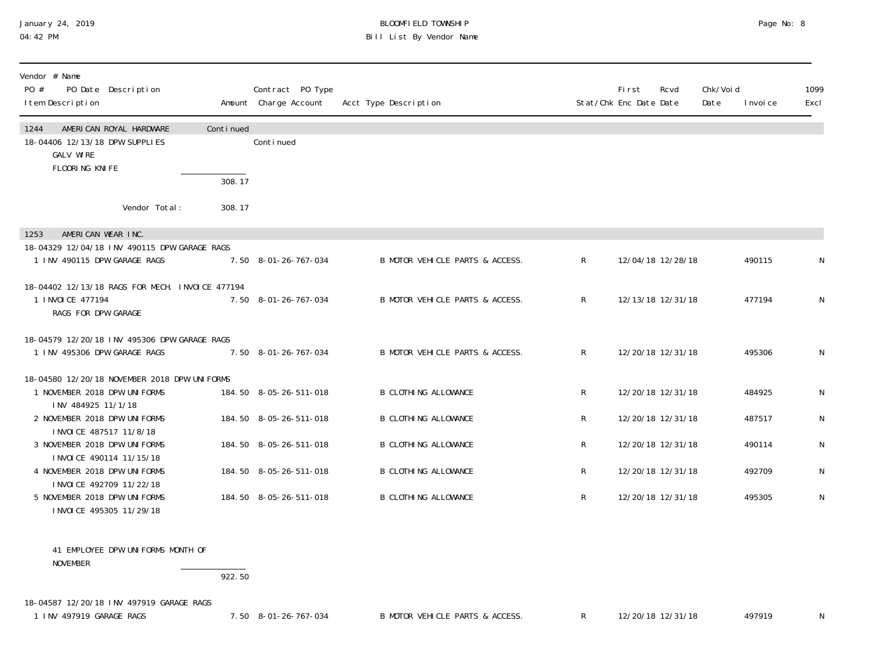## January 24, 2019 BLOOMFIELD TOWNSHIP Page No: 8 Bill List By Vendor Name

| Vendor # Name<br>PO Date Description<br>PO #<br>I tem Description                                       |           | Contract PO Type<br>Amount Charge Account | Acct Type Description           |              | <b>First</b><br>Stat/Chk Enc Date Date | Rcvd | Chk/Void<br>Date | I nvoi ce | 1099<br>Excl |
|---------------------------------------------------------------------------------------------------------|-----------|-------------------------------------------|---------------------------------|--------------|----------------------------------------|------|------------------|-----------|--------------|
| AMERICAN ROYAL HARDWARE<br>1244<br>18-04406 12/13/18 DPW SUPPLIES<br><b>GALV WIRE</b><br>FLOORING KNIFE | Continued | Conti nued                                |                                 |              |                                        |      |                  |           |              |
|                                                                                                         | 308.17    |                                           |                                 |              |                                        |      |                  |           |              |
| Vendor Total:                                                                                           | 308.17    |                                           |                                 |              |                                        |      |                  |           |              |
| AMERICAN WEAR INC.<br>1253                                                                              |           |                                           |                                 |              |                                        |      |                  |           |              |
| 18-04329 12/04/18 INV 490115 DPW GARAGE RAGS<br>1 INV 490115 DPW GARAGE RAGS                            |           | 7.50 8-01-26-767-034                      | B MOTOR VEHICLE PARTS & ACCESS. | $\mathsf{R}$ | 12/04/18 12/28/18                      |      |                  | 490115    | N            |
| 18-04402 12/13/18 RAGS FOR MECH. INVOICE 477194<br>1 I NVOI CE 477194<br>RAGS FOR DPW GARAGE            |           | 7.50 8-01-26-767-034                      | B MOTOR VEHICLE PARTS & ACCESS. | $\mathsf{R}$ | 12/13/18 12/31/18                      |      |                  | 477194    | N            |
| 18-04579 12/20/18 INV 495306 DPW GARAGE RAGS<br>1 INV 495306 DPW GARAGE RAGS                            |           | 7.50 8-01-26-767-034                      | B MOTOR VEHICLE PARTS & ACCESS. | $\mathsf{R}$ | 12/20/18 12/31/18                      |      |                  | 495306    | N            |
| 18-04580 12/20/18 NOVEMBER 2018 DPW UNIFORMS<br>1 NOVEMBER 2018 DPW UNIFORMS<br>INV 484925 11/1/18      |           | 184.50 8-05-26-511-018                    | <b>B CLOTHING ALLOWANCE</b>     | $\mathsf{R}$ | 12/20/18 12/31/18                      |      |                  | 484925    | N            |
| 2 NOVEMBER 2018 DPW UNIFORMS                                                                            |           | 184.50 8-05-26-511-018                    | <b>B CLOTHING ALLOWANCE</b>     | R            | 12/20/18 12/31/18                      |      |                  | 487517    | N            |
| INVOICE 487517 11/8/18<br>3 NOVEMBER 2018 DPW UNIFORMS<br>INVOICE 490114 11/15/18                       |           | 184.50 8-05-26-511-018                    | <b>B CLOTHING ALLOWANCE</b>     | $\mathsf{R}$ | 12/20/18 12/31/18                      |      |                  | 490114    | N            |
| 4 NOVEMBER 2018 DPW UNIFORMS                                                                            |           | 184.50 8-05-26-511-018                    | <b>B CLOTHING ALLOWANCE</b>     | R            | 12/20/18 12/31/18                      |      |                  | 492709    | N            |
| INVOICE 492709 11/22/18<br>5 NOVEMBER 2018 DPW UNIFORMS<br>INVOICE 495305 11/29/18                      |           | 184.50 8-05-26-511-018                    | <b>B CLOTHING ALLOWANCE</b>     | R            | 12/20/18 12/31/18                      |      |                  | 495305    | N            |

 41 EMPLOYEE DPW UNIFORMS MONTH OF NOVEMBER

#### 922.50

18-04587 12/20/18 INV 497919 GARAGE RAGS

1 INV 497919 GARAGE RAGS 2012 1.50 8-01-26-767-034 B MOTOR VEHICLE PARTS & ACCESS. 2012 12/20/18 12/31/18 497919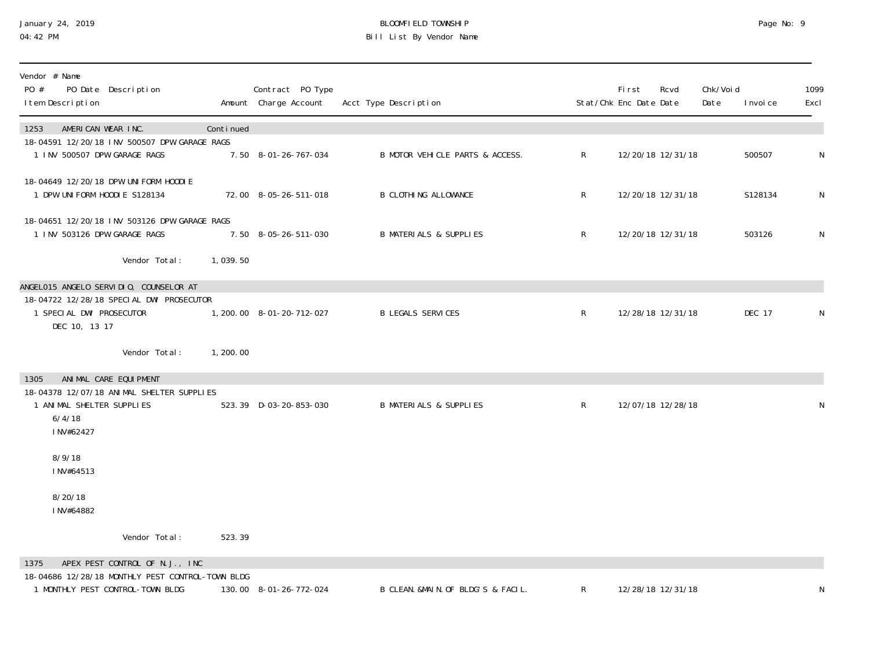### January 24, 2019 BLOOMFIELD TOWNSHIP Page No: 9 04:42 PM Bill List By Vendor Name

| Vendor # Name<br>PO #<br>PO Date Description<br>I tem Description                                                               |           | Contract PO Type<br>Amount Charge Account | Acct Type Description              |           | First<br>Stat/Chk Enc Date Date | Rcvd              | Chk/Voi d<br>Date | I nvoi ce | 1099<br>Excl |
|---------------------------------------------------------------------------------------------------------------------------------|-----------|-------------------------------------------|------------------------------------|-----------|---------------------------------|-------------------|-------------------|-----------|--------------|
| AMERICAN WEAR INC.<br>1253<br>18-04591 12/20/18 INV 500507 DPW GARAGE RAGS<br>1 INV 500507 DPW GARAGE RAGS                      | Continued | 7.50 8-01-26-767-034                      | B MOTOR VEHICLE PARTS & ACCESS.    | R         |                                 | 12/20/18 12/31/18 |                   | 500507    | N            |
| 18-04649 12/20/18 DPW UNIFORM HOODIE<br>1 DPW UNIFORM HOODIE S128134                                                            |           | 72.00 8-05-26-511-018                     | <b>B CLOTHING ALLOWANCE</b>        | R         |                                 | 12/20/18 12/31/18 |                   | S128134   | N            |
| 18-04651 12/20/18 INV 503126 DPW GARAGE RAGS<br>1 INV 503126 DPW GARAGE RAGS                                                    |           | 7.50 8-05-26-511-030                      | <b>B MATERIALS &amp; SUPPLIES</b>  | ${\sf R}$ |                                 | 12/20/18 12/31/18 |                   | 503126    | N            |
| Vendor Total:                                                                                                                   | 1,039.50  |                                           |                                    |           |                                 |                   |                   |           |              |
| ANGELO15 ANGELO SERVIDIO, COUNSELOR AT<br>18-04722 12/28/18 SPECIAL DWI PROSECUTOR<br>1 SPECIAL DWI PROSECUTOR<br>DEC 10, 13 17 |           | 1, 200.00 8-01-20-712-027                 | <b>B LEGALS SERVICES</b>           | R         |                                 | 12/28/18 12/31/18 |                   | DEC 17    | N            |
| Vendor Total:                                                                                                                   | 1,200.00  |                                           |                                    |           |                                 |                   |                   |           |              |
| ANIMAL CARE EQUIPMENT<br>1305<br>18-04378 12/07/18 ANIMAL SHELTER SUPPLIES<br>1 ANIMAL SHELTER SUPPLIES<br>6/4/18<br>INV#62427  |           | 523.39 D-03-20-853-030                    | <b>B MATERIALS &amp; SUPPLIES</b>  | R         |                                 | 12/07/18 12/28/18 |                   |           | N            |
| 8/9/18<br>INV#64513                                                                                                             |           |                                           |                                    |           |                                 |                   |                   |           |              |
| 8/20/18<br>INV#64882                                                                                                            |           |                                           |                                    |           |                                 |                   |                   |           |              |
| Vendor Total:                                                                                                                   | 523.39    |                                           |                                    |           |                                 |                   |                   |           |              |
| APEX PEST CONTROL OF N.J., INC<br>1375<br>18-04686 12/28/18 MONTHLY PEST CONTROL-TOWN BLDG                                      |           |                                           |                                    |           |                                 |                   |                   |           |              |
| 1 MONTHLY PEST CONTROL-TOWN BLDG                                                                                                |           | 130.00 8-01-26-772-024                    | B CLEAN. &MAIN. OF BLDG'S & FACIL. | R         |                                 | 12/28/18 12/31/18 |                   |           | N            |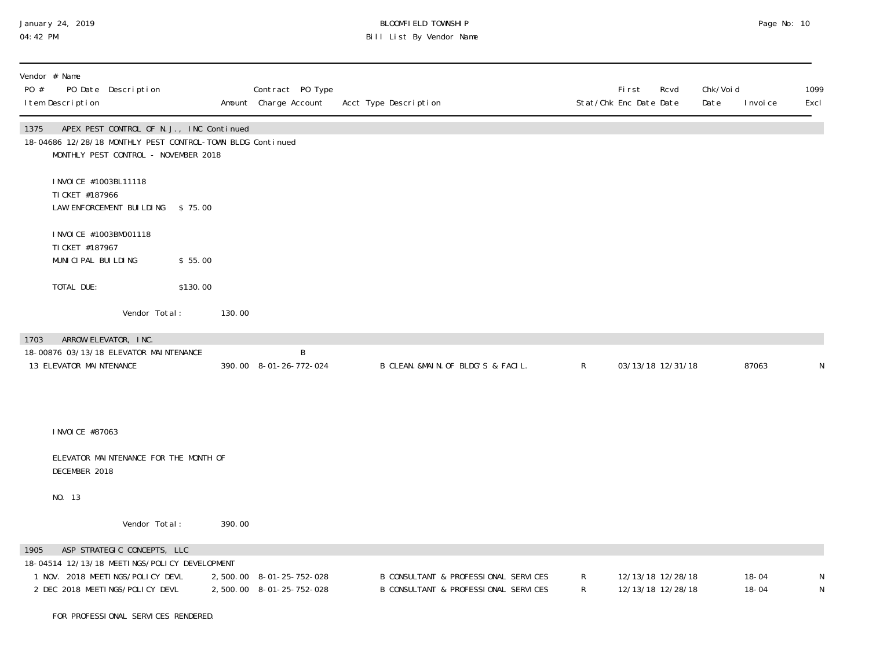## January 24, 2019 BLOOMFIELD TOWNSHIP Page No: 10 Bill List By Vendor Name

| Vendor # Name<br>PO #<br>I tem Description                                | PO Date Description                                                              |          |        | Contract PO Type<br>Amount Charge Account            | Acct Type Description                                                        |              | <b>First</b><br>Rcvd<br>Stat/Chk Enc Date Date | Chk/Voi d<br>Date | I nvoi ce              | 1099<br>Excl |
|---------------------------------------------------------------------------|----------------------------------------------------------------------------------|----------|--------|------------------------------------------------------|------------------------------------------------------------------------------|--------------|------------------------------------------------|-------------------|------------------------|--------------|
| 1375<br>18-04686 12/28/18 MONTHLY PEST CONTROL-TOWN BLDG Continued        | APEX PEST CONTROL OF N.J., INC Continued<br>MONTHLY PEST CONTROL - NOVEMBER 2018 |          |        |                                                      |                                                                              |              |                                                |                   |                        |              |
| TI CKET #187966                                                           | I NVOI CE #1003BL11118<br>LAW ENFORCEMENT BUILDING \$75.00                       |          |        |                                                      |                                                                              |              |                                                |                   |                        |              |
| TI CKET #187967<br>MUNICIPAL BUILDING                                     | I NVOI CE #1003BM001118                                                          | \$55.00  |        |                                                      |                                                                              |              |                                                |                   |                        |              |
| TOTAL DUE:                                                                |                                                                                  | \$130.00 |        |                                                      |                                                                              |              |                                                |                   |                        |              |
|                                                                           | Vendor Total:                                                                    |          | 130.00 |                                                      |                                                                              |              |                                                |                   |                        |              |
| 1703<br>18-00876 03/13/18 ELEVATOR MAINTENANCE<br>13 ELEVATOR MAINTENANCE | ARROW ELEVATOR, INC.                                                             |          |        | B<br>390.00 8-01-26-772-024                          | B CLEAN. &MAIN. OF BLDG'S & FACIL.                                           | $\mathsf{R}$ | 03/13/18 12/31/18                              |                   | 87063                  | N            |
| I NVOI CE #87063                                                          |                                                                                  |          |        |                                                      |                                                                              |              |                                                |                   |                        |              |
| DECEMBER 2018                                                             | ELEVATOR MAINTENANCE FOR THE MONTH OF                                            |          |        |                                                      |                                                                              |              |                                                |                   |                        |              |
| NO. 13                                                                    |                                                                                  |          |        |                                                      |                                                                              |              |                                                |                   |                        |              |
|                                                                           | Vendor Total:                                                                    |          | 390.00 |                                                      |                                                                              |              |                                                |                   |                        |              |
| 1905                                                                      | ASP STRATEGIC CONCEPTS, LLC                                                      |          |        |                                                      |                                                                              |              |                                                |                   |                        |              |
| 18-04514 12/13/18 MEETINGS/POLICY DEVELOPMENT                             | 1 NOV. 2018 MEETINGS/POLICY DEVL<br>2 DEC 2018 MEETINGS/POLICY DEVL              |          |        | 2,500.00 8-01-25-752-028<br>2,500.00 8-01-25-752-028 | B CONSULTANT & PROFESSIONAL SERVICES<br>B CONSULTANT & PROFESSIONAL SERVICES | R<br>R       | 12/13/18 12/28/18<br>12/13/18 12/28/18         |                   | $18 - 04$<br>$18 - 04$ | N<br>N       |
|                                                                           | FOR PROFESSIONAL SERVICES RENDERED.                                              |          |        |                                                      |                                                                              |              |                                                |                   |                        |              |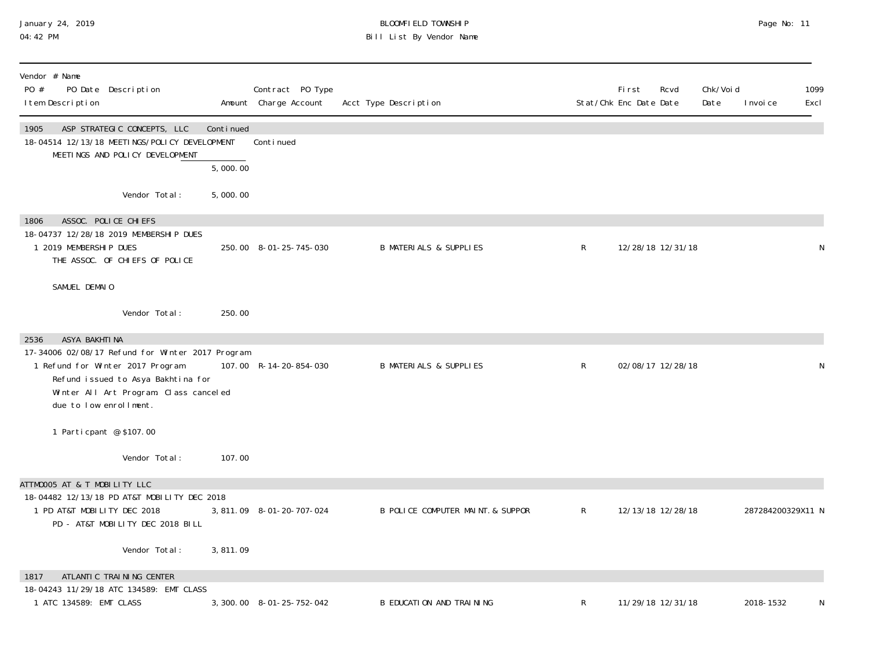#### January 24, 2019 BLOOMFIELD TOWNSHIP Page No: 11 04:42 PM Bill List By Vendor Name

| Vendor # Name<br>PO #<br>PO Date Description<br>I tem Description                                                                                                                                                        |           | Contract PO Type<br>Amount Charge Account | Acct Type Description             |              | First<br>Stat/Chk Enc Date Date | Rcvd              | Chk/Voi d<br>Date | I nvoi ce         | 1099<br>Excl |
|--------------------------------------------------------------------------------------------------------------------------------------------------------------------------------------------------------------------------|-----------|-------------------------------------------|-----------------------------------|--------------|---------------------------------|-------------------|-------------------|-------------------|--------------|
| 1905<br>ASP STRATEGIC CONCEPTS, LLC<br>18-04514 12/13/18 MEETINGS/POLICY DEVELOPMENT<br>MEETINGS AND POLICY DEVELOPMENT                                                                                                  | Continued | Continued                                 |                                   |              |                                 |                   |                   |                   |              |
|                                                                                                                                                                                                                          | 5,000.00  |                                           |                                   |              |                                 |                   |                   |                   |              |
| Vendor Total:                                                                                                                                                                                                            | 5,000.00  |                                           |                                   |              |                                 |                   |                   |                   |              |
| ASSOC. POLICE CHIEFS<br>1806<br>18-04737 12/28/18 2019 MEMBERSHIP DUES<br>1 2019 MEMBERSHIP DUES<br>THE ASSOC. OF CHIEFS OF POLICE                                                                                       |           | 250.00 8-01-25-745-030                    | <b>B MATERIALS &amp; SUPPLIES</b> | R            |                                 | 12/28/18 12/31/18 |                   |                   | N            |
| SAMUEL DEMAIO                                                                                                                                                                                                            |           |                                           |                                   |              |                                 |                   |                   |                   |              |
| Vendor Total:                                                                                                                                                                                                            | 250.00    |                                           |                                   |              |                                 |                   |                   |                   |              |
| ASYA BAKHTI NA<br>2536<br>17-34006 02/08/17 Refund for Winter 2017 Program<br>1 Refund for Winter 2017 Program<br>Refund issued to Asya Bakhtina for<br>Winter All Art Program. Class canceled<br>due to low enrollment. |           | 107.00 R-14-20-854-030                    | <b>B MATERIALS &amp; SUPPLIES</b> | $\mathsf{R}$ |                                 | 02/08/17 12/28/18 |                   |                   | N            |
| 1 Parti cpant @ \$107.00                                                                                                                                                                                                 |           |                                           |                                   |              |                                 |                   |                   |                   |              |
| Vendor Total:                                                                                                                                                                                                            | 107.00    |                                           |                                   |              |                                 |                   |                   |                   |              |
| ATTM0005 AT & T MOBILITY LLC<br>18-04482 12/13/18 PD AT&T MOBILITY DEC 2018<br>1 PD AT&T MOBILITY DEC 2018<br>PD - AT&T MOBILITY DEC 2018 BILL                                                                           |           | 3,811.09 8-01-20-707-024                  | B POLICE COMPUTER MAINT. & SUPPOR | R            |                                 | 12/13/18 12/28/18 |                   | 287284200329X11 N |              |
| Vendor Total:                                                                                                                                                                                                            | 3,811.09  |                                           |                                   |              |                                 |                   |                   |                   |              |
| ATLANTIC TRAINING CENTER<br>1817                                                                                                                                                                                         |           |                                           |                                   |              |                                 |                   |                   |                   |              |
| 18-04243 11/29/18 ATC 134589: EMT CLASS<br>1 ATC 134589: EMT CLASS                                                                                                                                                       |           | 3, 300.00 8-01-25-752-042                 | <b>B EDUCATION AND TRAINING</b>   | R            |                                 | 11/29/18 12/31/18 |                   | 2018-1532         | N            |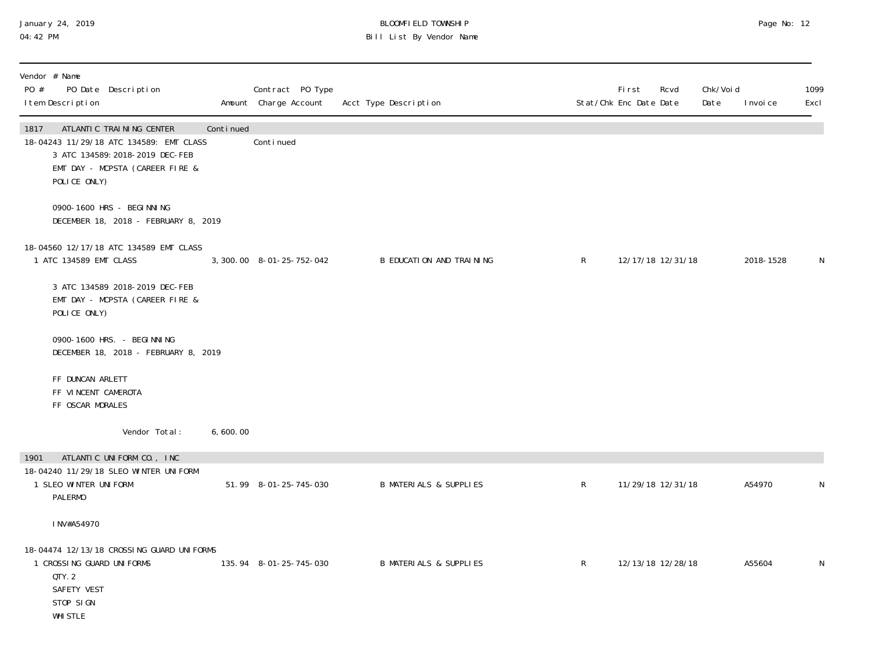#### January 24, 2019 BLOOMFIELD TOWNSHIP Page No: 12 04:42 PM Bill List By Vendor Name

| PO # | Vendor # Name<br>I tem Description                                                | PO Date Description                                                                                                                       |           | Contract PO Type<br>Amount Charge Account | Acct Type Description             |              | First<br>Rcvd<br>Stat/Chk Enc Date Date | Chk/Voi d<br>Date | I nvoi ce | 1099<br>Excl |
|------|-----------------------------------------------------------------------------------|-------------------------------------------------------------------------------------------------------------------------------------------|-----------|-------------------------------------------|-----------------------------------|--------------|-----------------------------------------|-------------------|-----------|--------------|
| 1817 | POLICE ONLY)                                                                      | ATLANTIC TRAINING CENTER<br>18-04243 11/29/18 ATC 134589: EMT CLASS<br>3 ATC 134589: 2018-2019 DEC-FEB<br>EMT DAY - MCPSTA (CAREER FIRE & | Continued | Continued                                 |                                   |              |                                         |                   |           |              |
|      |                                                                                   | 0900-1600 HRS - BEGI NNI NG<br>DECEMBER 18, 2018 - FEBRUARY 8, 2019                                                                       |           |                                           |                                   |              |                                         |                   |           |              |
|      | 1 ATC 134589 EMT CLASS                                                            | 18-04560 12/17/18 ATC 134589 EMT CLASS                                                                                                    |           | 3, 300. 00 8-01-25-752-042                | B EDUCATION AND TRAINING          | $\mathsf{R}$ | 12/17/18 12/31/18                       |                   | 2018-1528 | N            |
|      | POLICE ONLY)                                                                      | 3 ATC 134589 2018-2019 DEC-FEB<br>EMT DAY - MCPSTA (CAREER FIRE &                                                                         |           |                                           |                                   |              |                                         |                   |           |              |
|      |                                                                                   | 0900-1600 HRS. - BEGI NNI NG<br>DECEMBER 18, 2018 - FEBRUARY 8, 2019                                                                      |           |                                           |                                   |              |                                         |                   |           |              |
|      | FF DUNCAN ARLETT<br>FF VINCENT CAMEROTA<br>FF OSCAR MORALES                       |                                                                                                                                           |           |                                           |                                   |              |                                         |                   |           |              |
|      |                                                                                   | Vendor Total:                                                                                                                             | 6,600.00  |                                           |                                   |              |                                         |                   |           |              |
| 1901 |                                                                                   | ATLANTIC UNIFORM CO., INC                                                                                                                 |           |                                           |                                   |              |                                         |                   |           |              |
|      | 1 SLEO WINTER UNIFORM<br><b>PALERMO</b>                                           | 18-04240 11/29/18 SLEO WINTER UNIFORM                                                                                                     |           | 51.99 8-01-25-745-030                     | <b>B MATERIALS &amp; SUPPLIES</b> | $\mathsf{R}$ | 11/29/18 12/31/18                       |                   | A54970    | N            |
|      | INV#A54970                                                                        |                                                                                                                                           |           |                                           |                                   |              |                                         |                   |           |              |
|      | 1 CROSSING GUARD UNIFORMS<br>QTY.2<br>SAFETY VEST<br>STOP SIGN<br><b>WHI STLE</b> | 18-04474 12/13/18 CROSSING GUARD UNIFORMS                                                                                                 |           | 135.94 8-01-25-745-030                    | <b>B MATERIALS &amp; SUPPLIES</b> | $\mathsf{R}$ | 12/13/18 12/28/18                       |                   | A55604    | N            |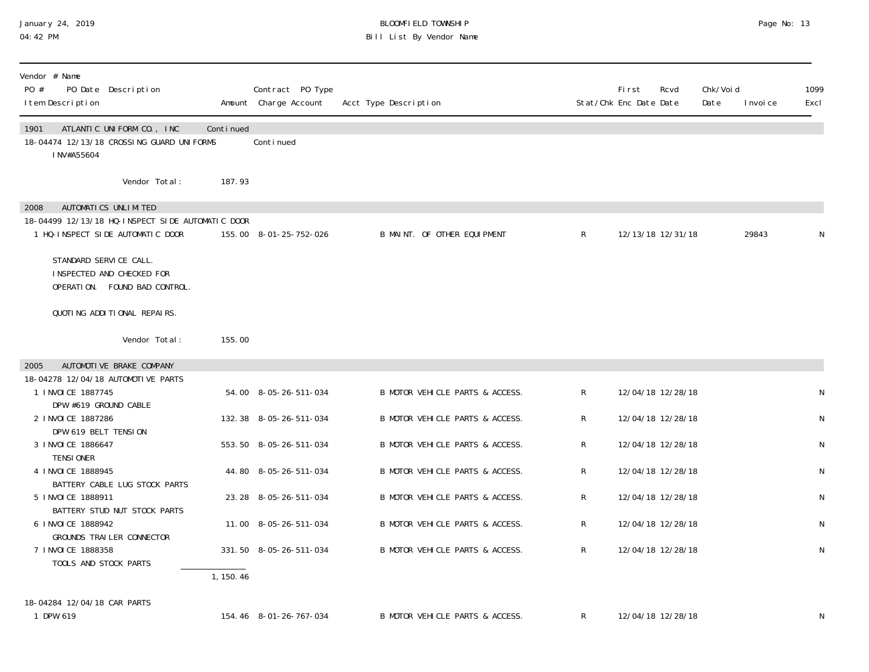#### January 24, 2019 BLOOMFIELD TOWNSHIP Page No: 13 04:42 PM Bill List By Vendor Name

| Vendor # Name<br>PO Date Description<br>PO #<br>I tem Description                                                                              |           | Contract PO Type<br>Amount Charge Account | Acct Type Description           |                | <b>First</b><br>Stat/Chk Enc Date Date | Rcvd              | Chk/Voi d<br>Date | I nvoi ce | 1099<br>Excl |
|------------------------------------------------------------------------------------------------------------------------------------------------|-----------|-------------------------------------------|---------------------------------|----------------|----------------------------------------|-------------------|-------------------|-----------|--------------|
| 1901<br>ATLANTIC UNIFORM CO., INC.<br>18-04474 12/13/18 CROSSING GUARD UNIFORMS<br>I NV#A55604                                                 | Continued | Continued                                 |                                 |                |                                        |                   |                   |           |              |
| Vendor Total:                                                                                                                                  | 187.93    |                                           |                                 |                |                                        |                   |                   |           |              |
| AUTOMATICS UNLIMITED<br>2008<br>18-04499 12/13/18 HQ-INSPECT SIDE AUTOMATIC DOOR<br>1 HQ-INSPECT SIDE AUTOMATIC DOOR<br>STANDARD SERVICE CALL. |           | 155.00 8-01-25-752-026                    | B MAINT. OF OTHER EQUIPMENT     | $\mathsf{R}^-$ |                                        | 12/13/18 12/31/18 |                   | 29843     |              |
| INSPECTED AND CHECKED FOR<br>OPERATION. FOUND BAD CONTROL.                                                                                     |           |                                           |                                 |                |                                        |                   |                   |           |              |
| QUOTING ADDITIONAL REPAIRS.<br>Vendor Total:                                                                                                   | 155.00    |                                           |                                 |                |                                        |                   |                   |           |              |
| AUTOMOTI VE BRAKE COMPANY<br>2005                                                                                                              |           |                                           |                                 |                |                                        |                   |                   |           |              |
| 18-04278 12/04/18 AUTOMOTIVE PARTS<br>1 I NVOI CE 1887745<br>DPW #619 GROUND CABLE                                                             |           | 54.00 8-05-26-511-034                     | B MOTOR VEHICLE PARTS & ACCESS. | $\mathsf{R}$   |                                        | 12/04/18 12/28/18 |                   |           | N            |
| 2 I NVOI CE 1887286<br>DPW 619 BELT TENSION                                                                                                    |           | 132.38 8-05-26-511-034                    | B MOTOR VEHICLE PARTS & ACCESS. | R              |                                        | 12/04/18 12/28/18 |                   |           | N            |
| 3 I NVOI CE 1886647<br><b>TENSIONER</b>                                                                                                        |           | 553.50 8-05-26-511-034                    | B MOTOR VEHICLE PARTS & ACCESS. | R              |                                        | 12/04/18 12/28/18 |                   |           | N            |
| 4 I NVOI CE 1888945                                                                                                                            |           | 44.80 8-05-26-511-034                     | B MOTOR VEHICLE PARTS & ACCESS. | R              |                                        | 12/04/18 12/28/18 |                   |           | N            |
| BATTERY CABLE LUG STOCK PARTS<br>5 I NVOI CE 1888911                                                                                           |           | 23.28 8-05-26-511-034                     | B MOTOR VEHICLE PARTS & ACCESS. | R              |                                        | 12/04/18 12/28/18 |                   |           | N            |
| BATTERY STUD NUT STOCK PARTS<br>6 I NVOI CE 1888942                                                                                            |           | 11.00 8-05-26-511-034                     | B MOTOR VEHICLE PARTS & ACCESS. | R              |                                        | 12/04/18 12/28/18 |                   |           | N            |
| GROUNDS TRAILER CONNECTOR<br>7 I NVOI CE 1888358<br>TOOLS AND STOCK PARTS                                                                      |           | 331.50 8-05-26-511-034                    | B MOTOR VEHICLE PARTS & ACCESS. | R              |                                        | 12/04/18 12/28/18 |                   |           | N            |
|                                                                                                                                                | 1, 150.46 |                                           |                                 |                |                                        |                   |                   |           |              |
| 18-04284 12/04/18 CAR PARTS<br>1 DPW 619                                                                                                       |           | 154.46 8-01-26-767-034                    | B MOTOR VEHICLE PARTS & ACCESS. | $\mathsf{R}^-$ |                                        | 12/04/18 12/28/18 |                   |           | N            |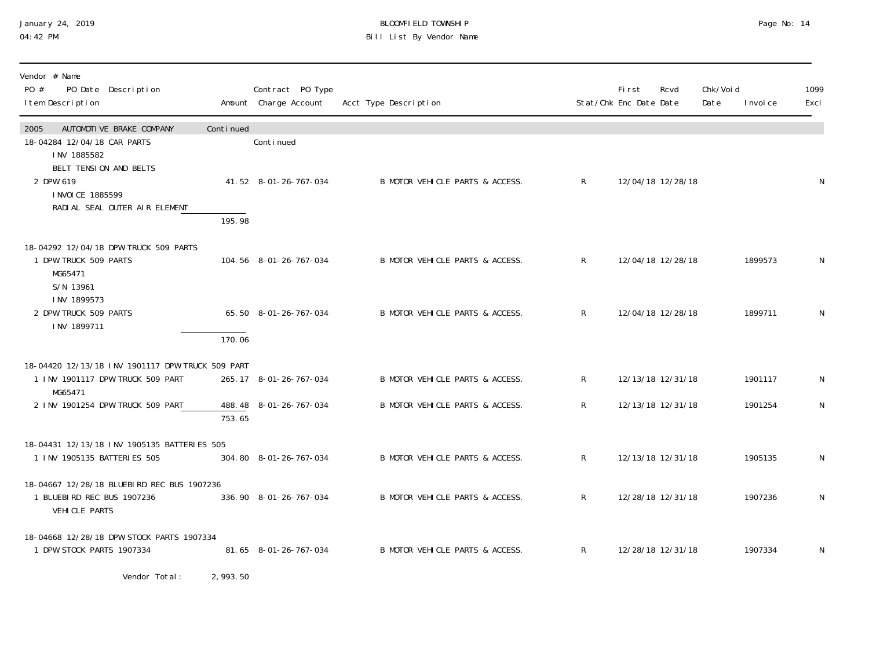#### January 24, 2019 BLOOMFIELD TOWNSHIP Page No: 14 04:42 PM Bill List By Vendor Name

| Vendor # Name<br>PO #<br>PO Date Description<br>I tem Description                                         |           | Contract PO Type<br>Amount Charge Account | Acct Type Description           |              | <b>First</b><br>Stat/Chk Enc Date Date | Rcvd              | Chk/Void<br>Date | I nvoi ce | 1099<br>Excl |
|-----------------------------------------------------------------------------------------------------------|-----------|-------------------------------------------|---------------------------------|--------------|----------------------------------------|-------------------|------------------|-----------|--------------|
| 2005<br>AUTOMOTIVE BRAKE COMPANY<br>18-04284 12/04/18 CAR PARTS                                           | Continued | Conti nued                                |                                 |              |                                        |                   |                  |           |              |
| INV 1885582<br>BELT TENSION AND BELTS<br>2 DPW 619<br>I NVOI CE 1885599<br>RADI AL SEAL OUTER AIR ELEMENT | 195.98    | 41.52 8-01-26-767-034                     | B MOTOR VEHICLE PARTS & ACCESS. | $\mathsf{R}$ |                                        | 12/04/18 12/28/18 |                  |           | N            |
| 18-04292 12/04/18 DPW TRUCK 509 PARTS<br>1 DPW TRUCK 509 PARTS<br>MG65471<br>S/N 13961                    |           | 104.56 8-01-26-767-034                    | B MOTOR VEHICLE PARTS & ACCESS. | R            |                                        | 12/04/18 12/28/18 |                  | 1899573   | N            |
| INV 1899573<br>2 DPW TRUCK 509 PARTS<br>INV 1899711                                                       | 170.06    | 65.50 8-01-26-767-034                     | B MOTOR VEHICLE PARTS & ACCESS. | $\mathsf{R}$ |                                        | 12/04/18 12/28/18 |                  | 1899711   | N            |
| 18-04420 12/13/18 INV 1901117 DPW TRUCK 509 PART                                                          |           |                                           |                                 |              |                                        |                   |                  |           |              |
| 1 INV 1901117 DPW TRUCK 509 PART<br>MG65471                                                               |           | 265.17 8-01-26-767-034                    | B MOTOR VEHICLE PARTS & ACCESS. | $\mathsf{R}$ |                                        | 12/13/18 12/31/18 |                  | 1901117   | N            |
| 2 INV 1901254 DPW TRUCK 509 PART                                                                          | 753.65    | 488.48 8-01-26-767-034                    | B MOTOR VEHICLE PARTS & ACCESS. | R            |                                        | 12/13/18 12/31/18 |                  | 1901254   | N            |
| 18-04431 12/13/18 INV 1905135 BATTERIES 505<br>1 INV 1905135 BATTERIES 505                                |           | 304.80 8-01-26-767-034                    | B MOTOR VEHICLE PARTS & ACCESS. | R            |                                        | 12/13/18 12/31/18 |                  | 1905135   | N            |
| 18-04667 12/28/18 BLUEBIRD REC BUS 1907236<br>1 BLUEBIRD REC BUS 1907236<br>VEHICLE PARTS                 |           | 336.90 8-01-26-767-034                    | B MOTOR VEHICLE PARTS & ACCESS. | $\mathsf{R}$ |                                        | 12/28/18 12/31/18 |                  | 1907236   | N            |
| 18-04668 12/28/18 DPW STOCK PARTS 1907334<br>1 DPW STOCK PARTS 1907334                                    |           | 81.65 8-01-26-767-034                     | B MOTOR VEHICLE PARTS & ACCESS. | $\mathsf{R}$ |                                        | 12/28/18 12/31/18 |                  | 1907334   | N            |

Vendor Total: 2,993.50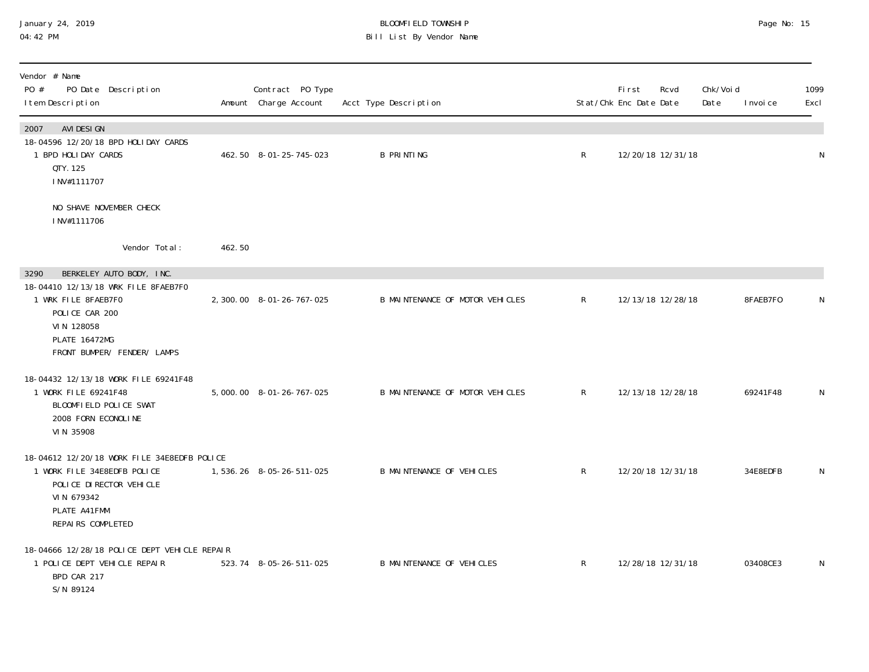### January 24, 2019 BLOOMFIELD TOWNSHIP Page No: 15 04:42 PM Bill List By Vendor Name

| Vendor # Name<br>PO #<br>PO Date Description<br>I tem Description                                                                                         |        | Contract PO Type<br>Amount Charge Account | Acct Type Description            |              | First<br>Stat/Chk Enc Date Date | Rcvd              | Chk/Voi d<br>Date | I nvoi ce | 1099<br>Excl |
|-----------------------------------------------------------------------------------------------------------------------------------------------------------|--------|-------------------------------------------|----------------------------------|--------------|---------------------------------|-------------------|-------------------|-----------|--------------|
| AVI DESI GN<br>2007<br>18-04596 12/20/18 BPD HOLIDAY CARDS<br>1 BPD HOLIDAY CARDS<br>QTY. 125<br>INV#1111707                                              |        | 462.50 8-01-25-745-023                    | <b>B PRINTING</b>                | $\mathsf{R}$ |                                 | 12/20/18 12/31/18 |                   |           | N            |
| NO SHAVE NOVEMBER CHECK<br>INV#1111706                                                                                                                    |        |                                           |                                  |              |                                 |                   |                   |           |              |
| Vendor Total:                                                                                                                                             | 462.50 |                                           |                                  |              |                                 |                   |                   |           |              |
| BERKELEY AUTO BODY, INC.<br>3290                                                                                                                          |        |                                           |                                  |              |                                 |                   |                   |           |              |
| 18-04410 12/13/18 WRK FILE 8FAEB7F0<br>1 WRK FILE 8FAEB7F0<br>POLICE CAR 200<br>VIN 128058<br><b>PLATE 16472MG</b><br>FRONT BUMPER/ FENDER/ LAMPS         |        | 2, 300.00 8-01-26-767-025                 | B MAINTENANCE OF MOTOR VEHICLES  | $\mathsf{R}$ |                                 | 12/13/18 12/28/18 |                   | 8FAEB7F0  | N            |
| 18-04432 12/13/18 WORK FILE 69241F48<br>1 WORK FILE 69241F48<br>BLOOMFIELD POLICE SWAT<br>2008 FORN ECONOLINE<br>VIN 35908                                |        | 5,000.00 8-01-26-767-025                  | B MAINTENANCE OF MOTOR VEHICLES  | $\mathsf{R}$ | 12/13/18 12/28/18               |                   |                   | 69241F48  | N            |
| 18-04612 12/20/18 WORK FILE 34E8EDFB POLICE<br>1 WORK FILE 34E8EDFB POLICE<br>POLICE DI RECTOR VEHICLE<br>VIN 679342<br>PLATE A41FMM<br>REPAIRS COMPLETED |        | 1,536.26 8-05-26-511-025                  | <b>B MAINTENANCE OF VEHICLES</b> | $\mathsf{R}$ | 12/20/18 12/31/18               |                   |                   | 34E8EDFB  | N            |
| 18-04666 12/28/18 POLICE DEPT VEHICLE REPAIR<br>1 POLICE DEPT VEHICLE REPAIR<br>BPD CAR 217<br>S/N 89124                                                  |        | 523.74 8-05-26-511-025                    | <b>B MAINTENANCE OF VEHICLES</b> | $\mathsf{R}$ | 12/28/18 12/31/18               |                   |                   | 03408CE3  | N            |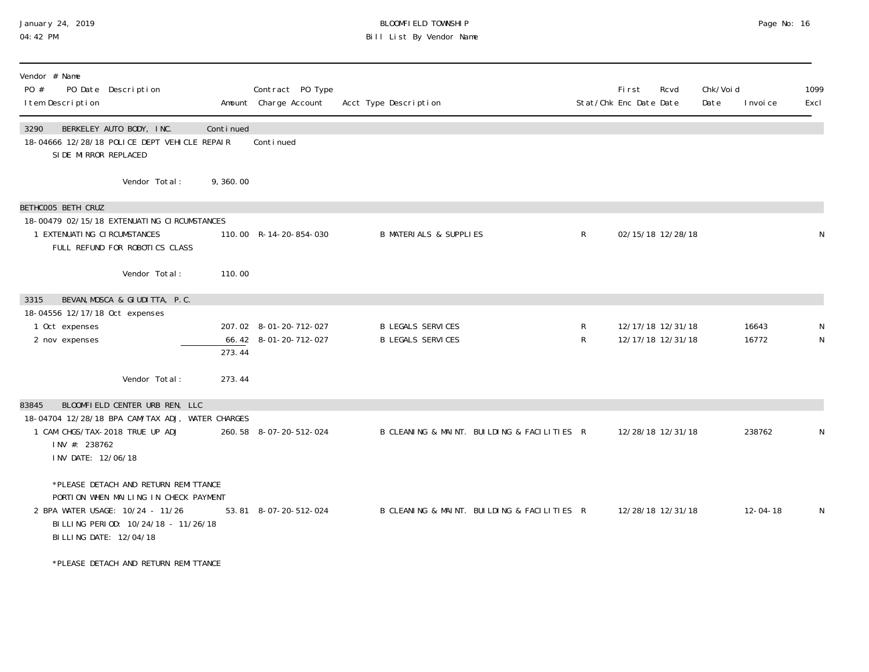### January 24, 2019 BLOOMFIELD TOWNSHIP Page No: 16 04:42 PM Bill List By Vendor Name

| Vendor # Name<br>PO #<br>PO Date Description<br>I tem Description                                                                   |                                                                                                                      |                     | Contract PO Type<br>Amount Charge Account       | Acct Type Description                                |              | Fi rst<br>Stat/Chk Enc Date Date       | Rcvd | Chk/Voi d<br>Date | I nvoi ce      | 1099<br>Excl |
|-------------------------------------------------------------------------------------------------------------------------------------|----------------------------------------------------------------------------------------------------------------------|---------------------|-------------------------------------------------|------------------------------------------------------|--------------|----------------------------------------|------|-------------------|----------------|--------------|
| 3290<br>BERKELEY AUTO BODY, INC.<br>18-04666 12/28/18 POLICE DEPT VEHICLE REPAIR<br>SIDE MIRROR REPLACED                            |                                                                                                                      | Continued           | Continued                                       |                                                      |              |                                        |      |                   |                |              |
|                                                                                                                                     | Vendor Total:                                                                                                        | 9,360.00            |                                                 |                                                      |              |                                        |      |                   |                |              |
| BETHCOO5 BETH CRUZ<br>18-00479 02/15/18 EXTENUATING CIRCUMSTANCES<br>1 EXTENUATING CIRCUMSTANCES                                    | FULL REFUND FOR ROBOTICS CLASS                                                                                       |                     | 110.00 R-14-20-854-030                          | <b>B MATERIALS &amp; SUPPLIES</b>                    | $\mathsf{R}$ | 02/15/18 12/28/18                      |      |                   |                |              |
|                                                                                                                                     | Vendor Total:                                                                                                        | 110.00              |                                                 |                                                      |              |                                        |      |                   |                |              |
| 3315<br>18-04556 12/17/18 Oct expenses<br>1 Oct expenses<br>2 nov expenses                                                          | BEVAN, MOSCA & GIUDITTA, P.C.                                                                                        | $\overline{273.44}$ | 207.02 8-01-20-712-027<br>66.42 8-01-20-712-027 | <b>B LEGALS SERVICES</b><br><b>B LEGALS SERVICES</b> | R<br>R       | 12/17/18 12/31/18<br>12/17/18 12/31/18 |      |                   | 16643<br>16772 | N            |
|                                                                                                                                     | Vendor Total:                                                                                                        | 273.44              |                                                 |                                                      |              |                                        |      |                   |                |              |
| 83845<br>18-04704 12/28/18 BPA CAM/TAX ADJ, WATER CHARGES<br>1 CAM CHGS/TAX-2018 TRUE UP ADJ<br>INV #: 238762<br>INV DATE: 12/06/18 | BLOOMFIELD CENTER URB REN, LLC                                                                                       |                     | 260.58 8-07-20-512-024                          | B CLEANING & MAINT. BUILDING & FACILITIES R          |              | 12/28/18 12/31/18                      |      |                   | 238762         |              |
| 2 BPA WATER USAGE: 10/24 - 11/26<br>BI LLI NG DATE: 12/04/18                                                                        | *PLEASE DETACH AND RETURN REMITTANCE<br>PORTION WHEN MAILING IN CHECK PAYMENT<br>BILLING PERIOD: 10/24/18 - 11/26/18 |                     | 53.81 8-07-20-512-024                           | B CLEANING & MAINT. BUILDING & FACILITIES R          |              | 12/28/18 12/31/18                      |      |                   | $12 - 04 - 18$ | N            |
|                                                                                                                                     | *PLEASE DETACH AND RETURN REMITTANCE                                                                                 |                     |                                                 |                                                      |              |                                        |      |                   |                |              |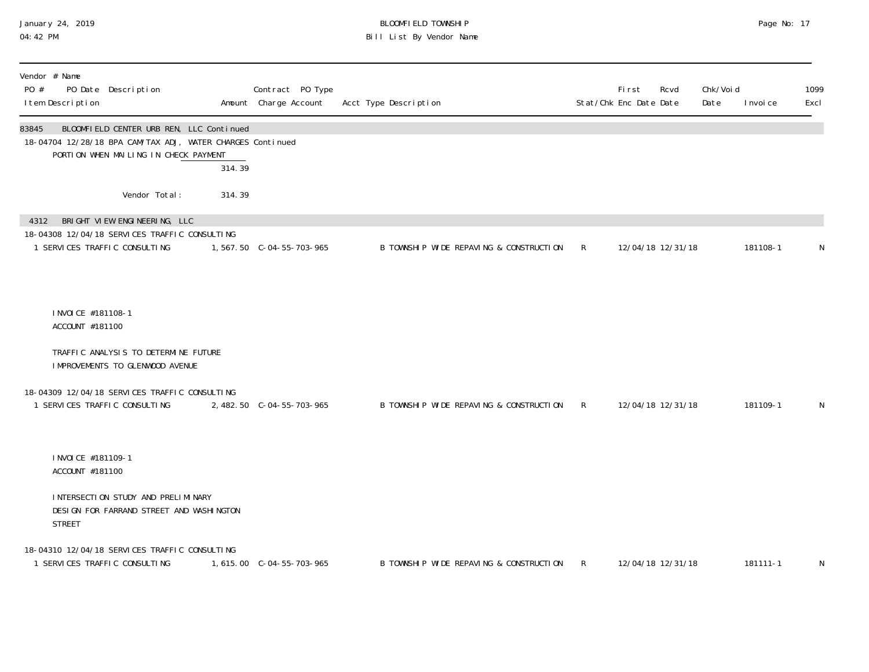### January 24, 2019 BLOOMFIELD TOWNSHIP Page No: 17 04:42 PM Bill List By Vendor Name

| Vendor # Name<br>PO # | I tem Description                      | PO Date Description                                                                                                 |                                                                                                                  | Contract PO Type<br>Amount Charge Account | Acct Type Description                   |              | <b>First</b><br>Stat/Chk Enc Date Date | Rcvd              | Chk/Voi d<br>Date | I nvoi ce | 1099<br>Excl |
|-----------------------|----------------------------------------|---------------------------------------------------------------------------------------------------------------------|------------------------------------------------------------------------------------------------------------------|-------------------------------------------|-----------------------------------------|--------------|----------------------------------------|-------------------|-------------------|-----------|--------------|
| 83845                 |                                        | PORTION WHEN MAILING IN CHECK PAYMENT                                                                               | BLOOMFIELD CENTER URB REN, LLC Continued<br>18-04704 12/28/18 BPA CAM/TAX ADJ, WATER CHARGES Continued<br>314.39 |                                           |                                         |              |                                        |                   |                   |           |              |
|                       |                                        | Vendor Total:                                                                                                       | 314.39                                                                                                           |                                           |                                         |              |                                        |                   |                   |           |              |
|                       |                                        | 4312 BRIGHT VIEW ENGINEERING, LLC<br>18-04308 12/04/18 SERVICES TRAFFIC CONSULTING<br>1 SERVICES TRAFFIC CONSULTING |                                                                                                                  |                                           | B TOWNSHIP WIDE REPAVING & CONSTRUCTION | $\mathsf{R}$ |                                        | 12/04/18 12/31/18 |                   | 181108-1  | N            |
|                       | I NVOI CE #181108-1<br>ACCOUNT #181100 |                                                                                                                     |                                                                                                                  |                                           |                                         |              |                                        |                   |                   |           |              |
|                       |                                        | TRAFFIC ANALYSIS TO DETERMINE FUTURE<br>IMPROVEMENTS TO GLENWOOD AVENUE                                             |                                                                                                                  |                                           |                                         |              |                                        |                   |                   |           |              |
|                       |                                        | 18-04309 12/04/18 SERVICES TRAFFIC CONSULTING<br>1 SERVICES TRAFFIC CONSULTING                                      |                                                                                                                  | 2, 482.50 C-04-55-703-965                 | B TOWNSHIP WIDE REPAVING & CONSTRUCTION | $\mathsf{R}$ |                                        | 12/04/18 12/31/18 |                   | 181109-1  | N            |
|                       | I NVOI CE #181109-1<br>ACCOUNT #181100 |                                                                                                                     |                                                                                                                  |                                           |                                         |              |                                        |                   |                   |           |              |
|                       | <b>STREET</b>                          | INTERSECTION STUDY AND PRELIMINARY<br>DESI GN FOR FARRAND STREET AND WASHINGTON                                     |                                                                                                                  |                                           |                                         |              |                                        |                   |                   |           |              |
|                       |                                        | 18-04310 12/04/18 SERVICES TRAFFIC CONSULTING<br>1 SERVICES TRAFFIC CONSULTING                                      |                                                                                                                  | 1,615.00    C-04-55-703-965               | B TOWNSHIP WIDE REPAVING & CONSTRUCTION | R            |                                        | 12/04/18 12/31/18 |                   | 181111-1  | N            |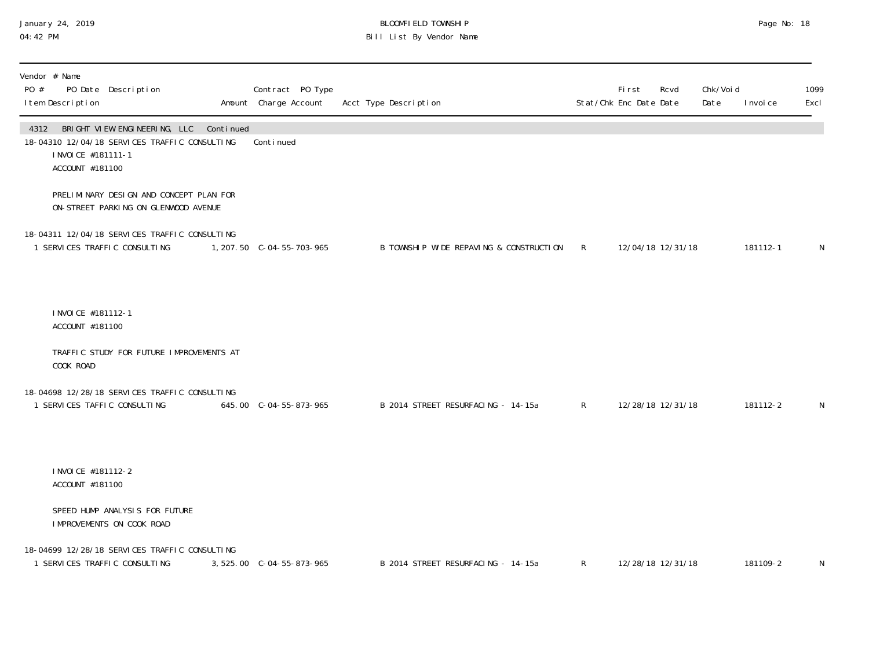#### January 24, 2019 BLOOMFIELD TOWNSHIP Page No: 18 04:42 PM Bill List By Vendor Name

| Vendor # Name<br>PO #<br>I tem Description     | PO Date Description                                                                     | Contract PO Type<br>Amount Charge Account | Acct Type Description                     |   | First<br>Stat/Chk Enc Date Date | Rcvd | Chk/Voi d<br>Date | I nvoi ce | 1099<br>Excl |
|------------------------------------------------|-----------------------------------------------------------------------------------------|-------------------------------------------|-------------------------------------------|---|---------------------------------|------|-------------------|-----------|--------------|
| 4312<br>I NVOI CE #181111-1<br>ACCOUNT #181100 | BRIGHT VIEW ENGINEERING, LLC Continued<br>18-04310 12/04/18 SERVICES TRAFFIC CONSULTING | Continued                                 |                                           |   |                                 |      |                   |           |              |
|                                                | PRELIMINARY DESIGN AND CONCEPT PLAN FOR<br>ON-STREET PARKING ON GLENWOOD AVENUE         |                                           |                                           |   |                                 |      |                   |           |              |
|                                                | 18-04311 12/04/18 SERVICES TRAFFIC CONSULTING<br>1 SERVICES TRAFFIC CONSULTING          | 1, 207.50 C-04-55-703-965                 | B TOWNSHIP WIDE REPAVING & CONSTRUCTION R |   | 12/04/18 12/31/18               |      |                   | 181112-1  | N            |
| I NVOI CE #181112-1<br>ACCOUNT #181100         |                                                                                         |                                           |                                           |   |                                 |      |                   |           |              |
| COOK ROAD                                      | TRAFFIC STUDY FOR FUTURE IMPROVEMENTS AT                                                |                                           |                                           |   |                                 |      |                   |           |              |
|                                                | 18-04698 12/28/18 SERVICES TRAFFIC CONSULTING<br>1 SERVICES TAFFIC CONSULTING           | 645.00 C-04-55-873-965                    | B 2014 STREET RESURFACING - 14-15a        | R | 12/28/18 12/31/18               |      |                   | 181112-2  | N            |
| I NVOI CE #181112-2<br>ACCOUNT #181100         |                                                                                         |                                           |                                           |   |                                 |      |                   |           |              |
|                                                | SPEED HUMP ANALYSIS FOR FUTURE<br>IMPROVEMENTS ON COOK ROAD                             |                                           |                                           |   |                                 |      |                   |           |              |
|                                                | 18-04699 12/28/18 SERVICES TRAFFIC CONSULTING<br>1 SERVICES TRAFFIC CONSULTING          | 3, 525.00 C-04-55-873-965                 | B 2014 STREET RESURFACING - 14-15a        | R | 12/28/18 12/31/18               |      |                   | 181109-2  | N            |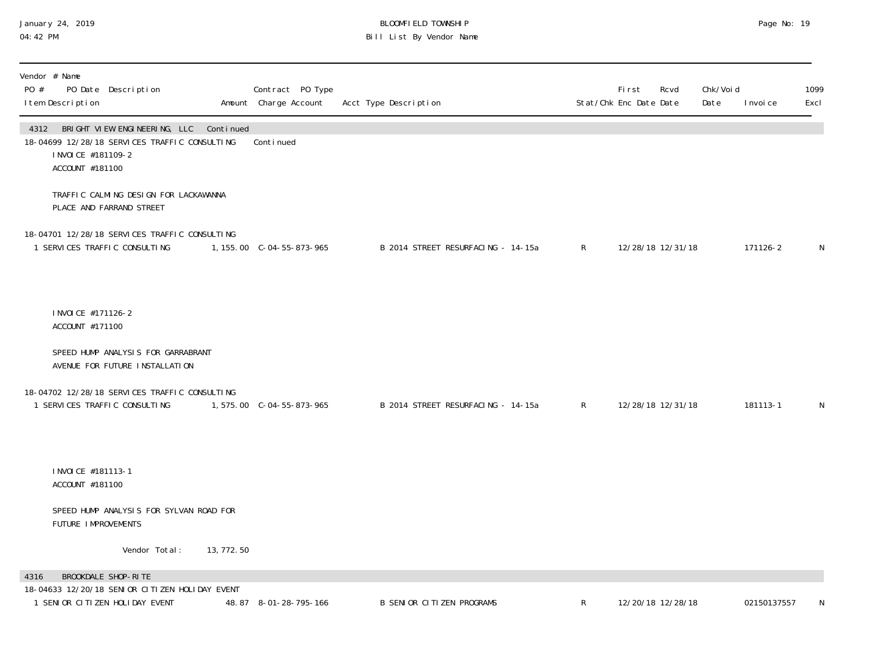### January 24, 2019 BLOOMFIELD TOWNSHIP Page No: 19 04:42 PM Bill List By Vendor Name

| Vendor # Name<br>PO Date Description<br>PO #<br>I tem Description                                                            |             | Contract PO Type<br>Amount Charge Account | Acct Type Description              |              | First<br>Stat/Chk Enc Date Date | Rcvd              | Chk/Void<br>Date | I nvoi ce   | 1099<br>Excl |
|------------------------------------------------------------------------------------------------------------------------------|-------------|-------------------------------------------|------------------------------------|--------------|---------------------------------|-------------------|------------------|-------------|--------------|
| 4312 BRIGHT VIEW ENGINEERING, LLC<br>18-04699 12/28/18 SERVICES TRAFFIC CONSULTING<br>I NVOI CE #181109-2<br>ACCOUNT #181100 | Continued   | Continued                                 |                                    |              |                                 |                   |                  |             |              |
| TRAFFIC CALMING DESIGN FOR LACKAWANNA<br>PLACE AND FARRAND STREET                                                            |             |                                           |                                    |              |                                 |                   |                  |             |              |
| 18-04701 12/28/18 SERVICES TRAFFIC CONSULTING<br>1 SERVICES TRAFFIC CONSULTING                                               |             | 1, 155.00 C-04-55-873-965                 | B 2014 STREET RESURFACING - 14-15a | R            |                                 | 12/28/18 12/31/18 |                  | 171126-2    | $\mathsf N$  |
| I NVOI CE #171126-2<br>ACCOUNT #171100                                                                                       |             |                                           |                                    |              |                                 |                   |                  |             |              |
| SPEED HUMP ANALYSIS FOR GARRABRANT<br>AVENUE FOR FUTURE INSTALLATION                                                         |             |                                           |                                    |              |                                 |                   |                  |             |              |
| 18-04702 12/28/18 SERVICES TRAFFIC CONSULTING<br>1 SERVICES TRAFFIC CONSULTING                                               |             | 1,575.00 C-04-55-873-965                  | B 2014 STREET RESURFACING - 14-15a | R            |                                 | 12/28/18 12/31/18 |                  | 181113-1    | N            |
| I NVOI CE #181113-1<br>ACCOUNT #181100                                                                                       |             |                                           |                                    |              |                                 |                   |                  |             |              |
| SPEED HUMP ANALYSIS FOR SYLVAN ROAD FOR<br>FUTURE IMPROVEMENTS                                                               |             |                                           |                                    |              |                                 |                   |                  |             |              |
| Vendor Total:                                                                                                                | 13, 772. 50 |                                           |                                    |              |                                 |                   |                  |             |              |
| BROOKDALE SHOP-RITE<br>4316<br>18-04633 12/20/18 SENIOR CITIZEN HOLIDAY EVENT<br>1 SENIOR CITIZEN HOLIDAY EVENT              |             | 48.87 8-01-28-795-166                     | <b>B SENIOR CITIZEN PROGRAMS</b>   | $\mathsf{R}$ |                                 | 12/20/18 12/28/18 |                  | 02150137557 | N            |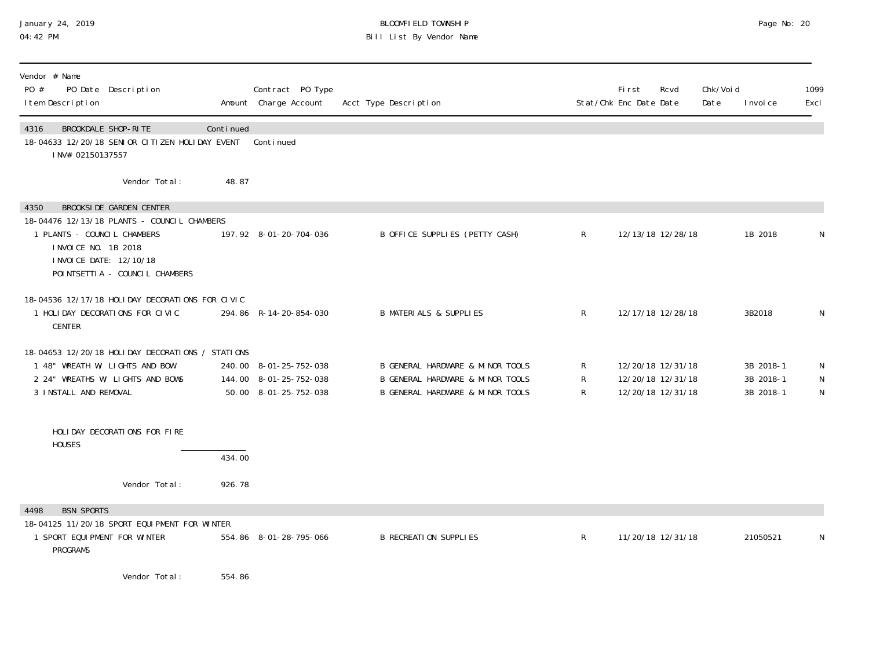### January 24, 2019 BLOOMFIELD TOWNSHIP Page No: 20 04:42 PM Bill List By Vendor Name

| Vendor # Name<br>PO #<br>I tem Description                                   | PO Date Description                                                                                                                         |           | Contract PO Type<br>Amount Charge Account                                 | Acct Type Description                                                                                    |                                              | First<br>Stat/Chk Enc Date Date                             | Rcvd | Chk/Voi d<br>Date | I nvoi ce                           | 1099<br>Excl           |
|------------------------------------------------------------------------------|---------------------------------------------------------------------------------------------------------------------------------------------|-----------|---------------------------------------------------------------------------|----------------------------------------------------------------------------------------------------------|----------------------------------------------|-------------------------------------------------------------|------|-------------------|-------------------------------------|------------------------|
| 4316<br>INV# 02150137557                                                     | BROOKDALE SHOP-RITE<br>18-04633 12/20/18 SENIOR CITIZEN HOLIDAY EVENT                                                                       | Continued | Continued                                                                 |                                                                                                          |                                              |                                                             |      |                   |                                     |                        |
|                                                                              | Vendor Total:                                                                                                                               | 48.87     |                                                                           |                                                                                                          |                                              |                                                             |      |                   |                                     |                        |
| 4350<br>1 PLANTS - COUNCIL CHAMBERS<br>I NVOI CE NO. 1B 2018                 | <b>BROOKSIDE GARDEN CENTER</b><br>18-04476 12/13/18 PLANTS - COUNCIL CHAMBERS<br>I NVOI CE DATE: 12/10/18<br>POINTSETTIA - COUNCIL CHAMBERS |           | 197.92 8-01-20-704-036                                                    | B OFFICE SUPPLIES (PETTY CASH)                                                                           | $\mathsf{R}$                                 | 12/13/18 12/28/18                                           |      |                   | 1B 2018                             | N                      |
| <b>CENTER</b>                                                                | 18-04536 12/17/18 HOLIDAY DECORATIONS FOR CIVIC<br>1 HOLIDAY DECORATIONS FOR CIVIC                                                          |           | 294.86 R-14-20-854-030                                                    | <b>B MATERIALS &amp; SUPPLIES</b>                                                                        | $\mathsf{R}$                                 | 12/17/18 12/28/18                                           |      |                   | 3B2018                              | N                      |
| 3 INSTALL AND REMOVAL                                                        | 18-04653 12/20/18 HOLIDAY DECORATIONS / STATIONS<br>1 48" WREATH W/ LIGHTS AND BOW<br>2 24" WREATHS W/ LIGHTS AND BOWS                      |           | 240.00 8-01-25-752-038<br>144.00 8-01-25-752-038<br>50.00 8-01-25-752-038 | B GENERAL HARDWARE & MINOR TOOLS<br>B GENERAL HARDWARE & MINOR TOOLS<br>B GENERAL HARDWARE & MINOR TOOLS | $\mathsf{R}$<br>$\mathsf{R}$<br>$\mathsf{R}$ | 12/20/18 12/31/18<br>12/20/18 12/31/18<br>12/20/18 12/31/18 |      |                   | 3B 2018-1<br>3B 2018-1<br>3B 2018-1 | N<br>N<br>$\mathsf{N}$ |
| <b>HOUSES</b>                                                                | HOLIDAY DECORATIONS FOR FIRE                                                                                                                | 434.00    |                                                                           |                                                                                                          |                                              |                                                             |      |                   |                                     |                        |
|                                                                              | Vendor Total:                                                                                                                               | 926.78    |                                                                           |                                                                                                          |                                              |                                                             |      |                   |                                     |                        |
| <b>BSN SPORTS</b><br>4498<br>1 SPORT EQUIPMENT FOR WINTER<br><b>PROGRAMS</b> | 18-04125 11/20/18 SPORT EQUIPMENT FOR WINTER                                                                                                |           | 554.86 8-01-28-795-066                                                    | <b>B RECREATION SUPPLIES</b>                                                                             | $\mathsf{R}$                                 | 11/20/18 12/31/18                                           |      |                   | 21050521                            | N                      |

Vendor Total: 554.86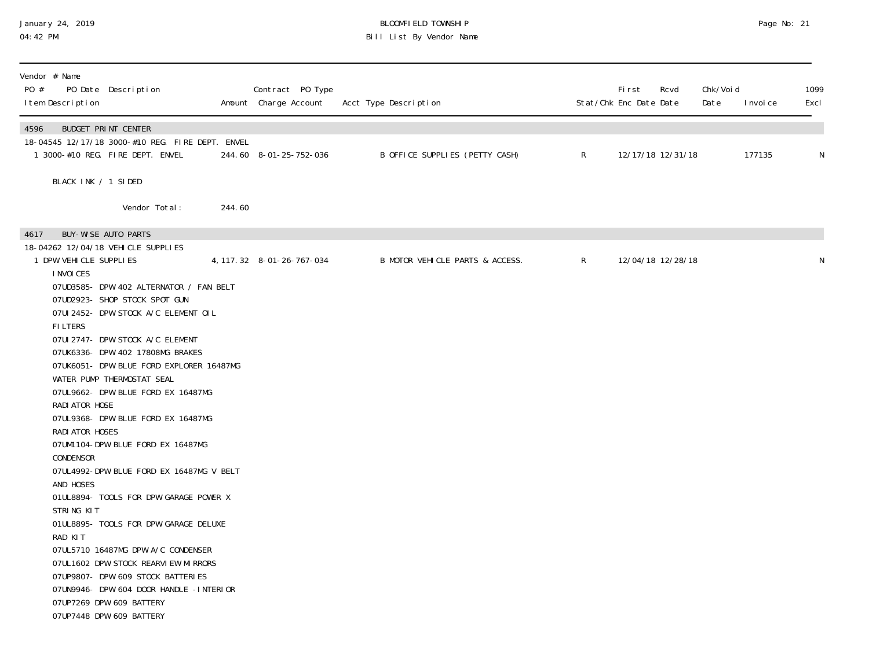#### January 24, 2019 BLOOMFIELD TOWNSHIP Page No: 21 04:42 PM Bill List By Vendor Name

| Vendor # Name<br>PO #<br>I tem Description | PO Date Description                                                                  |        | Contract PO Type<br>Amount Charge Account | Acct Type Description           |              | <b>First</b><br>Stat/Chk Enc Date Date | Rcvd | Chk/Void<br>Date | I nvoi ce | 1099<br>Excl |
|--------------------------------------------|--------------------------------------------------------------------------------------|--------|-------------------------------------------|---------------------------------|--------------|----------------------------------------|------|------------------|-----------|--------------|
| 4596                                       | <b>BUDGET PRINT CENTER</b>                                                           |        |                                           |                                 |              |                                        |      |                  |           |              |
|                                            | 18-04545 12/17/18 3000-#10 REG. FIRE DEPT. ENVEL<br>1 3000-#10 REG. FIRE DEPT. ENVEL |        | 244.60 8-01-25-752-036                    | B OFFICE SUPPLIES (PETTY CASH)  | $\mathsf{R}$ | 12/17/18 12/31/18                      |      |                  | 177135    | N            |
| BLACK INK / 1 SIDED                        |                                                                                      |        |                                           |                                 |              |                                        |      |                  |           |              |
|                                            | Vendor Total:                                                                        | 244.60 |                                           |                                 |              |                                        |      |                  |           |              |
| 4617<br>18-04262 12/04/18 VEHICLE SUPPLIES | <b>BUY-WISE AUTO PARTS</b>                                                           |        |                                           |                                 |              |                                        |      |                  |           |              |
| 1 DPW VEHICLE SUPPLIES<br>I NVOI CES       |                                                                                      |        | 4, 117. 32 8-01-26-767-034                | B MOTOR VEHICLE PARTS & ACCESS. | $R_{\perp}$  | 12/04/18 12/28/18                      |      |                  |           | N            |
|                                            | 07UD3585- DPW 402 ALTERNATOR / FAN BELT                                              |        |                                           |                                 |              |                                        |      |                  |           |              |
|                                            | 07UD2923- SHOP STOCK SPOT GUN                                                        |        |                                           |                                 |              |                                        |      |                  |           |              |
| <b>FILTERS</b>                             | 07UI 2452- DPW STOCK A/C ELEMENT OIL                                                 |        |                                           |                                 |              |                                        |      |                  |           |              |
|                                            | 07UI 2747- DPW STOCK A/C ELEMENT                                                     |        |                                           |                                 |              |                                        |      |                  |           |              |
|                                            | 07UK6336- DPW 402 17808MG BRAKES                                                     |        |                                           |                                 |              |                                        |      |                  |           |              |
|                                            | 07UK6051- DPW BLUE FORD EXPLORER 16487MG                                             |        |                                           |                                 |              |                                        |      |                  |           |              |
|                                            | WATER PUMP THERMOSTAT SEAL                                                           |        |                                           |                                 |              |                                        |      |                  |           |              |
| RADI ATOR HOSE                             | 07UL9662- DPW BLUE FORD EX 16487MG                                                   |        |                                           |                                 |              |                                        |      |                  |           |              |
|                                            | 07UL9368- DPW BLUE FORD EX 16487MG                                                   |        |                                           |                                 |              |                                        |      |                  |           |              |
| RADI ATOR HOSES                            |                                                                                      |        |                                           |                                 |              |                                        |      |                  |           |              |
|                                            | 07UM1104-DPW BLUE FORD EX 16487MG                                                    |        |                                           |                                 |              |                                        |      |                  |           |              |
| CONDENSOR                                  |                                                                                      |        |                                           |                                 |              |                                        |      |                  |           |              |
|                                            | O7UL4992-DPW BLUE FORD EX 16487MG V BELT                                             |        |                                           |                                 |              |                                        |      |                  |           |              |
| AND HOSES                                  |                                                                                      |        |                                           |                                 |              |                                        |      |                  |           |              |
|                                            | O1UL8894- TOOLS FOR DPW GARAGE POWER X                                               |        |                                           |                                 |              |                                        |      |                  |           |              |
| STRING KIT                                 |                                                                                      |        |                                           |                                 |              |                                        |      |                  |           |              |
| RAD KIT                                    | 01UL8895- TOOLS FOR DPW GARAGE DELUXE                                                |        |                                           |                                 |              |                                        |      |                  |           |              |
|                                            | 07UL5710 16487MG DPW A/C CONDENSER                                                   |        |                                           |                                 |              |                                        |      |                  |           |              |
|                                            | O7UL1602 DPW STOCK REARVIEW MIRRORS                                                  |        |                                           |                                 |              |                                        |      |                  |           |              |
|                                            | 07UP9807- DPW 609 STOCK BATTERIES                                                    |        |                                           |                                 |              |                                        |      |                  |           |              |
|                                            | 07UN9946- DPW 604 DOOR HANDLE -INTERIOR                                              |        |                                           |                                 |              |                                        |      |                  |           |              |
|                                            | 07UP7269 DPW 609 BATTERY                                                             |        |                                           |                                 |              |                                        |      |                  |           |              |
|                                            | 07UP7448 DPW 609 BATTERY                                                             |        |                                           |                                 |              |                                        |      |                  |           |              |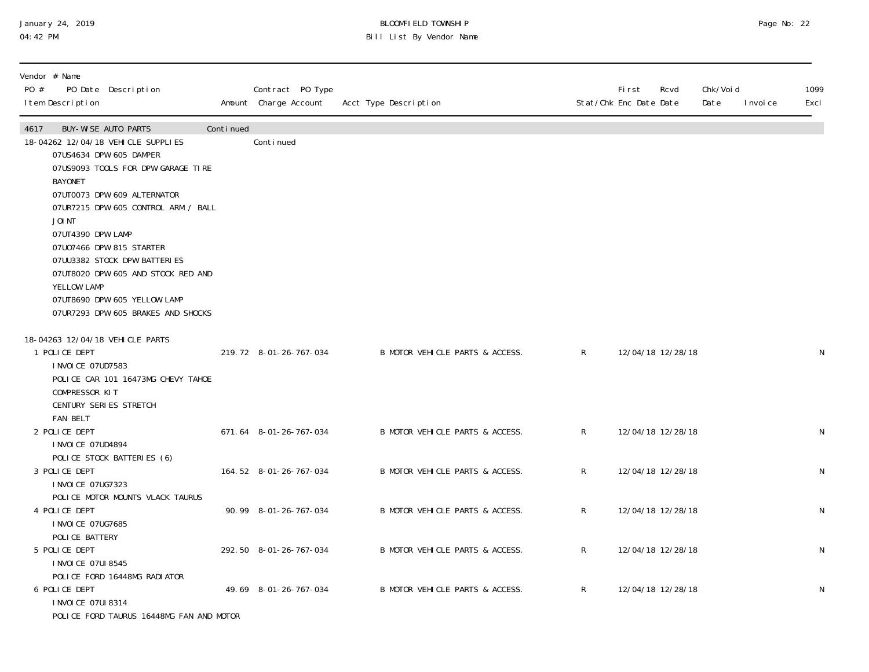### January 24, 2019 BLOOMFIELD TOWNSHIP Page No: 22 04:42 PM Bill List By Vendor Name

| Vendor # Name<br>PO #<br>PO Date Description<br>I tem Description                                                                                                                                                                                                                                                                                                                                                                                       |           | Contract PO Type<br>Amount Charge Account | Acct Type Description           |              | <b>First</b><br>Stat/Chk Enc Date Date | Rcvd | Chk/Voi d<br>Date | I nvoi ce | 1099<br>Excl |
|---------------------------------------------------------------------------------------------------------------------------------------------------------------------------------------------------------------------------------------------------------------------------------------------------------------------------------------------------------------------------------------------------------------------------------------------------------|-----------|-------------------------------------------|---------------------------------|--------------|----------------------------------------|------|-------------------|-----------|--------------|
| <b>BUY-WISE AUTO PARTS</b><br>4617<br>18-04262 12/04/18 VEHICLE SUPPLIES<br>07US4634 DPW 605 DAMPER<br>07US9093 TOOLS FOR DPW GARAGE TIRE<br><b>BAYONET</b><br>07UT0073 DPW 609 ALTERNATOR<br>07UR7215 DPW 605 CONTROL ARM / BALL<br>JOI NT<br>O7UT4390 DPW LAMP<br>07U07466 DPW 815 STARTER<br>07UU3382 STOCK DPW BATTERIES<br>07UT8020 DPW 605 AND STOCK RED AND<br>YELLOW LAMP<br>07UT8690 DPW 605 YELLOW LAMP<br>07UR7293 DPW 605 BRAKES AND SHOCKS | Continued | Conti nued                                |                                 |              |                                        |      |                   |           |              |
| 18-04263 12/04/18 VEHICLE PARTS<br>1 POLICE DEPT<br>I NVOI CE 07UD7583<br>POLICE CAR 101 16473MG CHEVY TAHOE<br>COMPRESSOR KIT<br>CENTURY SERIES STRETCH<br><b>FAN BELT</b>                                                                                                                                                                                                                                                                             |           | 219.72 8-01-26-767-034                    | B MOTOR VEHICLE PARTS & ACCESS. | $\mathsf{R}$ | 12/04/18 12/28/18                      |      |                   |           | N            |
| 2 POLICE DEPT<br>I NVOI CE 07UD4894                                                                                                                                                                                                                                                                                                                                                                                                                     |           | 671.64 8-01-26-767-034                    | B MOTOR VEHICLE PARTS & ACCESS. | $\mathsf{R}$ | 12/04/18 12/28/18                      |      |                   |           | $\mathsf N$  |
| POLICE STOCK BATTERIES (6)<br>3 POLICE DEPT<br>I NVOI CE 07UG7323<br>POLICE MOTOR MOUNTS VLACK TAURUS                                                                                                                                                                                                                                                                                                                                                   |           | 164.52 8-01-26-767-034                    | B MOTOR VEHICLE PARTS & ACCESS. | R            | 12/04/18 12/28/18                      |      |                   |           | $\mathsf N$  |
| 4 POLICE DEPT<br>I NVOI CE 07UG7685<br>POLICE BATTERY                                                                                                                                                                                                                                                                                                                                                                                                   |           | 90.99 8-01-26-767-034                     | B MOTOR VEHICLE PARTS & ACCESS. | R            | 12/04/18 12/28/18                      |      |                   |           | $\mathsf N$  |
| 5 POLICE DEPT<br>I NVOI CE 07UI 8545<br>POLICE FORD 16448MG RADIATOR                                                                                                                                                                                                                                                                                                                                                                                    |           | 292.50 8-01-26-767-034                    | B MOTOR VEHICLE PARTS & ACCESS. | R            | 12/04/18 12/28/18                      |      |                   |           | $\mathsf N$  |
| 6 POLICE DEPT<br>I NVOI CE 07UI 8314<br>POLICE FORD TAURUS 16448MG FAN AND MOTOR                                                                                                                                                                                                                                                                                                                                                                        |           | 49.69 8-01-26-767-034                     | B MOTOR VEHICLE PARTS & ACCESS. | R            | 12/04/18 12/28/18                      |      |                   |           | $\mathsf N$  |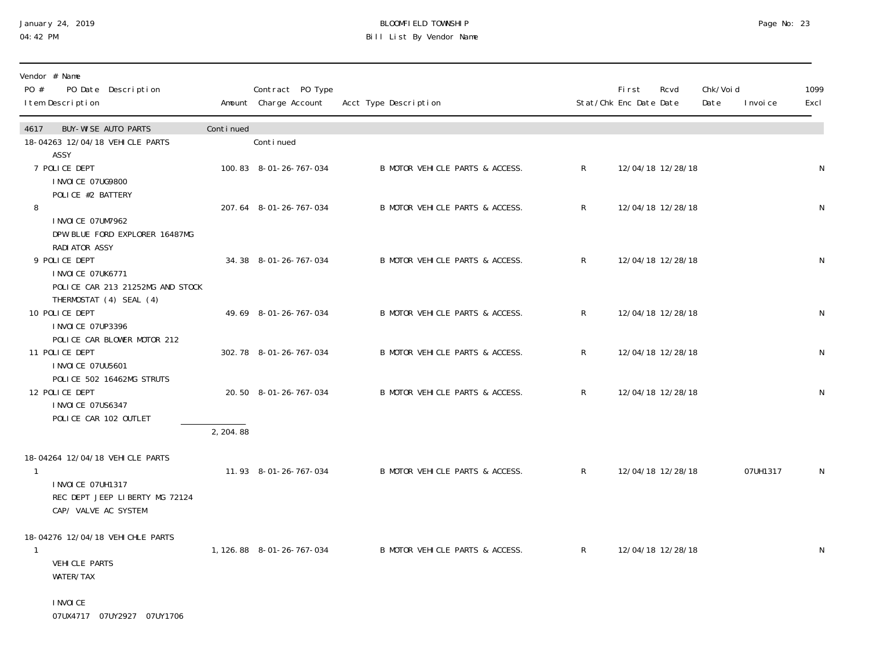## January 24, 2019 BLOOMFIELD TOWNSHIP Page No: 23 04:42 PM Bill List By Vendor Name

| Vendor # Name<br>PO #<br>PO Date Description<br>I tem Description                                       |           | Contract PO Type<br>Amount Charge Account | Acct Type Description           | Stat/Chk Enc Date Date | First | Rcvd              | Chk/Voi d<br>Date | I nvoi ce | 1099<br>Excl |
|---------------------------------------------------------------------------------------------------------|-----------|-------------------------------------------|---------------------------------|------------------------|-------|-------------------|-------------------|-----------|--------------|
| <b>BUY-WISE AUTO PARTS</b><br>4617<br>18-04263 12/04/18 VEHICLE PARTS<br>ASSY                           | Continued | Continued                                 |                                 |                        |       |                   |                   |           |              |
| 7 POLICE DEPT<br>I NVOI CE 07UG9800<br>POLICE #2 BATTERY                                                |           | 100.83 8-01-26-767-034                    | B MOTOR VEHICLE PARTS & ACCESS. | $\mathsf{R}$           |       | 12/04/18 12/28/18 |                   |           | N            |
| 8<br>I NVOI CE 07UM7962<br>DPW BLUE FORD EXPLORER 16487MG<br>RADI ATOR ASSY                             |           | 207.64 8-01-26-767-034                    | B MOTOR VEHICLE PARTS & ACCESS. | $\mathsf{R}$           |       | 12/04/18 12/28/18 |                   |           | N            |
| 9 POLICE DEPT<br><b>INVOICE 07UK6771</b><br>POLICE CAR 213 21252MG AND STOCK<br>THERMOSTAT (4) SEAL (4) |           | 34.38 8-01-26-767-034                     | B MOTOR VEHICLE PARTS & ACCESS. | $\mathsf{R}$           |       | 12/04/18 12/28/18 |                   |           | N            |
| 10 POLICE DEPT<br>I NVOI CE 07UP3396<br>POLICE CAR BLOWER MOTOR 212                                     |           | 49.69 8-01-26-767-034                     | B MOTOR VEHICLE PARTS & ACCESS. | R                      |       | 12/04/18 12/28/18 |                   |           | N            |
| 11 POLICE DEPT<br>I NVOI CE 07UU5601<br>POLICE 502 16462MG STRUTS                                       |           | 302.78 8-01-26-767-034                    | B MOTOR VEHICLE PARTS & ACCESS. | R                      |       | 12/04/18 12/28/18 |                   |           | N            |
| 12 POLICE DEPT<br>I NVOI CE 07US6347<br>POLICE CAR 102 OUTLET                                           |           | 20.50 8-01-26-767-034                     | B MOTOR VEHICLE PARTS & ACCESS. | $\mathsf{R}$           |       | 12/04/18 12/28/18 |                   |           | N            |
|                                                                                                         | 2, 204.88 |                                           |                                 |                        |       |                   |                   |           |              |
| 18-04264 12/04/18 VEHICLE PARTS<br>1<br>I NVOI CE 07UH1317<br>REC DEPT JEEP LIBERTY MG 72124            |           | 11.93 8-01-26-767-034                     | B MOTOR VEHICLE PARTS & ACCESS. | $\mathsf{R}$           |       | 12/04/18 12/28/18 |                   | 07UH1317  | N            |
| CAP/ VALVE AC SYSTEM                                                                                    |           |                                           |                                 |                        |       |                   |                   |           |              |
| 18-04276 12/04/18 VEHICHLE PARTS                                                                        |           | 1, 126.88 8-01-26-767-034                 | B MOTOR VEHICLE PARTS & ACCESS. | $\mathsf{R}$           |       | 12/04/18 12/28/18 |                   |           | N            |
| VEHICLE PARTS<br>WATER/TAX                                                                              |           |                                           |                                 |                        |       |                   |                   |           |              |

 INVOICE 07UX4717 07UY2927 07UY1706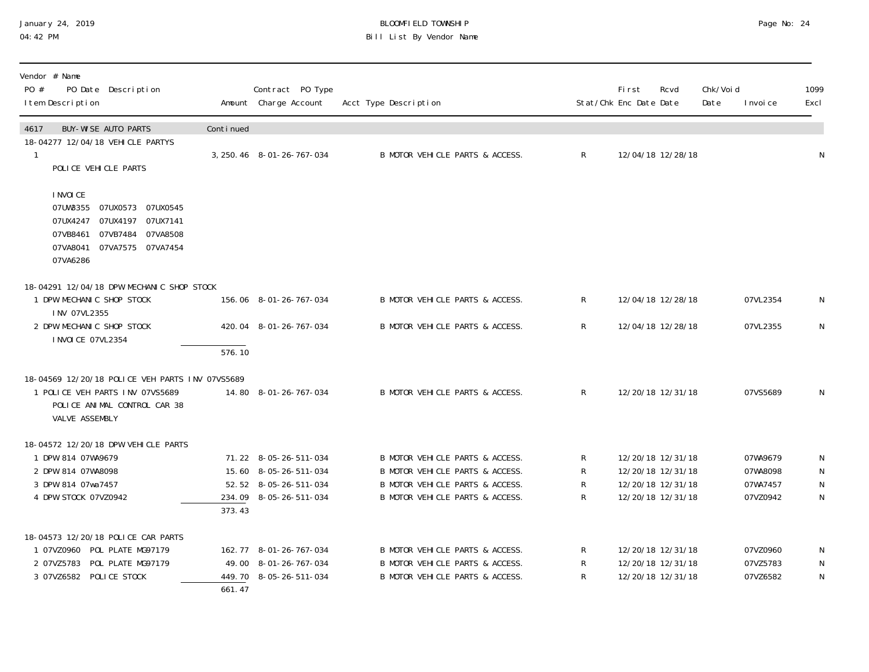### January 24, 2019 BLOOMFIELD TOWNSHIP Page No: 24 04:42 PM Bill List By Vendor Name

| Vendor # Name<br>PO #<br>PO Date Description<br>I tem Description                                                                                          |                     | Contract PO Type<br>Amount Charge Account | Acct Type Description           |                | First<br>Stat/Chk Enc Date Date | Rcvd              | Chk/Voi d<br>Date | I nvoi ce | 1099<br>Excl |
|------------------------------------------------------------------------------------------------------------------------------------------------------------|---------------------|-------------------------------------------|---------------------------------|----------------|---------------------------------|-------------------|-------------------|-----------|--------------|
| <b>BUY-WISE AUTO PARTS</b><br>4617                                                                                                                         | Continued           |                                           |                                 |                |                                 |                   |                   |           |              |
| 18-04277 12/04/18 VEHICLE PARTYS<br>POLICE VEHICLE PARTS                                                                                                   |                     | 3, 250. 46 8-01-26-767-034                | B MOTOR VEHICLE PARTS & ACCESS. | R              |                                 | 12/04/18 12/28/18 |                   |           | N            |
| I NVOI CE<br>07UW3355<br>07UX0573 07UX0545<br>07UX4247<br>07UX4197  07UX7141<br>07VB8461<br>07VB7484 07VA8508<br>07VA7575 07VA7454<br>07VA8041<br>07VA6286 |                     |                                           |                                 |                |                                 |                   |                   |           |              |
| 18-04291 12/04/18 DPW MECHANIC SHOP STOCK                                                                                                                  |                     |                                           |                                 |                |                                 |                   |                   |           |              |
| 1 DPW MECHANIC SHOP STOCK<br>INV 07VL2355                                                                                                                  |                     | 156.06 8-01-26-767-034                    | B MOTOR VEHICLE PARTS & ACCESS. | $\mathsf{R}$   |                                 | 12/04/18 12/28/18 |                   | 07VL2354  | N            |
| 2 DPW MECHANIC SHOP STOCK<br>I NVOI CE 07VL2354                                                                                                            |                     | 420.04 8-01-26-767-034                    | B MOTOR VEHICLE PARTS & ACCESS. | $\mathsf{R}$   |                                 | 12/04/18 12/28/18 |                   | 07VL2355  | N            |
|                                                                                                                                                            | $\overline{576.10}$ |                                           |                                 |                |                                 |                   |                   |           |              |
| 18-04569 12/20/18 POLICE VEH PARTS INV 07VS5689                                                                                                            |                     |                                           |                                 |                |                                 |                   |                   |           |              |
| 1 POLICE VEH PARTS INV 07VS5689<br>POLICE ANIMAL CONTROL CAR 38<br>VALVE ASSEMBLY                                                                          |                     | 14.80 8-01-26-767-034                     | B MOTOR VEHICLE PARTS & ACCESS. | $\mathsf{R}$   |                                 | 12/20/18 12/31/18 |                   | 07VS5689  | $\mathsf N$  |
| 18-04572 12/20/18 DPW VEHICLE PARTS                                                                                                                        |                     |                                           |                                 |                |                                 |                   |                   |           |              |
| 1 DPW 814 07WA9679                                                                                                                                         |                     | 71.22 8-05-26-511-034                     | B MOTOR VEHICLE PARTS & ACCESS. | $\mathsf{R}^-$ |                                 | 12/20/18 12/31/18 |                   | 07WA9679  | N            |
| 2 DPW 814 07WA8098                                                                                                                                         |                     | 15.60 8-05-26-511-034                     | B MOTOR VEHICLE PARTS & ACCESS. | $\mathsf{R}^-$ |                                 | 12/20/18 12/31/18 |                   | 07WA8098  | $\mathsf{N}$ |
| 3 DPW 814 07wa7457                                                                                                                                         |                     | 52.52 8-05-26-511-034                     | B MOTOR VEHICLE PARTS & ACCESS. | R              |                                 | 12/20/18 12/31/18 |                   | 07WA7457  | $\mathsf{N}$ |
| 4 DPW STOCK 07VZ0942                                                                                                                                       | 373.43              | 234.09 8-05-26-511-034                    | B MOTOR VEHICLE PARTS & ACCESS. | R              |                                 | 12/20/18 12/31/18 |                   | 07VZ0942  | $\mathsf N$  |
| 18-04573 12/20/18 POLICE CAR PARTS                                                                                                                         |                     |                                           |                                 |                |                                 |                   |                   |           |              |
| 1 07VZ0960 POL PLATE MG97179                                                                                                                               |                     | 162.77 8-01-26-767-034                    | B MOTOR VEHICLE PARTS & ACCESS. | $\mathsf{R}$   |                                 | 12/20/18 12/31/18 |                   | 07VZ0960  | N            |
| 2 07VZ5783 POL PLATE MG97179                                                                                                                               |                     | 49.00 8-01-26-767-034                     | B MOTOR VEHICLE PARTS & ACCESS. | R              |                                 | 12/20/18 12/31/18 |                   | 07VZ5783  | ${\sf N}$    |
| 3 07VZ6582 POLICE STOCK                                                                                                                                    |                     | 449.70 8-05-26-511-034                    | B MOTOR VEHICLE PARTS & ACCESS. | R.             |                                 | 12/20/18 12/31/18 |                   | 07VZ6582  | $\mathsf N$  |
|                                                                                                                                                            | 661.47              |                                           |                                 |                |                                 |                   |                   |           |              |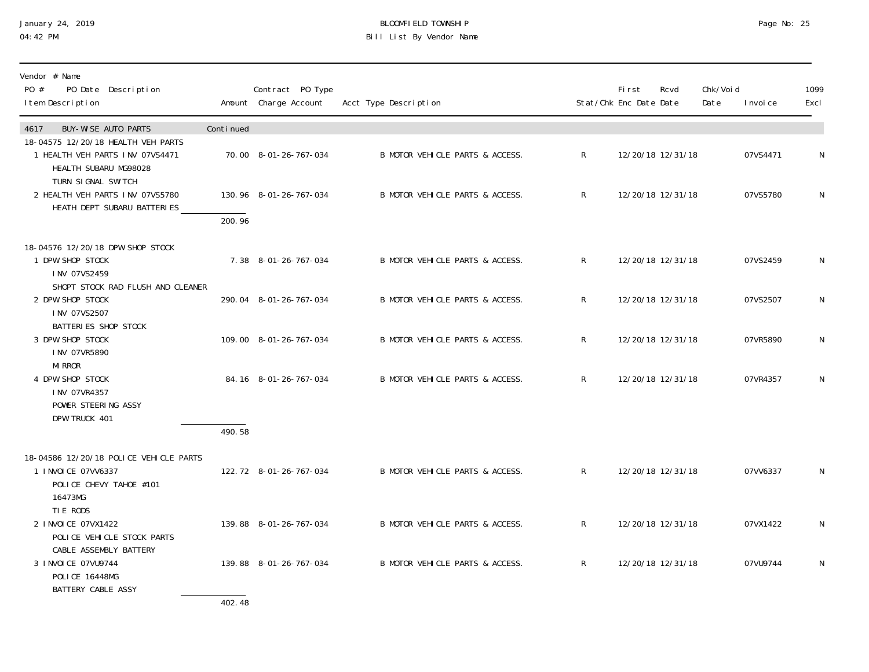#### January 24, 2019 BLOOMFIELD TOWNSHIP Page No: 25 04:42 PM Bill List By Vendor Name

| Vendor # Name<br>PO #<br>PO Date Description                                                         |           | Contract PO Type       |                                 |                | <b>First</b>           | Rcvd              | Chk/Voi d         | 1099         |
|------------------------------------------------------------------------------------------------------|-----------|------------------------|---------------------------------|----------------|------------------------|-------------------|-------------------|--------------|
| I tem Description                                                                                    |           | Amount Charge Account  | Acct Type Description           |                | Stat/Chk Enc Date Date |                   | Date<br>I nvoi ce | Excl         |
| <b>BUY-WISE AUTO PARTS</b><br>4617                                                                   | Continued |                        |                                 |                |                        |                   |                   |              |
| 18-04575 12/20/18 HEALTH VEH PARTS<br>1 HEALTH VEH PARTS INV 07VS4471<br>HEALTH SUBARU MG98028       |           | 70.00 8-01-26-767-034  | B MOTOR VEHICLE PARTS & ACCESS. | R              |                        | 12/20/18 12/31/18 | 07VS4471          | N            |
| TURN SIGNAL SWITCH<br>2 HEALTH VEH PARTS INV 07VS5780                                                |           | 130.96 8-01-26-767-034 | B MOTOR VEHICLE PARTS & ACCESS. | $\mathsf{R}$   |                        | 12/20/18 12/31/18 | 07VS5780          | N            |
| HEATH DEPT SUBARU BATTERIES                                                                          | 200.96    |                        |                                 |                |                        |                   |                   |              |
| 18-04576 12/20/18 DPW SHOP STOCK                                                                     |           |                        |                                 |                |                        |                   |                   |              |
| 1 DPW SHOP STOCK<br>INV 07VS2459                                                                     |           | 7.38 8-01-26-767-034   | B MOTOR VEHICLE PARTS & ACCESS. | R              |                        | 12/20/18 12/31/18 | 07VS2459          | $\mathsf{N}$ |
| SHOPT STOCK RAD FLUSH AND CLEANER<br>2 DPW SHOP STOCK<br>INV 07VS2507                                |           | 290.04 8-01-26-767-034 | B MOTOR VEHICLE PARTS & ACCESS. | R              |                        | 12/20/18 12/31/18 | 07VS2507          | N            |
| BATTERIES SHOP STOCK<br>3 DPW SHOP STOCK<br>INV 07VR5890                                             |           | 109.00 8-01-26-767-034 | B MOTOR VEHICLE PARTS & ACCESS. | R              |                        | 12/20/18 12/31/18 | 07VR5890          | N            |
| <b>MI RROR</b><br>4 DPW SHOP STOCK<br>INV 07VR4357<br>POWER STEERING ASSY                            |           | 84.16 8-01-26-767-034  | B MOTOR VEHICLE PARTS & ACCESS. | $\mathsf{R}$   |                        | 12/20/18 12/31/18 | 07VR4357          | N            |
| DPW TRUCK 401                                                                                        |           |                        |                                 |                |                        |                   |                   |              |
|                                                                                                      | 490.58    |                        |                                 |                |                        |                   |                   |              |
| 18-04586 12/20/18 POLICE VEHICLE PARTS<br>1 I NVOI CE 07VV6337<br>POLICE CHEVY TAHOE #101<br>16473MG |           | 122.72 8-01-26-767-034 | B MOTOR VEHICLE PARTS & ACCESS. | $\mathsf{R}^-$ |                        | 12/20/18 12/31/18 | 07VV6337          | N            |
| TIE RODS<br>2 INVOICE 07VX1422<br>POLICE VEHICLE STOCK PARTS                                         |           | 139.88 8-01-26-767-034 | B MOTOR VEHICLE PARTS & ACCESS. | R              |                        | 12/20/18 12/31/18 | 07VX1422          | N            |
| CABLE ASSEMBLY BATTERY<br>3 INVOICE 07VU9744<br><b>POLICE 16448MG</b><br>BATTERY CABLE ASSY          |           | 139.88 8-01-26-767-034 | B MOTOR VEHICLE PARTS & ACCESS. | R              |                        | 12/20/18 12/31/18 | 07VU9744          | N            |

402.48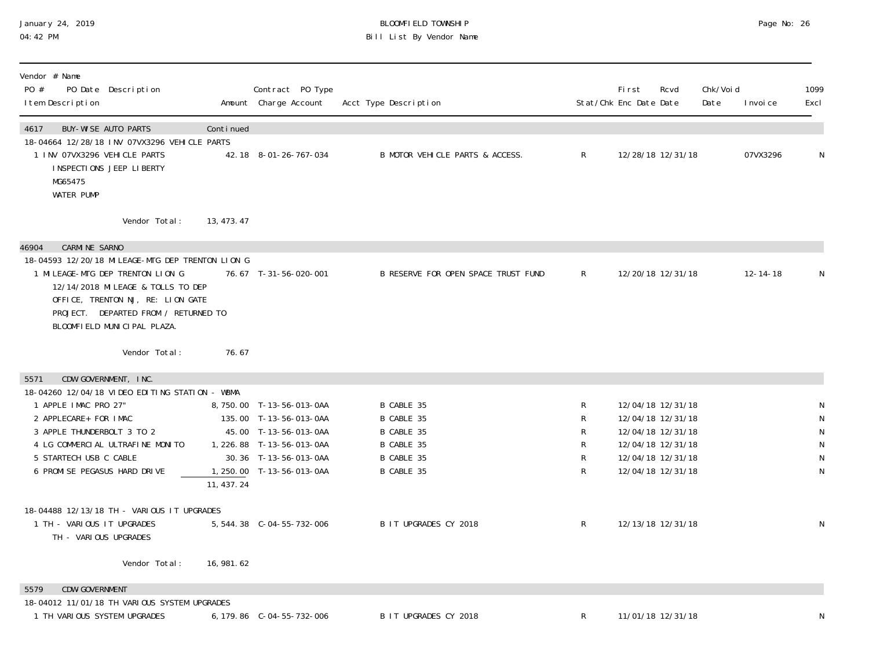### January 24, 2019 BLOOMFIELD TOWNSHIP Page No: 26 04:42 PM Bill List By Vendor Name

| Vendor # Name<br>PO #<br>PO Date Description<br>I tem Description                                                                                                                                                                                                       |             | Contract PO Type<br>Amount Charge Account                                                                                                                      | Acct Type Description                                                            |                            | First<br>Stat/Chk Enc Date Date | Rcvd                                                                                                                       | Chk/Voi d<br>Date | I nvoi ce      | 1099<br>Excl                                       |
|-------------------------------------------------------------------------------------------------------------------------------------------------------------------------------------------------------------------------------------------------------------------------|-------------|----------------------------------------------------------------------------------------------------------------------------------------------------------------|----------------------------------------------------------------------------------|----------------------------|---------------------------------|----------------------------------------------------------------------------------------------------------------------------|-------------------|----------------|----------------------------------------------------|
| <b>BUY-WISE AUTO PARTS</b><br>4617<br>18-04664 12/28/18 INV 07VX3296 VEHICLE PARTS<br>1 INV 07VX3296 VEHICLE PARTS<br>INSPECTIONS JEEP LIBERTY<br>MG65475<br><b>WATER PUMP</b>                                                                                          | Continued   | 42.18 8-01-26-767-034                                                                                                                                          | B MOTOR VEHICLE PARTS & ACCESS.                                                  | $\mathsf{R}$               |                                 | 12/28/18 12/31/18                                                                                                          |                   | 07VX3296       | N                                                  |
| Vendor Total:                                                                                                                                                                                                                                                           | 13, 473. 47 |                                                                                                                                                                |                                                                                  |                            |                                 |                                                                                                                            |                   |                |                                                    |
| <b>CARMINE SARNO</b><br>46904<br>18-04593 12/20/18 MILEAGE-MTG DEP TRENTON LION G<br>1 MILEAGE-MTG DEP TRENTON LION G<br>12/14/2018 MI LEAGE & TOLLS TO DEP<br>OFFICE, TRENTON NJ, RE: LION GATE<br>PROJECT. DEPARTED FROM / RETURNED TO<br>BLOOMFIELD MUNICIPAL PLAZA. |             | 76.67 T-31-56-020-001                                                                                                                                          | B RESERVE FOR OPEN SPACE TRUST FUND                                              | $\mathsf{R}$               |                                 | 12/20/18 12/31/18                                                                                                          |                   | $12 - 14 - 18$ | N                                                  |
| Vendor Total:                                                                                                                                                                                                                                                           | 76.67       |                                                                                                                                                                |                                                                                  |                            |                                 |                                                                                                                            |                   |                |                                                    |
| CDW GOVERNMENT, INC.<br>5571<br>18-04260 12/04/18 VIDEO EDITING STATION - WBMA<br>1 APPLE IMAC PRO 27"<br>2 APPLECARE+ FOR IMAC<br>3 APPLE THUNDERBOLT 3 TO 2<br>4 LG COMMERCIAL ULTRAFINE MONITO<br>5 STARTECH USB C CABLE<br>6 PROMI SE PEGASUS HARD DRIVE            | 11, 437.24  | 8,750.00 T-13-56-013-0AA<br>135.00 T-13-56-013-0AA<br>45.00 T-13-56-013-0AA<br>1, 226.88 T-13-56-013-0AA<br>30.36 T-13-56-013-0AA<br>1, 250.00 T-13-56-013-0AA | B CABLE 35<br>B CABLE 35<br>B CABLE 35<br>B CABLE 35<br>B CABLE 35<br>B CABLE 35 | R<br>R<br>R<br>R<br>R<br>R |                                 | 12/04/18 12/31/18<br>12/04/18 12/31/18<br>12/04/18 12/31/18<br>12/04/18 12/31/18<br>12/04/18 12/31/18<br>12/04/18 12/31/18 |                   |                | N<br>${\sf N}$<br>${\sf N}$<br>${\sf N}$<br>N<br>N |
| 18-04488 12/13/18 TH - VARIOUS IT UPGRADES<br>1 TH - VARIOUS IT UPGRADES<br>TH - VARIOUS UPGRADES                                                                                                                                                                       |             | 5, 544.38 C-04-55-732-006                                                                                                                                      | B IT UPGRADES CY 2018                                                            | $\mathsf{R}$               |                                 | 12/13/18 12/31/18                                                                                                          |                   |                | $\mathsf N$                                        |
| Vendor Total:                                                                                                                                                                                                                                                           | 16, 981. 62 |                                                                                                                                                                |                                                                                  |                            |                                 |                                                                                                                            |                   |                |                                                    |
| <b>CDW-GOVERNMENT</b><br>5579                                                                                                                                                                                                                                           |             |                                                                                                                                                                |                                                                                  |                            |                                 |                                                                                                                            |                   |                |                                                    |
| 18-04012 11/01/18 TH VARIOUS SYSTEM UPGRADES<br>1 TH VARIOUS SYSTEM UPGRADES                                                                                                                                                                                            |             | 6, 179.86 C-04-55-732-006                                                                                                                                      | B IT UPGRADES CY 2018                                                            | R                          |                                 | 11/01/18 12/31/18                                                                                                          |                   |                | N                                                  |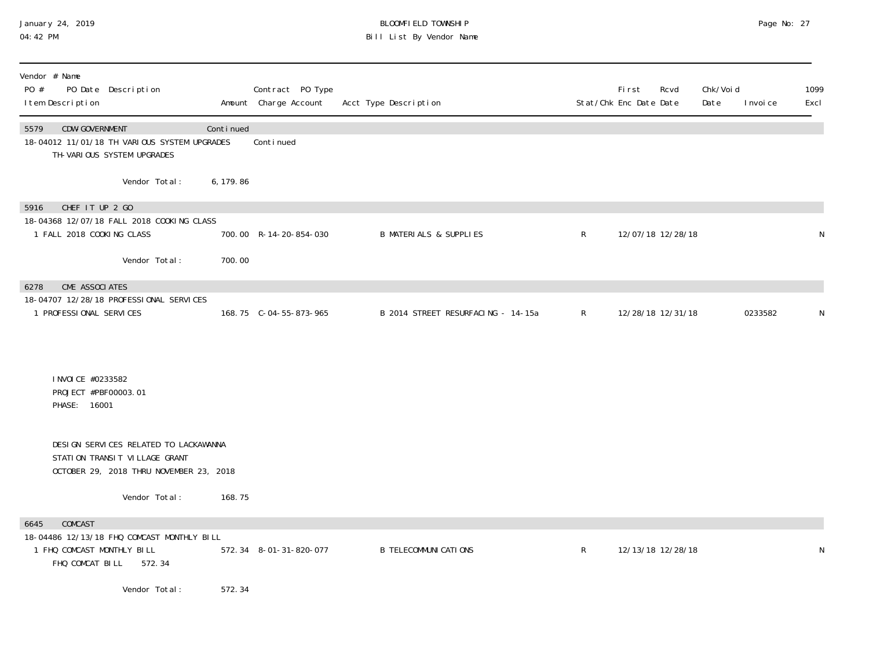#### January 24, 2019 BLOOMFIELD TOWNSHIP Page No: 27 04:42 PM Bill List By Vendor Name

| Vendor # Name<br>PO #<br>I tem Description                 | PO Date Description                                                                                               |           | Contract PO Type<br>Amount Charge Account | Acct Type Description              |              | <b>First</b><br>Rcvd<br>Stat/Chk Enc Date Date | Chk/Voi d<br>Date | I nvoi ce | 1099<br>Excl |
|------------------------------------------------------------|-------------------------------------------------------------------------------------------------------------------|-----------|-------------------------------------------|------------------------------------|--------------|------------------------------------------------|-------------------|-----------|--------------|
| CDW-GOVERNMENT<br>5579                                     | 18-04012 11/01/18 TH VARIOUS SYSTEM UPGRADES<br>TH-VARIOUS SYSTEM UPGRADES                                        | Continued | Continued                                 |                                    |              |                                                |                   |           |              |
|                                                            | Vendor Total:                                                                                                     | 6, 179.86 |                                           |                                    |              |                                                |                   |           |              |
| CHEF IT UP 2 GO<br>5916                                    |                                                                                                                   |           |                                           |                                    |              |                                                |                   |           |              |
| 1 FALL 2018 COOKING CLASS                                  | 18-04368 12/07/18 FALL 2018 COOKING CLASS                                                                         |           | 700.00 R-14-20-854-030                    | <b>B MATERIALS &amp; SUPPLIES</b>  | $\mathsf{R}$ | 12/07/18 12/28/18                              |                   |           | N            |
|                                                            | Vendor Total:                                                                                                     | 700.00    |                                           |                                    |              |                                                |                   |           |              |
|                                                            |                                                                                                                   |           |                                           |                                    |              |                                                |                   |           |              |
| CME ASSOCIATES<br>6278<br>1 PROFESSIONAL SERVICES          | 18-04707 12/28/18 PROFESSIONAL SERVICES                                                                           |           | 168.75 C-04-55-873-965                    | B 2014 STREET RESURFACING - 14-15a | $\mathsf{R}$ | 12/28/18 12/31/18                              |                   | 0233582   | N            |
| I NVOI CE #0233582<br>PROJECT #PBF00003.01<br>PHASE: 16001 |                                                                                                                   |           |                                           |                                    |              |                                                |                   |           |              |
|                                                            | DESIGN SERVICES RELATED TO LACKAWANNA<br>STATION TRANSIT VILLAGE GRANT<br>OCTOBER 29, 2018 THRU NOVEMBER 23, 2018 |           |                                           |                                    |              |                                                |                   |           |              |
|                                                            | Vendor Total:                                                                                                     | 168.75    |                                           |                                    |              |                                                |                   |           |              |
| COMCAST<br>6645                                            |                                                                                                                   |           |                                           |                                    |              |                                                |                   |           |              |
| 1 FHQ COMCAST MONTHLY BILL<br>FHQ COMCAT BILL              | 18-04486 12/13/18 FHQ COMCAST MONTHLY BILL<br>572.34                                                              |           | 572.34 8-01-31-820-077                    | <b>B TELECOMMUNI CATI ONS</b>      | $\mathsf{R}$ | 12/13/18 12/28/18                              |                   |           | N            |
|                                                            | Vendor Total:                                                                                                     | 572.34    |                                           |                                    |              |                                                |                   |           |              |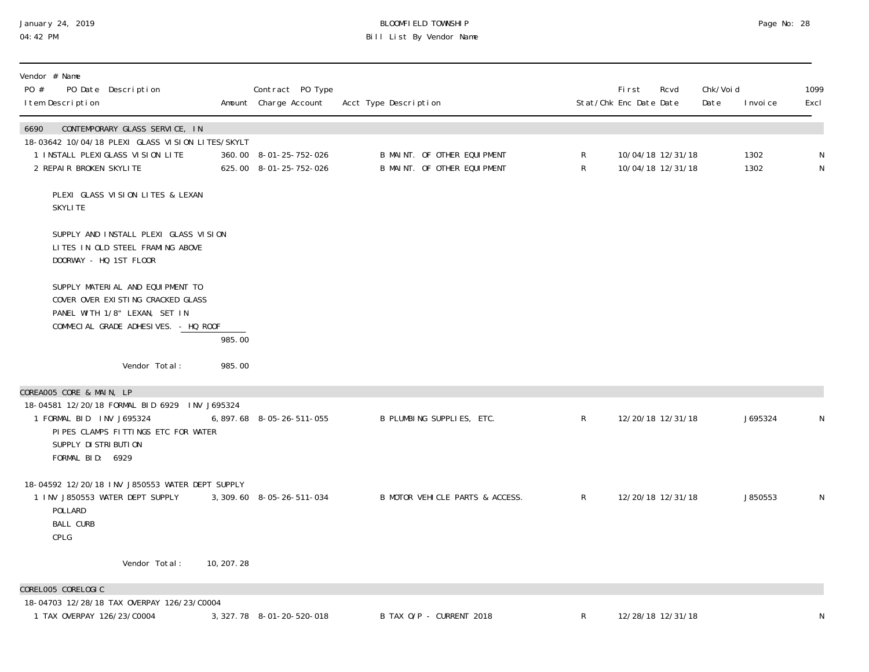## January 24, 2019 BLOOMFIELD TOWNSHIP Page No: 28 04:42 PM Bill List By Vendor Name

| Vendor # Name<br>PO #<br>PO Date Description<br>I tem Description                                                                                              |             | Contract PO Type<br>Amount Charge Account        | Acct Type Description                                      |                   | <b>First</b><br>Stat/Chk Enc Date Date | Rcvd                                   | Chk/Voi d<br>Date | I nvoi ce    | 1099<br>Excl   |
|----------------------------------------------------------------------------------------------------------------------------------------------------------------|-------------|--------------------------------------------------|------------------------------------------------------------|-------------------|----------------------------------------|----------------------------------------|-------------------|--------------|----------------|
| 6690<br>CONTEMPORARY GLASS SERVICE, IN<br>18-03642 10/04/18 PLEXI GLASS VISION LITES/SKYLT<br>1 INSTALL PLEXIGLASS VISION LITE<br>2 REPAIR BROKEN SKYLITE      |             | 360.00 8-01-25-752-026<br>625.00 8-01-25-752-026 | B MAINT. OF OTHER EQUIPMENT<br>B MAINT. OF OTHER EQUIPMENT | R<br>$\mathsf{R}$ |                                        | 10/04/18 12/31/18<br>10/04/18 12/31/18 |                   | 1302<br>1302 | N<br>${\sf N}$ |
| PLEXI GLASS VISION LITES & LEXAN<br><b>SKYLITE</b>                                                                                                             |             |                                                  |                                                            |                   |                                        |                                        |                   |              |                |
| SUPPLY AND INSTALL PLEXI GLASS VISION<br>LITES IN OLD STEEL FRAMING ABOVE<br>DOORWAY - HQ 1ST FLOOR                                                            |             |                                                  |                                                            |                   |                                        |                                        |                   |              |                |
| SUPPLY MATERIAL AND EQUIPMENT TO<br>COVER OVER EXISTING CRACKED GLASS<br>PANEL WITH 1/8" LEXAN, SET IN<br>COMMECIAL GRADE ADHESIVES. - HQ ROOF                 | 985.00      |                                                  |                                                            |                   |                                        |                                        |                   |              |                |
| Vendor Total:                                                                                                                                                  | 985.00      |                                                  |                                                            |                   |                                        |                                        |                   |              |                |
| COREAOO5 CORE & MAIN, LP                                                                                                                                       |             |                                                  |                                                            |                   |                                        |                                        |                   |              |                |
| 18-04581 12/20/18 FORMAL BID 6929 INV J695324<br>1 FORMAL BID INV J695324<br>PIPES CLAMPS FITTINGS ETC FOR WATER<br>SUPPLY DI STRI BUTI ON<br>FORMAL BID: 6929 |             | 6, 897. 68 8-05-26-511-055                       | B PLUMBING SUPPLIES, ETC.                                  | $\mathsf{R}$      | 12/20/18 12/31/18                      |                                        |                   | J695324      | N              |
| 18-04592 12/20/18 INV J850553 WATER DEPT SUPPLY<br>1 INV J850553 WATER DEPT SUPPLY<br>POLLARD<br><b>BALL CURB</b><br>CPLG                                      |             | 3, 309.60 8-05-26-511-034                        | B MOTOR VEHICLE PARTS & ACCESS.                            | R                 | 12/20/18 12/31/18                      |                                        |                   | J850553      | N              |
| Vendor Total:                                                                                                                                                  | 10, 207. 28 |                                                  |                                                            |                   |                                        |                                        |                   |              |                |
| CORELOO5 CORELOGIC                                                                                                                                             |             |                                                  |                                                            |                   |                                        |                                        |                   |              |                |
| 18-04703 12/28/18 TAX OVERPAY 126/23/C0004<br>1 TAX OVERPAY 126/23/C0004                                                                                       |             | 3, 327. 78 8-01-20-520-018                       | B TAX O/P - CURRENT 2018                                   | R                 |                                        | 12/28/18 12/31/18                      |                   |              | N              |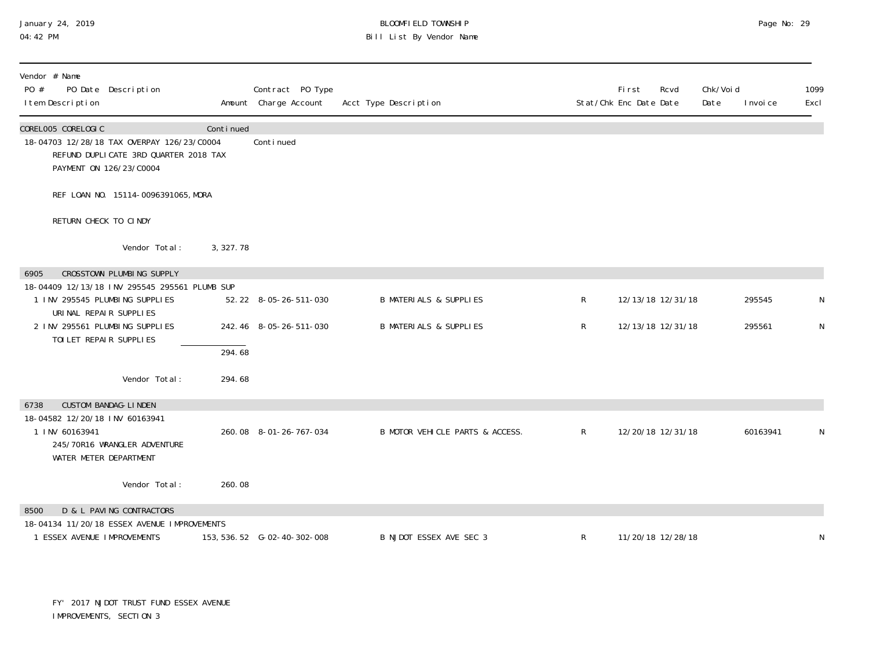# January 24, 2019 BLOOMFIELD TOWNSHIP Page No: 29 Bill List By Vendor Name

| Vendor # Name<br>PO #<br>PO Date Description<br>I tem Description                                                                    |            | Contract PO Type<br>Amount Charge Account | Acct Type Description             |              | First<br>Stat/Chk Enc Date Date | Rcvd<br>Date | Chk/Void | I nvoi ce | 1099<br>Excl |
|--------------------------------------------------------------------------------------------------------------------------------------|------------|-------------------------------------------|-----------------------------------|--------------|---------------------------------|--------------|----------|-----------|--------------|
| CORELOO5 CORELOGIC<br>18-04703 12/28/18 TAX OVERPAY 126/23/C0004<br>REFUND DUPLICATE 3RD QUARTER 2018 TAX<br>PAYMENT ON 126/23/C0004 | Continued  | Continued                                 |                                   |              |                                 |              |          |           |              |
| REF LOAN NO. 15114-0096391065, MORA                                                                                                  |            |                                           |                                   |              |                                 |              |          |           |              |
| RETURN CHECK TO CINDY                                                                                                                |            |                                           |                                   |              |                                 |              |          |           |              |
| Vendor Total:                                                                                                                        | 3, 327. 78 |                                           |                                   |              |                                 |              |          |           |              |
| CROSSTOWN PLUMBING SUPPLY<br>6905                                                                                                    |            |                                           |                                   |              |                                 |              |          |           |              |
| 18-04409 12/13/18 INV 295545 295561 PLUMB SUP<br>1 INV 295545 PLUMBING SUPPLIES<br>URINAL REPAIR SUPPLIES                            |            | 52.22 8-05-26-511-030                     | <b>B MATERIALS &amp; SUPPLIES</b> | R            | 12/13/18 12/31/18               |              |          | 295545    | N            |
| 2 INV 295561 PLUMBING SUPPLIES<br>TOI LET REPAIR SUPPLIES                                                                            |            | 242.46 8-05-26-511-030                    | <b>B MATERIALS &amp; SUPPLIES</b> | R            | 12/13/18 12/31/18               |              |          | 295561    | N            |
|                                                                                                                                      | 294.68     |                                           |                                   |              |                                 |              |          |           |              |
| Vendor Total:                                                                                                                        | 294.68     |                                           |                                   |              |                                 |              |          |           |              |
| <b>CUSTOM BANDAG-LINDEN</b><br>6738                                                                                                  |            |                                           |                                   |              |                                 |              |          |           |              |
| 18-04582 12/20/18 INV 60163941<br>1 INV 60163941<br>245/70R16 WRANGLER ADVENTURE<br>WATER METER DEPARTMENT                           |            | 260.08 8-01-26-767-034                    | B MOTOR VEHICLE PARTS & ACCESS.   | $\mathsf{R}$ | 12/20/18 12/31/18               |              |          | 60163941  | N            |
| Vendor Total:                                                                                                                        | 260.08     |                                           |                                   |              |                                 |              |          |           |              |
| D & L PAVING CONTRACTORS<br>8500<br>18-04134 11/20/18 ESSEX AVENUE IMPROVEMENTS                                                      |            |                                           |                                   |              |                                 |              |          |           |              |
| 1 ESSEX AVENUE IMPROVEMENTS                                                                                                          |            | 153, 536. 52    G-02-40-302-008           | B NJDOT ESSEX AVE SEC 3           | R            | 11/20/18 12/28/18               |              |          |           | N            |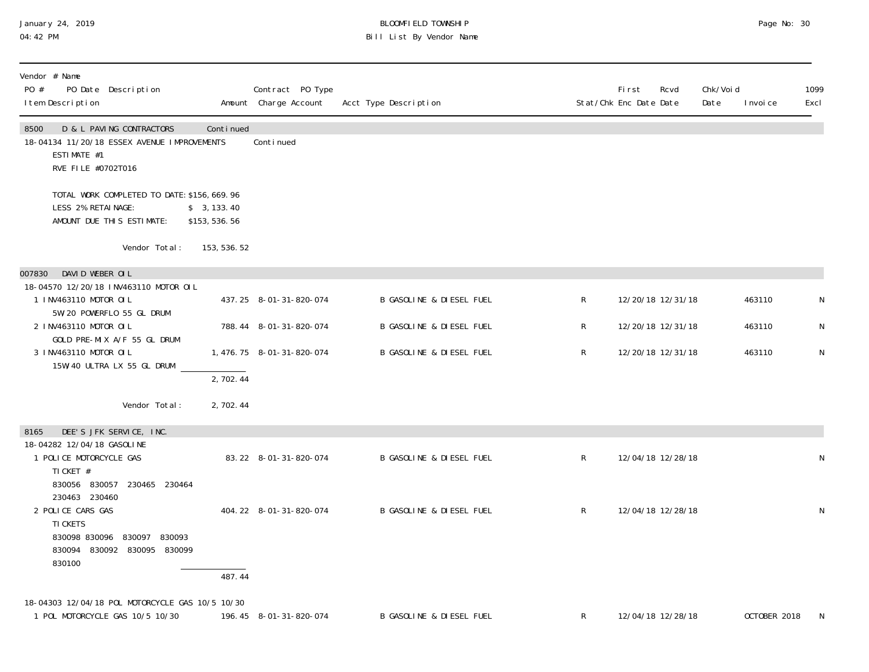#### January 24, 2019 BLOOMFIELD TOWNSHIP Page No: 30 04:42 PM Bill List By Vendor Name

| Vendor # Name<br>PO #<br>PO Date Description<br>I tem Description                                                    |                             | Contract PO Type<br>Amount Charge Account | Acct Type Description               |              | First<br>Rcvd<br>Stat/Chk Enc Date Date | Chk/Voi d<br>Date | I nvoi ce    | 1099<br>Excl |
|----------------------------------------------------------------------------------------------------------------------|-----------------------------|-------------------------------------------|-------------------------------------|--------------|-----------------------------------------|-------------------|--------------|--------------|
| D & L PAVING CONTRACTORS<br>8500<br>18-04134 11/20/18 ESSEX AVENUE IMPROVEMENTS<br>ESTIMATE #1<br>RVE FILE #0702T016 | Continued                   | Continued                                 |                                     |              |                                         |                   |              |              |
| TOTAL WORK COMPLETED TO DATE: \$156, 669.96<br>LESS 2% RETAINAGE:<br>AMOUNT DUE THIS ESTIMATE:                       | \$3, 133.40<br>\$153,536.56 |                                           |                                     |              |                                         |                   |              |              |
| Vendor Total:                                                                                                        | 153, 536. 52                |                                           |                                     |              |                                         |                   |              |              |
| DAVID WEBER OIL<br>007830                                                                                            |                             |                                           |                                     |              |                                         |                   |              |              |
| 18-04570 12/20/18 INV463110 MOTOR OIL<br>1 INV463110 MOTOR OIL<br>5W/20 POWERFLO 55 GL DRUM                          |                             | 437.25 8-01-31-820-074                    | <b>B GASOLINE &amp; DIESEL FUEL</b> | R            | 12/20/18 12/31/18                       |                   | 463110       | N            |
| 2 INV463110 MOTOR OIL                                                                                                |                             | 788.44 8-01-31-820-074                    | B GASOLINE & DIESEL FUEL            | R            | 12/20/18 12/31/18                       |                   | 463110       | N            |
| GOLD PRE-MIX A/F 55 GL DRUM<br>3 INV463110 MOTOR OIL<br>15W/40 ULTRA LX 55 GL DRUM                                   |                             | 1, 476. 75 8-01-31-820-074                | <b>B GASOLINE &amp; DIESEL FUEL</b> | R            | 12/20/18 12/31/18                       |                   | 463110       | N            |
|                                                                                                                      | 2,702.44                    |                                           |                                     |              |                                         |                   |              |              |
| Vendor Total:                                                                                                        | 2,702.44                    |                                           |                                     |              |                                         |                   |              |              |
| DEE'S JFK SERVICE, INC.<br>8165                                                                                      |                             |                                           |                                     |              |                                         |                   |              |              |
| 18-04282 12/04/18 GASOLINE<br>1 POLICE MOTORCYCLE GAS<br>TI CKET #                                                   |                             | 83.22 8-01-31-820-074                     | <b>B GASOLINE &amp; DIESEL FUEL</b> | R            | 12/04/18 12/28/18                       |                   |              | $\mathsf N$  |
| 830056 830057 230465 230464<br>230463 230460                                                                         |                             |                                           |                                     |              |                                         |                   |              |              |
| 2 POLICE CARS GAS                                                                                                    |                             | 404.22 8-01-31-820-074                    | <b>B GASOLINE &amp; DIESEL FUEL</b> | $\mathsf{R}$ | 12/04/18 12/28/18                       |                   |              | N            |
| TI CKETS<br>830098 830096 830097 830093<br>830094 830092 830095 830099<br>830100                                     |                             |                                           |                                     |              |                                         |                   |              |              |
|                                                                                                                      | 487.44                      |                                           |                                     |              |                                         |                   |              |              |
| 18-04303 12/04/18 POL MOTORCYCLE GAS 10/5 10/30                                                                      |                             |                                           |                                     |              |                                         |                   |              |              |
| 1 POL MOTORCYCLE GAS 10/5 10/30                                                                                      |                             | 196.45 8-01-31-820-074                    | B GASOLINE & DIESEL FUEL            | R            | 12/04/18 12/28/18                       |                   | OCTOBER 2018 | N            |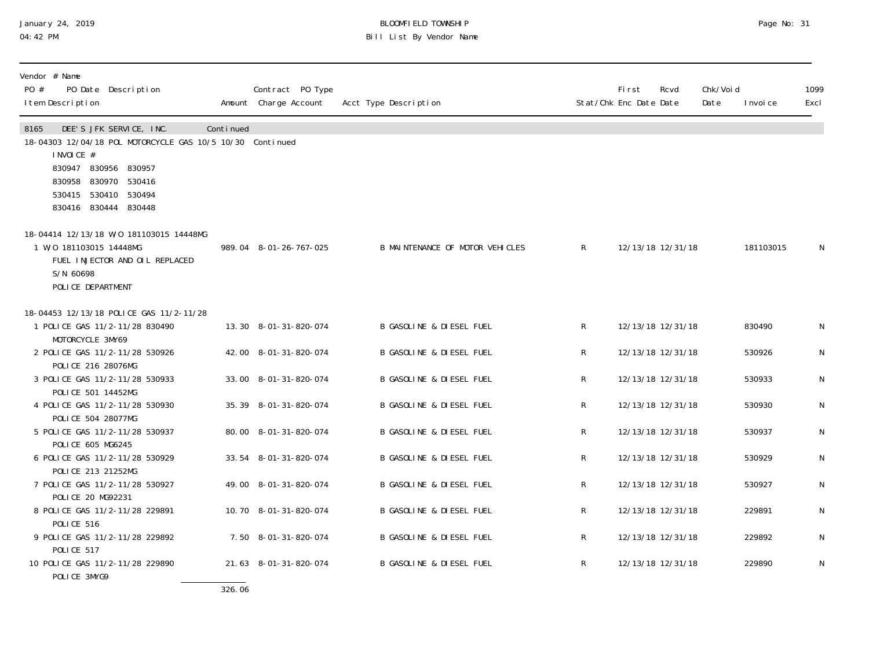### January 24, 2019 BLOOMFIELD TOWNSHIP Page No: 31 04:42 PM Bill List By Vendor Name

| Vendor # Name<br>PO #<br>PO Date Description<br>I tem Description                                                                                                                                           |           | Contract PO Type<br>Amount Charge Account | Acct Type Description               |              | First<br>Stat/Chk Enc Date Date | Rcvd              | Chk/Voi d<br>Date | I nvoi ce | 1099<br>Excl |
|-------------------------------------------------------------------------------------------------------------------------------------------------------------------------------------------------------------|-----------|-------------------------------------------|-------------------------------------|--------------|---------------------------------|-------------------|-------------------|-----------|--------------|
| DEE'S JFK SERVICE, INC.<br>8165<br>18-04303 12/04/18 POL MOTORCYCLE GAS 10/5 10/30 Continued<br>I NVOI CE #<br>830947 830956 830957<br>830958 830970 530416<br>530415 530410 530494<br>830416 830444 830448 | Continued |                                           |                                     |              |                                 |                   |                   |           |              |
| 18-04414 12/13/18 W/0 181103015 14448MG<br>1 W/0 181103015 14448MG<br>FUEL INJECTOR AND OIL REPLACED<br>S/N 60698<br>POLICE DEPARTMENT                                                                      |           | 989.04 8-01-26-767-025                    | B MAINTENANCE OF MOTOR VEHICLES     | R            |                                 | 12/13/18 12/31/18 |                   | 181103015 | N            |
| 18-04453 12/13/18 POLICE GAS 11/2-11/28<br>1 POLICE GAS 11/2-11/28 830490                                                                                                                                   |           | 13.30 8-01-31-820-074                     | <b>B GASOLINE &amp; DIESEL FUEL</b> | $\mathsf{R}$ |                                 | 12/13/18 12/31/18 |                   | 830490    | N            |
| MOTORCYCLE 3MY69<br>2 POLICE GAS 11/2-11/28 530926<br>POLICE 216 28076MG                                                                                                                                    |           | 42.00 8-01-31-820-074                     | B GASOLINE & DIESEL FUEL            | $\mathsf{R}$ |                                 | 12/13/18 12/31/18 |                   | 530926    | N            |
| 3 POLICE GAS 11/2-11/28 530933<br>POLICE 501 14452MG                                                                                                                                                        |           | 33.00 8-01-31-820-074                     | <b>B GASOLINE &amp; DIESEL FUEL</b> | R            |                                 | 12/13/18 12/31/18 |                   | 530933    | N            |
| 4 POLICE GAS 11/2-11/28 530930<br>POLICE 504 28077MG                                                                                                                                                        |           | 35.39 8-01-31-820-074                     | B GASOLINE & DIESEL FUEL            | R            |                                 | 12/13/18 12/31/18 |                   | 530930    | N            |
| 5 POLICE GAS 11/2-11/28 530937<br>POLICE 605 MG6245                                                                                                                                                         |           | 80.00 8-01-31-820-074                     | B GASOLINE & DIESEL FUEL            | R            |                                 | 12/13/18 12/31/18 |                   | 530937    | N            |
| 6 POLICE GAS 11/2-11/28 530929<br>POLICE 213 21252MG                                                                                                                                                        |           | 33.54 8-01-31-820-074                     | B GASOLINE & DIESEL FUEL            | R            |                                 | 12/13/18 12/31/18 |                   | 530929    | ${\sf N}$    |
| 7 POLICE GAS 11/2-11/28 530927<br>POLICE 20 MG92231                                                                                                                                                         |           | 49.00 8-01-31-820-074                     | <b>B GASOLINE &amp; DIESEL FUEL</b> | R            |                                 | 12/13/18 12/31/18 |                   | 530927    | N            |
| 8 POLICE GAS 11/2-11/28 229891<br>POLICE 516                                                                                                                                                                |           | 10.70 8-01-31-820-074                     | <b>B GASOLINE &amp; DIESEL FUEL</b> | R            |                                 | 12/13/18 12/31/18 |                   | 229891    | N            |
| 9 POLICE GAS 11/2-11/28 229892<br>POLICE 517                                                                                                                                                                |           | 7.50 8-01-31-820-074                      | <b>B GASOLINE &amp; DIESEL FUEL</b> | $\mathsf{R}$ |                                 | 12/13/18 12/31/18 |                   | 229892    | N            |
| 10 POLICE GAS 11/2-11/28 229890<br>POLICE 3MYG9                                                                                                                                                             |           | 21.63 8-01-31-820-074                     | <b>B GASOLINE &amp; DIESEL FUEL</b> | R            |                                 | 12/13/18 12/31/18 |                   | 229890    | N            |

326.06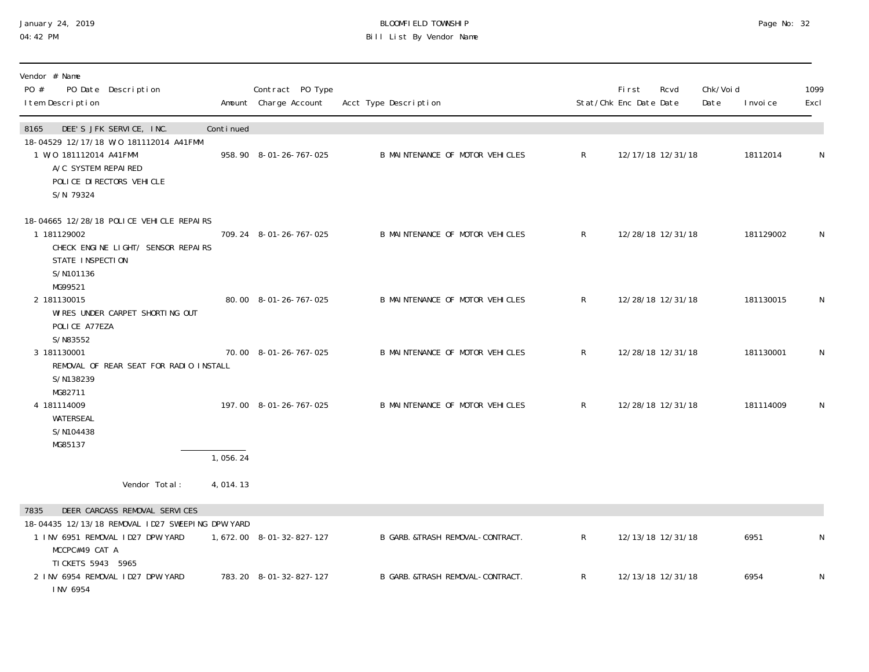# January 24, 2019 BLOOMFIELD TOWNSHIP Page No: 32 Bill List By Vendor Name

| Vendor # Name<br>PO #<br>PO Date Description<br>I tem Description                                                                         |           | Contract PO Type<br>Amount Charge Account | Acct Type Description            |              | First<br>Stat/Chk Enc Date Date | Rcvd              | Chk/Voi d<br>Date | I nvoi ce | 1099<br>Excl |
|-------------------------------------------------------------------------------------------------------------------------------------------|-----------|-------------------------------------------|----------------------------------|--------------|---------------------------------|-------------------|-------------------|-----------|--------------|
| DEE'S JFK SERVICE, INC.<br>8165                                                                                                           | Continued |                                           |                                  |              |                                 |                   |                   |           |              |
| 18-04529 12/17/18 W/0 181112014 A41FMM<br>1 W/O 181112014 A41FMM<br>A/C SYSTEM REPAIRED<br>POLICE DI RECTORS VEHICLE<br>S/N 79324         |           | 958.90 8-01-26-767-025                    | B MAINTENANCE OF MOTOR VEHICLES  | $\mathsf{R}$ |                                 | 12/17/18 12/31/18 |                   | 18112014  | $\mathsf{N}$ |
| 18-04665 12/28/18 POLICE VEHICLE REPAIRS<br>1 181129002<br>CHECK ENGINE LIGHT/ SENSOR REPAIRS<br>STATE INSPECTION<br>S/N101136<br>MG99521 |           | 709.24 8-01-26-767-025                    | B MAINTENANCE OF MOTOR VEHICLES  | $\mathsf{R}$ |                                 | 12/28/18 12/31/18 |                   | 181129002 | $\mathsf N$  |
| 2 181130015<br>WIRES UNDER CARPET SHORTING OUT<br>POLICE A77EZA<br>S/N83552                                                               |           | 80.00 8-01-26-767-025                     | B MAINTENANCE OF MOTOR VEHICLES  | $\mathsf{R}$ |                                 | 12/28/18 12/31/18 |                   | 181130015 | N            |
| 3 181130001<br>REMOVAL OF REAR SEAT FOR RADIO INSTALL<br>S/N138239<br>MG82711                                                             |           | 70.00 8-01-26-767-025                     | B MAINTENANCE OF MOTOR VEHICLES  | $\mathsf{R}$ |                                 | 12/28/18 12/31/18 |                   | 181130001 | $\mathsf{N}$ |
| 4 181114009<br>WATERSEAL<br>S/N104438<br>MG85137                                                                                          |           | 197.00 8-01-26-767-025                    | B MAINTENANCE OF MOTOR VEHICLES  | $\mathsf{R}$ |                                 | 12/28/18 12/31/18 |                   | 181114009 | N            |
|                                                                                                                                           | 1,056.24  |                                           |                                  |              |                                 |                   |                   |           |              |
| Vendor Total:                                                                                                                             | 4,014.13  |                                           |                                  |              |                                 |                   |                   |           |              |
| DEER CARCASS REMOVAL SERVICES<br>7835                                                                                                     |           |                                           |                                  |              |                                 |                   |                   |           |              |
| 18-04435 12/13/18 REMOVAL ID27 SWEEPING DPW YARD<br>1 INV 6951 REMOVAL ID27 DPW YARD<br>MCCPC#49 CAT A                                    |           | 1,672.00 8-01-32-827-127                  | B GARB. &TRASH REMOVAL-CONTRACT. | $\mathsf{R}$ |                                 | 12/13/18 12/31/18 |                   | 6951      | N            |
| TI CKETS 5943 5965<br>2 INV 6954 REMOVAL ID27 DPW YARD<br>INV 6954                                                                        |           | 783.20 8-01-32-827-127                    | B GARB. &TRASH REMOVAL-CONTRACT. | $\mathsf R$  |                                 | 12/13/18 12/31/18 |                   | 6954      | N            |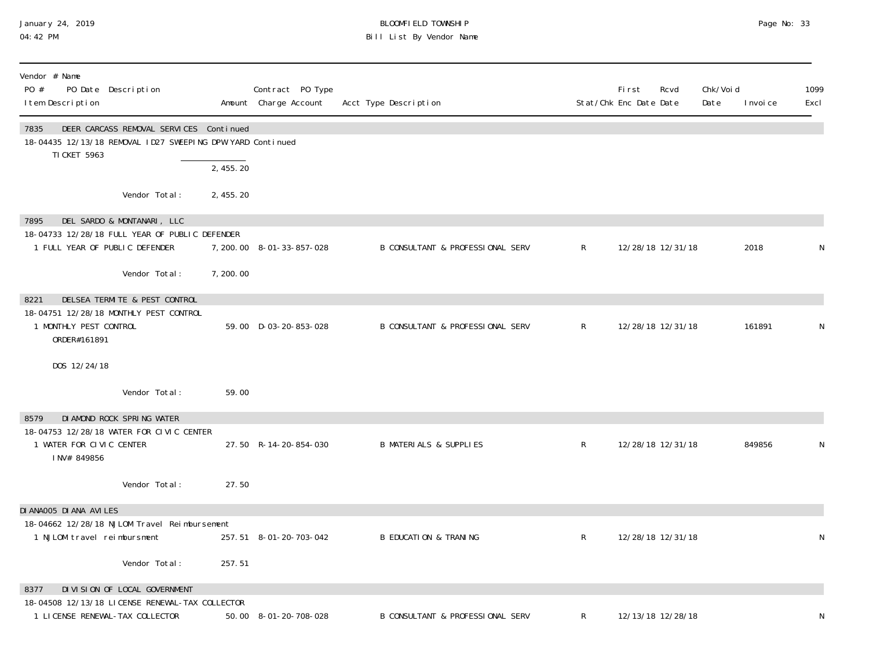### January 24, 2019 BLOOMFIELD TOWNSHIP Page No: 33 04:42 PM Bill List By Vendor Name

| Vendor # Name<br>PO #<br>PO Date Description<br>I tem Description                                                                    |            | Contract PO Type<br>Amount Charge Account | Acct Type Description                       |              | First<br>Stat/Chk Enc Date Date | Rcvd | Chk/Voi d<br>Date | I nvoi ce | 1099<br>Excl |
|--------------------------------------------------------------------------------------------------------------------------------------|------------|-------------------------------------------|---------------------------------------------|--------------|---------------------------------|------|-------------------|-----------|--------------|
| DEER CARCASS REMOVAL SERVICES Continued<br>7835<br>18-04435 12/13/18 REMOVAL ID27 SWEEPING DPW YARD Continued<br><b>TI CKET 5963</b> |            |                                           |                                             |              |                                 |      |                   |           |              |
|                                                                                                                                      | 2,455.20   |                                           |                                             |              |                                 |      |                   |           |              |
| Vendor Total:                                                                                                                        | 2, 455. 20 |                                           |                                             |              |                                 |      |                   |           |              |
| DEL SARDO & MONTANARI, LLC<br>7895                                                                                                   |            |                                           |                                             |              |                                 |      |                   |           |              |
| 18-04733 12/28/18 FULL YEAR OF PUBLIC DEFENDER                                                                                       |            |                                           |                                             |              |                                 |      |                   |           |              |
| 1 FULL YEAR OF PUBLIC DEFENDER                                                                                                       |            | 7, 200. 00 8-01-33-857-028                | <b>B CONSULTANT &amp; PROFESSIONAL SERV</b> | $\mathsf{R}$ | 12/28/18 12/31/18               |      |                   | 2018      | N            |
| Vendor Total:                                                                                                                        | 7,200.00   |                                           |                                             |              |                                 |      |                   |           |              |
| DELSEA TERMITE & PEST CONTROL<br>8221                                                                                                |            |                                           |                                             |              |                                 |      |                   |           |              |
| 18-04751 12/28/18 MONTHLY PEST CONTROL                                                                                               |            |                                           |                                             |              |                                 |      |                   |           |              |
| 1 MONTHLY PEST CONTROL<br>ORDER#161891                                                                                               |            | 59.00 D-03-20-853-028                     | B CONSULTANT & PROFESSIONAL SERV            | $\mathsf{R}$ | 12/28/18 12/31/18               |      |                   | 161891    | N            |
| DOS 12/24/18                                                                                                                         |            |                                           |                                             |              |                                 |      |                   |           |              |
| Vendor Total:                                                                                                                        | 59.00      |                                           |                                             |              |                                 |      |                   |           |              |
| DI AMOND ROCK SPRING WATER<br>8579                                                                                                   |            |                                           |                                             |              |                                 |      |                   |           |              |
| 18-04753 12/28/18 WATER FOR CIVIC CENTER                                                                                             |            |                                           |                                             |              |                                 |      |                   |           |              |
| 1 WATER FOR CIVIC CENTER<br>INV# 849856                                                                                              |            | 27.50 R-14-20-854-030                     | <b>B MATERIALS &amp; SUPPLIES</b>           | $\mathsf{R}$ | 12/28/18 12/31/18               |      |                   | 849856    | N            |
| Vendor Total:                                                                                                                        | 27.50      |                                           |                                             |              |                                 |      |                   |           |              |
| DI ANAOO5 DI ANA AVILES                                                                                                              |            |                                           |                                             |              |                                 |      |                   |           |              |
| 18-04662 12/28/18 NJLOM Travel Reimbursement                                                                                         |            |                                           |                                             |              |                                 |      |                   |           |              |
| 1 NJLOM travel reimbursment                                                                                                          |            | 257.51 8-01-20-703-042                    | <b>B EDUCATION &amp; TRANING</b>            | $\mathsf{R}$ | 12/28/18 12/31/18               |      |                   |           | N            |
| Vendor Total:                                                                                                                        | 257.51     |                                           |                                             |              |                                 |      |                   |           |              |
| DIVISION OF LOCAL GOVERNMENT<br>8377                                                                                                 |            |                                           |                                             |              |                                 |      |                   |           |              |
| 18-04508 12/13/18 LICENSE RENEWAL-TAX COLLECTOR                                                                                      |            |                                           |                                             |              |                                 |      |                   |           |              |
| 1 LICENSE RENEWAL-TAX COLLECTOR                                                                                                      |            | 50.00 8-01-20-708-028                     | B CONSULTANT & PROFESSIONAL SERV            | R            | 12/13/18 12/28/18               |      |                   |           |              |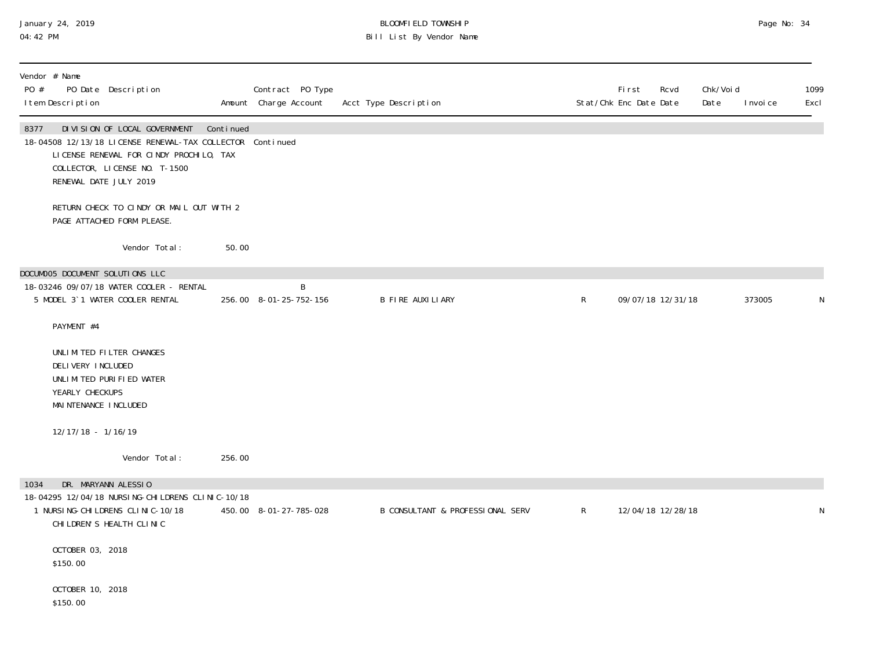### January 24, 2019 BLOOMFIELD TOWNSHIP Page No: 34 04:42 PM Bill List By Vendor Name

| Vendor # Name<br>PO # | I tem Description                                              | PO Date Description                                                                                                                                                                             |           | Contract PO Type<br>Amount Charge Account | Acct Type Description            |              | <b>First</b><br>Stat/Chk Enc Date Date | Rcvd              | Chk/Voi d<br>Date | I nvoi ce | 1099<br>Excl |
|-----------------------|----------------------------------------------------------------|-------------------------------------------------------------------------------------------------------------------------------------------------------------------------------------------------|-----------|-------------------------------------------|----------------------------------|--------------|----------------------------------------|-------------------|-------------------|-----------|--------------|
| 8377                  |                                                                | DIVISION OF LOCAL GOVERNMENT<br>18-04508 12/13/18 LICENSE RENEWAL-TAX COLLECTOR Continued<br>LICENSE RENEWAL FOR CINDY PROCHILO, TAX<br>COLLECTOR, LICENSE NO. T-1500<br>RENEWAL DATE JULY 2019 | Continued |                                           |                                  |              |                                        |                   |                   |           |              |
|                       |                                                                | RETURN CHECK TO CINDY OR MAIL OUT WITH 2<br>PAGE ATTACHED FORM PLEASE.                                                                                                                          |           |                                           |                                  |              |                                        |                   |                   |           |              |
|                       |                                                                | Vendor Total:                                                                                                                                                                                   | 50.00     |                                           |                                  |              |                                        |                   |                   |           |              |
|                       |                                                                | DOCUMOO5 DOCUMENT SOLUTIONS LLC                                                                                                                                                                 |           |                                           |                                  |              |                                        |                   |                   |           |              |
|                       |                                                                | 18-03246 09/07/18 WATER COOLER - RENTAL<br>5 MODEL 3`1 WATER COOLER RENTAL                                                                                                                      |           | B<br>256.00 8-01-25-752-156               | <b>B FIRE AUXILIARY</b>          | $\mathsf{R}$ |                                        | 09/07/18 12/31/18 |                   | 373005    |              |
|                       | PAYMENT #4                                                     |                                                                                                                                                                                                 |           |                                           |                                  |              |                                        |                   |                   |           |              |
|                       | DELIVERY INCLUDED<br>YEARLY CHECKUPS<br>MAI NTENANCE I NCLUDED | UNLIMITED FILTER CHANGES<br>UNLIMITED PURIFIED WATER                                                                                                                                            |           |                                           |                                  |              |                                        |                   |                   |           |              |
|                       | 12/17/18 - 1/16/19                                             |                                                                                                                                                                                                 |           |                                           |                                  |              |                                        |                   |                   |           |              |
|                       |                                                                | Vendor Total:                                                                                                                                                                                   | 256.00    |                                           |                                  |              |                                        |                   |                   |           |              |
| 1034                  |                                                                | DR. MARYANN ALESSIO                                                                                                                                                                             |           |                                           |                                  |              |                                        |                   |                   |           |              |
|                       |                                                                | 18-04295 12/04/18 NURSING-CHILDRENS CLINIC-10/18<br>1 NURSI NG-CHI LDRENS CLI NI C-10/18<br>CHI LDREN'S HEALTH CLINIC                                                                           |           | 450.00 8-01-27-785-028                    | B CONSULTANT & PROFESSIONAL SERV | $\mathsf{R}$ |                                        | 12/04/18 12/28/18 |                   |           |              |
|                       | OCTOBER 03, 2018<br>\$150.00                                   |                                                                                                                                                                                                 |           |                                           |                                  |              |                                        |                   |                   |           |              |
|                       | OCTOBER 10, 2018<br>\$150.00                                   |                                                                                                                                                                                                 |           |                                           |                                  |              |                                        |                   |                   |           |              |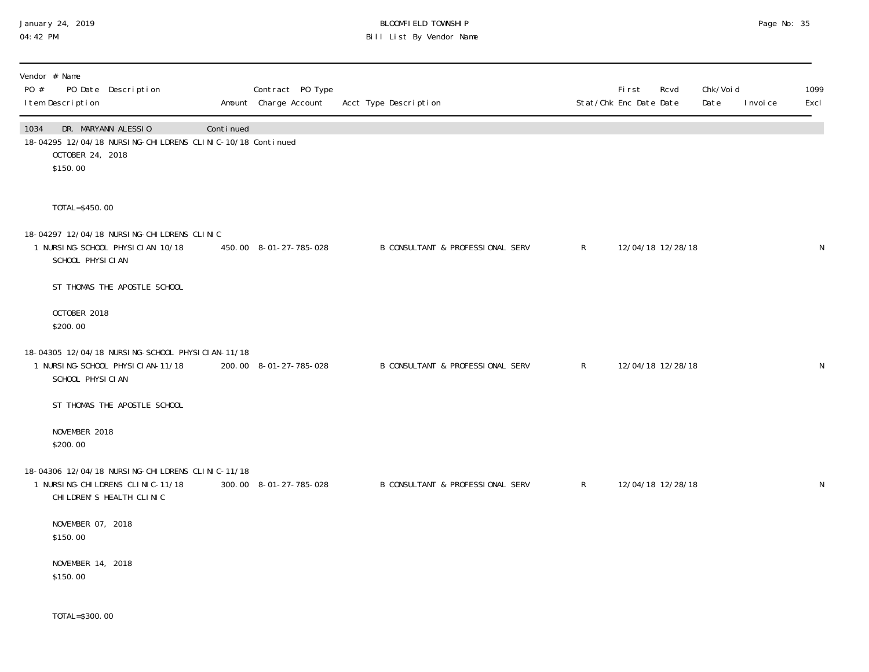### January 24, 2019 BLOOMFIELD TOWNSHIP Page No: 35 04:42 PM Bill List By Vendor Name

| Vendor # Name<br>PO #<br>PO Date Description<br>I tem Description                                                         |           | Contract PO Type<br>Amount Charge Account | Acct Type Description            | Stat/Chk Enc Date Date | First | Rcvd              | Chk/Void<br>Date | I nvoi ce | 1099<br>Excl |
|---------------------------------------------------------------------------------------------------------------------------|-----------|-------------------------------------------|----------------------------------|------------------------|-------|-------------------|------------------|-----------|--------------|
| DR. MARYANN ALESSIO<br>1034<br>18-04295 12/04/18 NURSING-CHILDRENS CLINIC-10/18 Continued<br>OCTOBER 24, 2018<br>\$150.00 | Continued |                                           |                                  |                        |       |                   |                  |           |              |
| TOTAL=\$450.00                                                                                                            |           |                                           |                                  |                        |       |                   |                  |           |              |
| 18-04297 12/04/18 NURSING-CHILDRENS CLINIC<br>1 NURSI NG-SCHOOL PHYSICIAN 10/18<br>SCHOOL PHYSICIAN                       |           | 450.00 8-01-27-785-028                    | B CONSULTANT & PROFESSIONAL SERV | $\mathsf{R}$           |       | 12/04/18 12/28/18 |                  |           | N            |
| ST THOMAS THE APOSTLE SCHOOL                                                                                              |           |                                           |                                  |                        |       |                   |                  |           |              |
| OCTOBER 2018<br>\$200.00                                                                                                  |           |                                           |                                  |                        |       |                   |                  |           |              |
| 18-04305 12/04/18 NURSING-SCHOOL PHYSICIAN-11/18<br>1 NURSI NG-SCHOOL PHYSICI AN-11/18<br>SCHOOL PHYSICIAN                |           | 200.00 8-01-27-785-028                    | B CONSULTANT & PROFESSIONAL SERV | $\mathsf{R}$           |       | 12/04/18 12/28/18 |                  |           | N            |
| ST THOMAS THE APOSTLE SCHOOL                                                                                              |           |                                           |                                  |                        |       |                   |                  |           |              |
| NOVEMBER 2018<br>\$200.00                                                                                                 |           |                                           |                                  |                        |       |                   |                  |           |              |
| 18-04306 12/04/18 NURSING-CHILDRENS CLINIC-11/18<br>1 NURSI NG-CHI LDRENS CLI NI C-11/18<br>CHI LDREN'S HEALTH CLINIC     |           | 300.00 8-01-27-785-028                    | B CONSULTANT & PROFESSIONAL SERV | $\mathsf{R}$           |       | 12/04/18 12/28/18 |                  |           | N            |
| NOVEMBER 07, 2018<br>\$150.00                                                                                             |           |                                           |                                  |                        |       |                   |                  |           |              |
| NOVEMBER 14, 2018<br>\$150.00                                                                                             |           |                                           |                                  |                        |       |                   |                  |           |              |
| TOTAL=\$300.00                                                                                                            |           |                                           |                                  |                        |       |                   |                  |           |              |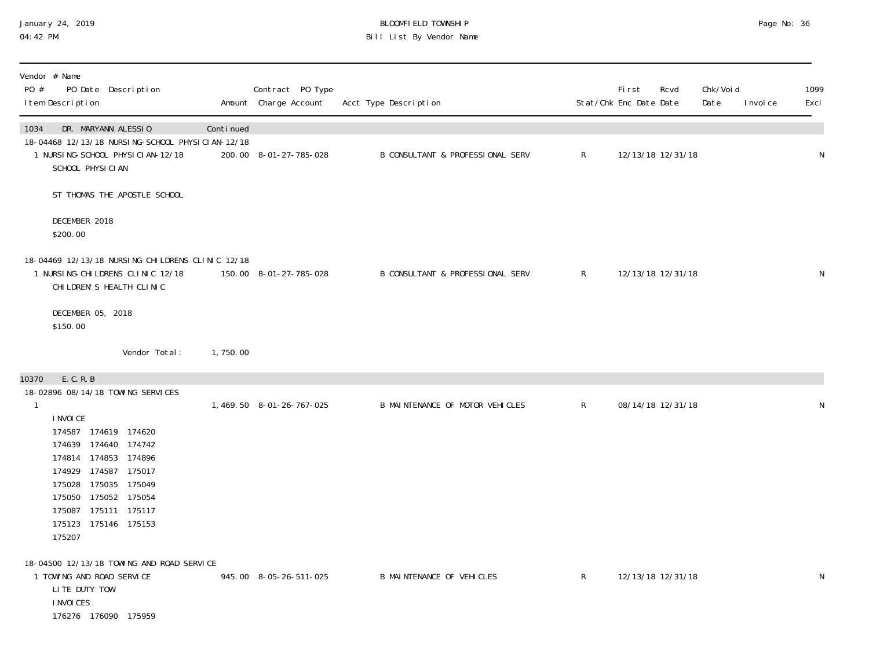#### January 24, 2019 BLOOMFIELD TOWNSHIP Page No: 36 04:42 PM Bill List By Vendor Name

| Vendor # Name<br>PO #<br>PO Date Description<br>I tem Description                                                                                                                                                                                                        |           | Contract PO Type<br>Amount Charge Account | Acct Type Description                       |                | First<br>Stat/Chk Enc Date Date | Rcvd | Chk/Void<br>Date<br>I nvoi ce | 1099<br>Excl |
|--------------------------------------------------------------------------------------------------------------------------------------------------------------------------------------------------------------------------------------------------------------------------|-----------|-------------------------------------------|---------------------------------------------|----------------|---------------------------------|------|-------------------------------|--------------|
| DR. MARYANN ALESSIO<br>1034<br>18-04468 12/13/18 NURSING-SCHOOL PHYSICIAN-12/18<br>1 NURSI NG-SCHOOL PHYSICIAN-12/18<br>SCHOOL PHYSICIAN                                                                                                                                 | Continued | 200.00 8-01-27-785-028                    | B CONSULTANT & PROFESSIONAL SERV            | $\mathsf{R}^-$ | 12/13/18 12/31/18               |      |                               | ${\sf N}$    |
| ST THOMAS THE APOSTLE SCHOOL                                                                                                                                                                                                                                             |           |                                           |                                             |                |                                 |      |                               |              |
| DECEMBER 2018<br>\$200.00                                                                                                                                                                                                                                                |           |                                           |                                             |                |                                 |      |                               |              |
| 18-04469 12/13/18 NURSING-CHILDRENS CLINIC 12/18<br>1 NURSING-CHILDRENS CLINIC 12/18<br>CHI LDREN'S HEALTH CLINIC                                                                                                                                                        |           | 150.00 8-01-27-785-028                    | <b>B CONSULTANT &amp; PROFESSIONAL SERV</b> | $\mathsf{R}^-$ | 12/13/18 12/31/18               |      |                               | ${\sf N}$    |
| DECEMBER 05, 2018<br>\$150.00                                                                                                                                                                                                                                            |           |                                           |                                             |                |                                 |      |                               |              |
| Vendor Total:                                                                                                                                                                                                                                                            | 1,750.00  |                                           |                                             |                |                                 |      |                               |              |
| E. C. R. B<br>10370                                                                                                                                                                                                                                                      |           |                                           |                                             |                |                                 |      |                               |              |
| 18-02896 08/14/18 TOWING SERVICES<br>$\mathbf{1}$<br>I NVOI CE<br>174587 174619 174620<br>174639 174640 174742<br>174814 174853 174896<br>174929 174587 175017<br>175028 175035 175049<br>175050 175052 175054<br>175087 175111 175117<br>175123 175146 175153<br>175207 |           | 1, 469.50 8-01-26-767-025                 | B MAINTENANCE OF MOTOR VEHICLES             | $R_{\perp}$    | 08/14/18 12/31/18               |      |                               | N            |
| 18-04500 12/13/18 TOWING AND ROAD SERVICE<br>1 TOWING AND ROAD SERVICE<br>LITE DUTY TOW<br>I NVOI CES<br>176276 176090 175959                                                                                                                                            |           | 945.00 8-05-26-511-025                    | <b>B MAINTENANCE OF VEHICLES</b>            | R              | 12/13/18 12/31/18               |      |                               | N            |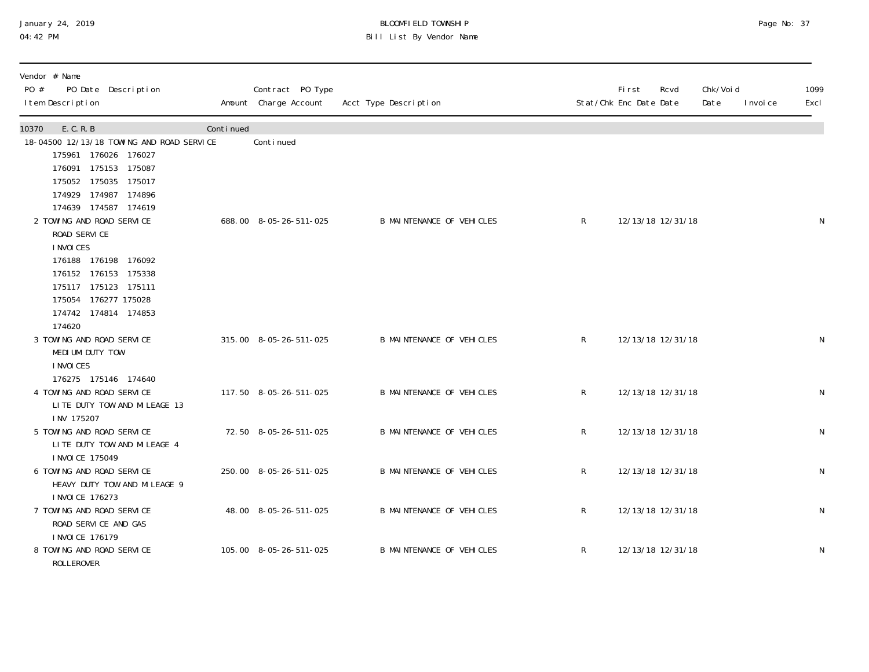## January 24, 2019 BLOOMFIELD TOWNSHIP Page No: 37 Bill List By Vendor Name

| Vendor # Name<br>PO #<br>PO Date Description<br>I tem Description                                                                                                                                                                                                                                                            |           | Contract PO Type<br>Amount Charge Account | Acct Type Description            |              | <b>First</b><br>Stat/Chk Enc Date Date | Rcvd              | Chk/Void<br>Date | I nvoi ce | 1099<br>Excl |
|------------------------------------------------------------------------------------------------------------------------------------------------------------------------------------------------------------------------------------------------------------------------------------------------------------------------------|-----------|-------------------------------------------|----------------------------------|--------------|----------------------------------------|-------------------|------------------|-----------|--------------|
| 10370<br>E. C. R. B                                                                                                                                                                                                                                                                                                          | Continued |                                           |                                  |              |                                        |                   |                  |           |              |
| 18-04500 12/13/18 TOWING AND ROAD SERVICE<br>175961 176026 176027<br>176091 175153 175087<br>175052 175035 175017<br>174929 174987 174896<br>174639 174587 174619<br>2 TOWING AND ROAD SERVICE<br>ROAD SERVICE<br>I NVOI CES<br>176188 176198 176092<br>176152 176153 175338<br>175117 175123 175111<br>175054 176277 175028 |           | Continued<br>688.00 8-05-26-511-025       | <b>B MAINTENANCE OF VEHICLES</b> | R            |                                        | 12/13/18 12/31/18 |                  |           | $\mathsf N$  |
| 174742 174814 174853<br>174620<br>3 TOWING AND ROAD SERVICE<br>MEDIUM DUTY TOW                                                                                                                                                                                                                                               |           | 315.00 8-05-26-511-025                    | <b>B MAINTENANCE OF VEHICLES</b> | $\mathsf{R}$ |                                        | 12/13/18 12/31/18 |                  |           | N            |
| I NVOI CES<br>176275 175146 174640<br>4 TOWING AND ROAD SERVICE<br>LITE DUTY TOW AND MILEAGE 13                                                                                                                                                                                                                              |           | 117.50 8-05-26-511-025                    | <b>B MAINTENANCE OF VEHICLES</b> | $\mathsf{R}$ |                                        | 12/13/18 12/31/18 |                  |           | ${\sf N}$    |
| INV 175207<br>5 TOWING AND ROAD SERVICE<br>LITE DUTY TOW AND MILEAGE 4                                                                                                                                                                                                                                                       |           | 72.50 8-05-26-511-025                     | <b>B MAINTENANCE OF VEHICLES</b> | R            |                                        | 12/13/18 12/31/18 |                  |           | $\mathsf N$  |
| I NVOI CE 175049<br>6 TOWING AND ROAD SERVICE<br>HEAVY DUTY TOW AND MILEAGE 9<br>I NVOI CE 176273                                                                                                                                                                                                                            |           | 250.00 8-05-26-511-025                    | <b>B MAINTENANCE OF VEHICLES</b> | $\mathsf{R}$ |                                        | 12/13/18 12/31/18 |                  |           | ${\sf N}$    |
| 7 TOWING AND ROAD SERVICE<br>ROAD SERVICE AND GAS                                                                                                                                                                                                                                                                            |           | 48.00 8-05-26-511-025                     | <b>B MAINTENANCE OF VEHICLES</b> | R            |                                        | 12/13/18 12/31/18 |                  |           | ${\sf N}$    |
| <b>INVOICE 176179</b><br>8 TOWING AND ROAD SERVICE<br><b>ROLLEROVER</b>                                                                                                                                                                                                                                                      |           | 105.00 8-05-26-511-025                    | <b>B MAINTENANCE OF VEHICLES</b> | R            |                                        | 12/13/18 12/31/18 |                  |           | ${\sf N}$    |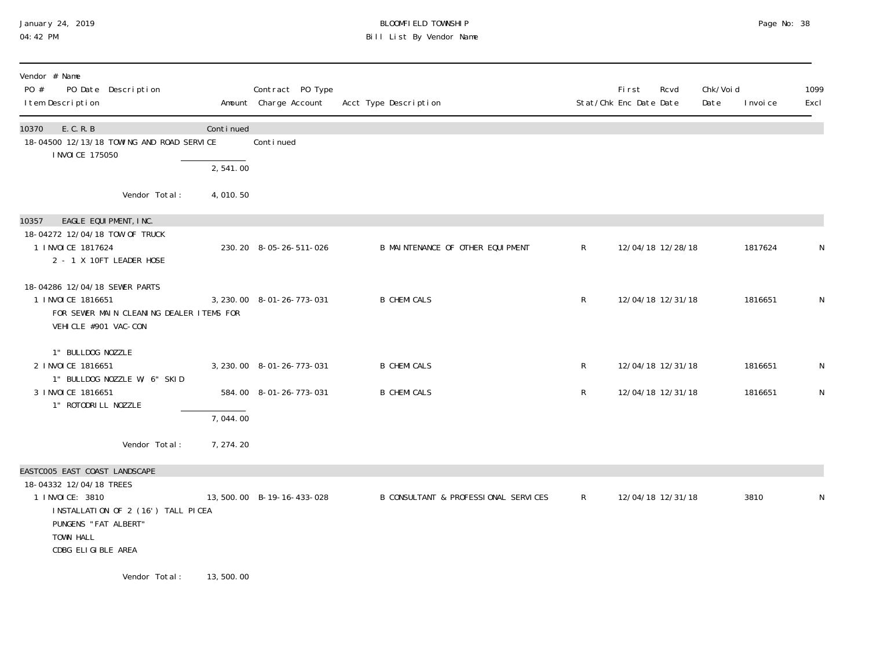#### January 24, 2019 BLOOMFIELD TOWNSHIP Page No: 38 04:42 PM Bill List By Vendor Name

| Vendor # Name<br>PO #<br>PO Date Description<br>I tem Description                                                                           |            | Contract PO Type<br>Amount Charge Account | Acct Type Description                |              | <b>First</b><br>Stat/Chk Enc Date Date | Rcvd              | Chk/Voi d<br>Date | I nvoi ce | 1099<br>Excl |
|---------------------------------------------------------------------------------------------------------------------------------------------|------------|-------------------------------------------|--------------------------------------|--------------|----------------------------------------|-------------------|-------------------|-----------|--------------|
| E. C. R. B<br>10370<br>18-04500 12/13/18 TOWING AND ROAD SERVICE<br>I NVOI CE 175050                                                        | Continued  | Conti nued                                |                                      |              |                                        |                   |                   |           |              |
|                                                                                                                                             | 2,541.00   |                                           |                                      |              |                                        |                   |                   |           |              |
| Vendor Total:                                                                                                                               | 4,010.50   |                                           |                                      |              |                                        |                   |                   |           |              |
| 10357<br>EAGLE EQUIPMENT, INC.<br>18-04272 12/04/18 TOW OF TRUCK<br>1 I NVOI CE 1817624<br>2 - 1 X 10FT LEADER HOSE                         |            | 230.20 8-05-26-511-026                    | B MAINTENANCE OF OTHER EQUIPMENT     | R            |                                        | 12/04/18 12/28/18 |                   | 1817624   | N            |
| 18-04286 12/04/18 SEWER PARTS<br>1 INVOICE 1816651<br>FOR SEWER MAIN CLEANING DEALER ITEMS FOR<br>VEHICLE #901 VAC-CON                      |            | 3, 230, 00 8-01-26-773-031                | <b>B CHEMICALS</b>                   | $\mathsf{R}$ |                                        | 12/04/18 12/31/18 |                   | 1816651   | N            |
| 1" BULLDOG NOZZLE<br>2 I NVOI CE 1816651<br>1" BULLDOG NOZZLE W/ 6" SKID                                                                    |            | 3, 230.00 8-01-26-773-031                 | <b>B CHEMICALS</b>                   | R            |                                        | 12/04/18 12/31/18 |                   | 1816651   | N            |
| 3 I NVOI CE 1816651                                                                                                                         |            | 584.00 8-01-26-773-031                    | <b>B CHEMICALS</b>                   | R            |                                        | 12/04/18 12/31/18 |                   | 1816651   | $\mathsf N$  |
| 1" ROTODRI LL NOZZLE                                                                                                                        | 7,044.00   |                                           |                                      |              |                                        |                   |                   |           |              |
| Vendor Total:                                                                                                                               | 7, 274. 20 |                                           |                                      |              |                                        |                   |                   |           |              |
| EASTCOO5 EAST COAST LANDSCAPE                                                                                                               |            |                                           |                                      |              |                                        |                   |                   |           |              |
| 18-04332 12/04/18 TREES<br>1 INVOICE: 3810<br>INSTALLATION OF 2 (16') TALL PICEA<br>PUNGENS "FAT ALBERT"<br>TOWN HALL<br>CDBG ELIGIBLE AREA |            | 13,500.00 B-19-16-433-028                 | B CONSULTANT & PROFESSIONAL SERVICES | $\mathsf{R}$ |                                        | 12/04/18 12/31/18 |                   | 3810      | N            |
| Vendor Total:                                                                                                                               | 13,500.00  |                                           |                                      |              |                                        |                   |                   |           |              |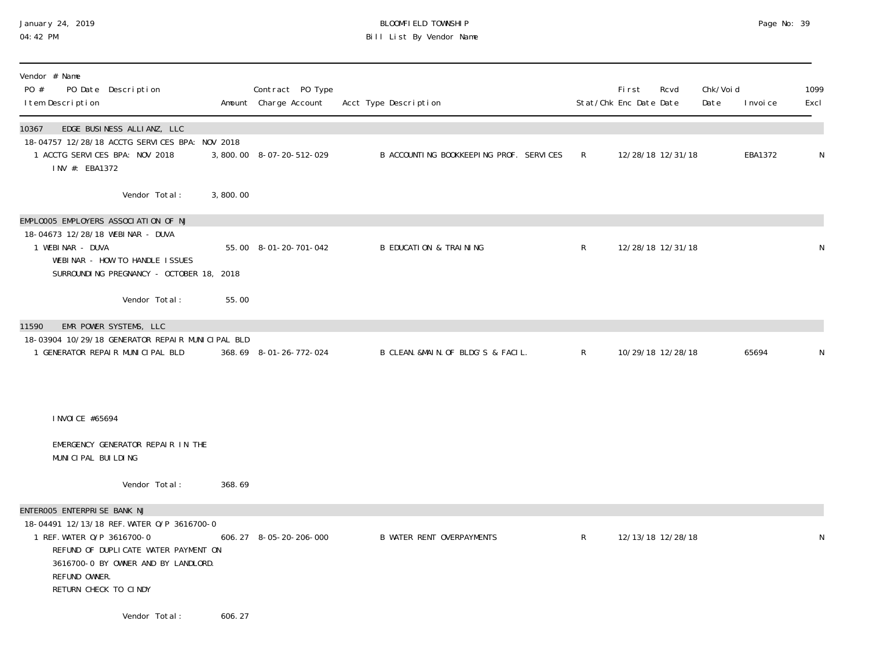#### January 24, 2019 BLOOMFIELD TOWNSHIP Page No: 39 04:42 PM Bill List By Vendor Name

| Vendor # Name<br>PO #<br>PO Date Description<br>I tem Description                                                                                                                                                                |          | Contract PO Type<br>Amount Charge Account | Acct Type Description                   |                | <b>First</b><br>Rcvd<br>Stat/Chk Enc Date Date | Chk/Voi d<br>Date | I nvoi ce | 1099<br>Excl |
|----------------------------------------------------------------------------------------------------------------------------------------------------------------------------------------------------------------------------------|----------|-------------------------------------------|-----------------------------------------|----------------|------------------------------------------------|-------------------|-----------|--------------|
| 10367<br>EDGE BUSINESS ALLIANZ, LLC<br>18-04757 12/28/18 ACCTG SERVICES BPA: NOV 2018<br>1 ACCTG SERVICES BPA: NOV 2018<br>INV #: EBA1372                                                                                        |          | 3,800.00 8-07-20-512-029                  | B ACCOUNTING BOOKKEEPING PROF. SERVICES | $\mathsf{R}^-$ | 12/28/18 12/31/18                              |                   | EBA1372   | N            |
| Vendor Total:                                                                                                                                                                                                                    | 3,800.00 |                                           |                                         |                |                                                |                   |           |              |
| EMPLOOO5 EMPLOYERS ASSOCIATION OF NJ<br>18-04673 12/28/18 WEBINAR - DUVA<br>1 WEBINAR - DUVA<br>WEBINAR - HOW TO HANDLE ISSUES<br>SURROUNDING PREGNANCY - OCTOBER 18, 2018<br>Vendor Total:                                      | 55.00    | 55.00 8-01-20-701-042                     | <b>B EDUCATION &amp; TRAINING</b>       | $\mathsf{R}$   | 12/28/18 12/31/18                              |                   |           | N            |
| 11590<br>EMR POWER SYSTEMS, LLC<br>18-03904 10/29/18 GENERATOR REPAIR MUNICIPAL BLD<br>1 GENERATOR REPAIR MUNICIPAL BLD                                                                                                          |          | 368.69 8-01-26-772-024                    | B CLEAN. &MAIN. OF BLDG'S & FACIL.      | $\mathsf{R}$   | 10/29/18 12/28/18                              |                   | 65694     | N            |
| I NVOI CE #65694<br>EMERGENCY GENERATOR REPAIR IN THE<br>MUNICIPAL BUILDING                                                                                                                                                      |          |                                           |                                         |                |                                                |                   |           |              |
| Vendor Total:                                                                                                                                                                                                                    | 368.69   |                                           |                                         |                |                                                |                   |           |              |
| ENTEROO5 ENTERPRISE BANK NJ<br>18-04491 12/13/18 REF. WATER 0/P 3616700-0<br>1 REF. WATER 0/P 3616700-0<br>REFUND OF DUPLICATE WATER PAYMENT ON<br>3616700-0 BY OWNER AND BY LANDLORD.<br>REFUND OWNER.<br>RETURN CHECK TO CINDY |          | 606.27 8-05-20-206-000                    | <b>B WATER RENT OVERPAYMENTS</b>        | R              | 12/13/18 12/28/18                              |                   |           | N            |
| Vendor Total:                                                                                                                                                                                                                    | 606.27   |                                           |                                         |                |                                                |                   |           |              |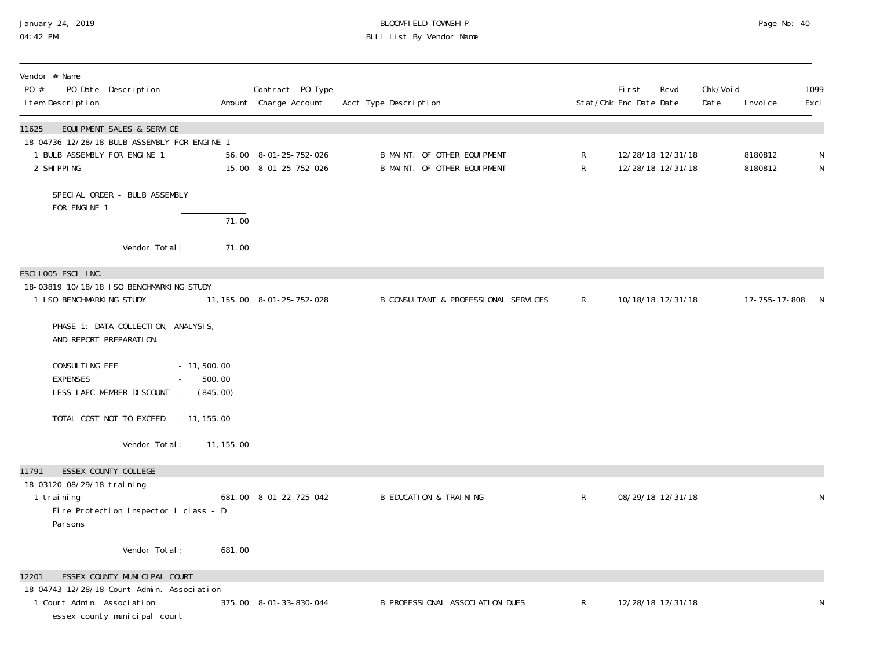# January 24, 2019 BLOOMFIELD TOWNSHIP Page No: 40 Bill List By Vendor Name

| Vendor # Name<br>PO #<br>PO Date Description<br>I tem Description                                        |                                     | Contract PO Type<br>Amount Charge Account      | Acct Type Description                                      |                  | <b>First</b><br>Stat/Chk Enc Date Date | Rcvd                                   | Chk/Voi d<br>Date | I nvoi ce          | 1099<br>Excl   |
|----------------------------------------------------------------------------------------------------------|-------------------------------------|------------------------------------------------|------------------------------------------------------------|------------------|----------------------------------------|----------------------------------------|-------------------|--------------------|----------------|
| EQUI PMENT SALES & SERVICE<br>11625<br>18-04736 12/28/18 BULB ASSEMBLY FOR ENGINE 1                      |                                     |                                                |                                                            |                  |                                        |                                        |                   |                    |                |
| 1 BULB ASSEMBLY FOR ENGINE 1<br>2 SHIPPING                                                               |                                     | 56.00 8-01-25-752-026<br>15.00 8-01-25-752-026 | B MAINT. OF OTHER EQUIPMENT<br>B MAINT. OF OTHER EQUIPMENT | R<br>$\mathsf R$ |                                        | 12/28/18 12/31/18<br>12/28/18 12/31/18 |                   | 8180812<br>8180812 | N<br>${\sf N}$ |
| SPECIAL ORDER - BULB ASSEMBLY<br>FOR ENGINE 1                                                            |                                     |                                                |                                                            |                  |                                        |                                        |                   |                    |                |
|                                                                                                          | 71.00                               |                                                |                                                            |                  |                                        |                                        |                   |                    |                |
| Vendor Total:                                                                                            | 71.00                               |                                                |                                                            |                  |                                        |                                        |                   |                    |                |
| ESCII005 ESCI INC.<br>18-03819 10/18/18 ISO BENCHMARKING STUDY                                           |                                     |                                                |                                                            |                  |                                        |                                        |                   |                    |                |
| 1 I SO BENCHMARKING STUDY                                                                                |                                     | 11, 155. 00  8-01-25-752-028                   | B CONSULTANT & PROFESSIONAL SERVICES                       | $\mathsf{R}$     |                                        | 10/18/18 12/31/18                      |                   | 17-755-17-808 N    |                |
| PHASE 1: DATA COLLECTION, ANALYSIS,<br>AND REPORT PREPARATION.                                           |                                     |                                                |                                                            |                  |                                        |                                        |                   |                    |                |
| CONSULTING FEE<br><b>EXPENSES</b><br>$\Delta \sim 100$<br>LESS IAFC MEMBER DISCOUNT -                    | $-11, 500.00$<br>500.00<br>(845.00) |                                                |                                                            |                  |                                        |                                        |                   |                    |                |
| TOTAL COST NOT TO EXCEED - 11, 155.00                                                                    |                                     |                                                |                                                            |                  |                                        |                                        |                   |                    |                |
| Vendor Total:                                                                                            | 11, 155.00                          |                                                |                                                            |                  |                                        |                                        |                   |                    |                |
| 11791<br>ESSEX COUNTY COLLEGE                                                                            |                                     |                                                |                                                            |                  |                                        |                                        |                   |                    |                |
| 18-03120 08/29/18 training<br>1 training<br>Fire Protection Inspector I class - D.<br>Parsons            |                                     | 681.00 8-01-22-725-042                         | <b>B EDUCATION &amp; TRAINING</b>                          | R                |                                        | 08/29/18 12/31/18                      |                   |                    | N              |
| Vendor Total:                                                                                            | 681.00                              |                                                |                                                            |                  |                                        |                                        |                   |                    |                |
| ESSEX COUNTY MUNICIPAL COURT<br>12201                                                                    |                                     |                                                |                                                            |                  |                                        |                                        |                   |                    |                |
| 18-04743 12/28/18 Court Admin. Association<br>1 Court Admin. Association<br>essex county municipal court |                                     | 375.00 8-01-33-830-044                         | B PROFESSIONAL ASSOCIATION DUES                            | $\mathsf{R}$     |                                        | 12/28/18 12/31/18                      |                   |                    | N              |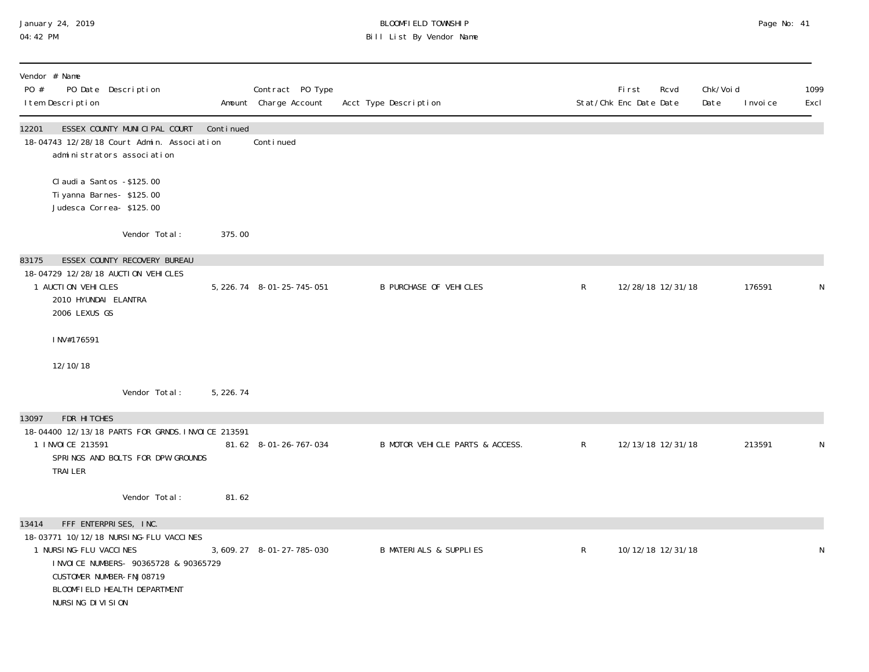## January 24, 2019 BLOOMFIELD TOWNSHIP Page No: 41 04:42 PM Bill List By Vendor Name

| Vendor # Name<br>PO #<br>PO Date Description<br>I tem Description                                                                                                                                                              |            | Contract PO Type<br>Amount Charge Account | Acct Type Description             |              | <b>First</b><br>Rcvd<br>Stat/Chk Enc Date Date | Chk/Voi d<br>Date | 1099<br>Excl<br>I nvoi ce |
|--------------------------------------------------------------------------------------------------------------------------------------------------------------------------------------------------------------------------------|------------|-------------------------------------------|-----------------------------------|--------------|------------------------------------------------|-------------------|---------------------------|
| ESSEX COUNTY MUNICIPAL COURT<br>12201<br>18-04743 12/28/18 Court Admin. Association<br>administrators association                                                                                                              | Continued  | Continued                                 |                                   |              |                                                |                   |                           |
| Cl audi a Santos - \$125.00<br>Ti yanna Barnes- \$125.00<br>Judesca Correa-\$125.00                                                                                                                                            |            |                                           |                                   |              |                                                |                   |                           |
| Vendor Total:                                                                                                                                                                                                                  | 375.00     |                                           |                                   |              |                                                |                   |                           |
| ESSEX COUNTY RECOVERY BUREAU<br>83175                                                                                                                                                                                          |            |                                           |                                   |              |                                                |                   |                           |
| 18-04729 12/28/18 AUCTION VEHICLES<br>1 AUCTI ON VEHICLES<br>2010 HYUNDAI ELANTRA<br>2006 LEXUS GS                                                                                                                             |            | 5, 226. 74 8-01-25-745-051                | <b>B PURCHASE OF VEHICLES</b>     | $\mathsf{R}$ | 12/28/18 12/31/18                              |                   | 176591<br>N               |
| INV#176591                                                                                                                                                                                                                     |            |                                           |                                   |              |                                                |                   |                           |
| 12/10/18                                                                                                                                                                                                                       |            |                                           |                                   |              |                                                |                   |                           |
| Vendor Total:                                                                                                                                                                                                                  | 5, 226. 74 |                                           |                                   |              |                                                |                   |                           |
| 13097<br>FDR HITCHES                                                                                                                                                                                                           |            |                                           |                                   |              |                                                |                   |                           |
| 18-04400 12/13/18 PARTS FOR GRNDS. INVOICE 213591<br>1 INVOICE 213591<br>SPRINGS AND BOLTS FOR DPW GROUNDS<br><b>TRAILER</b>                                                                                                   |            | 81.62 8-01-26-767-034                     | B MOTOR VEHICLE PARTS & ACCESS.   | $\mathsf{R}$ | 12/13/18 12/31/18                              |                   | 213591<br>N               |
| Vendor Total:                                                                                                                                                                                                                  | 81.62      |                                           |                                   |              |                                                |                   |                           |
| FFF ENTERPRISES, INC.<br>13414<br>18-03771 10/12/18 NURSING-FLU VACCINES<br>1 NURSI NG-FLU VACCI NES<br>I NVOI CE NUMBERS- 90365728 & 90365729<br>CUSTOMER NUMBER-FNJ08719<br>BLOOMFIELD HEALTH DEPARTMENT<br>NURSING DIVISION |            | 3, 609. 27 8-01-27-785-030                | <b>B MATERIALS &amp; SUPPLIES</b> | $\mathsf{R}$ | 10/12/18 12/31/18                              |                   | N                         |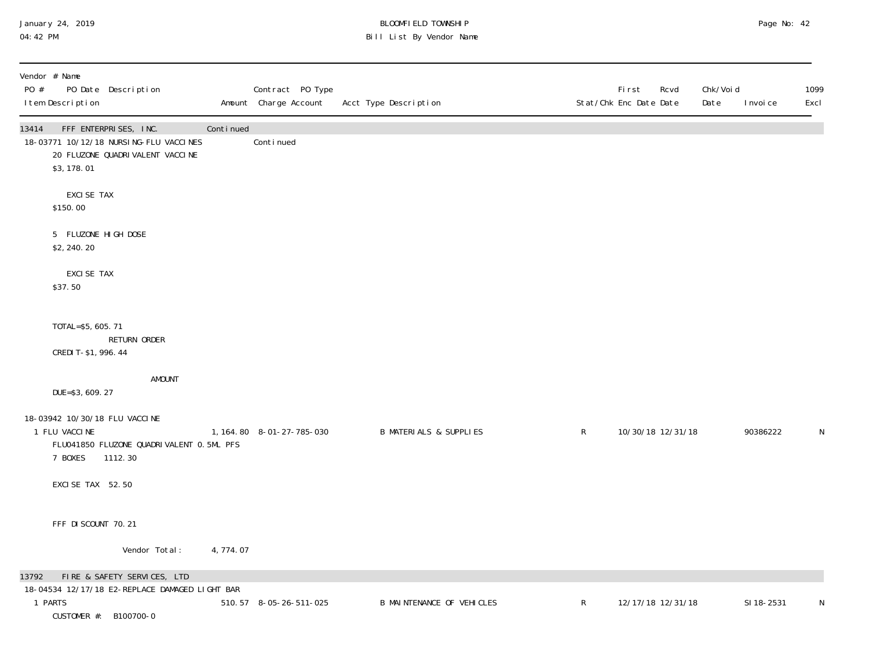## January 24, 2019 BLOOMFIELD TOWNSHIP Page No: 42 04:42 PM Bill List By Vendor Name

| Vendor # Name<br>PO #<br>PO Date Description<br>I tem Description                                                            |           | Contract PO Type<br>Amount Charge Account | Acct Type Description             |              | <b>First</b><br>Rcvd<br>Stat/Chk Enc Date Date | Chk/Voi d<br>Date | I nvoi ce  | 1099<br>Excl |
|------------------------------------------------------------------------------------------------------------------------------|-----------|-------------------------------------------|-----------------------------------|--------------|------------------------------------------------|-------------------|------------|--------------|
| FFF ENTERPRISES, INC.<br>13414<br>18-03771 10/12/18 NURSING-FLU VACCINES<br>20 FLUZONE QUADRI VALENT VACCI NE<br>\$3, 178.01 | Continued | Continued                                 |                                   |              |                                                |                   |            |              |
| EXCI SE TAX<br>\$150.00                                                                                                      |           |                                           |                                   |              |                                                |                   |            |              |
| 5 FLUZONE HIGH DOSE<br>\$2,240.20                                                                                            |           |                                           |                                   |              |                                                |                   |            |              |
| EXCI SE TAX<br>\$37.50                                                                                                       |           |                                           |                                   |              |                                                |                   |            |              |
| TOTAL=\$5, 605. 71<br>RETURN ORDER<br>CREDIT-\$1, 996.44                                                                     |           |                                           |                                   |              |                                                |                   |            |              |
| <b>AMOUNT</b><br>DUE=\$3, 609. 27                                                                                            |           |                                           |                                   |              |                                                |                   |            |              |
| 18-03942 10/30/18 FLU VACCINE<br>1 FLU VACCINE<br>FLU041850 FLUZONE QUADRIVALENT 0.5ML PFS<br>7 BOXES<br>1112.30             |           | 1, 164.80 8-01-27-785-030                 | <b>B MATERIALS &amp; SUPPLIES</b> | $\mathsf{R}$ | 10/30/18 12/31/18                              |                   | 90386222   | N            |
| EXCISE TAX 52.50                                                                                                             |           |                                           |                                   |              |                                                |                   |            |              |
| FFF DI SCOUNT 70.21                                                                                                          |           |                                           |                                   |              |                                                |                   |            |              |
| Vendor Total:                                                                                                                | 4,774.07  |                                           |                                   |              |                                                |                   |            |              |
| FIRE & SAFETY SERVICES, LTD<br>13792<br>18-04534 12/17/18 E2-REPLACE DAMAGED LIGHT BAR<br>1 PARTS<br>CUSTOMER #: B100700-0   |           | 510.57 8-05-26-511-025                    | <b>B MAINTENANCE OF VEHICLES</b>  | $\mathsf{R}$ | 12/17/18 12/31/18                              |                   | SI 18-2531 | N            |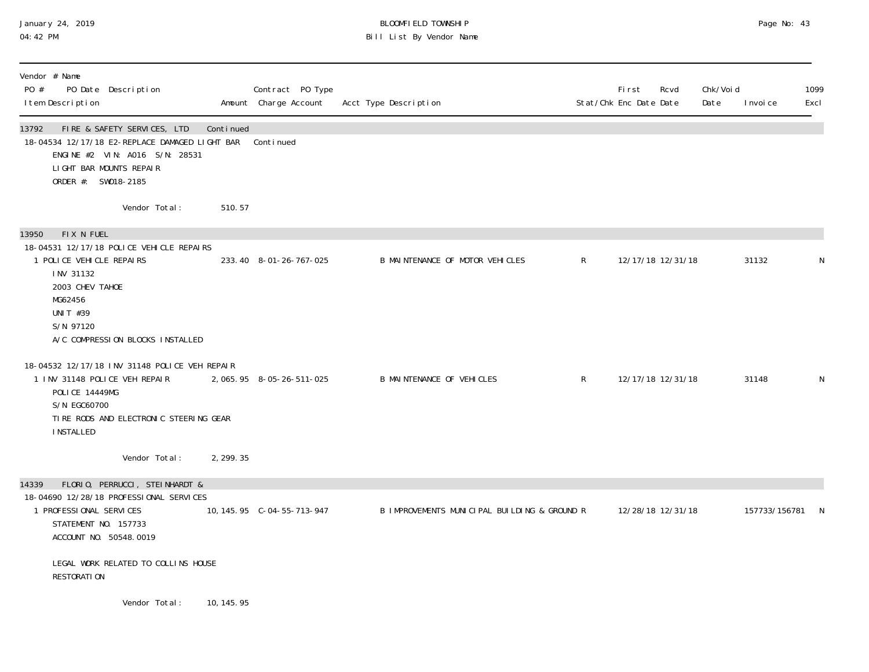## January 24, 2019 BLOOMFIELD TOWNSHIP Page No: 43 04:42 PM Bill List By Vendor Name

| Vendor # Name<br>PO #<br>PO Date Description<br>I tem Description                                                                                                              |             | Contract PO Type<br>Amount Charge Account | Acct Type Description                        |              | <b>First</b><br>Stat/Chk Enc Date Date | Rcvd | Chk/Void<br>Date | I nvoi ce     | 1099<br>Excl |
|--------------------------------------------------------------------------------------------------------------------------------------------------------------------------------|-------------|-------------------------------------------|----------------------------------------------|--------------|----------------------------------------|------|------------------|---------------|--------------|
| 13792<br>FIRE & SAFETY SERVICES, LTD<br>18-04534 12/17/18 E2-REPLACE DAMAGED LIGHT BAR<br>ENGINE #2 VIN: A016 S/N: 28531<br>LIGHT BAR MOUNTS REPAIR<br>ORDER #: SW018-2185     | Continued   | Continued                                 |                                              |              |                                        |      |                  |               |              |
| Vendor Total:                                                                                                                                                                  | 510.57      |                                           |                                              |              |                                        |      |                  |               |              |
| FIX N FUEL<br>13950                                                                                                                                                            |             |                                           |                                              |              |                                        |      |                  |               |              |
| 18-04531 12/17/18 POLICE VEHICLE REPAIRS<br>1 POLICE VEHICLE REPAIRS<br>INV 31132<br>2003 CHEV TAHOE<br>MG62456<br>UNIT #39<br>S/N 97120<br>A/C COMPRESSION BLOCKS INSTALLED   |             | 233.40 8-01-26-767-025                    | B MAINTENANCE OF MOTOR VEHICLES              | $\mathsf{R}$ | 12/17/18 12/31/18                      |      |                  | 31132         | N            |
| 18-04532 12/17/18 INV 31148 POLICE VEH REPAIR<br>1 INV 31148 POLICE VEH REPAIR<br>POLICE 14449MG<br>S/N EGC60700<br>TIRE RODS AND ELECTRONIC STEERING GEAR<br><b>INSTALLED</b> |             | 2, 065. 95 8-05-26-511-025                | B MAINTENANCE OF VEHICLES                    | $\mathsf{R}$ | 12/17/18 12/31/18                      |      |                  | 31148         | N            |
| Vendor Total:                                                                                                                                                                  | 2, 299. 35  |                                           |                                              |              |                                        |      |                  |               |              |
| FLORIO, PERRUCCI, STEINHARDT &<br>14339                                                                                                                                        |             |                                           |                                              |              |                                        |      |                  |               |              |
| 18-04690 12/28/18 PROFESSIONAL SERVICES<br>1 PROFESSIONAL SERVICES<br>STATEMENT NO. 157733<br>ACCOUNT NO. 50548.0019                                                           |             |                                           | B IMPROVEMENTS MUNICIPAL BUILDING & GROUND R |              | 12/28/18 12/31/18                      |      |                  | 157733/156781 | -N           |
| LEGAL WORK RELATED TO COLLINS HOUSE<br><b>RESTORATION</b>                                                                                                                      |             |                                           |                                              |              |                                        |      |                  |               |              |
| Vendor Total:                                                                                                                                                                  | 10, 145. 95 |                                           |                                              |              |                                        |      |                  |               |              |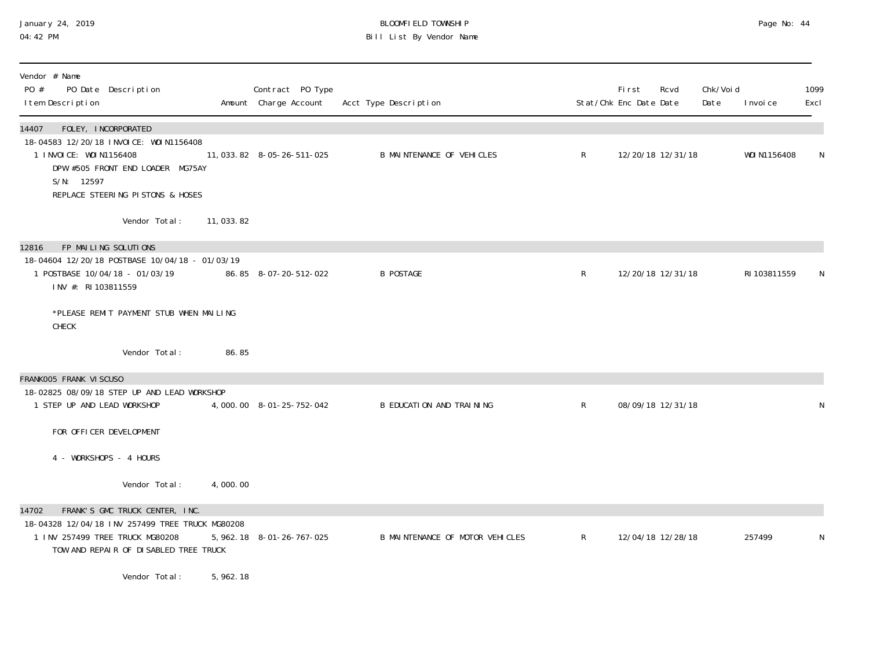### January 24, 2019 BLOOMFIELD TOWNSHIP Page No: 44 04:42 PM Bill List By Vendor Name

| Vendor # Name<br>PO #<br>PO Date Description<br>I tem Description                                                                                                      |             | Contract PO Type<br>Amount Charge Account | Acct Type Description            |                | <b>First</b><br>Stat/Chk Enc Date Date | Rcvd              | Chk/Voi d<br>Date | I nvoi ce    | 1099<br>Excl |
|------------------------------------------------------------------------------------------------------------------------------------------------------------------------|-------------|-------------------------------------------|----------------------------------|----------------|----------------------------------------|-------------------|-------------------|--------------|--------------|
| FOLEY, INCORPORATED<br>14407                                                                                                                                           |             |                                           |                                  |                |                                        |                   |                   |              |              |
| 18-04583 12/20/18 INVOICE: WOIN1156408<br>1 INVOICE: WOIN1156408<br>DPW #505 FRONT END LOADER MG75AY<br>S/N: 12597<br>REPLACE STEERING PISTONS & HOSES                 |             | 11, 033. 82  8-05-26-511-025              | <b>B MAINTENANCE OF VEHICLES</b> | $\mathsf{R}$   |                                        | 12/20/18 12/31/18 |                   | WOI N1156408 | N            |
| Vendor Total:                                                                                                                                                          | 11, 033. 82 |                                           |                                  |                |                                        |                   |                   |              |              |
| FP MAILING SOLUTIONS<br>12816                                                                                                                                          |             |                                           |                                  |                |                                        |                   |                   |              |              |
| 18-04604 12/20/18 POSTBASE 10/04/18 - 01/03/19<br>1 POSTBASE 10/04/18 - 01/03/19<br>INV #: RI 103811559                                                                |             | 86.85 8-07-20-512-022                     | <b>B POSTAGE</b>                 | $\mathsf{R}^-$ |                                        | 12/20/18 12/31/18 |                   | RI 103811559 |              |
| *PLEASE REMIT PAYMENT STUB WHEN MAILING<br>CHECK                                                                                                                       |             |                                           |                                  |                |                                        |                   |                   |              |              |
| Vendor Total:                                                                                                                                                          | 86.85       |                                           |                                  |                |                                        |                   |                   |              |              |
| FRANKOO5 FRANK VISCUSO                                                                                                                                                 |             |                                           |                                  |                |                                        |                   |                   |              |              |
| 18-02825 08/09/18 STEP UP AND LEAD WORKSHOP<br>1 STEP UP AND LEAD WORKSHOP                                                                                             |             | 4,000.00 8-01-25-752-042                  | B EDUCATION AND TRAINING         | $\mathsf{R}$   |                                        | 08/09/18 12/31/18 |                   |              | N            |
| FOR OFFICER DEVELOPMENT                                                                                                                                                |             |                                           |                                  |                |                                        |                   |                   |              |              |
| 4 - WORKSHOPS - 4 HOURS                                                                                                                                                |             |                                           |                                  |                |                                        |                   |                   |              |              |
| Vendor Total:                                                                                                                                                          | 4,000.00    |                                           |                                  |                |                                        |                   |                   |              |              |
| FRANK'S GMC TRUCK CENTER, INC.<br>14702<br>18-04328 12/04/18 INV 257499 TREE TRUCK MG80208<br>1 INV 257499 TREE TRUCK MG80208<br>TOW AND REPAIR OF DISABLED TREE TRUCK |             | 5, 962. 18 8-01-26-767-025                | B MAINTENANCE OF MOTOR VEHICLES  | $\mathsf{R}$   |                                        | 12/04/18 12/28/18 |                   | 257499       | N            |

Vendor Total: 5,962.18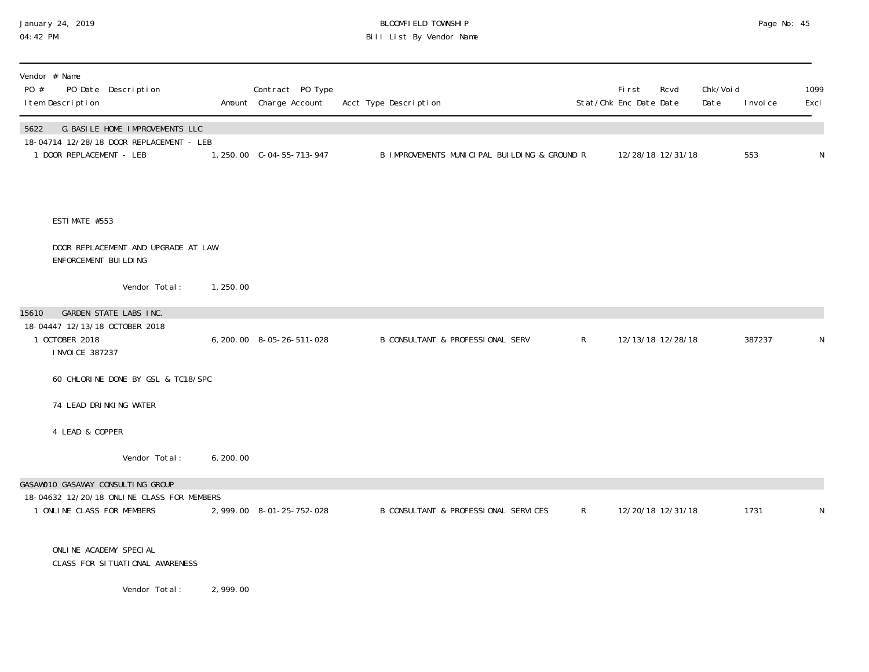## January 24, 2019 BLOOMFIELD TOWNSHIP Page No: 45 04:42 PM Bill List By Vendor Name

| Vendor # Name<br>PO #<br>PO Date Description<br>I tem Description                   |           | Contract PO Type<br>Amount Charge Account | Acct Type Description                        |              | First<br>Stat/Chk Enc Date Date | Rcvd              | Chk/Voi d<br>Date | I nvoi ce | 1099<br>Excl |
|-------------------------------------------------------------------------------------|-----------|-------------------------------------------|----------------------------------------------|--------------|---------------------------------|-------------------|-------------------|-----------|--------------|
| 5622<br>G. BASILE HOME IMPROVEMENTS LLC<br>18-04714 12/28/18 DOOR REPLACEMENT - LEB |           |                                           |                                              |              |                                 |                   |                   |           |              |
| 1 DOOR REPLACEMENT - LEB                                                            |           | 1, 250.00 C-04-55-713-947                 | B IMPROVEMENTS MUNICIPAL BUILDING & GROUND R |              |                                 | 12/28/18 12/31/18 |                   | 553       | N            |
|                                                                                     |           |                                           |                                              |              |                                 |                   |                   |           |              |
| ESTIMATE #553                                                                       |           |                                           |                                              |              |                                 |                   |                   |           |              |
| DOOR REPLACEMENT AND UPGRADE AT LAW<br>ENFORCEMENT BUILDING                         |           |                                           |                                              |              |                                 |                   |                   |           |              |
| Vendor Total:                                                                       | 1, 250.00 |                                           |                                              |              |                                 |                   |                   |           |              |
| GARDEN STATE LABS INC.<br>15610                                                     |           |                                           |                                              |              |                                 |                   |                   |           |              |
| 18-04447 12/13/18 OCTOBER 2018<br>1 OCTOBER 2018<br>I NVOI CE 387237                |           | 6, 200. 00 8-05-26-511-028                | B CONSULTANT & PROFESSIONAL SERV             | $\mathsf{R}$ |                                 | 12/13/18 12/28/18 |                   | 387237    | N            |
| 60 CHLORINE DONE BY GSL & TC18/SPC                                                  |           |                                           |                                              |              |                                 |                   |                   |           |              |
| 74 LEAD DRINKING WATER                                                              |           |                                           |                                              |              |                                 |                   |                   |           |              |
| 4 LEAD & COPPER                                                                     |           |                                           |                                              |              |                                 |                   |                   |           |              |
| Vendor Total:                                                                       | 6, 200.00 |                                           |                                              |              |                                 |                   |                   |           |              |
| GASAWO10 GASAWAY CONSULTING GROUP                                                   |           |                                           |                                              |              |                                 |                   |                   |           |              |
| 18-04632 12/20/18 ONLINE CLASS FOR MEMBERS<br>1 ONLINE CLASS FOR MEMBERS            |           | 2, 999. 00 8-01-25-752-028                | B CONSULTANT & PROFESSIONAL SERVICES         | $\mathsf{R}$ |                                 | 12/20/18 12/31/18 |                   | 1731      | ${\sf N}$    |
| ONLINE ACADEMY SPECIAL<br>CLASS FOR SITUATIONAL AWARENESS                           |           |                                           |                                              |              |                                 |                   |                   |           |              |
| Vendor Total:                                                                       | 2,999.00  |                                           |                                              |              |                                 |                   |                   |           |              |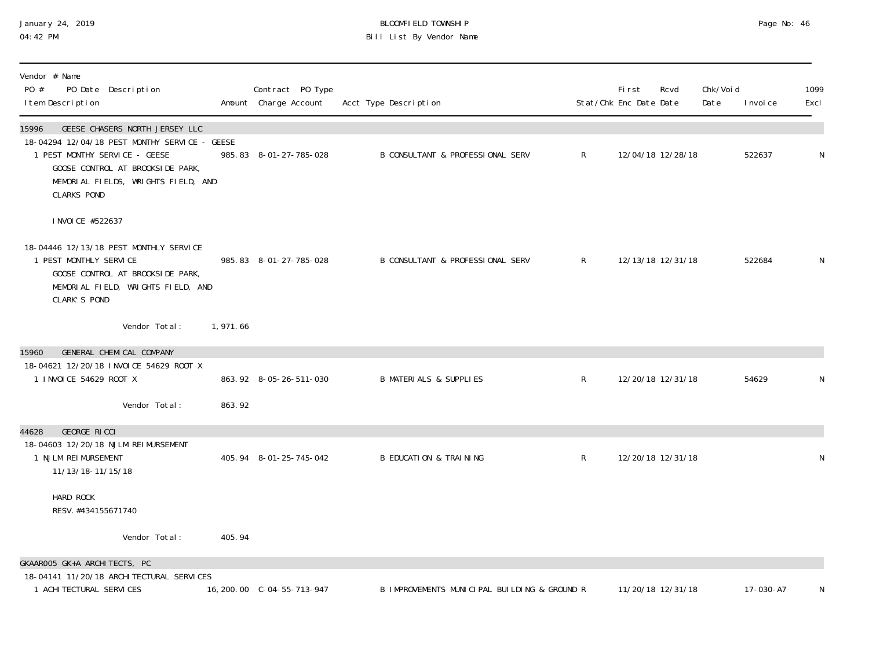## January 24, 2019 BLOOMFIELD TOWNSHIP Page No: 46 04:42 PM Bill List By Vendor Name

| Vendor # Name<br>PO #<br>PO Date Description<br>I tem Description                                                                                                                                                          |          | Contract PO Type<br>Amount Charge Account | Acct Type Description                        |              | <b>First</b><br>Stat/Chk Enc Date Date | Rcvd              | Chk/Voi d<br>Date | I nvoi ce | 1099<br>Excl |
|----------------------------------------------------------------------------------------------------------------------------------------------------------------------------------------------------------------------------|----------|-------------------------------------------|----------------------------------------------|--------------|----------------------------------------|-------------------|-------------------|-----------|--------------|
| GEESE CHASERS NORTH JERSEY LLC<br>15996<br>18-04294 12/04/18 PEST MONTHY SERVICE - GEESE<br>1 PEST MONTHY SERVICE - GEESE<br>GOOSE CONTROL AT BROOKSIDE PARK,<br>MEMORIAL FIELDS, WRIGHTS FIELD, AND<br><b>CLARKS POND</b> |          | 985.83 8-01-27-785-028                    | <b>B CONSULTANT &amp; PROFESSIONAL SERV</b>  | $\mathsf{R}$ |                                        | 12/04/18 12/28/18 |                   | 522637    | N            |
| I NVOI CE #522637<br>18-04446 12/13/18 PEST MONTHLY SERVICE<br>1 PEST MONTHLY SERVICE<br>GOOSE CONTROL AT BROOKSIDE PARK,<br>MEMORIAL FIELD, WRIGHTS FIELD, AND<br><b>CLARK'S POND</b>                                     |          | 985.83 8-01-27-785-028                    | B CONSULTANT & PROFESSIONAL SERV             | $\mathsf{R}$ |                                        | 12/13/18 12/31/18 |                   | 522684    | N            |
| Vendor Total:                                                                                                                                                                                                              | 1,971.66 |                                           |                                              |              |                                        |                   |                   |           |              |
| <b>GENERAL CHEMICAL COMPANY</b><br>15960<br>18-04621 12/20/18 INVOICE 54629 ROOT X<br>1 INVOICE 54629 ROOT X                                                                                                               |          | 863.92 8-05-26-511-030                    | <b>B MATERIALS &amp; SUPPLIES</b>            | $\mathsf{R}$ |                                        | 12/20/18 12/31/18 |                   | 54629     | N            |
| Vendor Total:                                                                                                                                                                                                              | 863.92   |                                           |                                              |              |                                        |                   |                   |           |              |
| GEORGE RICCI<br>44628<br>18-04603 12/20/18 NJLM REIMURSEMENT<br>1 NJLM REIMURSEMENT<br>11/13/18-11/15/18                                                                                                                   |          | 405.94 8-01-25-745-042                    | <b>B EDUCATION &amp; TRAINING</b>            | $\mathsf{R}$ |                                        | 12/20/18 12/31/18 |                   |           | N            |
| HARD ROCK<br>RESV. #434155671740                                                                                                                                                                                           |          |                                           |                                              |              |                                        |                   |                   |           |              |
| Vendor Total:                                                                                                                                                                                                              | 405.94   |                                           |                                              |              |                                        |                   |                   |           |              |
| GKAAROO5 GK+A ARCHITECTS, PC<br>18-04141 11/20/18 ARCHITECTURAL SERVICES                                                                                                                                                   |          |                                           |                                              |              |                                        |                   |                   |           |              |
| 1 ACHI TECTURAL SERVICES                                                                                                                                                                                                   |          | 16, 200. 00 C-04-55-713-947               | B IMPROVEMENTS MUNICIPAL BUILDING & GROUND R |              |                                        | 11/20/18 12/31/18 |                   | 17-030-A7 | N            |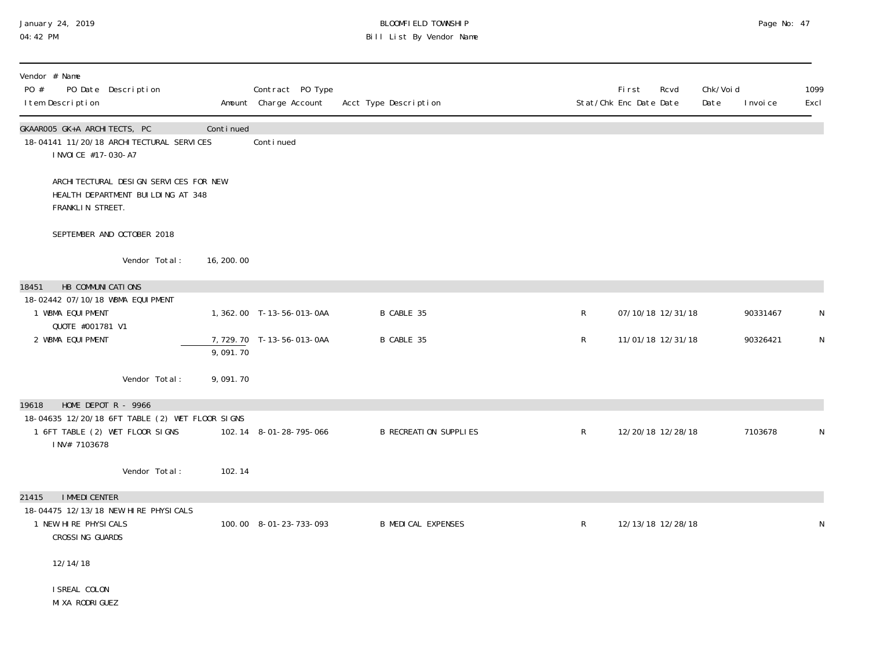## January 24, 2019 BLOOMFIELD TOWNSHIP Page No: 47 04:42 PM Bill List By Vendor Name

| Vendor # Name<br>PO #<br>PO Date Description<br>I tem Description                                  |                                                                             |             | Contract PO Type<br>Amount Charge Account | Acct Type Description        |              | First<br>Rcvd<br>Stat/Chk Enc Date Date | Chk/Void<br>Date<br>I nvoi ce | 1099<br>Excl |
|----------------------------------------------------------------------------------------------------|-----------------------------------------------------------------------------|-------------|-------------------------------------------|------------------------------|--------------|-----------------------------------------|-------------------------------|--------------|
| GKAAROO5 GK+A ARCHITECTS, PC<br>18-04141 11/20/18 ARCHI TECTURAL SERVICES<br>I NVOI CE #17-030-A7  |                                                                             | Continued   | Continued                                 |                              |              |                                         |                               |              |
| FRANKLIN STREET.                                                                                   | ARCHI TECTURAL DESIGN SERVICES FOR NEW<br>HEALTH DEPARTMENT BUILDING AT 348 |             |                                           |                              |              |                                         |                               |              |
| SEPTEMBER AND OCTOBER 2018                                                                         |                                                                             |             |                                           |                              |              |                                         |                               |              |
|                                                                                                    | Vendor Total:                                                               | 16, 200. 00 |                                           |                              |              |                                         |                               |              |
| HB COMMUNICATIONS<br>18451                                                                         |                                                                             |             |                                           |                              |              |                                         |                               |              |
| 18-02442 07/10/18 WBMA EQUIPMENT<br>1 WBMA EQUI PMENT                                              |                                                                             |             | 1, 362. 00 T-13-56-013-0AA                | B CABLE 35                   | $\mathsf R$  | 07/10/18 12/31/18                       | 90331467                      | N            |
| QUOTE #001781 V1<br>2 WBMA EQUI PMENT                                                              |                                                                             | 9,091.70    | 7,729.70 T-13-56-013-0AA                  | B CABLE 35                   | R            | 11/01/18 12/31/18                       | 90326421                      | N            |
|                                                                                                    | Vendor Total:                                                               | 9,091.70    |                                           |                              |              |                                         |                               |              |
| HOME DEPOT $R - 9966$<br>19618                                                                     |                                                                             |             |                                           |                              |              |                                         |                               |              |
| 18-04635 12/20/18 6FT TABLE (2) WET FLOOR SIGNS<br>1 6FT TABLE (2) WET FLOOR SIGNS<br>INV# 7103678 |                                                                             |             | 102.14 8-01-28-795-066                    | <b>B RECREATION SUPPLIES</b> | $\mathsf{R}$ | 12/20/18 12/28/18                       | 7103678                       | N            |
|                                                                                                    | Vendor Total:                                                               | 102.14      |                                           |                              |              |                                         |                               |              |
| <b>I MMEDI CENTER</b><br>21415                                                                     |                                                                             |             |                                           |                              |              |                                         |                               |              |
| 18-04475 12/13/18 NEW HIRE PHYSICALS<br>1 NEW HIRE PHYSICALS<br>CROSSING GUARDS                    |                                                                             |             | 100.00 8-01-23-733-093                    | <b>B MEDICAL EXPENSES</b>    | $\mathsf{R}$ | 12/13/18 12/28/18                       |                               | N            |
| 12/14/18                                                                                           |                                                                             |             |                                           |                              |              |                                         |                               |              |
| I SREAL COLON<br>MI XA RODRI GUEZ                                                                  |                                                                             |             |                                           |                              |              |                                         |                               |              |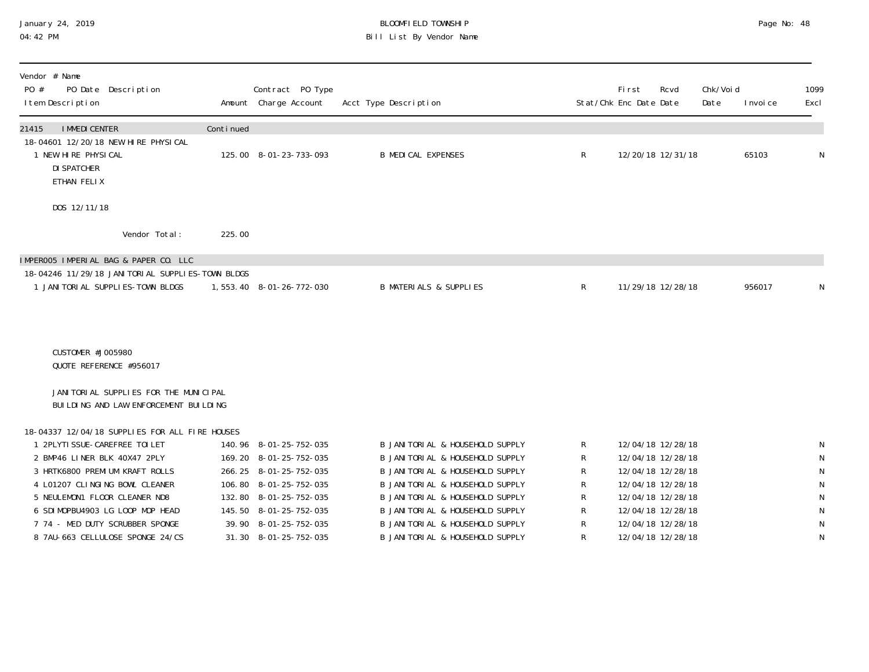# January 24, 2019 BLOOMFIELD TOWNSHIP Page No: 48 Bill List By Vendor Name

| Vendor # Name<br>PO #<br>PO Date Description<br>I tem Description                               |           | Contract PO Type<br>Amount Charge Account | Acct Type Description                                              |              | Fi rst<br>Stat/Chk Enc Date Date | Rcvd                                   | Chk/Voi d<br>Date | I nvoi ce | 1099<br>Excl           |
|-------------------------------------------------------------------------------------------------|-----------|-------------------------------------------|--------------------------------------------------------------------|--------------|----------------------------------|----------------------------------------|-------------------|-----------|------------------------|
| <b>I MMEDI CENTER</b><br>21415                                                                  | Continued |                                           |                                                                    |              |                                  |                                        |                   |           |                        |
| 18-04601 12/20/18 NEW HIRE PHYSICAL<br>1 NEW HIRE PHYSICAL<br><b>DI SPATCHER</b><br>ETHAN FELIX |           | 125.00 8-01-23-733-093                    | <b>B MEDICAL EXPENSES</b>                                          | R            |                                  | 12/20/18 12/31/18                      |                   | 65103     | N                      |
| DOS 12/11/18                                                                                    |           |                                           |                                                                    |              |                                  |                                        |                   |           |                        |
| Vendor Total:                                                                                   | 225.00    |                                           |                                                                    |              |                                  |                                        |                   |           |                        |
| IMPEROO5 IMPERIAL BAG & PAPER CO. LLC                                                           |           |                                           |                                                                    |              |                                  |                                        |                   |           |                        |
| 18-04246 11/29/18 JANI TORI AL SUPPLI ES-TOWN BLDGS<br>1 JANI TORI AL SUPPLI ES-TOWN BLDGS      |           | 1,553.40 8-01-26-772-030                  | <b>B MATERIALS &amp; SUPPLIES</b>                                  | $\mathsf{R}$ |                                  | 11/29/18 12/28/18                      |                   | 956017    | N                      |
|                                                                                                 |           |                                           |                                                                    |              |                                  |                                        |                   |           |                        |
| CUSTOMER #J005980<br>QUOTE REFERENCE #956017                                                    |           |                                           |                                                                    |              |                                  |                                        |                   |           |                        |
| JANI TORI AL SUPPLI ES FOR THE MUNICIPAL<br>BUILDING AND LAW ENFORCEMENT BUILDING               |           |                                           |                                                                    |              |                                  |                                        |                   |           |                        |
| 18-04337 12/04/18 SUPPLIES FOR ALL FIRE HOUSES                                                  |           |                                           |                                                                    |              |                                  |                                        |                   |           |                        |
| 1 2PLYTI SSUE-CAREFREE TOI LET                                                                  |           | 140.96 8-01-25-752-035                    | B JANITORIAL & HOUSEHOLD SUPPLY                                    | R            |                                  | 12/04/18 12/28/18                      |                   |           | N                      |
| 2 BMP46 LINER BLK 40X47 2PLY<br>3 HRTK6800 PREMIUM KRAFT ROLLS                                  | 169.20    | 8-01-25-752-035<br>266.25 8-01-25-752-035 | B JANITORIAL & HOUSEHOLD SUPPLY<br>B JANITORIAL & HOUSEHOLD SUPPLY | R<br>R       |                                  | 12/04/18 12/28/18<br>12/04/18 12/28/18 |                   |           | ${\sf N}$<br>${\sf N}$ |
| 4 L01207 CLINGING BOWL CLEANER                                                                  |           | 106.80 8-01-25-752-035                    | B JANI TORI AL & HOUSEHOLD SUPPLY                                  | R            |                                  | 12/04/18 12/28/18                      |                   |           | N                      |
| 5 NEULEMON1 FLOOR CLEANER ND8                                                                   | 132.80    | 8-01-25-752-035                           | B JANITORIAL & HOUSEHOLD SUPPLY                                    | R            |                                  | 12/04/18 12/28/18                      |                   |           | N                      |
| 6 SDIMOPBU4903 LG LOOP MOP HEAD                                                                 | 145.50    | 8-01-25-752-035                           | B JANITORIAL & HOUSEHOLD SUPPLY                                    | R            |                                  | 12/04/18 12/28/18                      |                   |           | N                      |
| 7 74 - MED DUTY SCRUBBER SPONGE                                                                 |           | 39.90 8-01-25-752-035                     | <b>B JANITORIAL &amp; HOUSEHOLD SUPPLY</b>                         | $\mathsf R$  |                                  | 12/04/18 12/28/18                      |                   |           | N                      |
| 8 7AU-663 CELLULOSE SPONGE 24/CS                                                                | 31.30     | 8-01-25-752-035                           | B JANITORIAL & HOUSEHOLD SUPPLY                                    | R            |                                  | 12/04/18 12/28/18                      |                   |           | N                      |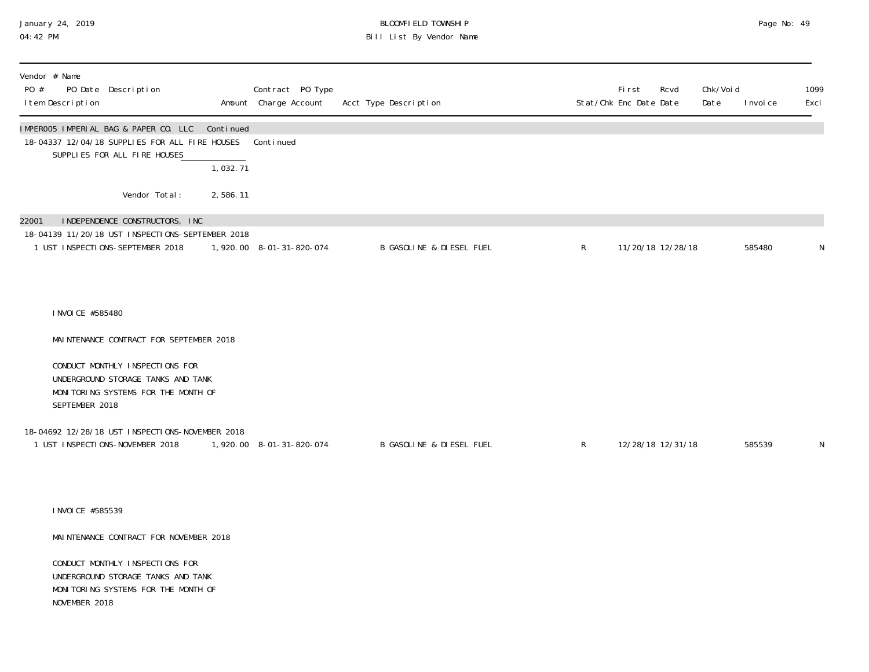#### January 24, 2019 BLOOMFIELD TOWNSHIP Page No: 49 04:42 PM Bill List By Vendor Name

| Vendor # Name<br>PO #<br>PO Date Description<br>I tem Description                                                               |                                    | Contract PO Type<br>Amount Charge Account | Acct Type Description               |              | <b>First</b><br>Stat/Chk Enc Date Date | Rcvd | Chk/Voi d<br>Date | I nvoi ce | 1099<br>Excl |
|---------------------------------------------------------------------------------------------------------------------------------|------------------------------------|-------------------------------------------|-------------------------------------|--------------|----------------------------------------|------|-------------------|-----------|--------------|
| IMPEROO5 IMPERIAL BAG & PAPER CO. LLC<br>18-04337 12/04/18 SUPPLIES FOR ALL FIRE HOUSES<br>SUPPLIES FOR ALL FIRE HOUSES         | Continued<br>$\overline{1,032.71}$ | Continued                                 |                                     |              |                                        |      |                   |           |              |
| Vendor Total:                                                                                                                   | 2,586.11                           |                                           |                                     |              |                                        |      |                   |           |              |
| INDEPENDENCE CONSTRUCTORS, INC<br>22001<br>18-04139 11/20/18 UST INSPECTIONS-SEPTEMBER 2018<br>1 UST INSPECTIONS-SEPTEMBER 2018 |                                    | 1,920.00 8-01-31-820-074                  | <b>B GASOLINE &amp; DIESEL FUEL</b> | R            | 11/20/18 12/28/18                      |      |                   | 585480    | N            |
| I NVOI CE #585480<br>MAINTENANCE CONTRACT FOR SEPTEMBER 2018                                                                    |                                    |                                           |                                     |              |                                        |      |                   |           |              |
| CONDUCT MONTHLY INSPECTIONS FOR<br>UNDERGROUND STORAGE TANKS AND TANK<br>MONITORING SYSTEMS FOR THE MONTH OF<br>SEPTEMBER 2018  |                                    |                                           |                                     |              |                                        |      |                   |           |              |
| 18-04692 12/28/18 UST INSPECTIONS-NOVEMBER 2018<br>1 UST INSPECTIONS-NOVEMBER 2018                                              |                                    | 1,920.00 8-01-31-820-074                  | B GASOLINE & DIESEL FUEL            | $\mathsf{R}$ | 12/28/18 12/31/18                      |      |                   | 585539    | N            |
| I NVOI CE #585539                                                                                                               |                                    |                                           |                                     |              |                                        |      |                   |           |              |
| MAINTENANCE CONTRACT FOR NOVEMBER 2018                                                                                          |                                    |                                           |                                     |              |                                        |      |                   |           |              |
| CONDUCT MONTHLY INSPECTIONS FOR<br>UNDERGROUND STORAGE TANKS AND TANK<br>MONITORING SYSTEMS FOR THE MONTH OF<br>NOVEMBER 2018   |                                    |                                           |                                     |              |                                        |      |                   |           |              |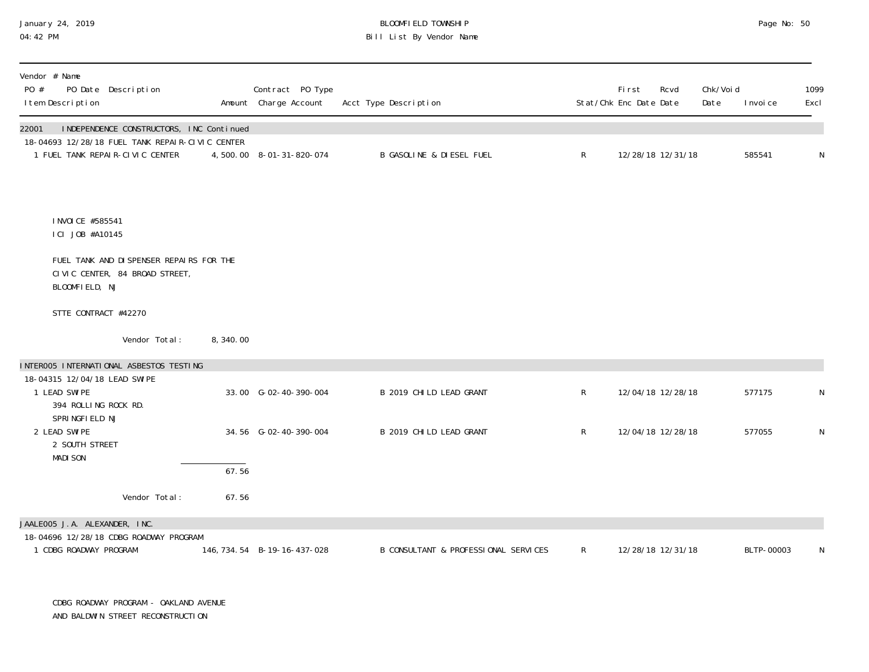## January 24, 2019 BLOOMFIELD TOWNSHIP Page No: 50 Bill List By Vendor Name

| Vendor # Name<br>PO #<br>PO Date Description<br>I tem Description                           |          | Contract PO Type<br>Amount Charge Account | Acct Type Description                |              | First<br>Rcvd<br>Stat/Chk Enc Date Date | Chk/Voi d<br>Date | I nvoi ce  | 1099<br>Excl |
|---------------------------------------------------------------------------------------------|----------|-------------------------------------------|--------------------------------------|--------------|-----------------------------------------|-------------------|------------|--------------|
| INDEPENDENCE CONSTRUCTORS, INC Continued<br>22001                                           |          |                                           |                                      |              |                                         |                   |            |              |
| 18-04693 12/28/18 FUEL TANK REPAIR-CIVIC CENTER<br>1 FUEL TANK REPAIR-CIVIC CENTER          |          | 4,500.00 8-01-31-820-074                  | <b>B GASOLINE &amp; DIESEL FUEL</b>  | $\mathsf{R}$ | 12/28/18 12/31/18                       |                   | 585541     | N            |
| I NVOI CE #585541<br>ICI JOB #A10145                                                        |          |                                           |                                      |              |                                         |                   |            |              |
| FUEL TANK AND DISPENSER REPAIRS FOR THE<br>CIVIC CENTER, 84 BROAD STREET,<br>BLOOMFIELD, NJ |          |                                           |                                      |              |                                         |                   |            |              |
| STTE CONTRACT #42270                                                                        |          |                                           |                                      |              |                                         |                   |            |              |
| Vendor Total:                                                                               | 8,340.00 |                                           |                                      |              |                                         |                   |            |              |
| INTEROO5 INTERNATIONAL ASBESTOS TESTING                                                     |          |                                           |                                      |              |                                         |                   |            |              |
| 18-04315 12/04/18 LEAD SWIPE<br>1 LEAD SWIPE<br>394 ROLLING ROCK RD.                        |          | 33.00 G-02-40-390-004                     | B 2019 CHILD LEAD GRANT              | $\mathsf R$  | 12/04/18 12/28/18                       |                   | 577175     | N            |
| SPRINGFIELD NJ<br>2 LEAD SWIPE<br>2 SOUTH STREET<br><b>MADI SON</b>                         |          | 34.56 G-02-40-390-004                     | B 2019 CHILD LEAD GRANT              | $\mathsf{R}$ | 12/04/18 12/28/18                       |                   | 577055     | N            |
|                                                                                             | 67.56    |                                           |                                      |              |                                         |                   |            |              |
| Vendor Total:                                                                               | 67.56    |                                           |                                      |              |                                         |                   |            |              |
| JAALE005 J.A. ALEXANDER, INC.                                                               |          |                                           |                                      |              |                                         |                   |            |              |
| 18-04696 12/28/18 CDBG ROADWAY PROGRAM<br>1 CDBG ROADWAY PROGRAM                            |          | 146, 734. 54 B-19-16-437-028              | B CONSULTANT & PROFESSIONAL SERVICES | $\mathsf{R}$ | 12/28/18 12/31/18                       |                   | BLTP-00003 | N            |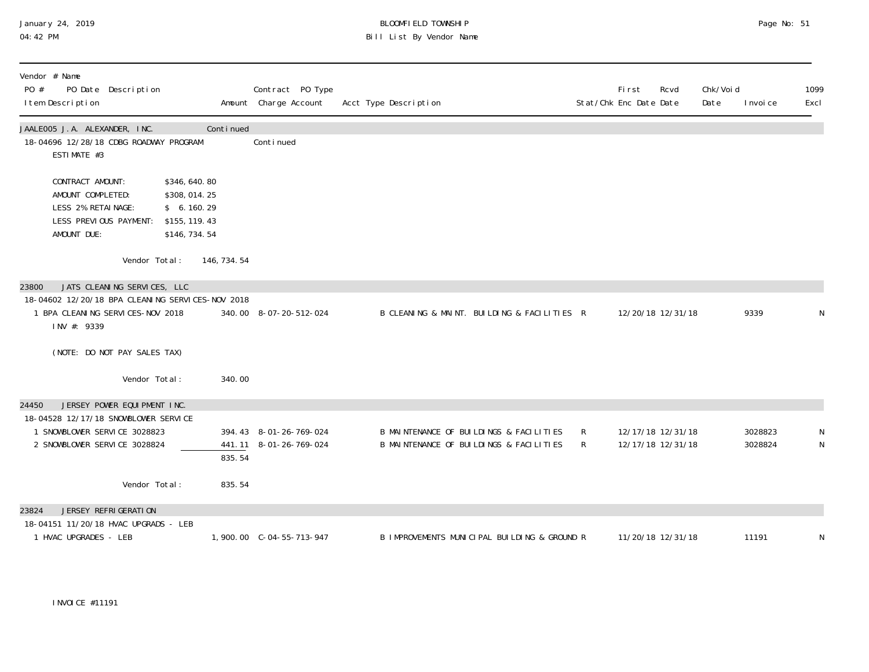| January 24, 2019 |  |
|------------------|--|
| 04:42 PM         |  |

## January 24, 2019 BLOOMFIELD TOWNSHIP Page No: 51 04:42 PM Bill List By Vendor Name

| Vendor # Name<br>PO #<br>PO Date Description<br>I tem Description                                                                            |                                                                                | Contract PO Type<br>Amount Charge Account | Acct Type Description                                                              |        | <b>First</b><br>Stat/Chk Enc Date Date | Rcvd<br>Date                           | Chk/Voi d | I nvoi ce          | 1099<br>Excl |
|----------------------------------------------------------------------------------------------------------------------------------------------|--------------------------------------------------------------------------------|-------------------------------------------|------------------------------------------------------------------------------------|--------|----------------------------------------|----------------------------------------|-----------|--------------------|--------------|
| JAALE005 J.A. ALEXANDER, INC.<br>18-04696 12/28/18 CDBG ROADWAY PROGRAM<br>ESTIMATE #3                                                       | Continued                                                                      | Continued                                 |                                                                                    |        |                                        |                                        |           |                    |              |
| CONTRACT AMOUNT:<br>AMOUNT COMPLETED:<br>LESS 2% RETAINAGE:<br>LESS PREVIOUS PAYMENT:<br>AMOUNT DUE:                                         | \$346,640.80<br>\$308,014.25<br>\$6.160.29<br>\$155, 119. 43<br>\$146, 734. 54 |                                           |                                                                                    |        |                                        |                                        |           |                    |              |
| Vendor Total:                                                                                                                                | 146, 734. 54                                                                   |                                           |                                                                                    |        |                                        |                                        |           |                    |              |
| JATS CLEANING SERVICES, LLC<br>23800<br>18-04602 12/20/18 BPA CLEANING SERVICES-NOV 2018<br>1 BPA CLEANING SERVICES-NOV 2018<br>INV #: 9339  |                                                                                | 340.00 8-07-20-512-024                    | B CLEANING & MAINT. BUILDING & FACILITIES R                                        |        |                                        | 12/20/18 12/31/18                      |           | 9339               | N            |
| (NOTE: DO NOT PAY SALES TAX)                                                                                                                 |                                                                                |                                           |                                                                                    |        |                                        |                                        |           |                    |              |
| Vendor Total:                                                                                                                                | 340.00                                                                         |                                           |                                                                                    |        |                                        |                                        |           |                    |              |
| JERSEY POWER EQUIPMENT INC.<br>24450<br>18-04528 12/17/18 SNOWBLOWER SERVICE<br>1 SNOWBLOWER SERVICE 3028823<br>2 SNOWBLOWER SERVICE 3028824 | 441.11<br>835.54                                                               | 394.43 8-01-26-769-024<br>8-01-26-769-024 | B MAINTENANCE OF BUILDINGS & FACILITIES<br>B MAINTENANCE OF BUILDINGS & FACILITIES | R<br>R |                                        | 12/17/18 12/31/18<br>12/17/18 12/31/18 |           | 3028823<br>3028824 | N<br>N       |
| Vendor Total:                                                                                                                                | 835.54                                                                         |                                           |                                                                                    |        |                                        |                                        |           |                    |              |
| JERSEY REFRIGERATION<br>23824                                                                                                                |                                                                                |                                           |                                                                                    |        |                                        |                                        |           |                    |              |
| 18-04151 11/20/18 HVAC UPGRADS - LEB<br>1 HVAC UPGRADES - LEB                                                                                |                                                                                |                                           | B IMPROVEMENTS MUNICIPAL BUILDING & GROUND R                                       |        |                                        | 11/20/18 12/31/18                      |           | 11191              | N            |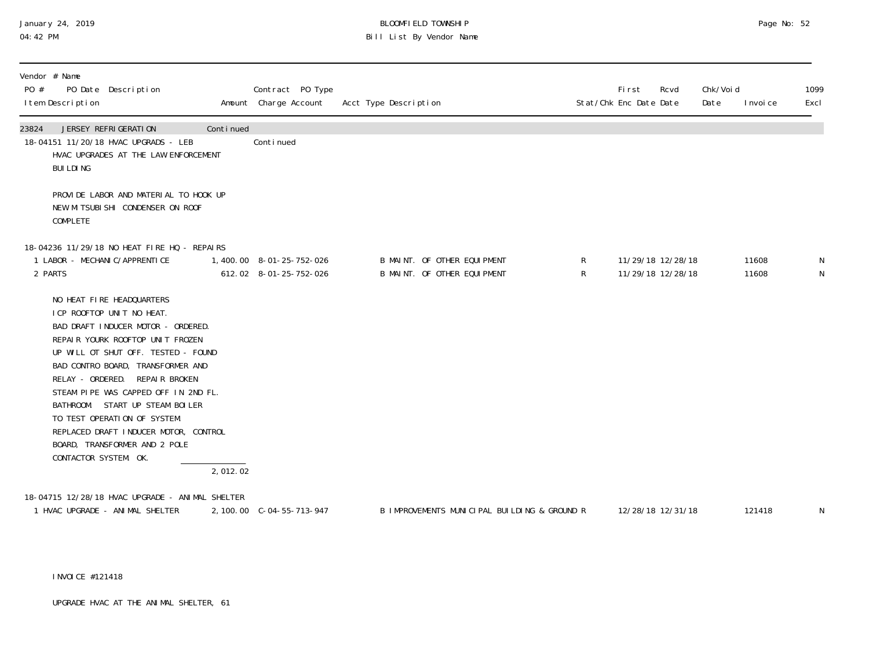## January 24, 2019 BLOOMFIELD TOWNSHIP Page No: 52 Bill List By Vendor Name

| Vendor # Name<br>PO #<br>PO Date Description<br>I tem Description                                                                                                                                                                                                                                                                                                                                                                                             |           | Contract PO Type<br>Amount Charge Account          | Acct Type Description |                                                            |         | Fi rst<br>Stat/Chk Enc Date Date | Rcvd                                   | Chk/Voi d<br>Date | I nvoi ce      | 1099<br>Excl |
|---------------------------------------------------------------------------------------------------------------------------------------------------------------------------------------------------------------------------------------------------------------------------------------------------------------------------------------------------------------------------------------------------------------------------------------------------------------|-----------|----------------------------------------------------|-----------------------|------------------------------------------------------------|---------|----------------------------------|----------------------------------------|-------------------|----------------|--------------|
| 23824<br>JERSEY REFRIGERATION<br>18-04151 11/20/18 HVAC UPGRADS - LEB<br>HVAC UPGRADES AT THE LAW ENFORCEMENT<br><b>BUILDING</b>                                                                                                                                                                                                                                                                                                                              | Continued | Continued                                          |                       |                                                            |         |                                  |                                        |                   |                |              |
| PROVIDE LABOR AND MATERIAL TO HOOK UP<br>NEW MITSUBISHI CONDENSER ON ROOF<br><b>COMPLETE</b>                                                                                                                                                                                                                                                                                                                                                                  |           |                                                    |                       |                                                            |         |                                  |                                        |                   |                |              |
| 18-04236 11/29/18 NO HEAT FIRE HQ - REPAIRS<br>1 LABOR - MECHANI C/APPRENTI CE<br>2 PARTS                                                                                                                                                                                                                                                                                                                                                                     |           | 1,400.00 8-01-25-752-026<br>612.02 8-01-25-752-026 |                       | B MAINT. OF OTHER EQUIPMENT<br>B MAINT. OF OTHER EQUIPMENT | R<br>R. |                                  | 11/29/18 12/28/18<br>11/29/18 12/28/18 |                   | 11608<br>11608 | N<br>N       |
| NO HEAT FIRE HEADQUARTERS<br>I CP ROOFTOP UNIT NO HEAT.<br>BAD DRAFT INDUCER MOTOR - ORDERED.<br>REPAIR YOURK ROOFTOP UNIT FROZEN<br>UP WILL OT SHUT OFF. TESTED - FOUND<br>BAD CONTRO BOARD, TRANSFORMER AND<br>RELAY - ORDERED. REPAIR BROKEN<br>STEAM PIPE WAS CAPPED OFF IN 2ND FL.<br>BATHROOM. START UP STEAM BOILER<br>TO TEST OPERATION OF SYSTEM.<br>REPLACED DRAFT INDUCER MOTOR, CONTROL<br>BOARD, TRANSFORMER AND 2 POLE<br>CONTACTOR SYSTEM. OK. | 2,012.02  |                                                    |                       |                                                            |         |                                  |                                        |                   |                |              |
| 18-04715 12/28/18 HVAC UPGRADE - ANIMAL SHELTER<br>1 HVAC UPGRADE - ANIMAL SHELTER                                                                                                                                                                                                                                                                                                                                                                            |           | 2, 100.00 C-04-55-713-947                          |                       | B IMPROVEMENTS MUNICIPAL BUILDING & GROUND R               |         |                                  | 12/28/18 12/31/18                      |                   | 121418         | ${\sf N}$    |

INVOICE #121418

UPGRADE HVAC AT THE ANIMAL SHELTER, 61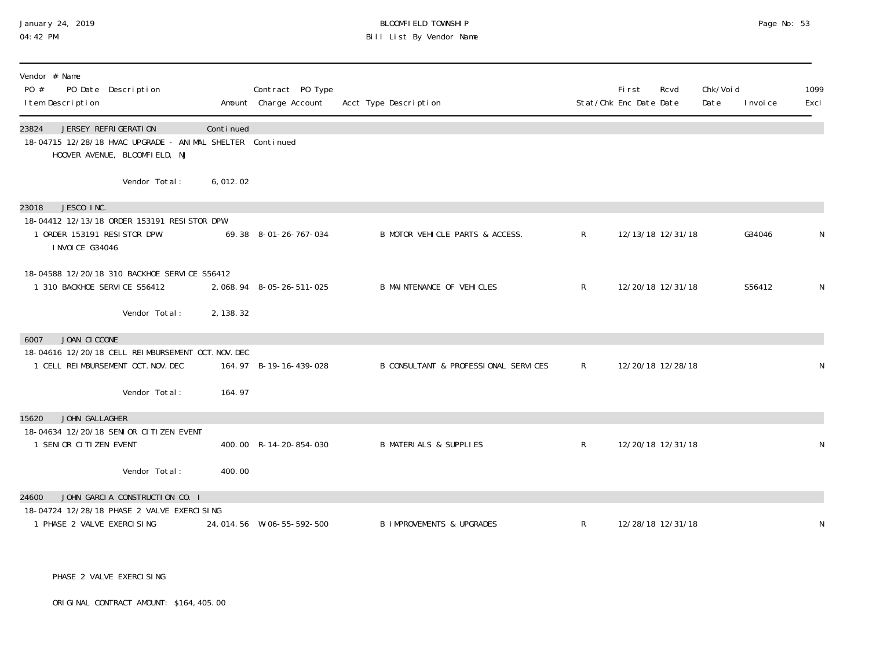# January 24, 2019 BLOOMFIELD TOWNSHIP Page No: 53 Bill List By Vendor Name

| Vendor # Name<br>PO #<br>PO Date Description<br>I tem Description                                                           |            | Contract PO Type<br>Amount Charge Account | Acct Type Description                |              | Fi rst<br>Stat/Chk Enc Date Date | Rcvd              | Chk/Voi d<br>Date | I nvoi ce | 1099<br>Excl |
|-----------------------------------------------------------------------------------------------------------------------------|------------|-------------------------------------------|--------------------------------------|--------------|----------------------------------|-------------------|-------------------|-----------|--------------|
| JERSEY REFRIGERATION<br>23824<br>18-04715 12/28/18 HVAC UPGRADE - ANIMAL SHELTER Continued<br>HOOVER AVENUE, BLOOMFIELD, NJ | Continued  |                                           |                                      |              |                                  |                   |                   |           |              |
| Vendor Total:                                                                                                               | 6,012.02   |                                           |                                      |              |                                  |                   |                   |           |              |
| JESCO INC.<br>23018                                                                                                         |            |                                           |                                      |              |                                  |                   |                   |           |              |
| 18-04412 12/13/18 ORDER 153191 RESISTOR DPW<br>1 ORDER 153191 RESISTOR DPW<br><b>INVOICE G34046</b>                         |            | 69.38 8-01-26-767-034                     | B MOTOR VEHICLE PARTS & ACCESS.      | R            |                                  | 12/13/18 12/31/18 |                   | G34046    |              |
| 18-04588 12/20/18 310 BACKHOE SERVICE S56412<br>1 310 BACKHOE SERVICE S56412                                                |            | 2, 068. 94 8-05-26-511-025                | B MAINTENANCE OF VEHICLES            | $\mathsf{R}$ |                                  | 12/20/18 12/31/18 |                   | S56412    | N            |
| Vendor Total:                                                                                                               | 2, 138. 32 |                                           |                                      |              |                                  |                   |                   |           |              |
| JOAN CICCONE<br>6007                                                                                                        |            |                                           |                                      |              |                                  |                   |                   |           |              |
| 18-04616 12/20/18 CELL REIMBURSEMENT OCT. NOV. DEC<br>1 CELL REIMBURSEMENT OCT. NOV. DEC                                    |            | 164.97 B-19-16-439-028                    | B CONSULTANT & PROFESSIONAL SERVICES | $\mathsf{R}$ |                                  | 12/20/18 12/28/18 |                   |           | N            |
| Vendor Total:                                                                                                               | 164.97     |                                           |                                      |              |                                  |                   |                   |           |              |
| JOHN GALLAGHER<br>15620                                                                                                     |            |                                           |                                      |              |                                  |                   |                   |           |              |
| 18-04634 12/20/18 SENIOR CITIZEN EVENT<br>1 SENIOR CITIZEN EVENT                                                            |            | 400.00 R-14-20-854-030                    | <b>B MATERIALS &amp; SUPPLIES</b>    | R            |                                  | 12/20/18 12/31/18 |                   |           | N            |
| Vendor Total:                                                                                                               | 400.00     |                                           |                                      |              |                                  |                   |                   |           |              |
| JOHN GARCIA CONSTRUCTION CO. I<br>24600                                                                                     |            |                                           |                                      |              |                                  |                   |                   |           |              |
| 18-04724 12/28/18 PHASE 2 VALVE EXERCI SING<br>1 PHASE 2 VALVE EXERCISING                                                   |            | 24, 014.56 W-06-55-592-500                | <b>B IMPROVEMENTS &amp; UPGRADES</b> | R            |                                  | 12/28/18 12/31/18 |                   |           | N            |

PHASE 2 VALVE EXERCISING

ORIGINAL CONTRACT AMOUNT: \$164,405.00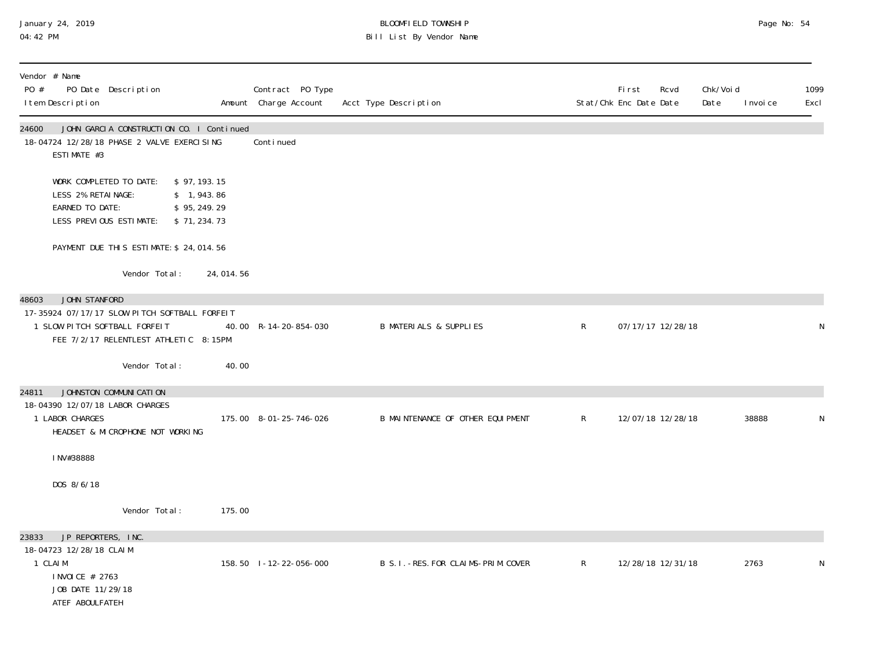#### January 24, 2019 BLOOMFIELD TOWNSHIP Page No: 54 04:42 PM Bill List By Vendor Name

| Vendor # Name<br>PO #<br>PO Date Description<br>I tem Description                                                             |                                                           |           | Contract PO Type<br>Amount Charge Account | Acct Type Description                 |              | <b>First</b><br>Rcvd<br>Stat/Chk Enc Date Date | Chk/Voi d<br>Date<br>I nvoi ce | 1099<br>Excl |
|-------------------------------------------------------------------------------------------------------------------------------|-----------------------------------------------------------|-----------|-------------------------------------------|---------------------------------------|--------------|------------------------------------------------|--------------------------------|--------------|
| 24600<br>18-04724 12/28/18 PHASE 2 VALVE EXERCI SING<br>ESTIMATE #3                                                           | JOHN GARCIA CONSTRUCTION CO. I Continued                  |           | Conti nued                                |                                       |              |                                                |                                |              |
| WORK COMPLETED TO DATE:<br>LESS 2% RETAINAGE:<br>EARNED TO DATE:<br>LESS PREVIOUS ESTIMATE:                                   | \$97, 193.15<br>\$1,943.86<br>\$95, 249.29<br>\$71,234.73 |           |                                           |                                       |              |                                                |                                |              |
|                                                                                                                               | PAYMENT DUE THIS ESTIMATE: \$ 24, 014.56                  |           |                                           |                                       |              |                                                |                                |              |
|                                                                                                                               | Vendor Total:                                             | 24,014.56 |                                           |                                       |              |                                                |                                |              |
| JOHN STANFORD<br>48603<br>17-35924 07/17/17 SLOW PITCH SOFTBALL FORFEIT<br>1 SLOW PITCH SOFTBALL FORFEIT                      | FEE 7/2/17 RELENTLEST ATHLETIC 8:15PM                     |           | 40.00 R-14-20-854-030                     | <b>B MATERIALS &amp; SUPPLIES</b>     | $\mathsf{R}$ | 07/17/17 12/28/18                              |                                | N            |
|                                                                                                                               | Vendor Total:                                             | 40.00     |                                           |                                       |              |                                                |                                |              |
| JOHNSTON COMMUNICATION<br>24811<br>18-04390 12/07/18 LABOR CHARGES<br>1 LABOR CHARGES                                         | HEADSET & MICROPHONE NOT WORKING                          |           | 175.00 8-01-25-746-026                    | B MAINTENANCE OF OTHER EQUIPMENT      | $\mathsf{R}$ | 12/07/18 12/28/18                              | 38888                          | N            |
| INV#38888                                                                                                                     |                                                           |           |                                           |                                       |              |                                                |                                |              |
| DOS 8/6/18                                                                                                                    |                                                           |           |                                           |                                       |              |                                                |                                |              |
|                                                                                                                               | Vendor Total:                                             | 175.00    |                                           |                                       |              |                                                |                                |              |
| JP REPORTERS, INC.<br>23833<br>18-04723 12/28/18 CLAIM<br>1 CLAIM<br>I NVOI CE # 2763<br>JOB DATE 11/29/18<br>ATEF ABOULFATEH |                                                           |           | 158.50 1-12-22-056-000                    | B S. I. - RES. FOR CLAIMS-PRIM. COVER | $R_{\perp}$  | 12/28/18 12/31/18                              | 2763                           | N            |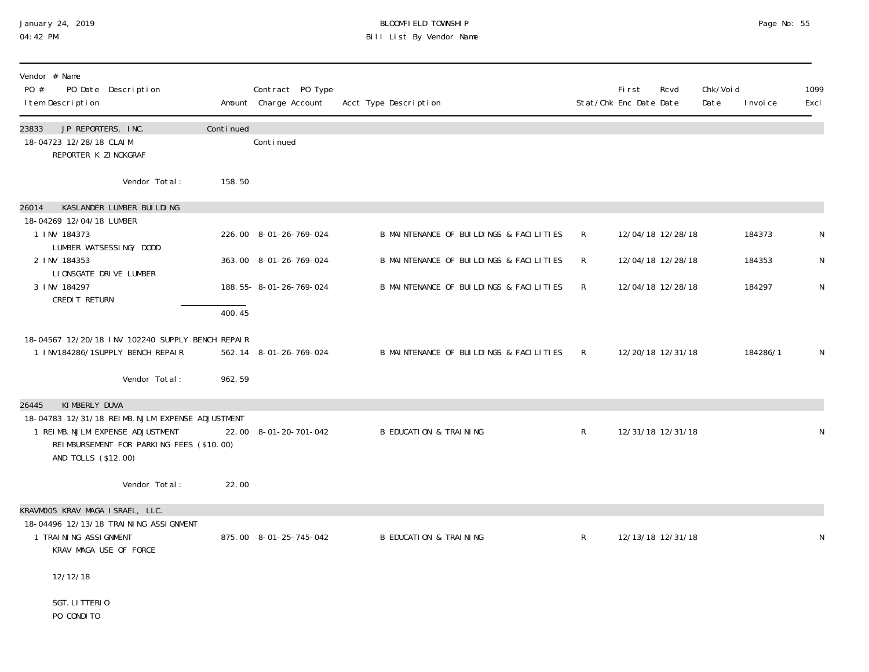## January 24, 2019 BLOOMFIELD TOWNSHIP Page No: 55 04:42 PM Bill List By Vendor Name

| Vendor # Name<br>PO #<br>PO Date Description<br>I tem Description                                   |           | Contract PO Type<br>Amount Charge Account | Acct Type Description                   |   | <b>First</b><br>Stat/Chk Enc Date Date | Rcvd              | Chk/Voi d<br>Date | I nvoi ce | 1099<br>Excl |
|-----------------------------------------------------------------------------------------------------|-----------|-------------------------------------------|-----------------------------------------|---|----------------------------------------|-------------------|-------------------|-----------|--------------|
| 23833<br>JP REPORTERS, INC.<br>18-04723 12/28/18 CLAIM<br>REPORTER K ZINCKGRAF                      | Continued | Conti nued                                |                                         |   |                                        |                   |                   |           |              |
| Vendor Total:                                                                                       | 158.50    |                                           |                                         |   |                                        |                   |                   |           |              |
| KASLANDER LUMBER BUILDING<br>26014<br>18-04269 12/04/18 LUMBER                                      |           |                                           |                                         |   |                                        |                   |                   |           |              |
| 1 INV 184373<br>LUMBER WATSESSING/ DODD                                                             |           | 226.00 8-01-26-769-024                    | B MAINTENANCE OF BUILDINGS & FACILITIES | R |                                        | 12/04/18 12/28/18 |                   | 184373    |              |
| 2 INV 184353<br>LIONSGATE DRIVE LUMBER                                                              |           | 363.00 8-01-26-769-024                    | B MAINTENANCE OF BUILDINGS & FACILITIES | R |                                        | 12/04/18 12/28/18 |                   | 184353    | N            |
| 3 INV 184297<br>CREDIT RETURN                                                                       |           | 188.55-8-01-26-769-024                    | B MAINTENANCE OF BUILDINGS & FACILITIES | R |                                        | 12/04/18 12/28/18 |                   | 184297    | N            |
|                                                                                                     | 400.45    |                                           |                                         |   |                                        |                   |                   |           |              |
| 18-04567 12/20/18 INV 102240 SUPPLY BENCH REPAIR<br>1 INV184286/1SUPPLY BENCH REPAIR                |           | 562.14 8-01-26-769-024                    | B MAINTENANCE OF BUILDINGS & FACILITIES | R |                                        | 12/20/18 12/31/18 |                   | 184286/1  | N            |
| Vendor Total:                                                                                       | 962.59    |                                           |                                         |   |                                        |                   |                   |           |              |
| KIMBERLY DUVA<br>26445<br>18-04783 12/31/18 REIMB. NJLM EXPENSE ADJUSTMENT                          |           |                                           |                                         |   |                                        |                   |                   |           |              |
| 1 REIMB. NJLM EXPENSE ADJUSTMENT<br>REIMBURSEMENT FOR PARKING FEES (\$10.00)<br>AND TOLLS (\$12.00) |           | 22.00 8-01-20-701-042                     | <b>B EDUCATION &amp; TRAINING</b>       | R |                                        | 12/31/18 12/31/18 |                   |           |              |
| Vendor Total:                                                                                       | 22.00     |                                           |                                         |   |                                        |                   |                   |           |              |
| KRAVMOO5 KRAV MAGA ISRAEL, LLC.<br>18-04496 12/13/18 TRAI NI NG ASSI GNMENT                         |           |                                           |                                         |   |                                        |                   |                   |           |              |
| 1 TRAINING ASSIGNMENT<br>KRAV MAGA USE OF FORCE                                                     |           | 875.00 8-01-25-745-042                    | <b>B EDUCATION &amp; TRAINING</b>       | R |                                        | 12/13/18 12/31/18 |                   |           | N            |
| 12/12/18                                                                                            |           |                                           |                                         |   |                                        |                   |                   |           |              |
| SGT. LITTERIO<br>PO CONDITO                                                                         |           |                                           |                                         |   |                                        |                   |                   |           |              |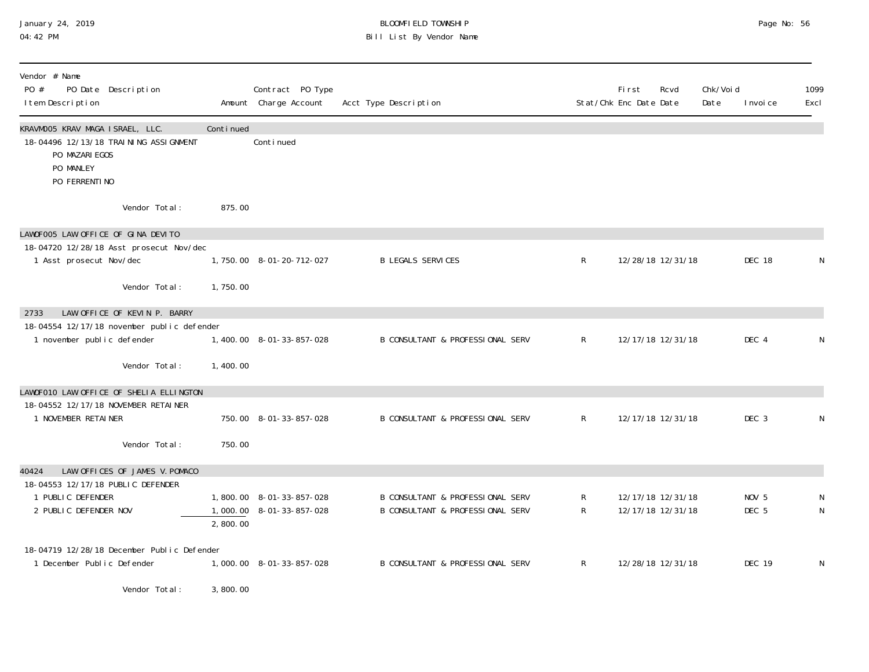#### January 24, 2019 BLOOMFIELD TOWNSHIP Page No: 56 04:42 PM Bill List By Vendor Name

| Vendor # Name<br>PO #<br>PO Date Description<br>I tem Description                                                          |           | Contract PO Type<br>Amount Charge Account            | Acct Type Description                                                           |                   | First<br>Stat/Chk Enc Date Date | Rcvd                                   | Chk/Void<br>Date | I nvoi ce                            | 1099<br>Excl |
|----------------------------------------------------------------------------------------------------------------------------|-----------|------------------------------------------------------|---------------------------------------------------------------------------------|-------------------|---------------------------------|----------------------------------------|------------------|--------------------------------------|--------------|
| KRAVMOO5 KRAV MAGA ISRAEL, LLC.<br>18-04496 12/13/18 TRAINING ASSI GNMENT<br>PO MAZARI EGOS<br>PO MANLEY<br>PO FERRENTI NO | Continued | Conti nued                                           |                                                                                 |                   |                                 |                                        |                  |                                      |              |
| Vendor Total:                                                                                                              | 875.00    |                                                      |                                                                                 |                   |                                 |                                        |                  |                                      |              |
| LAWOFOO5 LAW OFFICE OF GINA DEVITO<br>18-04720 12/28/18 Asst prosecut Nov/dec<br>1 Asst prosecut Nov/dec                   |           | 1,750.00 8-01-20-712-027                             | <b>B LEGALS SERVICES</b>                                                        | $\mathsf{R}$      |                                 | 12/28/18 12/31/18                      |                  | DEC 18                               | N            |
| Vendor Total:                                                                                                              | 1,750.00  |                                                      |                                                                                 |                   |                                 |                                        |                  |                                      |              |
| LAW OFFICE OF KEVIN P. BARRY<br>2733<br>18-04554 12/17/18 november public defender<br>1 november public defender           |           | 1,400.00 8-01-33-857-028                             | B CONSULTANT & PROFESSIONAL SERV                                                | $\mathsf{R}$      |                                 | 12/17/18 12/31/18                      |                  | DEC 4                                | N            |
| Vendor Total:                                                                                                              | 1,400.00  |                                                      |                                                                                 |                   |                                 |                                        |                  |                                      |              |
| LAWOFO10 LAW OFFICE OF SHELIA ELLINGTON<br>18-04552 12/17/18 NOVEMBER RETAINER<br>1 NOVEMBER RETAINER                      |           | 750.00 8-01-33-857-028                               | B CONSULTANT & PROFESSIONAL SERV                                                | $\mathsf{R}^-$    |                                 | 12/17/18 12/31/18                      |                  | DEC 3                                | N            |
| Vendor Total:                                                                                                              | 750.00    |                                                      |                                                                                 |                   |                                 |                                        |                  |                                      |              |
| LAW OFFICES OF JAMES V. POMACO<br>40424                                                                                    |           |                                                      |                                                                                 |                   |                                 |                                        |                  |                                      |              |
| 18-04553 12/17/18 PUBLIC DEFENDER<br>1 PUBLIC DEFENDER<br>2 PUBLIC DEFENDER NOV                                            | 2,800.00  | 1,800.00 8-01-33-857-028<br>1,000.00 8-01-33-857-028 | B CONSULTANT & PROFESSIONAL SERV<br><b>B CONSULTANT &amp; PROFESSIONAL SERV</b> | R<br>$\mathsf{R}$ |                                 | 12/17/18 12/31/18<br>12/17/18 12/31/18 |                  | NOV <sub>5</sub><br>DEC <sub>5</sub> | N<br>N       |
| 18-04719 12/28/18 December Public Defender<br>1 December Public Defender                                                   |           | 1,000.00 8-01-33-857-028                             | <b>B CONSULTANT &amp; PROFESSIONAL SERV</b>                                     | $\mathsf{R}$      |                                 | 12/28/18 12/31/18                      |                  | <b>DEC 19</b>                        | N            |

Vendor Total: 3,800.00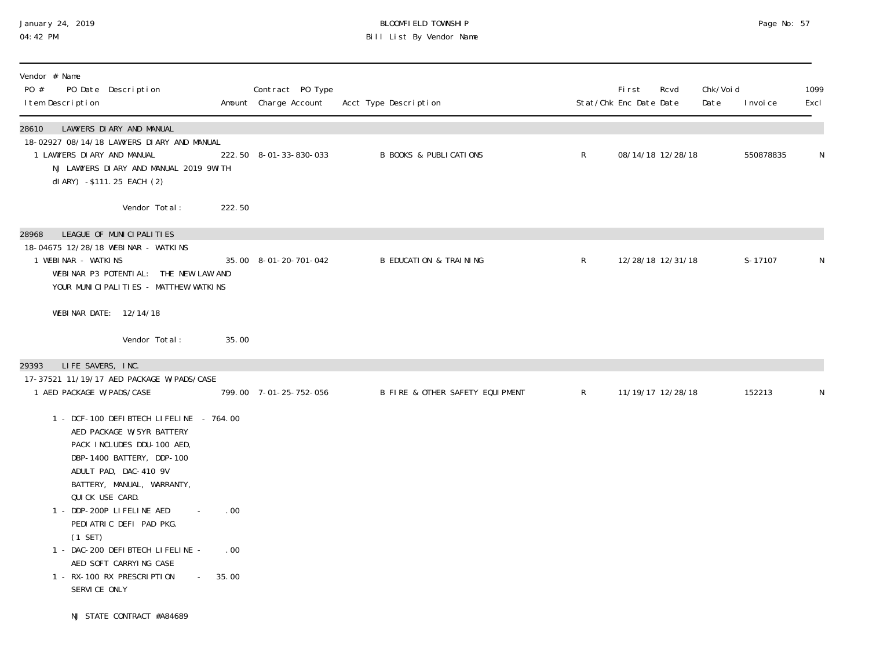## January 24, 2019 BLOOMFIELD TOWNSHIP Page No: 57 04:42 PM Bill List By Vendor Name

| Vendor # Name<br>PO #<br>I tem Description | PO Date Description                                                                                                                                                                                       |            | Contract PO Type<br>Amount Charge Account | Acct Type Description             |              | <b>First</b><br>Stat/Chk Enc Date Date | Rcvd              | Chk/Void<br>Date | I nvoi ce | 1099<br>Excl |
|--------------------------------------------|-----------------------------------------------------------------------------------------------------------------------------------------------------------------------------------------------------------|------------|-------------------------------------------|-----------------------------------|--------------|----------------------------------------|-------------------|------------------|-----------|--------------|
| 28610<br>1 LAWYERS DI ARY AND MANUAL       | LAWYERS DIARY AND MANUAL<br>18-02927 08/14/18 LAWYERS DI ARY AND MANUAL<br>NJ LAWYERS DI ARY AND MANUAL 2019 9WI TH<br>dl ARY) -\$111.25 EACH (2)                                                         |            | 222.50 8-01-33-830-033                    | <b>B BOOKS &amp; PUBLICATIONS</b> | $\mathsf{R}$ |                                        | 08/14/18 12/28/18 |                  | 550878835 | N            |
| 28968<br>1 WEBINAR - WATKINS               | Vendor Total:<br>LEAGUE OF MUNICIPALITIES<br>18-04675 12/28/18 WEBINAR - WATKINS                                                                                                                          | 222.50     |                                           |                                   |              |                                        |                   |                  |           |              |
|                                            | WEBINAR P3 POTENTIAL: THE NEW LAW AND<br>YOUR MUNICIPALITIES - MATTHEW WATKINS<br>WEBINAR DATE: 12/14/18                                                                                                  |            | 35.00 8-01-20-701-042                     | <b>B EDUCATION &amp; TRAINING</b> | $\mathsf{R}$ |                                        | 12/28/18 12/31/18 |                  | S-17107   | N            |
| LIFE SAVERS, INC.<br>29393                 | Vendor Total:                                                                                                                                                                                             | 35.00      |                                           |                                   |              |                                        |                   |                  |           |              |
| 1 AED PACKAGE W/PADS/CASE                  | 17-37521 11/19/17 AED PACKAGE W/PADS/CASE                                                                                                                                                                 |            | 799.00 7-01-25-752-056                    | B FIRE & OTHER SAFETY EQUIPMENT   | $\mathsf{R}$ |                                        | 11/19/17 12/28/18 |                  | 152213    | N            |
|                                            | 1 - DCF-100 DEFIBTECH LIFELINE - 764.00<br>AED PACKAGE W/5YR BATTERY<br>PACK INCLUDES DDU-100 AED,<br>DBP-1400 BATTERY, DDP-100<br>ADULT PAD, DAC-410 9V<br>BATTERY, MANUAL, WARRANTY,<br>QUICK USE CARD. |            |                                           |                                   |              |                                        |                   |                  |           |              |
| $(1$ SET)                                  | 1 - DDP-200P LIFELINE AED<br>PEDIATRIC DEFI PAD PKG.<br>1 - DAC-200 DEFIBTECH LIFELINE -<br>AED SOFT CARRYING CASE                                                                                        | .00<br>.00 |                                           |                                   |              |                                        |                   |                  |           |              |
| SERVICE ONLY                               | 1 - RX-100 RX PRESCRIPTION<br>$\sim 100$<br>NJ STATE CONTRACT #A84689                                                                                                                                     | 35.00      |                                           |                                   |              |                                        |                   |                  |           |              |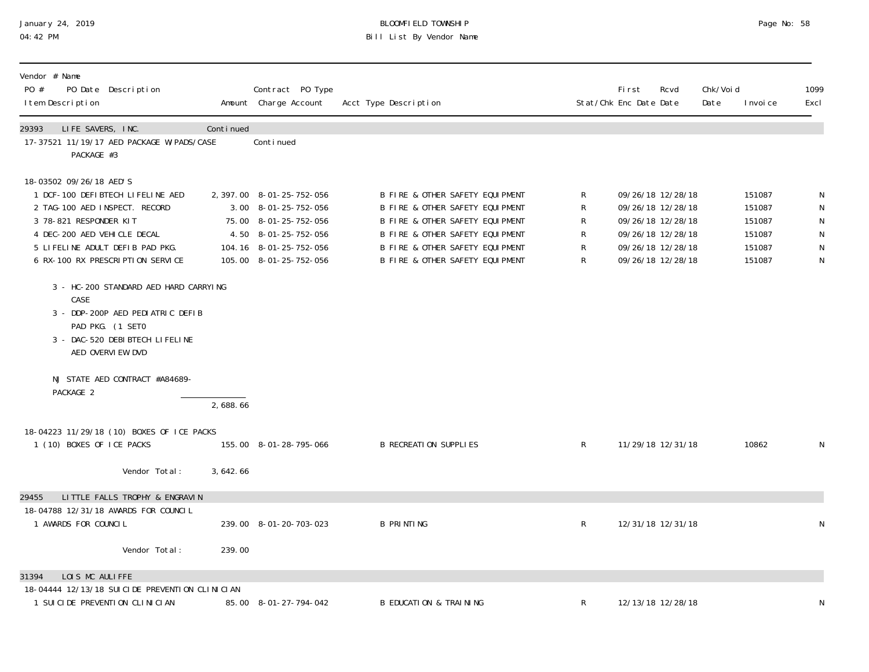## January 24, 2019 BLOOMFIELD TOWNSHIP Page No: 58 04:42 PM Bill List By Vendor Name

| Vendor # Name<br>PO #<br>PO Date Description<br>I tem Description                                                                                                                                                                                                            |                                                                                                             |            | Contract PO Type<br>Amount Charge Account                                                                                                              | Acct Type Description                                                                                                                                                                                          |                                    | <b>First</b><br>Stat/Chk Enc Date Date | Rcvd                                                                                                                       | Chk/Voi d<br>Date | I nvoi ce                                                | 1099<br>Excl |
|------------------------------------------------------------------------------------------------------------------------------------------------------------------------------------------------------------------------------------------------------------------------------|-------------------------------------------------------------------------------------------------------------|------------|--------------------------------------------------------------------------------------------------------------------------------------------------------|----------------------------------------------------------------------------------------------------------------------------------------------------------------------------------------------------------------|------------------------------------|----------------------------------------|----------------------------------------------------------------------------------------------------------------------------|-------------------|----------------------------------------------------------|--------------|
| 29393<br>LIFE SAVERS, INC.<br>PACKAGE #3                                                                                                                                                                                                                                     | 17-37521 11/19/17 AED PACKAGE W/PADS/CASE                                                                   | Continued  | Conti nued                                                                                                                                             |                                                                                                                                                                                                                |                                    |                                        |                                                                                                                            |                   |                                                          |              |
| 18-03502 09/26/18 AED'S<br>1 DCF-100 DEFIBTECH LIFELINE AED<br>2 TAG-100 AED INSPECT. RECORD<br>3 78-821 RESPONDER KIT<br>4 DEC-200 AED VEHICLE DECAL<br>5 LIFELINE ADULT DEFIB PAD PKG.<br>6 RX-100 RX PRESCRIPTION SERVICE<br>CASE<br>PAD PKG. (1 SETO<br>AED OVERVIEW DVD | 3 - HC-200 STANDARD AED HARD CARRYING<br>3 - DDP-200P AED PEDIATRIC DEFIB<br>3 - DAC-520 DEBIBTECH LIFELINE |            | 2, 397.00 8-01-25-752-056<br>3.00 8-01-25-752-056<br>75.00 8-01-25-752-056<br>4.50 8-01-25-752-056<br>104.16 8-01-25-752-056<br>105.00 8-01-25-752-056 | B FIRE & OTHER SAFETY EQUIPMENT<br>B FIRE & OTHER SAFETY EQUIPMENT<br>B FIRE & OTHER SAFETY EQUIPMENT<br>B FIRE & OTHER SAFETY EQUIPMENT<br>B FIRE & OTHER SAFETY EQUIPMENT<br>B FIRE & OTHER SAFETY EQUIPMENT | R<br>${\sf R}$<br>R<br>R<br>R<br>R |                                        | 09/26/18 12/28/18<br>09/26/18 12/28/18<br>09/26/18 12/28/18<br>09/26/18 12/28/18<br>09/26/18 12/28/18<br>09/26/18 12/28/18 |                   | 151087<br>151087<br>151087<br>151087<br>151087<br>151087 | N<br>N       |
| PACKAGE 2                                                                                                                                                                                                                                                                    | NJ STATE AED CONTRACT #A84689-                                                                              | 2,688.66   |                                                                                                                                                        |                                                                                                                                                                                                                |                                    |                                        |                                                                                                                            |                   |                                                          |              |
| 1 (10) BOXES OF ICE PACKS                                                                                                                                                                                                                                                    | 18-04223 11/29/18 (10) BOXES OF ICE PACKS                                                                   |            | 155.00 8-01-28-795-066                                                                                                                                 | <b>B RECREATION SUPPLIES</b>                                                                                                                                                                                   | R                                  |                                        | 11/29/18 12/31/18                                                                                                          |                   | 10862                                                    | N            |
|                                                                                                                                                                                                                                                                              | Vendor Total:                                                                                               | 3, 642, 66 |                                                                                                                                                        |                                                                                                                                                                                                                |                                    |                                        |                                                                                                                            |                   |                                                          |              |
| 29455<br>18-04788 12/31/18 AWARDS FOR COUNCIL<br>1 AWARDS FOR COUNCIL                                                                                                                                                                                                        | LITTLE FALLS TROPHY & ENGRAVIN                                                                              |            | 239.00 8-01-20-703-023                                                                                                                                 | <b>B PRINTING</b>                                                                                                                                                                                              | R                                  |                                        | 12/31/18 12/31/18                                                                                                          |                   |                                                          | N            |
|                                                                                                                                                                                                                                                                              | Vendor Total:                                                                                               | 239.00     |                                                                                                                                                        |                                                                                                                                                                                                                |                                    |                                        |                                                                                                                            |                   |                                                          |              |
| LOIS MC AULIFFE<br>31394<br>1 SUI CI DE PREVENTI ON CLI NI CI AN                                                                                                                                                                                                             | 18-04444 12/13/18 SUICIDE PREVENTION CLINICIAN                                                              |            | 85.00 8-01-27-794-042                                                                                                                                  | <b>B EDUCATION &amp; TRAINING</b>                                                                                                                                                                              | R                                  |                                        | 12/13/18 12/28/18                                                                                                          |                   |                                                          |              |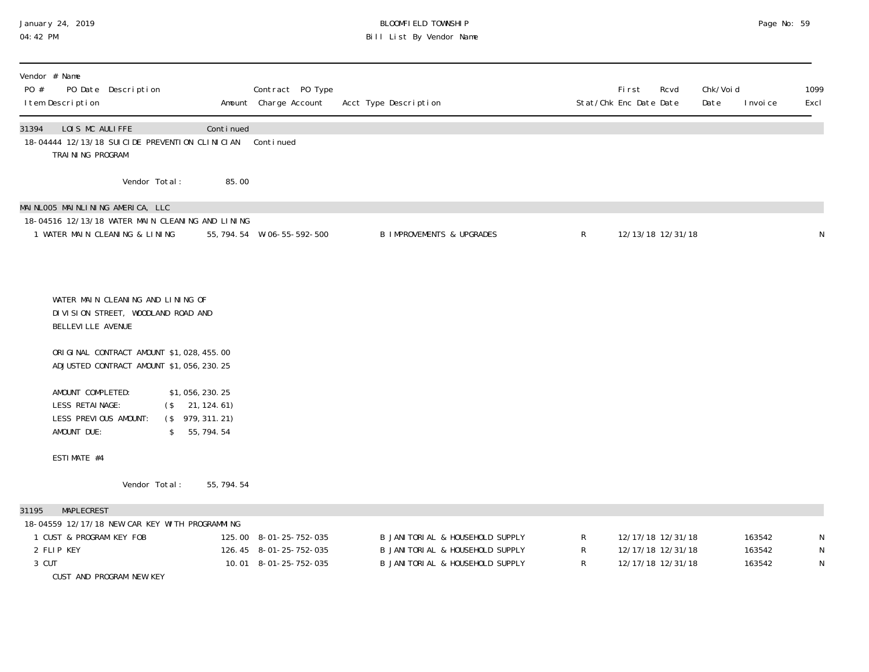## January 24, 2019 BLOOMFIELD TOWNSHIP Page No: 59 04:42 PM Bill List By Vendor Name

| Vendor # Name<br>PO #<br>I tem Description |                                                     | PO Date Description                                                                                                |                                                                              | Contract PO Type<br>Amount Charge Account                                 | Acct Type Description                                                                                 |                     | <b>First</b><br>Rcvd<br>Stat/Chk Enc Date Date              | Chk/Voi d<br>Date<br>I nvoi ce | 1099<br>Excl                |
|--------------------------------------------|-----------------------------------------------------|--------------------------------------------------------------------------------------------------------------------|------------------------------------------------------------------------------|---------------------------------------------------------------------------|-------------------------------------------------------------------------------------------------------|---------------------|-------------------------------------------------------------|--------------------------------|-----------------------------|
| 31394                                      | LOIS MC AULIFFE<br>TRAINING PROGRAM                 |                                                                                                                    | Continued<br>18-04444 12/13/18 SUICIDE PREVENTION CLINICIAN                  | Continued                                                                 |                                                                                                       |                     |                                                             |                                |                             |
|                                            |                                                     | Vendor Total:                                                                                                      | 85.00                                                                        |                                                                           |                                                                                                       |                     |                                                             |                                |                             |
|                                            |                                                     | MAINLOO5 MAINLINING AMERICA, LLC<br>1 WATER MAIN CLEANING & LINING                                                 | 18-04516 12/13/18 WATER MAIN CLEANING AND LINING                             | 55, 794. 54 W-06-55-592-500                                               | <b>B IMPROVEMENTS &amp; UPGRADES</b>                                                                  | $\mathsf{R}$        | 12/13/18 12/31/18                                           |                                | N                           |
|                                            | BELLEVI LLE AVENUE                                  | WATER MAIN CLEANING AND LINING OF<br>DIVISION STREET, WOODLAND ROAD AND<br>ORIGINAL CONTRACT AMOUNT \$1,028,455.00 |                                                                              |                                                                           |                                                                                                       |                     |                                                             |                                |                             |
|                                            | AMOUNT COMPLETED:<br>LESS RETAINAGE:<br>AMOUNT DUE: | ADJUSTED CONTRACT AMOUNT \$1,056,230.25<br>LESS PREVIOUS AMOUNT:                                                   | \$1,056,230.25<br>(\$21, 124.61)<br>$($ \$979, 311. 21)<br>55, 794. 54<br>\$ |                                                                           |                                                                                                       |                     |                                                             |                                |                             |
|                                            | ESTIMATE #4                                         | Vendor Total:                                                                                                      | 55, 794. 54                                                                  |                                                                           |                                                                                                       |                     |                                                             |                                |                             |
| 31195<br>2 FLIP KEY<br>3 CUT               | MAPLECREST                                          | 1 CUST & PROGRAM KEY FOB<br>CUST AND PROGRAM NEW KEY                                                               | 18-04559 12/17/18 NEW CAR KEY WITH PROGRAMMING                               | 125.00 8-01-25-752-035<br>126.45 8-01-25-752-035<br>10.01 8-01-25-752-035 | B JANITORIAL & HOUSEHOLD SUPPLY<br>B JANITORIAL & HOUSEHOLD SUPPLY<br>B JANITORIAL & HOUSEHOLD SUPPLY | R<br>${\sf R}$<br>R | 12/17/18 12/31/18<br>12/17/18 12/31/18<br>12/17/18 12/31/18 | 163542<br>163542<br>163542     | N<br>${\sf N}$<br>${\sf N}$ |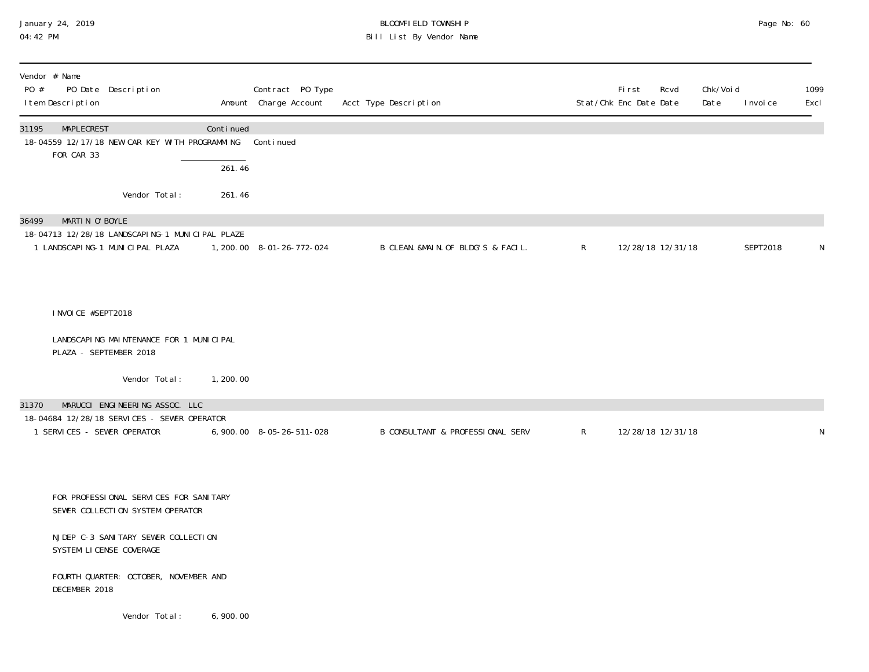### January 24, 2019 BLOOMFIELD TOWNSHIP Page No: 60 04:42 PM Bill List By Vendor Name

| Vendor # Name<br>PO #<br>I tem Description | PO Date Description                                                                                                                           |            | Contract PO Type<br>Amount Charge Account | Acct Type Description              |              | First<br>Stat/Chk Enc Date Date | Rcvd | Chk/Voi d<br>Date | I nvoi ce | 1099<br>Excl |
|--------------------------------------------|-----------------------------------------------------------------------------------------------------------------------------------------------|------------|-------------------------------------------|------------------------------------|--------------|---------------------------------|------|-------------------|-----------|--------------|
| MAPLECREST<br>31195<br>FOR CAR 33          | 18-04559 12/17/18 NEW CAR KEY WITH PROGRAMMING Continued                                                                                      | Continued  |                                           |                                    |              |                                 |      |                   |           |              |
|                                            |                                                                                                                                               | 261.46     |                                           |                                    |              |                                 |      |                   |           |              |
|                                            | Vendor Total:                                                                                                                                 | 261.46     |                                           |                                    |              |                                 |      |                   |           |              |
| MARTIN O'BOYLE<br>36499                    | 18-04713 12/28/18 LANDSCAPING-1 MUNICIPAL PLAZE<br>1 LANDSCAPING-1 MUNICIPAL PLAZA                                                            |            | 1, 200. 00 8-01-26-772-024                | B CLEAN. &MAIN. OF BLDG'S & FACIL. | $\mathsf{R}$ | 12/28/18 12/31/18               |      |                   | SEPT2018  | $\mathsf N$  |
| I NVOI CE #SEPT2018                        |                                                                                                                                               |            |                                           |                                    |              |                                 |      |                   |           |              |
|                                            | LANDSCAPING MAINTENANCE FOR 1 MUNICIPAL<br>PLAZA - SEPTEMBER 2018                                                                             |            |                                           |                                    |              |                                 |      |                   |           |              |
|                                            | Vendor Total:                                                                                                                                 | 1, 200, 00 |                                           |                                    |              |                                 |      |                   |           |              |
| 31370                                      | MARUCCI ENGINEERING ASSOC. LLC                                                                                                                |            |                                           |                                    |              |                                 |      |                   |           |              |
| 1 SERVICES - SEWER OPERATOR                | 18-04684 12/28/18 SERVICES - SEWER OPERATOR                                                                                                   |            | 6, 900. 00 8-05-26-511-028                | B CONSULTANT & PROFESSIONAL SERV   | $\mathsf{R}$ | 12/28/18 12/31/18               |      |                   |           | ${\sf N}$    |
|                                            | FOR PROFESSIONAL SERVICES FOR SANITARY<br>SEWER COLLECTION SYSTEM OPERATOR<br>NJDEP C-3 SANI TARY SEWER COLLECTION<br>SYSTEM LICENSE COVERAGE |            |                                           |                                    |              |                                 |      |                   |           |              |
| DECEMBER 2018                              | FOURTH QUARTER: OCTOBER, NOVEMBER AND                                                                                                         |            |                                           |                                    |              |                                 |      |                   |           |              |

Vendor Total: 6,900.00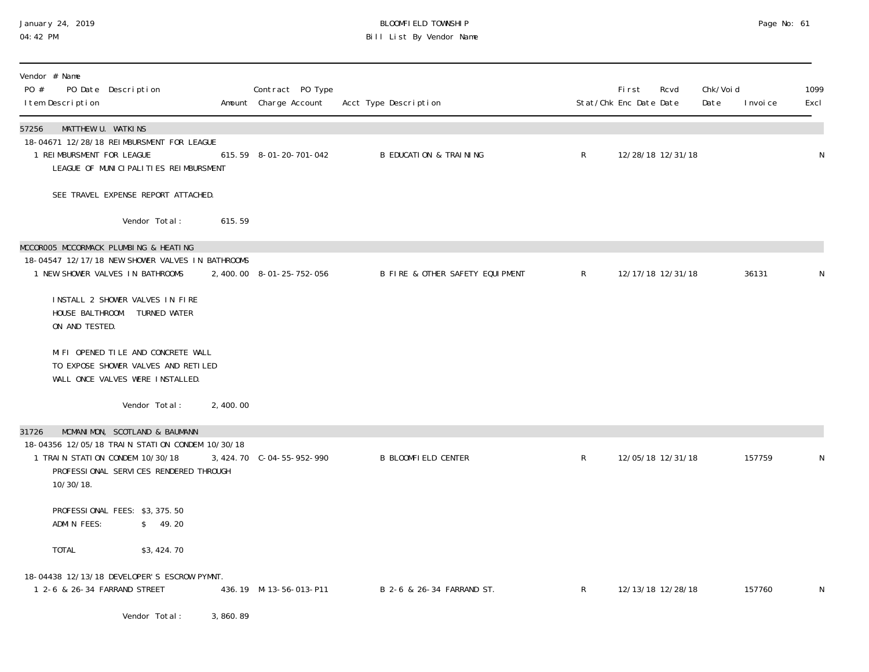#### January 24, 2019 BLOOMFIELD TOWNSHIP Page No: 61 04:42 PM Bill List By Vendor Name

| Vendor # Name<br>PO #<br>PO Date Description<br>I tem Description                                                                                                                   |          | Contract PO Type<br>Amount Charge Account | Acct Type Description             |              | <b>First</b><br>Rcvd<br>Stat/Chk Enc Date Date | Chk/Voi d<br>Date | 1099<br>Excl<br>I nvoi ce |
|-------------------------------------------------------------------------------------------------------------------------------------------------------------------------------------|----------|-------------------------------------------|-----------------------------------|--------------|------------------------------------------------|-------------------|---------------------------|
| MATTHEW U. WATKINS<br>57256<br>18-04671 12/28/18 REIMBURSMENT FOR LEAGUE<br>1 REIMBURSMENT FOR LEAGUE<br>LEAGUE OF MUNICIPALITIES REIMBURSMENT                                      |          | 615.59 8-01-20-701-042                    | <b>B EDUCATION &amp; TRAINING</b> | $\mathsf{R}$ | 12/28/18 12/31/18                              |                   | N                         |
| SEE TRAVEL EXPENSE REPORT ATTACHED.                                                                                                                                                 |          |                                           |                                   |              |                                                |                   |                           |
| Vendor Total:                                                                                                                                                                       | 615.59   |                                           |                                   |              |                                                |                   |                           |
| MCCOROO5 MCCORMACK PLUMBING & HEATING<br>18-04547 12/17/18 NEW SHOWER VALVES IN BATHROOMS<br>1 NEW SHOWER VALVES IN BATHROOMS                                                       |          | 2, 400.00 8-01-25-752-056                 | B FIRE & OTHER SAFETY EQUIPMENT   | $\mathsf{R}$ | 12/17/18 12/31/18                              |                   | 36131<br>N                |
| INSTALL 2 SHOWER VALVES IN FIRE<br>HOUSE BALTHROOM. TURNED WATER<br>ON AND TESTED.                                                                                                  |          |                                           |                                   |              |                                                |                   |                           |
| MIFI OPENED TILE AND CONCRETE WALL<br>TO EXPOSE SHOWER VALVES AND RETILED<br>WALL ONCE VALVES WERE INSTALLED.                                                                       |          |                                           |                                   |              |                                                |                   |                           |
| Vendor Total:                                                                                                                                                                       | 2,400.00 |                                           |                                   |              |                                                |                   |                           |
| MCMANIMON, SCOTLAND & BAUMANN<br>31726<br>18-04356 12/05/18 TRAIN STATION CONDEM 10/30/18<br>1 TRAIN STATION CONDEM 10/30/18<br>PROFESSIONAL SERVICES RENDERED THROUGH<br>10/30/18. |          | 3, 424. 70 C-04-55-952-990                | <b>B BLOOMFIELD CENTER</b>        | $\mathsf{R}$ | 12/05/18 12/31/18                              |                   | 157759<br>N               |
| PROFESSIONAL FEES: \$3,375.50<br>ADMIN FEES:<br>\$ 49.20                                                                                                                            |          |                                           |                                   |              |                                                |                   |                           |
| <b>TOTAL</b><br>\$3,424.70                                                                                                                                                          |          |                                           |                                   |              |                                                |                   |                           |
| 18-04438 12/13/18 DEVELOPER'S ESCROW PYMNT.<br>1 2-6 & 26-34 FARRAND STREET                                                                                                         |          | 436.19 M-13-56-013-P11                    | B 2-6 & 26-34 FARRAND ST.         | $\mathsf{R}$ | 12/13/18 12/28/18                              |                   | 157760<br>N               |
| Vendor Total:                                                                                                                                                                       | 3,860.89 |                                           |                                   |              |                                                |                   |                           |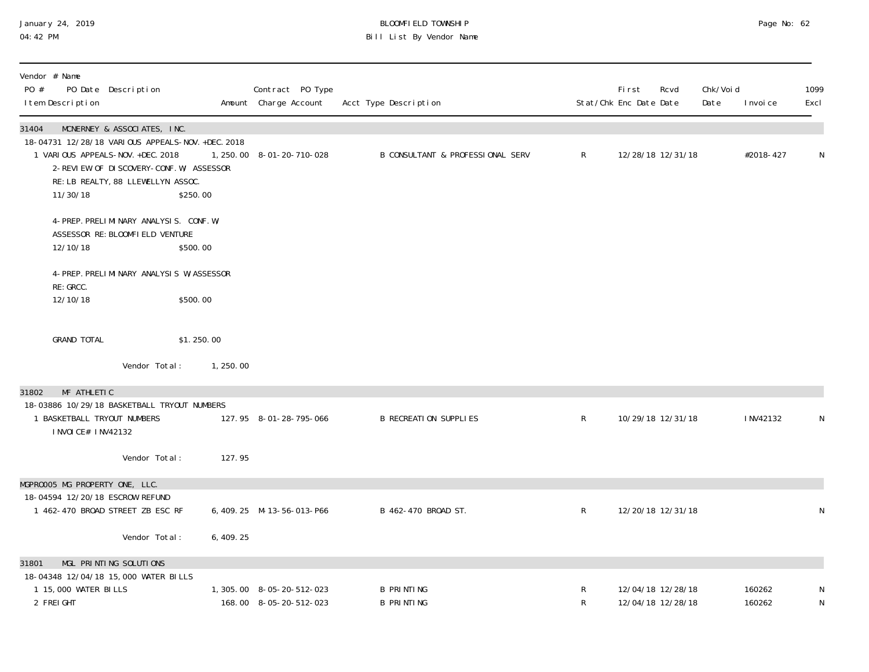#### January 24, 2019 BLOOMFIELD TOWNSHIP Page No: 62 04:42 PM Bill List By Vendor Name

| Vendor # Name<br>PO #<br>PO Date Description<br>I tem Description                                                                                                                                                           |            | Contract PO Type<br>Amount Charge Account           | Acct Type Description                  |              | First<br>Stat/Chk Enc Date Date | Rcvd                                   | Chk/Voi d<br>Date | I nvoi ce        | 1099<br>Excl   |
|-----------------------------------------------------------------------------------------------------------------------------------------------------------------------------------------------------------------------------|------------|-----------------------------------------------------|----------------------------------------|--------------|---------------------------------|----------------------------------------|-------------------|------------------|----------------|
| 31404<br>MCNERNEY & ASSOCIATES, INC.<br>18-04731 12/28/18 VARIOUS APPEALS-NOV. +DEC. 2018<br>1 VARIOUS APPEALS-NOV. +DEC. 2018<br>2-REVIEW OF DISCOVERY-CONF. W/ ASSESSOR<br>RE: LB REALTY, 88 LLEWELLYN ASSOC.<br>11/30/18 | \$250.00   | 1, 250, 00 8-01-20-710-028                          | B CONSULTANT & PROFESSIONAL SERV       | $\mathsf{R}$ |                                 | 12/28/18 12/31/18                      |                   | #2018-427        | N              |
| 4-PREP. PRELIMINARY ANALYSIS. CONF. W/<br>ASSESSOR RE: BLOOMFIELD VENTURE<br>12/10/18                                                                                                                                       | \$500.00   |                                                     |                                        |              |                                 |                                        |                   |                  |                |
| 4-PREP. PRELIMINARY ANALYSIS W/ASSESSOR<br>RE: GRCC.                                                                                                                                                                        |            |                                                     |                                        |              |                                 |                                        |                   |                  |                |
| 12/10/18                                                                                                                                                                                                                    | \$500.00   |                                                     |                                        |              |                                 |                                        |                   |                  |                |
| <b>GRAND TOTAL</b>                                                                                                                                                                                                          | \$1.250.00 |                                                     |                                        |              |                                 |                                        |                   |                  |                |
| Vendor Total:                                                                                                                                                                                                               | 1,250.00   |                                                     |                                        |              |                                 |                                        |                   |                  |                |
| MF ATHLETIC<br>31802<br>18-03886 10/29/18 BASKETBALL TRYOUT NUMBERS                                                                                                                                                         |            |                                                     |                                        |              |                                 |                                        |                   |                  |                |
| 1 BASKETBALL TRYOUT NUMBERS<br>I NVOI CE# I NV42132                                                                                                                                                                         |            | 127.95 8-01-28-795-066                              | <b>B RECREATION SUPPLIES</b>           | $\mathsf{R}$ |                                 | 10/29/18 12/31/18                      |                   | I NV42132        | N              |
| Vendor Total:                                                                                                                                                                                                               | 127.95     |                                                     |                                        |              |                                 |                                        |                   |                  |                |
| MGPROOO5 MG PROPERTY ONE, LLC.<br>18-04594 12/20/18 ESCROW REFUND                                                                                                                                                           |            |                                                     |                                        |              |                                 |                                        |                   |                  |                |
| 1 462-470 BROAD STREET ZB ESC RF                                                                                                                                                                                            |            | 6, 409. 25 M-13-56-013-P66                          | B 462-470 BROAD ST.                    | $\mathsf{R}$ |                                 | 12/20/18 12/31/18                      |                   |                  | N              |
| Vendor Total:                                                                                                                                                                                                               | 6, 409. 25 |                                                     |                                        |              |                                 |                                        |                   |                  |                |
| MGL PRINTING SOLUTIONS<br>31801                                                                                                                                                                                             |            |                                                     |                                        |              |                                 |                                        |                   |                  |                |
| 18-04348 12/04/18 15,000 WATER BILLS<br>1 15,000 WATER BILLS<br>2 FREIGHT                                                                                                                                                   |            | 1, 305.00 8-05-20-512-023<br>168.00 8-05-20-512-023 | <b>B PRINTING</b><br><b>B PRINTING</b> | R<br>R       |                                 | 12/04/18 12/28/18<br>12/04/18 12/28/18 |                   | 160262<br>160262 | N<br>${\sf N}$ |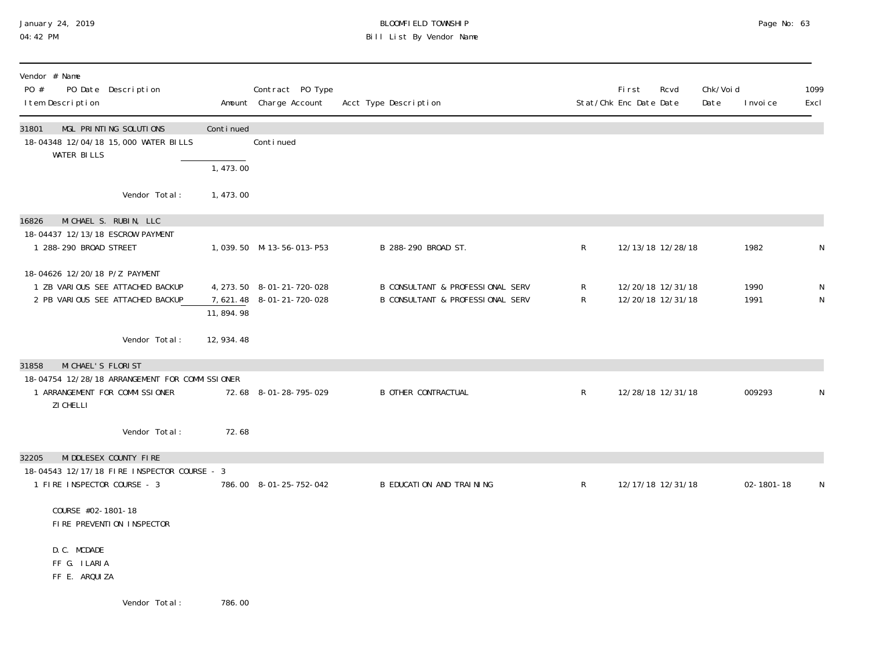## January 24, 2019 BLOOMFIELD TOWNSHIP Page No: 63 Bill List By Vendor Name

| Vendor # Name<br>PO #<br>PO Date Description<br>I tem Description                                     |             | Contract PO Type<br>Amount Charge Account                | Acct Type Description                                                           |              | First<br>Rcvd<br>Stat/Chk Enc Date Date | Chk/Void<br>Date | I nvoi ce    | 1099<br>Excl   |
|-------------------------------------------------------------------------------------------------------|-------------|----------------------------------------------------------|---------------------------------------------------------------------------------|--------------|-----------------------------------------|------------------|--------------|----------------|
| MGL PRINTING SOLUTIONS<br>31801<br>18-04348 12/04/18 15,000 WATER BILLS<br><b>WATER BILLS</b>         | Continued   | Conti nued                                               |                                                                                 |              |                                         |                  |              |                |
|                                                                                                       | 1,473.00    |                                                          |                                                                                 |              |                                         |                  |              |                |
| Vendor Total:                                                                                         | 1,473.00    |                                                          |                                                                                 |              |                                         |                  |              |                |
| MICHAEL S. RUBIN, LLC<br>16826<br>18-04437 12/13/18 ESCROW PAYMENT                                    |             |                                                          |                                                                                 |              |                                         |                  |              |                |
| 1 288-290 BROAD STREET                                                                                |             | 1,039.50 M-13-56-013-P53                                 | B 288-290 BROAD ST.                                                             | R            | 12/13/18 12/28/18                       |                  | 1982         | N              |
| 18-04626 12/20/18 P/Z PAYMENT<br>1 ZB VARIOUS SEE ATTACHED BACKUP<br>2 PB VARIOUS SEE ATTACHED BACKUP | 11,894.98   | 4, 273. 50 8-01-21-720-028<br>7, 621. 48 8-01-21-720-028 | B CONSULTANT & PROFESSIONAL SERV<br><b>B CONSULTANT &amp; PROFESSIONAL SERV</b> | R<br>R       | 12/20/18 12/31/18<br>12/20/18 12/31/18  |                  | 1990<br>1991 | N<br>${\sf N}$ |
| Vendor Total:                                                                                         | 12, 934. 48 |                                                          |                                                                                 |              |                                         |                  |              |                |
| MI CHAEL'S FLORIST<br>31858<br>18-04754 12/28/18 ARRANGEMENT FOR COMMISSIONER                         |             |                                                          |                                                                                 |              |                                         |                  |              |                |
| 1 ARRANGEMENT FOR COMMISSIONER<br>ZI CHELLI                                                           |             | 72.68 8-01-28-795-029                                    | <b>B OTHER CONTRACTUAL</b>                                                      | $\mathsf{R}$ | 12/28/18 12/31/18                       |                  | 009293       | N              |
| Vendor Total:                                                                                         | 72.68       |                                                          |                                                                                 |              |                                         |                  |              |                |
| MI DDLESEX COUNTY FIRE<br>32205                                                                       |             |                                                          |                                                                                 |              |                                         |                  |              |                |
| 18-04543 12/17/18 FIRE INSPECTOR COURSE - 3<br>1 FIRE INSPECTOR COURSE - 3                            |             | 786.00 8-01-25-752-042                                   | B EDUCATION AND TRAINING                                                        | $\mathsf{R}$ | 12/17/18 12/31/18                       |                  | 02-1801-18   | N              |
| COURSE #02-1801-18<br>FIRE PREVENTION INSPECTOR                                                       |             |                                                          |                                                                                 |              |                                         |                  |              |                |
| D.C. MCDADE<br>FF G. ILARIA<br>FF E. ARQUIZA                                                          |             |                                                          |                                                                                 |              |                                         |                  |              |                |
| Vendor Total:                                                                                         | 786.00      |                                                          |                                                                                 |              |                                         |                  |              |                |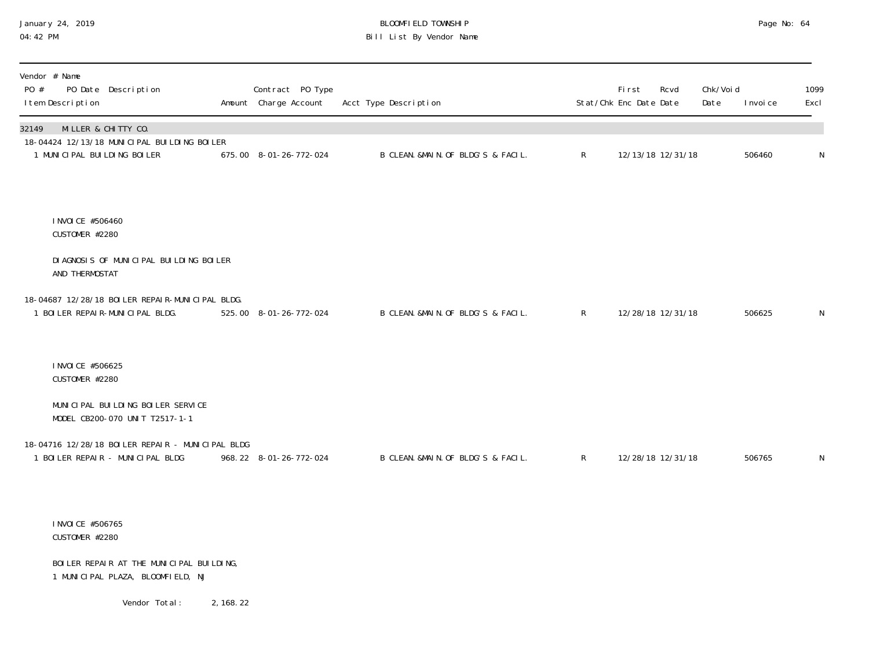## January 24, 2019 BLOOMFIELD TOWNSHIP Page No: 64 04:42 PM Bill List By Vendor Name

| Vendor # Name<br>PO Date Description<br>PO #<br>I tem Description                                          | Contract PO Type<br>Amount Charge Account | Acct Type Description               |              | First<br>Stat/Chk Enc Date Date | Rcvd              | Chk/Voi d<br>Date | I nvoi ce | 1099<br>Excl |
|------------------------------------------------------------------------------------------------------------|-------------------------------------------|-------------------------------------|--------------|---------------------------------|-------------------|-------------------|-----------|--------------|
| MILLER & CHITTY CO.<br>32149<br>18-04424 12/13/18 MUNICIPAL BUILDING BOILER<br>1 MUNICIPAL BUILDING BOILER | 675.00 8-01-26-772-024                    | B CLEAN. &MAIN. OF BLDG'S & FACIL.  | $\mathsf{R}$ |                                 | 12/13/18 12/31/18 |                   | 506460    | N            |
| I NVOI CE #506460<br>CUSTOMER #2280                                                                        |                                           |                                     |              |                                 |                   |                   |           |              |
| DI AGNOSIS OF MUNICIPAL BUILDING BOILER<br>AND THERMOSTAT                                                  |                                           |                                     |              |                                 |                   |                   |           |              |
| 18-04687 12/28/18 BOILER REPAIR-MUNICIPAL BLDG.<br>1 BOILER REPAIR-MUNICIPAL BLDG.                         | 525.00 8-01-26-772-024                    | B CLEAN. & MAIN. OF BLDG'S & FACIL. | $\mathsf{R}$ |                                 | 12/28/18 12/31/18 |                   | 506625    | N            |
| I NVOI CE #506625<br>CUSTOMER #2280                                                                        |                                           |                                     |              |                                 |                   |                   |           |              |
| MUNICIPAL BUILDING BOILER SERVICE<br>MODEL CB200-070 UNIT T2517-1-1                                        |                                           |                                     |              |                                 |                   |                   |           |              |
| 18-04716 12/28/18 BOILER REPAIR - MUNICIPAL BLDG<br>1 BOILER REPAIR - MUNICIPAL BLDG                       | 968.22 8-01-26-772-024                    | B CLEAN. & MAIN. OF BLDG'S & FACIL. | $\mathsf{R}$ |                                 | 12/28/18 12/31/18 |                   | 506765    | N            |
| I NVOI CE #506765<br>CUSTOMER #2280                                                                        |                                           |                                     |              |                                 |                   |                   |           |              |
| BOILER REPAIR AT THE MUNICIPAL BUILDING,<br>1 MUNICIPAL PLAZA, BLOOMFIELD, NJ                              |                                           |                                     |              |                                 |                   |                   |           |              |

Vendor Total: 2,168.22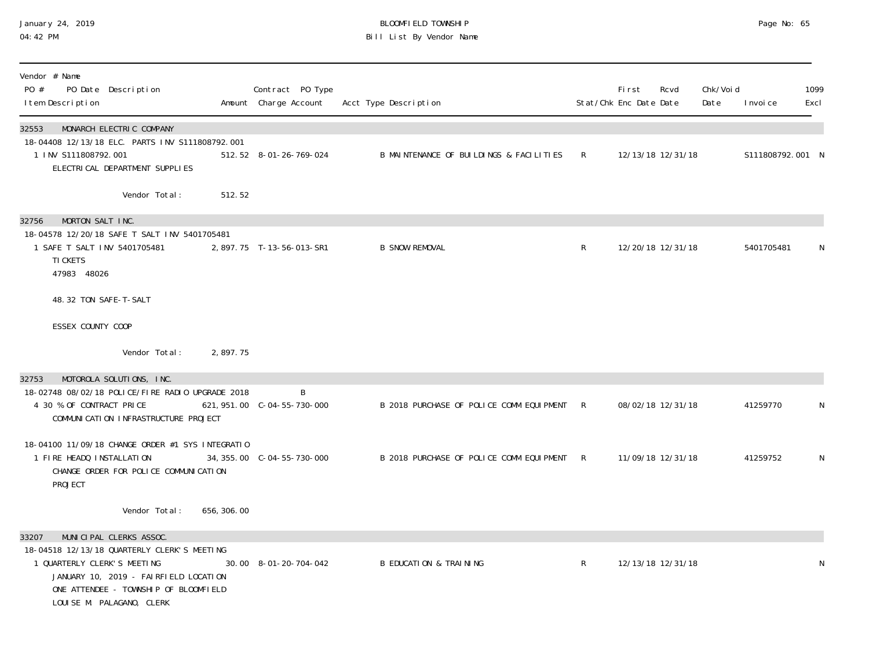#### January 24, 2019 BLOOMFIELD TOWNSHIP Page No: 65 04:42 PM Bill List By Vendor Name

| Vendor # Name<br>PO #<br>PO Date Description<br>I tem Description                                                                                                                                                             |             | Contract PO Type<br>Amount Charge Account | Acct Type Description                      |              | <b>First</b><br>Stat/Chk Enc Date Date | Rcvd              | Chk/Voi d<br>Date | I nvoi ce        | 1099<br>Excl |
|-------------------------------------------------------------------------------------------------------------------------------------------------------------------------------------------------------------------------------|-------------|-------------------------------------------|--------------------------------------------|--------------|----------------------------------------|-------------------|-------------------|------------------|--------------|
| MONARCH ELECTRIC COMPANY<br>32553<br>18-04408 12/13/18 ELC. PARTS INV S111808792.001<br>1 INV S111808792.001<br>ELECTRICAL DEPARTMENT SUPPLIES                                                                                |             | 512.52 8-01-26-769-024                    | B MAINTENANCE OF BUILDINGS & FACILITIES    | R            |                                        | 12/13/18 12/31/18 |                   | S111808792.001 N |              |
| Vendor Total:                                                                                                                                                                                                                 | 512.52      |                                           |                                            |              |                                        |                   |                   |                  |              |
| MORTON SALT INC.<br>32756<br>18-04578 12/20/18 SAFE T SALT INV 5401705481<br>1 SAFE T SALT INV 5401705481<br>TI CKETS<br>47983 48026                                                                                          |             | 2,897.75 T-13-56-013-SR1                  | <b>B SNOW REMOVAL</b>                      | $\mathsf{R}$ |                                        | 12/20/18 12/31/18 |                   | 5401705481       | N.           |
| 48.32 TON SAFE-T-SALT                                                                                                                                                                                                         |             |                                           |                                            |              |                                        |                   |                   |                  |              |
| ESSEX COUNTY COOP                                                                                                                                                                                                             |             |                                           |                                            |              |                                        |                   |                   |                  |              |
| Vendor Total:                                                                                                                                                                                                                 | 2,897.75    |                                           |                                            |              |                                        |                   |                   |                  |              |
| MOTOROLA SOLUTIONS, INC.<br>32753<br>18-02748 08/02/18 POLICE/FIRE RADIO UPGRADE 2018<br>4 30 % OF CONTRACT PRICE<br>COMMUNI CATI ON INFRASTRUCTURE PROJECT                                                                   |             | <sup>B</sup>                              | B 2018 PURCHASE OF POLICE COMM EQUIPMENT R |              |                                        | 08/02/18 12/31/18 |                   | 41259770         | N            |
| 18-04100 11/09/18 CHANGE ORDER #1 SYS INTEGRATIO<br>1 FIRE HEADQ INSTALLATION<br>CHANGE ORDER FOR POLICE COMMUNICATION<br>PROJECT                                                                                             |             |                                           | B 2018 PURCHASE OF POLICE COMM EQUIPMENT R |              |                                        | 11/09/18 12/31/18 |                   | 41259752         | N            |
| Vendor Total:                                                                                                                                                                                                                 | 656, 306.00 |                                           |                                            |              |                                        |                   |                   |                  |              |
| MUNICIPAL CLERKS ASSOC.<br>33207<br>18-04518 12/13/18 QUARTERLY CLERK'S MEETING<br>1 QUARTERLY CLERK'S MEETING<br>JANUARY 10, 2019 - FAIRFIELD LOCATION<br>ONE ATTENDEE - TOWNSHIP OF BLOOMFIELD<br>LOUISE M. PALAGANO, CLERK |             | 30.00 8-01-20-704-042                     | <b>B EDUCATION &amp; TRAINING</b>          | R            |                                        | 12/13/18 12/31/18 |                   |                  | N            |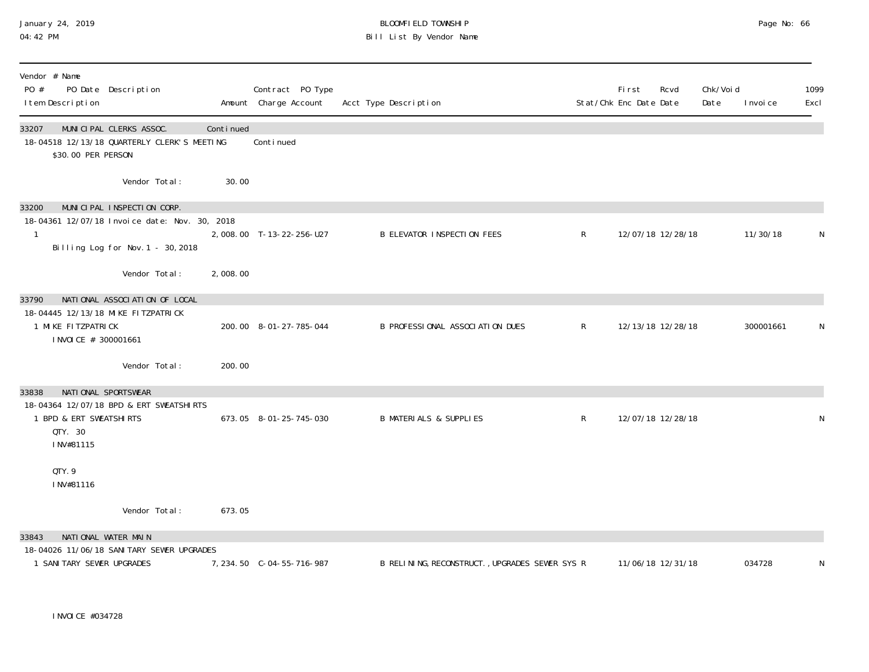## January 24, 2019 BLOOMFIELD TOWNSHIP Page No: 66 04:42 PM Bill List By Vendor Name

| Vendor # Name<br>PO #<br>PO Date Description<br>I tem Description                                                           |           | Contract PO Type<br>Amount Charge Account | Acct Type Description                          |              | First<br>Stat/Chk Enc Date Date | Rcvd              | Chk/Voi d<br>Date | I nvoi ce | 1099<br>Excl |
|-----------------------------------------------------------------------------------------------------------------------------|-----------|-------------------------------------------|------------------------------------------------|--------------|---------------------------------|-------------------|-------------------|-----------|--------------|
| 33207<br>MUNICIPAL CLERKS ASSOC.<br>18-04518 12/13/18 QUARTERLY CLERK'S MEETING<br>\$30.00 PER PERSON                       | Continued | Continued                                 |                                                |              |                                 |                   |                   |           |              |
| Vendor Total:                                                                                                               | 30.00     |                                           |                                                |              |                                 |                   |                   |           |              |
| MUNICIPAL INSPECTION CORP.<br>33200<br>18-04361 12/07/18 Invoice date: Nov. 30, 2018<br>Billing Log for Nov. 1 - 30, 2018   |           | 2,008.00 T-13-22-256-U27                  | <b>B ELEVATOR INSPECTION FEES</b>              | $\mathsf{R}$ |                                 | 12/07/18 12/28/18 |                   | 11/30/18  | N            |
| Vendor Total:                                                                                                               | 2,008.00  |                                           |                                                |              |                                 |                   |                   |           |              |
| NATIONAL ASSOCIATION OF LOCAL<br>33790<br>18-04445 12/13/18 MIKE FITZPATRICK<br>1 MIKE FITZPATRICK<br>I NVOI CE # 300001661 |           | 200.00 8-01-27-785-044                    | B PROFESSIONAL ASSOCIATION DUES                | $\mathsf{R}$ |                                 | 12/13/18 12/28/18 |                   | 300001661 | N            |
| Vendor Total:                                                                                                               | 200.00    |                                           |                                                |              |                                 |                   |                   |           |              |
| NATIONAL SPORTSWEAR<br>33838<br>18-04364 12/07/18 BPD & ERT SWEATSHIRTS<br>1 BPD & ERT SWEATSHIRTS<br>QTY. 30<br>INV#81115  |           | 673.05 8-01-25-745-030                    | <b>B MATERIALS &amp; SUPPLIES</b>              | $\mathsf{R}$ |                                 | 12/07/18 12/28/18 |                   |           | N            |
| QTY.9<br>INV#81116                                                                                                          |           |                                           |                                                |              |                                 |                   |                   |           |              |
| Vendor Total:                                                                                                               | 673.05    |                                           |                                                |              |                                 |                   |                   |           |              |
| 33843<br>NATIONAL WATER MAIN                                                                                                |           |                                           |                                                |              |                                 |                   |                   |           |              |
| 18-04026 11/06/18 SANITARY SEWER UPGRADES<br>1 SANI TARY SEWER UPGRADES                                                     |           | 7, 234.50 C-04-55-716-987                 | B RELINING, RECONSTRUCT., UPGRADES SEWER SYS R |              |                                 | 11/06/18 12/31/18 |                   | 034728    | N            |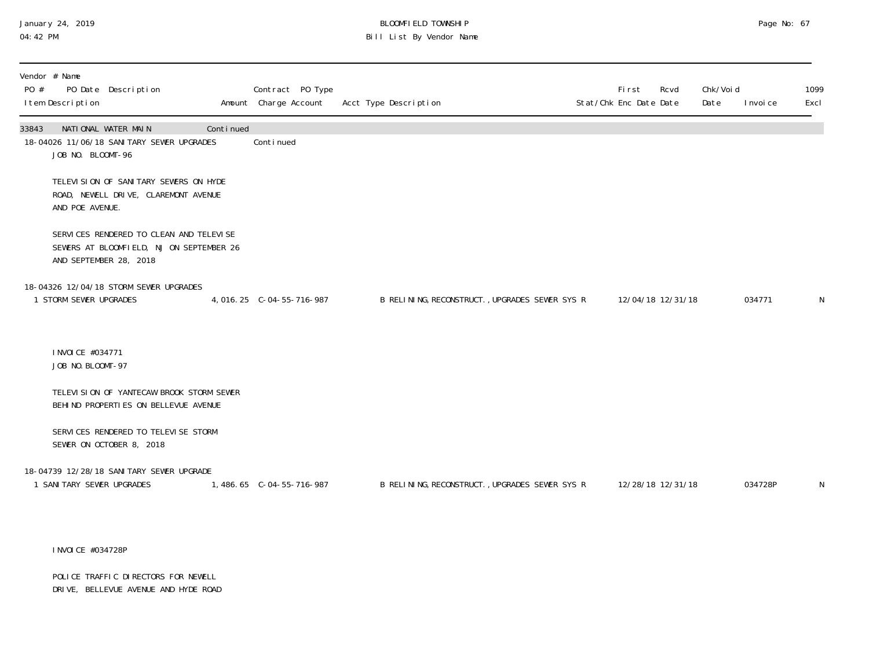# January 24, 2019 BLOOMFIELD TOWNSHIP Page No: 67 Bill List By Vendor Name

| Vendor # Name<br>I tem Description |                                                                                                                                                                                                                                                                                    |                                                                                                                                                                                                                                                                                                                                                                                                        |                                                                                     |                       | First                                                                                            | Rcvd | Date                                                             | I nvoi ce | 1099<br>Excl      |
|------------------------------------|------------------------------------------------------------------------------------------------------------------------------------------------------------------------------------------------------------------------------------------------------------------------------------|--------------------------------------------------------------------------------------------------------------------------------------------------------------------------------------------------------------------------------------------------------------------------------------------------------------------------------------------------------------------------------------------------------|-------------------------------------------------------------------------------------|-----------------------|--------------------------------------------------------------------------------------------------|------|------------------------------------------------------------------|-----------|-------------------|
|                                    |                                                                                                                                                                                                                                                                                    |                                                                                                                                                                                                                                                                                                                                                                                                        |                                                                                     |                       |                                                                                                  |      |                                                                  |           |                   |
|                                    |                                                                                                                                                                                                                                                                                    |                                                                                                                                                                                                                                                                                                                                                                                                        |                                                                                     |                       |                                                                                                  |      |                                                                  |           |                   |
|                                    |                                                                                                                                                                                                                                                                                    |                                                                                                                                                                                                                                                                                                                                                                                                        |                                                                                     |                       |                                                                                                  |      |                                                                  |           |                   |
|                                    |                                                                                                                                                                                                                                                                                    |                                                                                                                                                                                                                                                                                                                                                                                                        |                                                                                     |                       |                                                                                                  |      |                                                                  |           | N                 |
|                                    |                                                                                                                                                                                                                                                                                    |                                                                                                                                                                                                                                                                                                                                                                                                        |                                                                                     |                       |                                                                                                  |      |                                                                  |           |                   |
|                                    |                                                                                                                                                                                                                                                                                    |                                                                                                                                                                                                                                                                                                                                                                                                        |                                                                                     |                       |                                                                                                  |      |                                                                  |           |                   |
|                                    |                                                                                                                                                                                                                                                                                    |                                                                                                                                                                                                                                                                                                                                                                                                        |                                                                                     |                       |                                                                                                  |      |                                                                  |           |                   |
|                                    |                                                                                                                                                                                                                                                                                    |                                                                                                                                                                                                                                                                                                                                                                                                        |                                                                                     |                       |                                                                                                  |      |                                                                  |           | N                 |
|                                    | PO Date Description<br>NATIONAL WATER MAIN<br>JOB NO. BLOOMT-96<br>AND POE AVENUE.<br>AND SEPTEMBER 28, 2018<br>18-04326 12/04/18 STORM SEWER UPGRADES<br>1 STORM SEWER UPGRADES<br>INVOICE #034771<br>JOB NO. BLOOMT-97<br>SEWER ON OCTOBER 8, 2018<br>1 SANI TARY SEWER UPGRADES | Continued<br>18-04026 11/06/18 SANITARY SEWER UPGRADES<br>TELEVISION OF SANITARY SEWERS ON HYDE<br>ROAD, NEWELL DRIVE, CLAREMONT AVENUE<br>SERVICES RENDERED TO CLEAN AND TELEVISE<br>SEWERS AT BLOOMFIELD, NJ ON SEPTEMBER 26<br>TELEVISION OF YANTECAW BROOK STORM SEWER<br>BEHIND PROPERTIES ON BELLEVUE AVENUE<br>SERVICES RENDERED TO TELEVISE STORM<br>18-04739 12/28/18 SANI TARY SEWER UPGRADE | Contract PO Type<br>Amount Charge Account<br>Conti nued<br>4,016.25 C-04-55-716-987 | Acct Type Description | B RELINING, RECONSTRUCT., UPGRADES SEWER SYS R<br>B RELINING, RECONSTRUCT., UPGRADES SEWER SYS R |      | Stat/Chk Enc Date Date<br>12/04/18 12/31/18<br>12/28/18 12/31/18 | Chk/Void  | 034771<br>034728P |

INVOICE #034728P

POLICE TRAFFIC DIRECTORS FOR NEWELL DRIVE, BELLEVUE AVENUE AND HYDE ROAD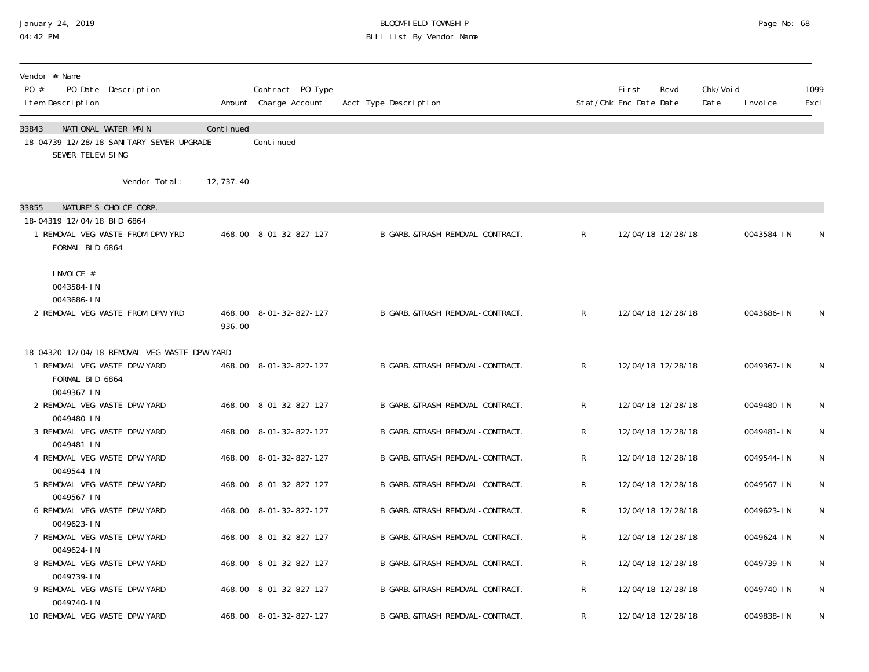#### January 24, 2019 BLOOMFIELD TOWNSHIP Page No: 68 04:42 PM Bill List By Vendor Name

| Vendor # Name<br>$P()$ #<br>PO Date Description<br>I tem Description                                                |             | Contract PO Type<br>Amount Charge Account | Acct Type Description             |              | Fi rst<br>Stat/Chk Enc Date Date | Rcvd              | Chk/Voi d<br>Date | I nvoi ce  | 1099<br>Excl |
|---------------------------------------------------------------------------------------------------------------------|-------------|-------------------------------------------|-----------------------------------|--------------|----------------------------------|-------------------|-------------------|------------|--------------|
| NATIONAL WATER MAIN<br>33843<br>18-04739 12/28/18 SANI TARY SEWER UPGRADE<br>SEWER TELEVI SING                      | Continued   | Continued                                 |                                   |              |                                  |                   |                   |            |              |
| Vendor Total:                                                                                                       | 12, 737. 40 |                                           |                                   |              |                                  |                   |                   |            |              |
| 33855<br>NATURE'S CHOICE CORP.<br>18-04319 12/04/18 BID 6864<br>1 REMOVAL VEG WASTE FROM DPW YRD<br>FORMAL BID 6864 |             | 468.00 8-01-32-827-127                    | B GARB. &TRASH REMOVAL-CONTRACT.  | $\mathsf{R}$ |                                  | 12/04/18 12/28/18 |                   | 0043584-IN | N            |
| I NVOI CE #<br>0043584-IN<br>0043686-IN<br>2 REMOVAL VEG WASTE FROM DPW YRD                                         | 936.00      | 468.00 8-01-32-827-127                    | B GARB. & TRASH REMOVAL-CONTRACT. | $\mathsf{R}$ |                                  | 12/04/18 12/28/18 |                   | 0043686-IN | N            |
| 18-04320 12/04/18 REMOVAL VEG WASTE DPW YARD<br>1 REMOVAL VEG WASTE DPW YARD<br>FORMAL BID 6864<br>0049367-IN       |             | 468.00 8-01-32-827-127                    | B GARB. &TRASH REMOVAL-CONTRACT.  | $\mathsf{R}$ |                                  | 12/04/18 12/28/18 |                   | 0049367-IN | N            |
| 2 REMOVAL VEG WASTE DPW YARD<br>0049480-IN                                                                          |             | 468.00 8-01-32-827-127                    | B GARB. &TRASH REMOVAL-CONTRACT.  | R            |                                  | 12/04/18 12/28/18 |                   | 0049480-IN | N            |
| 3 REMOVAL VEG WASTE DPW YARD<br>0049481-IN                                                                          |             | 468.00 8-01-32-827-127                    | B GARB. &TRASH REMOVAL-CONTRACT.  | R            |                                  | 12/04/18 12/28/18 |                   | 0049481-IN | $\mathsf N$  |
| 4 REMOVAL VEG WASTE DPW YARD<br>0049544-IN                                                                          |             | 468.00 8-01-32-827-127                    | B GARB. & TRASH REMOVAL-CONTRACT. | R            |                                  | 12/04/18 12/28/18 |                   | 0049544-IN | N            |
| 5 REMOVAL VEG WASTE DPW YARD<br>0049567-IN                                                                          |             | 468.00 8-01-32-827-127                    | B GARB. & TRASH REMOVAL-CONTRACT. | R            |                                  | 12/04/18 12/28/18 |                   | 0049567-IN | N            |
| 6 REMOVAL VEG WASTE DPW YARD                                                                                        |             | 468.00 8-01-32-827-127                    | B GARB. & TRASH REMOVAL-CONTRACT. | R            |                                  | 12/04/18 12/28/18 |                   | 0049623-IN | N            |
| 0049623-IN<br>7 REMOVAL VEG WASTE DPW YARD                                                                          |             | 468.00 8-01-32-827-127                    | B GARB. &TRASH REMOVAL-CONTRACT.  | R            |                                  | 12/04/18 12/28/18 |                   | 0049624-IN | N            |
| 0049624-IN<br>8 REMOVAL VEG WASTE DPW YARD                                                                          |             | 468.00 8-01-32-827-127                    | B GARB. &TRASH REMOVAL-CONTRACT.  | R            |                                  | 12/04/18 12/28/18 |                   | 0049739-IN | N            |
| 0049739-IN<br>9 REMOVAL VEG WASTE DPW YARD<br>0049740-IN                                                            |             | 468.00 8-01-32-827-127                    | B GARB. & TRASH REMOVAL-CONTRACT. | $\mathsf{R}$ |                                  | 12/04/18 12/28/18 |                   | 0049740-IN | $\mathsf N$  |
| 10 REMOVAL VEG WASTE DPW YARD                                                                                       |             | 468.00 8-01-32-827-127                    | B GARB. &TRASH REMOVAL-CONTRACT.  | R            |                                  | 12/04/18 12/28/18 |                   | 0049838-IN | N            |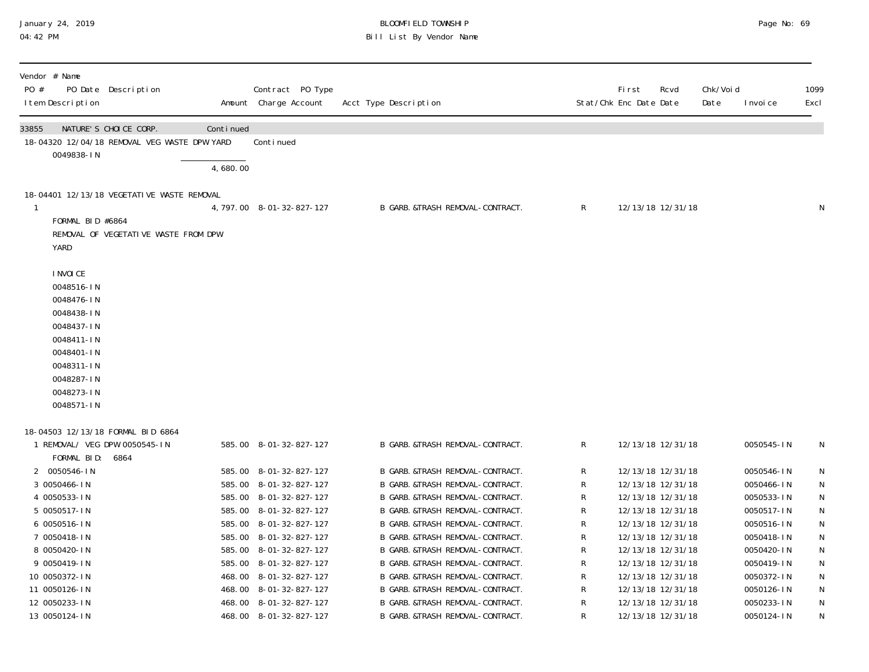# January 24, 2019 BLOOMFIELD TOWNSHIP Page No: 69 Bill List By Vendor Name

| Vendor # Name<br>PO #<br>PO Date Description<br>I tem Description                                                                                     |                                                           | Contract PO Type<br>Amount Charge Account | Acct Type Description             |              | First<br>Rcvd<br>Stat/Chk Enc Date Date | Chk/Voi d<br>Date | I nvoi ce  | 1099<br>Excl |
|-------------------------------------------------------------------------------------------------------------------------------------------------------|-----------------------------------------------------------|-------------------------------------------|-----------------------------------|--------------|-----------------------------------------|-------------------|------------|--------------|
| NATURE'S CHOICE CORP.<br>33855                                                                                                                        | Continued<br>18-04320 12/04/18 REMOVAL VEG WASTE DPW YARD | Conti nued                                |                                   |              |                                         |                   |            |              |
| 0049838-IN                                                                                                                                            |                                                           |                                           |                                   |              |                                         |                   |            |              |
|                                                                                                                                                       | 4,680.00                                                  |                                           |                                   |              |                                         |                   |            |              |
|                                                                                                                                                       | 18-04401 12/13/18 VEGETATIVE WASTE REMOVAL                |                                           |                                   |              |                                         |                   |            |              |
|                                                                                                                                                       |                                                           | 4, 797.00 8-01-32-827-127                 | B GARB. &TRASH REMOVAL-CONTRACT.  | $\mathsf{R}$ | 12/13/18 12/31/18                       |                   |            | N            |
| FORMAL BID #6864<br>YARD                                                                                                                              | REMOVAL OF VEGETATIVE WASTE FROM DPW                      |                                           |                                   |              |                                         |                   |            |              |
| I NVOI CE<br>0048516-IN<br>0048476-IN<br>0048438-IN<br>0048437-IN<br>0048411-IN<br>0048401-IN<br>0048311-IN<br>0048287-IN<br>0048273-IN<br>0048571-IN |                                                           |                                           |                                   |              |                                         |                   |            |              |
| 18-04503 12/13/18 FORMAL BID 6864                                                                                                                     |                                                           |                                           |                                   |              |                                         |                   |            |              |
| 1 REMOVAL/ VEG DPW 0050545-IN<br>FORMAL BID: 6864                                                                                                     |                                                           | 585.00 8-01-32-827-127                    | B GARB. & TRASH REMOVAL-CONTRACT. | $\mathsf{R}$ | 12/13/18 12/31/18                       |                   | 0050545-IN | N            |
| 2 0050546-IN                                                                                                                                          |                                                           | 585.00 8-01-32-827-127                    | B GARB. &TRASH REMOVAL-CONTRACT.  | R            | 12/13/18 12/31/18                       |                   | 0050546-IN | $\mathsf N$  |
| 3 0050466-IN                                                                                                                                          |                                                           | 585.00 8-01-32-827-127                    | B GARB. &TRASH REMOVAL-CONTRACT.  | R            | 12/13/18 12/31/18                       |                   | 0050466-IN | N            |
| 4 0050533-IN                                                                                                                                          |                                                           | 585.00 8-01-32-827-127                    | B GARB. &TRASH REMOVAL-CONTRACT.  | R            | 12/13/18 12/31/18                       |                   | 0050533-IN | N            |
| 5 0050517-IN                                                                                                                                          |                                                           | 585.00 8-01-32-827-127                    | B GARB. &TRASH REMOVAL-CONTRACT.  | R            | 12/13/18 12/31/18                       |                   | 0050517-IN | N            |
| 6 0050516-IN                                                                                                                                          |                                                           | 585.00 8-01-32-827-127                    | B GARB. & TRASH REMOVAL-CONTRACT. | R            | 12/13/18 12/31/18                       |                   | 0050516-IN | ${\sf N}$    |
| 7 0050418-IN                                                                                                                                          |                                                           | 585.00 8-01-32-827-127                    | B GARB. &TRASH REMOVAL-CONTRACT.  | R            | 12/13/18 12/31/18                       |                   | 0050418-IN | N            |
| 8 0050420-IN                                                                                                                                          |                                                           | 585.00 8-01-32-827-127                    | B GARB. &TRASH REMOVAL-CONTRACT.  | R            | 12/13/18 12/31/18                       |                   | 0050420-IN | N            |
| 9 0050419-IN                                                                                                                                          |                                                           | 585.00 8-01-32-827-127                    | B GARB. &TRASH REMOVAL-CONTRACT.  | R            | 12/13/18 12/31/18                       |                   | 0050419-IN | N            |
| 10 0050372-IN                                                                                                                                         |                                                           | 468.00 8-01-32-827-127                    | B GARB. &TRASH REMOVAL-CONTRACT.  | R            | 12/13/18 12/31/18                       |                   | 0050372-IN | N            |
| 11 0050126-IN                                                                                                                                         |                                                           | 468.00 8-01-32-827-127                    | B GARB. &TRASH REMOVAL-CONTRACT.  | R            | 12/13/18 12/31/18                       |                   | 0050126-IN | $\mathsf N$  |
| 12 0050233-IN                                                                                                                                         |                                                           | 468.00 8-01-32-827-127                    | B GARB. & TRASH REMOVAL-CONTRACT. | R            | 12/13/18 12/31/18                       |                   | 0050233-IN | N            |
| 13 0050124-IN                                                                                                                                         |                                                           | 468.00 8-01-32-827-127                    | B GARB. & TRASH REMOVAL-CONTRACT. | R            | 12/13/18 12/31/18                       |                   | 0050124-IN | N            |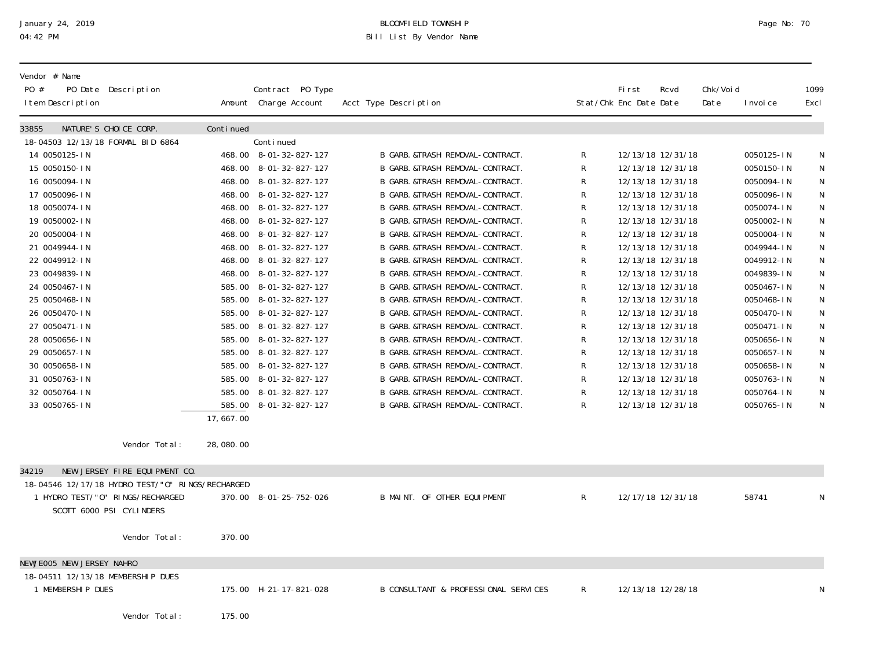## January 24, 2019 BLOOMFIELD TOWNSHIP Page No: 70 Bill List By Vendor Name

| Vendor # Name<br>PO #<br>PO Date Description<br>I tem Description |           | Contract PO Type<br>Amount Charge Account | Acct Type Description                |             | <b>First</b><br>Stat/Chk Enc Date Date | Rcvd              | Chk/Voi d<br>Date | I nvoi ce  | 1099<br>Excl |
|-------------------------------------------------------------------|-----------|-------------------------------------------|--------------------------------------|-------------|----------------------------------------|-------------------|-------------------|------------|--------------|
| NATURE'S CHOICE CORP.<br>33855                                    | Continued |                                           |                                      |             |                                        |                   |                   |            |              |
| 18-04503 12/13/18 FORMAL BID 6864                                 |           | Continued                                 |                                      |             |                                        |                   |                   |            |              |
| 14 0050125-IN                                                     |           | 468.00 8-01-32-827-127                    | B GARB. &TRASH REMOVAL-CONTRACT.     | R           |                                        | 12/13/18 12/31/18 |                   | 0050125-IN | N            |
| 15 0050150-IN                                                     |           | 468.00 8-01-32-827-127                    | B GARB. &TRASH REMOVAL-CONTRACT.     | R           |                                        | 12/13/18 12/31/18 |                   | 0050150-IN | ${\sf N}$    |
| 16 0050094-IN                                                     |           | 468.00 8-01-32-827-127                    | B GARB. &TRASH REMOVAL-CONTRACT.     | R           |                                        | 12/13/18 12/31/18 |                   | 0050094-IN | ${\sf N}$    |
| 17 0050096-IN                                                     |           | 468.00 8-01-32-827-127                    | B GARB. & TRASH REMOVAL-CONTRACT.    | R           |                                        | 12/13/18 12/31/18 |                   | 0050096-IN | ${\sf N}$    |
| 18 0050074-IN                                                     |           | 468.00 8-01-32-827-127                    | B GARB. &TRASH REMOVAL-CONTRACT.     | R           |                                        | 12/13/18 12/31/18 |                   | 0050074-IN | ${\sf N}$    |
| 19 0050002-IN                                                     |           | 468.00 8-01-32-827-127                    | B GARB. & TRASH REMOVAL-CONTRACT.    | R           |                                        | 12/13/18 12/31/18 |                   | 0050002-IN | ${\sf N}$    |
| 20 0050004-IN                                                     |           | 468.00 8-01-32-827-127                    | B GARB. &TRASH REMOVAL-CONTRACT.     | R           |                                        | 12/13/18 12/31/18 |                   | 0050004-IN | ${\sf N}$    |
| 21 0049944-IN                                                     |           | 468.00 8-01-32-827-127                    | B GARB. &TRASH REMOVAL-CONTRACT.     | R           |                                        | 12/13/18 12/31/18 |                   | 0049944-IN | ${\sf N}$    |
| 22 0049912-IN                                                     |           | 468.00 8-01-32-827-127                    | B GARB. &TRASH REMOVAL-CONTRACT.     | R           |                                        | 12/13/18 12/31/18 |                   | 0049912-IN | ${\sf N}$    |
| 23 0049839-IN                                                     |           | 468.00 8-01-32-827-127                    | B GARB. &TRASH REMOVAL-CONTRACT.     | R           |                                        | 12/13/18 12/31/18 |                   | 0049839-IN | ${\sf N}$    |
| 24 0050467-IN                                                     |           | 585.00 8-01-32-827-127                    | B GARB. &TRASH REMOVAL-CONTRACT.     | R           |                                        | 12/13/18 12/31/18 |                   | 0050467-IN | ${\sf N}$    |
| 25 0050468-IN                                                     |           | 585.00 8-01-32-827-127                    | B GARB. &TRASH REMOVAL-CONTRACT.     | R           |                                        | 12/13/18 12/31/18 |                   | 0050468-IN | ${\sf N}$    |
| 26 0050470-IN                                                     |           | 585.00 8-01-32-827-127                    | B GARB. &TRASH REMOVAL-CONTRACT.     | R           |                                        | 12/13/18 12/31/18 |                   | 0050470-IN | ${\sf N}$    |
| 27 0050471-IN                                                     |           | 585.00 8-01-32-827-127                    | B GARB. &TRASH REMOVAL-CONTRACT.     | R           |                                        | 12/13/18 12/31/18 |                   | 0050471-IN | ${\sf N}$    |
| 28 0050656-IN                                                     |           | 585.00 8-01-32-827-127                    | B GARB. & TRASH REMOVAL-CONTRACT.    | R           |                                        | 12/13/18 12/31/18 |                   | 0050656-IN | N            |
| 29 0050657-IN                                                     |           | 585.00 8-01-32-827-127                    | B GARB. & TRASH REMOVAL-CONTRACT.    | R           |                                        | 12/13/18 12/31/18 |                   | 0050657-IN | $\mathsf N$  |
| 30 0050658-IN                                                     |           | 585.00 8-01-32-827-127                    | B GARB. &TRASH REMOVAL-CONTRACT.     | R           |                                        | 12/13/18 12/31/18 |                   | 0050658-IN | ${\sf N}$    |
| 31 0050763-IN                                                     |           | 585.00 8-01-32-827-127                    | B GARB. &TRASH REMOVAL-CONTRACT.     | R           |                                        | 12/13/18 12/31/18 |                   | 0050763-IN | ${\sf N}$    |
| 32 0050764-IN                                                     |           | 585.00 8-01-32-827-127                    | B GARB. &TRASH REMOVAL-CONTRACT.     | R           |                                        | 12/13/18 12/31/18 |                   | 0050764-IN | N            |
| 33 0050765-IN                                                     |           | 585.00 8-01-32-827-127                    | B GARB. &TRASH REMOVAL-CONTRACT.     | R           |                                        | 12/13/18 12/31/18 |                   | 0050765-IN | N            |
|                                                                   | 17,667.00 |                                           |                                      |             |                                        |                   |                   |            |              |
| Vendor Total:                                                     | 28,080.00 |                                           |                                      |             |                                        |                   |                   |            |              |
| NEW JERSEY FIRE EQUIPMENT CO.<br>34219                            |           |                                           |                                      |             |                                        |                   |                   |            |              |
| 18-04546 12/17/18 HYDRO TEST/"0" RINGS/RECHARGED                  |           |                                           |                                      |             |                                        |                   |                   |            |              |
| 1 HYDRO TEST/"0" RINGS/RECHARGED                                  |           | 370.00 8-01-25-752-026                    | B MAINT. OF OTHER EQUIPMENT          | $\mathsf R$ |                                        | 12/17/18 12/31/18 |                   | 58741      | N            |
| SCOTT 6000 PSI CYLINDERS                                          |           |                                           |                                      |             |                                        |                   |                   |            |              |
|                                                                   |           |                                           |                                      |             |                                        |                   |                   |            |              |
| Vendor Total:                                                     | 370.00    |                                           |                                      |             |                                        |                   |                   |            |              |
| NEWJEOO5 NEW JERSEY NAHRO                                         |           |                                           |                                      |             |                                        |                   |                   |            |              |
| 18-04511 12/13/18 MEMBERSHIP DUES                                 |           |                                           |                                      |             |                                        |                   |                   |            |              |
| 1 MEMBERSHIP DUES                                                 |           | 175.00 H-21-17-821-028                    | B CONSULTANT & PROFESSIONAL SERVICES | R           |                                        | 12/13/18 12/28/18 |                   |            | N            |
|                                                                   |           |                                           |                                      |             |                                        |                   |                   |            |              |
| $N$ andon $T$ atal.                                               | $17F$ 00  |                                           |                                      |             |                                        |                   |                   |            |              |

Vendor Total: 175.00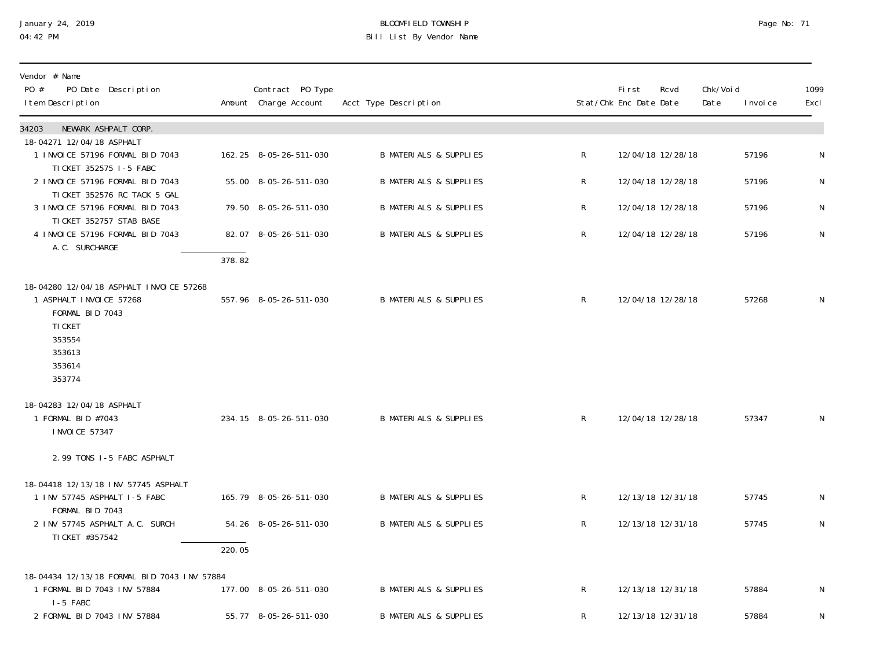# January 24, 2019 BLOOMFIELD TOWNSHIP Page No: 71 Bill List By Vendor Name

| Vendor # Name<br>PO #<br>PO Date Description<br>I tem Description                                                                        |        | Contract PO Type<br>Amount Charge Account | Acct Type Description             |              | First<br>Stat/Chk Enc Date Date | Rcvd              | Chk/Void<br>Date | I nvoi ce | 1099<br>Excl |
|------------------------------------------------------------------------------------------------------------------------------------------|--------|-------------------------------------------|-----------------------------------|--------------|---------------------------------|-------------------|------------------|-----------|--------------|
| NEWARK ASHPALT CORP.<br>34203                                                                                                            |        |                                           |                                   |              |                                 |                   |                  |           |              |
| 18-04271 12/04/18 ASPHALT<br>1 INVOICE 57196 FORMAL BID 7043<br>TI CKET 352575 1-5 FABC                                                  |        | 162.25 8-05-26-511-030                    | <b>B MATERIALS &amp; SUPPLIES</b> | R            |                                 | 12/04/18 12/28/18 |                  | 57196     | N            |
| 2 INVOICE 57196 FORMAL BID 7043<br>TICKET 352576 RC TACK 5 GAL                                                                           |        | 55.00 8-05-26-511-030                     | <b>B MATERIALS &amp; SUPPLIES</b> | R            |                                 | 12/04/18 12/28/18 |                  | 57196     | N            |
| 3 INVOICE 57196 FORMAL BID 7043<br>TI CKET 352757 STAB BASE                                                                              |        | 79.50 8-05-26-511-030                     | <b>B MATERIALS &amp; SUPPLIES</b> | $\mathsf{R}$ |                                 | 12/04/18 12/28/18 |                  | 57196     | $\mathsf N$  |
| 4 INVOICE 57196 FORMAL BID 7043<br>A. C. SURCHARGE                                                                                       |        | 82.07 8-05-26-511-030                     | <b>B MATERIALS &amp; SUPPLIES</b> | $\mathsf{R}$ |                                 | 12/04/18 12/28/18 |                  | 57196     | $\mathsf{N}$ |
|                                                                                                                                          | 378.82 |                                           |                                   |              |                                 |                   |                  |           |              |
| 18-04280 12/04/18 ASPHALT INVOICE 57268<br>1 ASPHALT INVOICE 57268<br>FORMAL BID 7043<br>TI CKET<br>353554<br>353613<br>353614<br>353774 |        | 557.96 8-05-26-511-030                    | <b>B MATERIALS &amp; SUPPLIES</b> | $\mathsf{R}$ |                                 | 12/04/18 12/28/18 |                  | 57268     | $\mathsf N$  |
| 18-04283 12/04/18 ASPHALT<br>1 FORMAL BID #7043<br>I NVOI CE 57347                                                                       |        | 234.15 8-05-26-511-030                    | <b>B MATERIALS &amp; SUPPLIES</b> | $\mathsf{R}$ |                                 | 12/04/18 12/28/18 |                  | 57347     | N            |
| 2.99 TONS I-5 FABC ASPHALT                                                                                                               |        |                                           |                                   |              |                                 |                   |                  |           |              |
| 18-04418 12/13/18 INV 57745 ASPHALT<br>1 INV 57745 ASPHALT I-5 FABC<br>FORMAL BID 7043                                                   |        | 165.79 8-05-26-511-030                    | <b>B MATERIALS &amp; SUPPLIES</b> | $\mathsf{R}$ |                                 | 12/13/18 12/31/18 |                  | 57745     | N            |
| 2 INV 57745 ASPHALT A.C. SURCH<br>TI CKET #357542                                                                                        |        | 54.26 8-05-26-511-030                     | <b>B MATERIALS &amp; SUPPLIES</b> | $\mathsf R$  |                                 | 12/13/18 12/31/18 |                  | 57745     | $\mathsf{N}$ |
|                                                                                                                                          | 220.05 |                                           |                                   |              |                                 |                   |                  |           |              |
| 18-04434 12/13/18 FORMAL BID 7043 INV 57884<br>1 FORMAL BID 7043 INV 57884<br>I-5 FABC                                                   |        | 177.00 8-05-26-511-030                    | <b>B MATERIALS &amp; SUPPLIES</b> | $\mathsf{R}$ |                                 | 12/13/18 12/31/18 |                  | 57884     | N            |
| 2 FORMAL BID 7043 INV 57884                                                                                                              |        | 55.77 8-05-26-511-030                     | <b>B MATERIALS &amp; SUPPLIES</b> | R            |                                 | 12/13/18 12/31/18 |                  | 57884     | N            |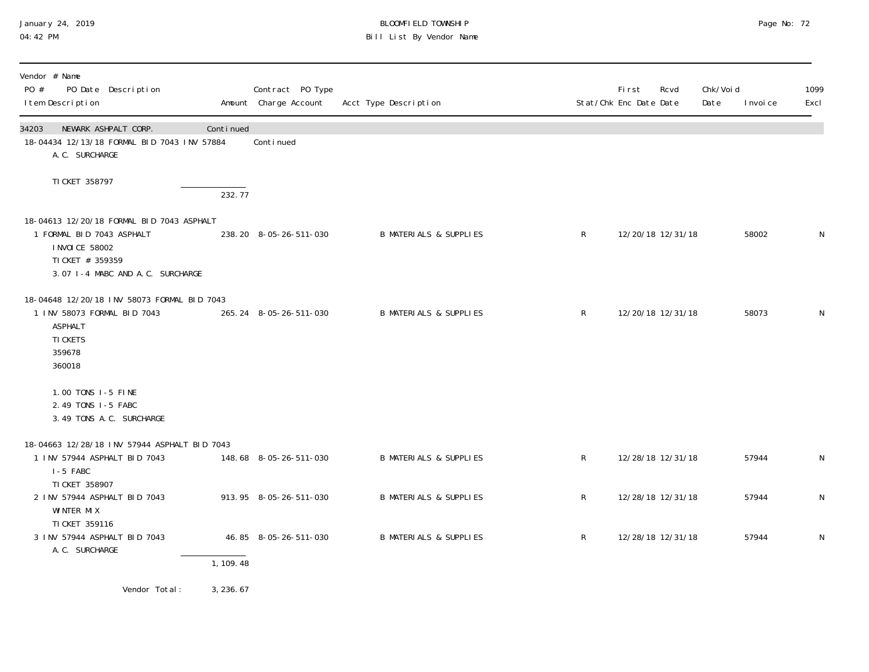## January 24, 2019 BLOOMFIELD TOWNSHIP Page No: 72 Bill List By Vendor Name

| Vendor # Name<br>PO #<br>PO Date Description<br>I tem Description                                                                                 |           | Contract PO Type<br>Amount Charge Account | Acct Type Description             |              | <b>First</b><br>Stat/Chk Enc Date Date | Rcvd | Chk/Void<br>Date | I nvoi ce | 1099<br>Excl |
|---------------------------------------------------------------------------------------------------------------------------------------------------|-----------|-------------------------------------------|-----------------------------------|--------------|----------------------------------------|------|------------------|-----------|--------------|
| NEWARK ASHPALT CORP.<br>34203<br>18-04434 12/13/18 FORMAL BID 7043 INV 57884<br>A. C. SURCHARGE                                                   | Continued | Conti nued                                |                                   |              |                                        |      |                  |           |              |
| TI CKET 358797                                                                                                                                    | 232.77    |                                           |                                   |              |                                        |      |                  |           |              |
| 18-04613 12/20/18 FORMAL BID 7043 ASPHALT<br>1 FORMAL BID 7043 ASPHALT<br>I NVOI CE 58002<br>TI CKET # 359359<br>3.07 I-4 MABC AND A.C. SURCHARGE |           | 238.20 8-05-26-511-030                    | <b>B MATERIALS &amp; SUPPLIES</b> | R            | 12/20/18 12/31/18                      |      |                  | 58002     | N            |
| 18-04648 12/20/18 INV 58073 FORMAL BID 7043<br>1 INV 58073 FORMAL BID 7043<br><b>ASPHALT</b><br>TI CKETS<br>359678<br>360018                      |           | 265.24 8-05-26-511-030                    | <b>B MATERIALS &amp; SUPPLIES</b> | $\mathsf{R}$ | 12/20/18 12/31/18                      |      |                  | 58073     | N            |
| 1.00 TONS I-5 FINE<br>2.49 TONS I-5 FABC<br>3.49 TONS A.C. SURCHARGE                                                                              |           |                                           |                                   |              |                                        |      |                  |           |              |
| 18-04663 12/28/18 INV 57944 ASPHALT BID 7043                                                                                                      |           |                                           |                                   |              |                                        |      |                  |           |              |
| 1 INV 57944 ASPHALT BID 7043<br>I-5 FABC<br>TI CKET 358907                                                                                        |           | 148.68 8-05-26-511-030                    | <b>B MATERIALS &amp; SUPPLIES</b> | $\mathsf{R}$ | 12/28/18 12/31/18                      |      |                  | 57944     | $\mathsf{N}$ |
| 2 INV 57944 ASPHALT BID 7043<br>WINTER MIX<br>TI CKET 359116                                                                                      |           | 913.95 8-05-26-511-030                    | <b>B MATERIALS &amp; SUPPLIES</b> | $\mathsf{R}$ | 12/28/18 12/31/18                      |      |                  | 57944     | $\mathsf N$  |
| 3 INV 57944 ASPHALT BID 7043<br>A. C. SURCHARGE                                                                                                   | 1, 109.48 | 46.85 8-05-26-511-030                     | <b>B MATERIALS &amp; SUPPLIES</b> | $\mathsf{R}$ | 12/28/18 12/31/18                      |      |                  | 57944     | $\mathsf N$  |
|                                                                                                                                                   |           |                                           |                                   |              |                                        |      |                  |           |              |
| Vendor Total:                                                                                                                                     | 3, 236.67 |                                           |                                   |              |                                        |      |                  |           |              |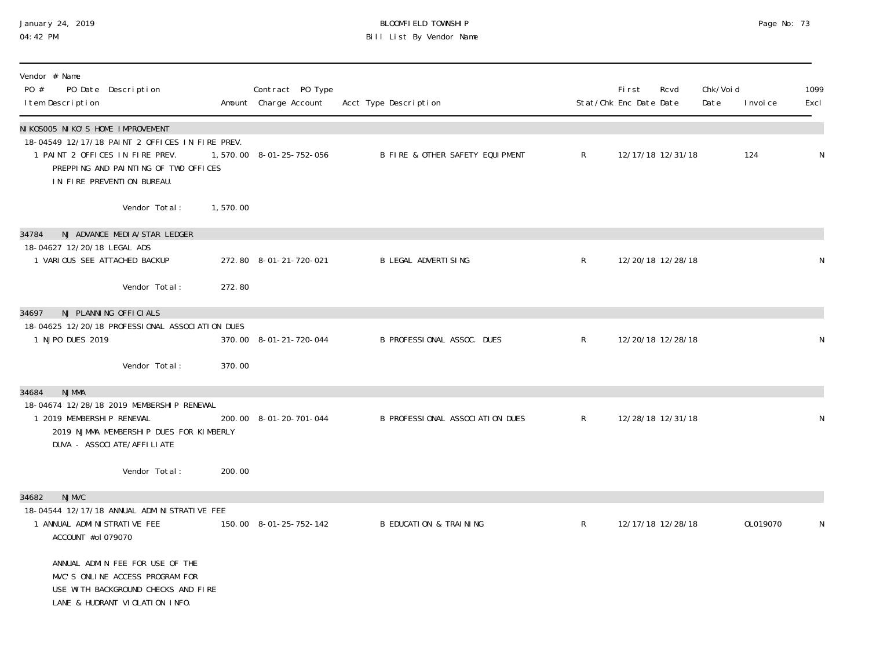### January 24, 2019 BLOOMFIELD TOWNSHIP Page No: 73 04:42 PM Bill List By Vendor Name

| Vendor # Name<br>PO #<br>PO Date Description<br>I tem Description                                                                                                                                                                                                        |          | Contract PO Type<br>Amount Charge Account | Acct Type Description             |                | <b>First</b><br>Stat/Chk Enc Date Date | Rcvd | Chk/Voi d<br>Date | I nvoi ce | 1099<br>Excl |
|--------------------------------------------------------------------------------------------------------------------------------------------------------------------------------------------------------------------------------------------------------------------------|----------|-------------------------------------------|-----------------------------------|----------------|----------------------------------------|------|-------------------|-----------|--------------|
| NIKOSOO5 NIKO'S HOME IMPROVEMENT<br>18-04549 12/17/18 PAINT 2 OFFICES IN FIRE PREV.<br>1 PAINT 2 OFFICES IN FIRE PREV.<br>PREPPING AND PAINTING OF TWO OFFICES<br>IN FIRE PREVENTION BUREAU.                                                                             |          | 1,570.00 8-01-25-752-056                  | B FIRE & OTHER SAFETY EQUIPMENT   | $\mathsf{R}$   | 12/17/18 12/31/18                      |      |                   | 124       | ${\sf N}$    |
| Vendor Total:                                                                                                                                                                                                                                                            | 1,570.00 |                                           |                                   |                |                                        |      |                   |           |              |
| NJ ADVANCE MEDIA/STAR LEDGER<br>34784<br>18-04627 12/20/18 LEGAL ADS<br>1 VARIOUS SEE ATTACHED BACKUP<br>Vendor Total:                                                                                                                                                   | 272.80   | 272.80 8-01-21-720-021                    | <b>B LEGAL ADVERTISING</b>        | $\mathsf{R}^-$ | 12/20/18 12/28/18                      |      |                   |           | N            |
| NJ PLANNING OFFICIALS<br>34697<br>18-04625 12/20/18 PROFESSIONAL ASSOCIATION DUES<br>1 NJPO DUES 2019<br>Vendor Total:                                                                                                                                                   | 370.00   | 370.00 8-01-21-720-044                    | B PROFESSIONAL ASSOC. DUES        | $\mathsf{R}$   | 12/20/18 12/28/18                      |      |                   |           | N            |
| <b>NJMMA</b><br>34684<br>18-04674 12/28/18 2019 MEMBERSHIP RENEWAL<br>1 2019 MEMBERSHIP RENEWAL<br>2019 NJMMA MEMBERSHIP DUES FOR KIMBERLY<br>DUVA - ASSOCI ATE/AFFI LI ATE<br>Vendor Total:                                                                             | 200.00   | 200.00 8-01-20-701-044                    | B PROFESSIONAL ASSOCIATION DUES   | R              | 12/28/18 12/31/18                      |      |                   |           | N            |
| <b>NJMVC</b><br>34682<br>18-04544 12/17/18 ANNUAL ADMINISTRATIVE FEE<br>1 ANNUAL ADMINISTRATIVE FEE<br>ACCOUNT #ol 079070<br>ANNUAL ADMIN FEE FOR USE OF THE<br>MVC'S ONLINE ACCESS PROGRAM FOR<br>USE WITH BACKGROUND CHECKS AND FIRE<br>LANE & HUDRANT VIOLATION INFO. |          | 150.00 8-01-25-752-142                    | <b>B EDUCATION &amp; TRAINING</b> | $\mathsf{R}$   | 12/17/18 12/28/18                      |      |                   | OL019070  | N            |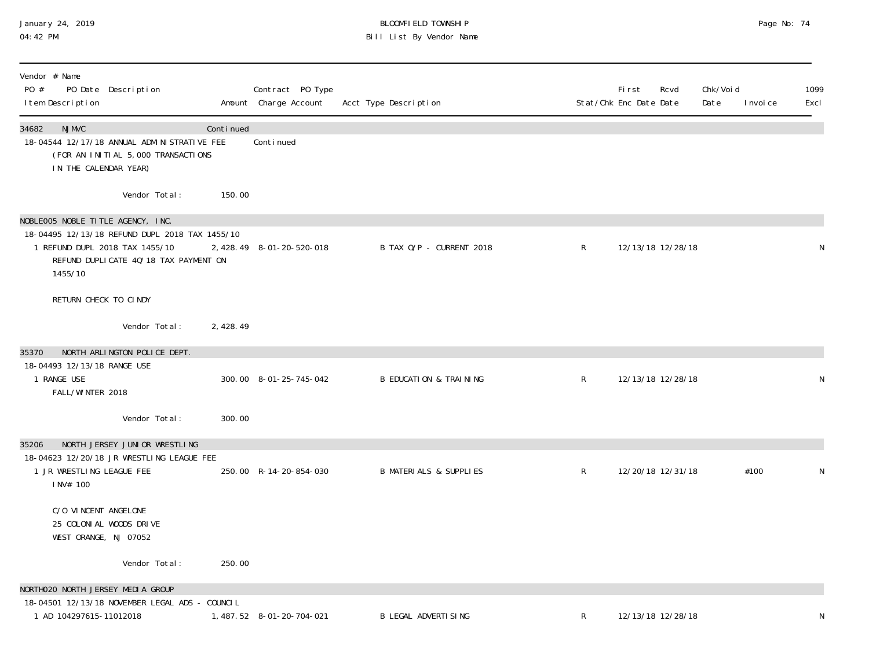# January 24, 2019 BLOOMFIELD TOWNSHIP Page No: 74 04:42 PM Bill List By Vendor Name

| Vendor # Name<br>PO #<br>PO Date Description<br>I tem Description                                                                                                          |           | Contract PO Type<br>Amount Charge Account | Acct Type Description             |              | <b>First</b><br>Stat/Chk Enc Date Date | Rcvd              | Chk/Voi d<br>Date | I nvoi ce | 1099<br>Excl |
|----------------------------------------------------------------------------------------------------------------------------------------------------------------------------|-----------|-------------------------------------------|-----------------------------------|--------------|----------------------------------------|-------------------|-------------------|-----------|--------------|
| <b>NJMVC</b><br>34682<br>18-04544 12/17/18 ANNUAL ADMINISTRATIVE FEE<br>(FOR AN INITIAL 5,000 TRANSACTIONS<br>IN THE CALENDAR YEAR)                                        | Continued | Conti nued                                |                                   |              |                                        |                   |                   |           |              |
| Vendor Total:                                                                                                                                                              | 150.00    |                                           |                                   |              |                                        |                   |                   |           |              |
| NOBLEOO5 NOBLE TITLE AGENCY, INC.<br>18-04495 12/13/18 REFUND DUPL 2018 TAX 1455/10<br>1 REFUND DUPL 2018 TAX 1455/10<br>REFUND DUPLICATE 4Q' 18 TAX PAYMENT ON<br>1455/10 |           | 2, 428.49 8-01-20-520-018                 | B TAX O/P - CURRENT 2018          | $\mathsf{R}$ |                                        | 12/13/18 12/28/18 |                   |           | N            |
| RETURN CHECK TO CINDY                                                                                                                                                      |           |                                           |                                   |              |                                        |                   |                   |           |              |
| Vendor Total:                                                                                                                                                              | 2, 428.49 |                                           |                                   |              |                                        |                   |                   |           |              |
| NORTH ARLINGTON POLICE DEPT.<br>35370                                                                                                                                      |           |                                           |                                   |              |                                        |                   |                   |           |              |
| 18-04493 12/13/18 RANGE USE<br>1 RANGE USE<br>FALL/WINTER 2018                                                                                                             |           | 300.00 8-01-25-745-042                    | <b>B EDUCATION &amp; TRAINING</b> | $\mathsf{R}$ |                                        | 12/13/18 12/28/18 |                   |           | N            |
| Vendor Total:                                                                                                                                                              | 300.00    |                                           |                                   |              |                                        |                   |                   |           |              |
| NORTH JERSEY JUNIOR WRESTLING<br>35206<br>18-04623 12/20/18 JR WRESTLING LEAGUE FEE<br>1 JR WRESTLING LEAGUE FEE<br>INV# 100                                               |           | 250.00 R-14-20-854-030                    | <b>B MATERIALS &amp; SUPPLIES</b> | $\mathsf{R}$ |                                        | 12/20/18 12/31/18 |                   | #100      | N            |
| C/O VINCENT ANGELONE<br>25 COLONIAL WOODS DRIVE<br>WEST ORANGE, NJ 07052                                                                                                   |           |                                           |                                   |              |                                        |                   |                   |           |              |
| Vendor Total:                                                                                                                                                              | 250.00    |                                           |                                   |              |                                        |                   |                   |           |              |
| NORTHO2O NORTH JERSEY MEDIA GROUP<br>18-04501 12/13/18 NOVEMBER LEGAL ADS - COUNCIL<br>1 AD 104297615-11012018                                                             |           | 1, 487.52 8-01-20-704-021                 | <b>B LEGAL ADVERTISING</b>        | R            |                                        | 12/13/18 12/28/18 |                   |           | N            |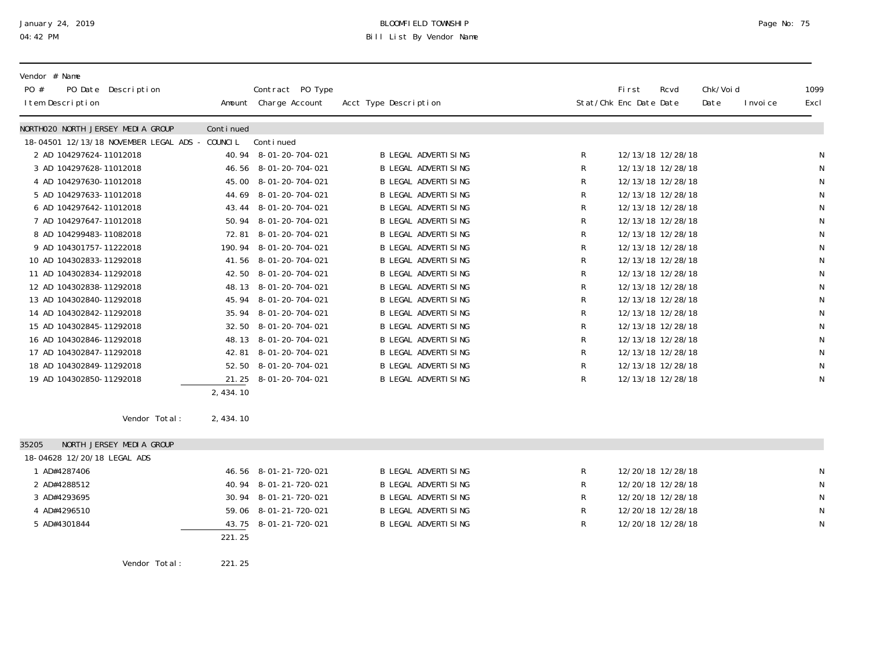# January 24, 2019 BLOOMFIELD TOWNSHIP Page No: 75 04:42 PM Bill List By Vendor Name

| Vendor # Name<br>PO #<br>PO Date Description<br>I tem Description |            | Contract PO Type<br>Amount Charge Account | Acct Type Description       |           | First<br>Stat/Chk Enc Date Date | Rcvd | Chk/Voi d<br>Date | I nvoi ce | 1099<br>Excl |
|-------------------------------------------------------------------|------------|-------------------------------------------|-----------------------------|-----------|---------------------------------|------|-------------------|-----------|--------------|
| NORTHO2O NORTH JERSEY MEDIA GROUP                                 | Continued  |                                           |                             |           |                                 |      |                   |           |              |
| 18-04501 12/13/18 NOVEMBER LEGAL ADS - COUNCIL                    |            | Continued                                 |                             |           |                                 |      |                   |           |              |
| 2 AD 104297624-11012018                                           |            | 40.94 8-01-20-704-021                     | <b>B LEGAL ADVERTISING</b>  | R         | 12/13/18 12/28/18               |      |                   |           | N            |
| 3 AD 104297628-11012018                                           |            | 46.56 8-01-20-704-021                     | <b>B LEGAL ADVERTISING</b>  | R         | 12/13/18 12/28/18               |      |                   |           | N            |
| 4 AD 104297630-11012018                                           |            | 45.00 8-01-20-704-021                     | <b>B LEGAL ADVERTISING</b>  | R         | 12/13/18 12/28/18               |      |                   |           | ${\sf N}$    |
| 5 AD 104297633-11012018                                           |            | 44.69 8-01-20-704-021                     | <b>B LEGAL ADVERTI SING</b> | R         | 12/13/18 12/28/18               |      |                   |           | ${\sf N}$    |
| 6 AD 104297642-11012018                                           |            | 43.44 8-01-20-704-021                     | <b>B LEGAL ADVERTISING</b>  | R         | 12/13/18 12/28/18               |      |                   |           | ${\sf N}$    |
| 7 AD 104297647-11012018                                           |            | 50.94 8-01-20-704-021                     | <b>B LEGAL ADVERTISING</b>  | R         | 12/13/18 12/28/18               |      |                   |           | ${\sf N}$    |
| 8 AD 104299483-11082018                                           | 72.81      | 8-01-20-704-021                           | <b>B LEGAL ADVERTISING</b>  | R         | 12/13/18 12/28/18               |      |                   |           | ${\sf N}$    |
| 9 AD 104301757-11222018                                           |            | 190.94 8-01-20-704-021                    | <b>B LEGAL ADVERTI SING</b> | R         | 12/13/18 12/28/18               |      |                   |           | ${\sf N}$    |
| 10 AD 104302833-11292018                                          |            | 41.56 8-01-20-704-021                     | <b>B LEGAL ADVERTISING</b>  | R         | 12/13/18 12/28/18               |      |                   |           | ${\sf N}$    |
| 11 AD 104302834-11292018                                          |            | 42.50 8-01-20-704-021                     | <b>B LEGAL ADVERTISING</b>  | ${\sf R}$ | 12/13/18 12/28/18               |      |                   |           | ${\sf N}$    |
| 12 AD 104302838-11292018                                          |            | 48.13 8-01-20-704-021                     | <b>B LEGAL ADVERTISING</b>  | R         | 12/13/18 12/28/18               |      |                   |           | ${\sf N}$    |
| 13 AD 104302840-11292018                                          |            | 45.94 8-01-20-704-021                     | <b>B LEGAL ADVERTISING</b>  | R         | 12/13/18 12/28/18               |      |                   |           | ${\sf N}$    |
| 14 AD 104302842-11292018                                          |            | 35.94 8-01-20-704-021                     | <b>B LEGAL ADVERTISING</b>  | R         | 12/13/18 12/28/18               |      |                   |           | ${\sf N}$    |
| 15 AD 104302845-11292018                                          |            | 32.50 8-01-20-704-021                     | <b>B LEGAL ADVERTISING</b>  | R         | 12/13/18 12/28/18               |      |                   |           | ${\sf N}$    |
| 16 AD 104302846-11292018                                          |            | 48.13 8-01-20-704-021                     | <b>B LEGAL ADVERTISING</b>  | R         | 12/13/18 12/28/18               |      |                   |           | ${\sf N}$    |
| 17 AD 104302847-11292018                                          | 42.81      | 8-01-20-704-021                           | <b>B LEGAL ADVERTISING</b>  | ${\sf R}$ | 12/13/18 12/28/18               |      |                   |           | ${\sf N}$    |
| 18 AD 104302849-11292018                                          |            | 52.50 8-01-20-704-021                     | <b>B LEGAL ADVERTISING</b>  | R         | 12/13/18 12/28/18               |      |                   |           | ${\sf N}$    |
| 19 AD 104302850-11292018                                          |            | 21.25 8-01-20-704-021                     | <b>B LEGAL ADVERTI SING</b> | R         | 12/13/18 12/28/18               |      |                   |           | $\mathsf N$  |
|                                                                   | 2, 434. 10 |                                           |                             |           |                                 |      |                   |           |              |
| Vendor Total:                                                     | 2, 434. 10 |                                           |                             |           |                                 |      |                   |           |              |
| NORTH JERSEY MEDIA GROUP<br>35205                                 |            |                                           |                             |           |                                 |      |                   |           |              |
| 18-04628 12/20/18 LEGAL ADS                                       |            |                                           |                             |           |                                 |      |                   |           |              |
| 1 AD#4287406                                                      |            | 46.56 8-01-21-720-021                     | <b>B LEGAL ADVERTISING</b>  | R         | 12/20/18 12/28/18               |      |                   |           | N            |
| 2 AD#4288512                                                      |            | 40.94 8-01-21-720-021                     | <b>B LEGAL ADVERTISING</b>  | R         | 12/20/18 12/28/18               |      |                   |           | ${\sf N}$    |
| 3 AD#4293695                                                      |            | 30.94 8-01-21-720-021                     | <b>B LEGAL ADVERTISING</b>  | ${\sf R}$ | 12/20/18 12/28/18               |      |                   |           | ${\sf N}$    |
| 4 AD#4296510                                                      |            | 59.06 8-01-21-720-021                     | <b>B LEGAL ADVERTISING</b>  | R         | 12/20/18 12/28/18               |      |                   |           | N            |
| 5 AD#4301844                                                      | 43.75      | 8-01-21-720-021                           | <b>B LEGAL ADVERTISING</b>  | R         | 12/20/18 12/28/18               |      |                   |           | N            |
|                                                                   | 221.25     |                                           |                             |           |                                 |      |                   |           |              |

Vendor Total: 221.25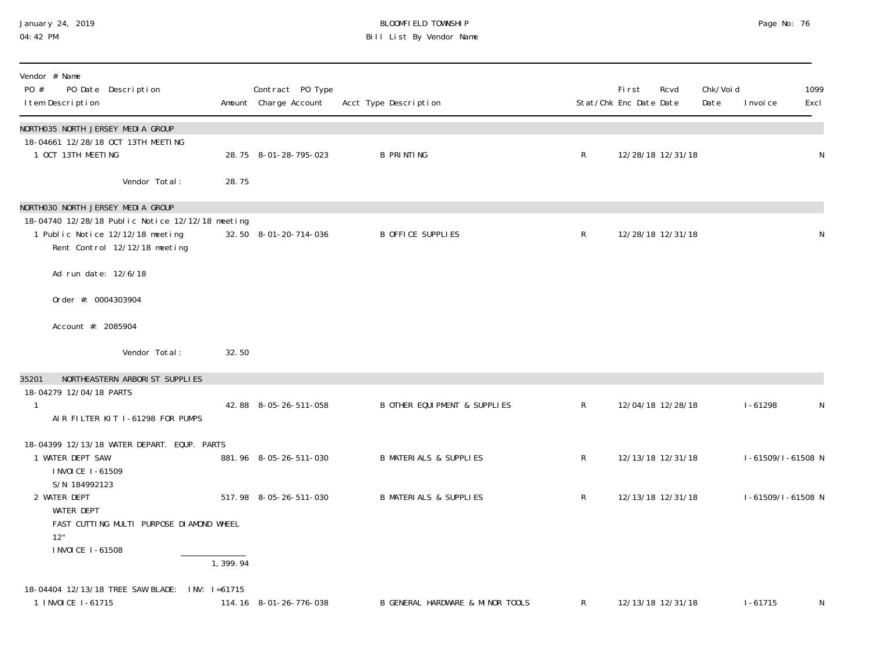### January 24, 2019 BLOOMFIELD TOWNSHIP Page No: 76 04:42 PM Bill List By Vendor Name

| Vendor # Name<br>PO #<br>PO Date Description<br>I tem Description                                                                                          |                  | Contract PO Type<br>Amount Charge Account | Acct Type Description                    |                | First<br>Stat/Chk Enc Date Date | Rcvd              | Chk/Voi d<br>Date | 1099<br>I nvoi ce<br>Excl |   |
|------------------------------------------------------------------------------------------------------------------------------------------------------------|------------------|-------------------------------------------|------------------------------------------|----------------|---------------------------------|-------------------|-------------------|---------------------------|---|
| NORTHO35 NORTH JERSEY MEDIA GROUP<br>18-04661 12/28/18 OCT 13TH MEETING<br>1 OCT 13TH MEETING                                                              |                  | 28.75 8-01-28-795-023                     | <b>B PRINTING</b>                        | $\mathsf{R}$   |                                 | 12/28/18 12/31/18 |                   |                           | N |
| Vendor Total:                                                                                                                                              | 28.75            |                                           |                                          |                |                                 |                   |                   |                           |   |
| NORTHO30 NORTH JERSEY MEDIA GROUP<br>18-04740 12/28/18 Public Notice 12/12/18 meeting<br>1 Public Notice 12/12/18 meeting<br>Rent Control 12/12/18 meeting |                  | 32.50 8-01-20-714-036                     | <b>B OFFICE SUPPLIES</b>                 | $\mathsf R$    |                                 | 12/28/18 12/31/18 |                   |                           | N |
| Ad run date: 12/6/18                                                                                                                                       |                  |                                           |                                          |                |                                 |                   |                   |                           |   |
| Order #: 0004303904                                                                                                                                        |                  |                                           |                                          |                |                                 |                   |                   |                           |   |
| Account #: 2085904                                                                                                                                         |                  |                                           |                                          |                |                                 |                   |                   |                           |   |
| Vendor Total:                                                                                                                                              | 32.50            |                                           |                                          |                |                                 |                   |                   |                           |   |
| NORTHEASTERN ARBORIST SUPPLIES<br>35201<br>18-04279 12/04/18 PARTS                                                                                         |                  |                                           |                                          |                |                                 |                   |                   |                           |   |
| AIR FILTER KIT I-61298 FOR PUMPS                                                                                                                           |                  | 42.88 8-05-26-511-058                     | <b>B OTHER EQUI PMENT &amp; SUPPLIES</b> | $\mathsf{R}$   |                                 | 12/04/18 12/28/18 |                   | $1 - 61298$               | N |
| 18-04399 12/13/18 WATER DEPART. EQUP. PARTS<br>1 WATER DEPT SAW<br>I NVOI CE 1-61509<br>S/N 184992123                                                      |                  | 881.96 8-05-26-511-030                    | <b>B MATERIALS &amp; SUPPLIES</b>        | R              |                                 | 12/13/18 12/31/18 |                   | I-61509/I-61508 N         |   |
| 2 WATER DEPT<br><b>WATER DEPT</b><br>FAST CUTTING MULTI PURPOSE DIAMOND WHEEL<br>12"<br>I NVOI CE 1-61508                                                  | 1, 399.94        | 517.98 8-05-26-511-030                    | <b>B MATERIALS &amp; SUPPLIES</b>        | R              |                                 | 12/13/18 12/31/18 |                   | I-61509/I-61508 N         |   |
| 18-04404 12/13/18 TREE SAW BLADE:<br>1 I NVOI CE 1-61715                                                                                                   | $INV: I = 61715$ | 114.16 8-01-26-776-038                    | B GENERAL HARDWARE & MINOR TOOLS         | $\mathsf{R}^-$ |                                 | 12/13/18 12/31/18 |                   | $1 - 61715$               | N |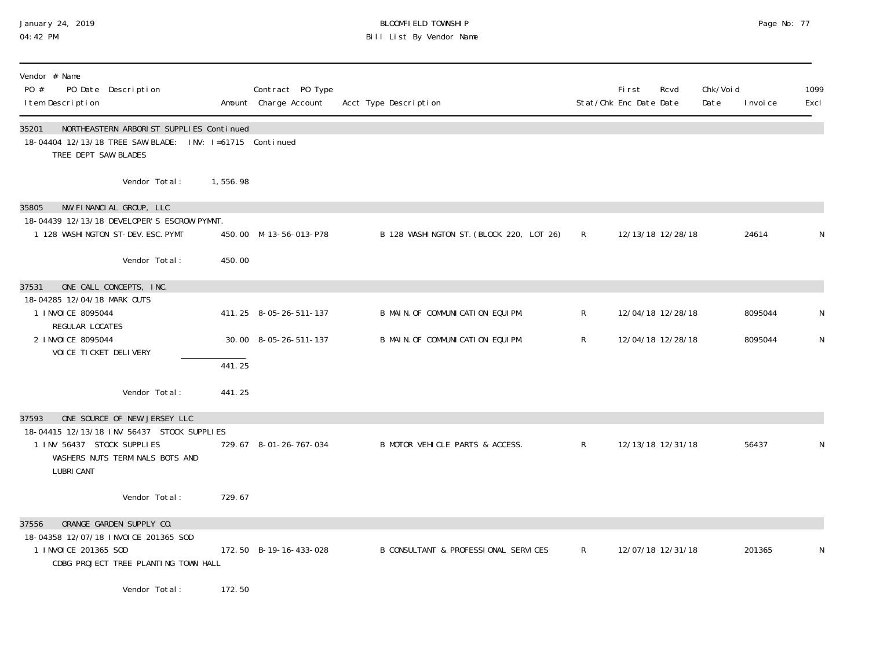# January 24, 2019 BLOOMFIELD TOWNSHIP Page No: 77 04:42 PM Bill List By Vendor Name

| Vendor # Name<br>PO #<br>PO Date Description<br>I tem Description                                                                     |          | Contract PO Type<br>Amount Charge Account | Acct Type Description                    |              | <b>First</b><br>Stat/Chk Enc Date Date | Rcvd | Chk/Void<br>Date | I nvoi ce | 1099<br>Excl |
|---------------------------------------------------------------------------------------------------------------------------------------|----------|-------------------------------------------|------------------------------------------|--------------|----------------------------------------|------|------------------|-----------|--------------|
| NORTHEASTERN ARBORIST SUPPLIES Continued<br>35201<br>18-04404 12/13/18 TREE SAW BLADE: INV: I=61715 Continued<br>TREE DEPT SAW BLADES |          |                                           |                                          |              |                                        |      |                  |           |              |
| Vendor Total:                                                                                                                         | 1,556.98 |                                           |                                          |              |                                        |      |                  |           |              |
| NW FINANCIAL GROUP, LLC<br>35805<br>18-04439 12/13/18 DEVELOPER'S ESCROW PYMNT.<br>1 128 WASHINGTON ST-DEV. ESC. PYMT                 |          | 450.00 M-13-56-013-P78                    | B 128 WASHINGTON ST. (BLOCK 220, LOT 26) | $\mathsf{R}$ | 12/13/18 12/28/18                      |      |                  | 24614     | N            |
| Vendor Total:                                                                                                                         | 450.00   |                                           |                                          |              |                                        |      |                  |           |              |
| ONE CALL CONCEPTS, INC.<br>37531                                                                                                      |          |                                           |                                          |              |                                        |      |                  |           |              |
| 18-04285 12/04/18 MARK OUTS<br>1 I NVOI CE 8095044<br>REGULAR LOCATES                                                                 |          | 411.25 8-05-26-511-137                    | B MAIN. OF COMMUNICATION EQUIPM.         | $\mathsf{R}$ | 12/04/18 12/28/18                      |      |                  | 8095044   | N            |
| 2 I NVOI CE 8095044<br>VOI CE TI CKET DELI VERY                                                                                       |          | 30.00 8-05-26-511-137                     | B MAIN. OF COMMUNICATION EQUIPM.         | R            | 12/04/18 12/28/18                      |      |                  | 8095044   | N            |
|                                                                                                                                       | 441.25   |                                           |                                          |              |                                        |      |                  |           |              |
| Vendor Total:                                                                                                                         | 441.25   |                                           |                                          |              |                                        |      |                  |           |              |
| ONE SOURCE OF NEW JERSEY LLC<br>37593                                                                                                 |          |                                           |                                          |              |                                        |      |                  |           |              |
| 18-04415 12/13/18 INV 56437 STOCK SUPPLIES<br>1 INV 56437 STOCK SUPPLIES<br>WASHERS NUTS TERMINALS BOTS AND<br><b>LUBRI CANT</b>      |          | 729.67 8-01-26-767-034                    | B MOTOR VEHICLE PARTS & ACCESS.          | $\mathsf{R}$ | 12/13/18 12/31/18                      |      |                  | 56437     | N            |
| Vendor Total:                                                                                                                         | 729.67   |                                           |                                          |              |                                        |      |                  |           |              |
| ORANGE GARDEN SUPPLY CO.<br>37556                                                                                                     |          |                                           |                                          |              |                                        |      |                  |           |              |
| 18-04358 12/07/18 INVOICE 201365 SOD<br>1 INVOICE 201365 SOD<br>CDBG PROJECT TREE PLANTING TOWN HALL                                  |          | 172.50 B-19-16-433-028                    | B CONSULTANT & PROFESSIONAL SERVICES     | $\mathsf{R}$ | 12/07/18 12/31/18                      |      |                  | 201365    | N            |
| Vendor Total:                                                                                                                         | 172.50   |                                           |                                          |              |                                        |      |                  |           |              |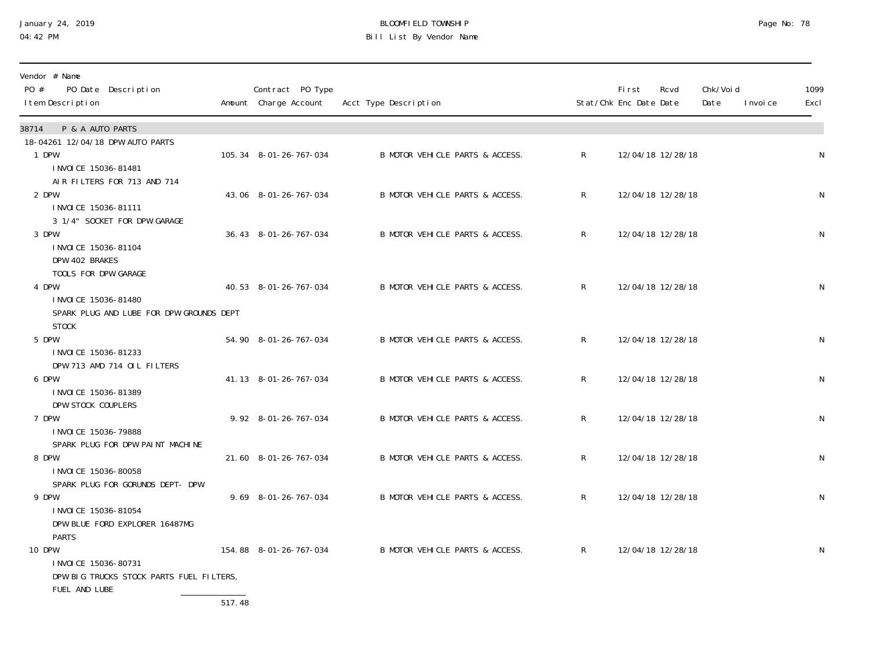# January 24, 2019 BLOOMFIELD TOWNSHIP Page No: 78 04:42 PM Bill List By Vendor Name

| Vendor # Name<br>PO #<br>PO Date Description<br>I tem Description                                   | Contract PO Type<br>Amount Charge Account | Acct Type Description           |              | <b>First</b><br>Stat/Chk Enc Date Date | Rcvd              | Chk/Voi d<br>Date | I nvoi ce | 1099<br>Excl |
|-----------------------------------------------------------------------------------------------------|-------------------------------------------|---------------------------------|--------------|----------------------------------------|-------------------|-------------------|-----------|--------------|
| P & A AUTO PARTS<br>38714                                                                           |                                           |                                 |              |                                        |                   |                   |           |              |
| 18-04261 12/04/18 DPW AUTO PARTS<br>1 DPW<br>I NVOI CE 15036-81481                                  | 105.34 8-01-26-767-034                    | B MOTOR VEHICLE PARTS & ACCESS. | $\mathsf{R}$ |                                        | 12/04/18 12/28/18 |                   |           | N            |
| AIR FILTERS FOR 713 AND 714<br>2 DPW<br>I NVOI CE 15036-81111                                       | 43.06 8-01-26-767-034                     | B MOTOR VEHICLE PARTS & ACCESS. | $\mathsf{R}$ |                                        | 12/04/18 12/28/18 |                   |           | N            |
| 3 1/4" SOCKET FOR DPW GARAGE<br>3 DPW<br>I NVOI CE 15036-81104<br>DPW 402 BRAKES                    | 36.43 8-01-26-767-034                     | B MOTOR VEHICLE PARTS & ACCESS. | $\mathsf{R}$ |                                        | 12/04/18 12/28/18 |                   |           | ${\sf N}$    |
| TOOLS FOR DPW GARAGE<br>4 DPW<br>I NVOI CE 15036-81480<br>SPARK PLUG AND LUBE FOR DPW GROUNDS DEPT  | 40.53 8-01-26-767-034                     | B MOTOR VEHICLE PARTS & ACCESS. | R            |                                        | 12/04/18 12/28/18 |                   |           | N            |
| <b>STOCK</b><br>5 DPW<br>I NVOI CE 15036-81233                                                      | 54.90 8-01-26-767-034                     | B MOTOR VEHICLE PARTS & ACCESS. | R.           |                                        | 12/04/18 12/28/18 |                   |           | N            |
| DPW 713 AMD 714 OIL FILTERS<br>6 DPW<br>I NVOI CE 15036-81389<br>DPW STOCK COUPLERS                 | 41.13 8-01-26-767-034                     | B MOTOR VEHICLE PARTS & ACCESS. | R            |                                        | 12/04/18 12/28/18 |                   |           | ${\sf N}$    |
| 7 DPW<br>I NVOI CE 15036-79888<br>SPARK PLUG FOR DPW PAINT MACHINE                                  | 9.92 8-01-26-767-034                      | B MOTOR VEHICLE PARTS & ACCESS. | R            |                                        | 12/04/18 12/28/18 |                   |           | ${\sf N}$    |
| 8 DPW<br>I NVOI CE 15036-80058<br>SPARK PLUG FOR GORUNDS DEPT- DPW                                  | 21.60 8-01-26-767-034                     | B MOTOR VEHICLE PARTS & ACCESS. | R            |                                        | 12/04/18 12/28/18 |                   |           | N            |
| 9 DPW<br>I NVOI CE 15036-81054<br>DPW BLUE FORD EXPLORER 16487MG<br><b>PARTS</b>                    | 9.69 8-01-26-767-034                      | B MOTOR VEHICLE PARTS & ACCESS. | $\mathsf{R}$ |                                        | 12/04/18 12/28/18 |                   |           | N            |
| <b>10 DPW</b><br>I NVOI CE 15036-80731<br>DPW BIG TRUCKS STOCK PARTS FUEL FILTERS,<br>FUEL AND LUBE | 154.88 8-01-26-767-034                    | B MOTOR VEHICLE PARTS & ACCESS. | $\mathsf{R}$ |                                        | 12/04/18 12/28/18 |                   |           | N            |

517.48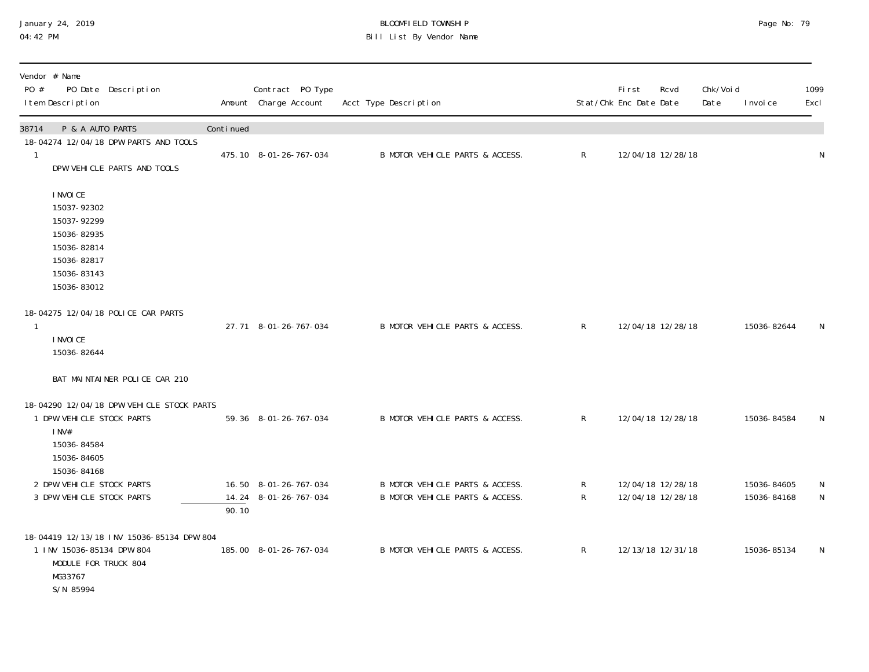# January 24, 2019 BLOOMFIELD TOWNSHIP Page No: 79 04:42 PM Bill List By Vendor Name

| Vendor # Name<br>$P0 \#$<br>PO Date Description<br>I tem Description                                                   |           | Contract PO Type<br>Amount Charge Account | Acct Type Description           |              | First<br>Stat/Chk Enc Date Date | Rcvd              | Chk/Voi d<br>Date | I nvoi ce   | 1099<br>Excl |
|------------------------------------------------------------------------------------------------------------------------|-----------|-------------------------------------------|---------------------------------|--------------|---------------------------------|-------------------|-------------------|-------------|--------------|
| P & A AUTO PARTS<br>38714                                                                                              | Continued |                                           |                                 |              |                                 |                   |                   |             |              |
| 18-04274 12/04/18 DPW PARTS AND TOOLS<br>$\overline{1}$<br>DPW VEHICLE PARTS AND TOOLS                                 |           | 475.10 8-01-26-767-034                    | B MOTOR VEHICLE PARTS & ACCESS. | $\mathsf{R}$ |                                 | 12/04/18 12/28/18 |                   |             | N            |
| I NVOI CE<br>15037-92302<br>15037-92299<br>15036-82935<br>15036-82814<br>15036-82817<br>15036-83143<br>15036-83012     |           |                                           |                                 |              |                                 |                   |                   |             |              |
| 18-04275 12/04/18 POLICE CAR PARTS<br>$\mathbf{1}$<br>I NVOI CE<br>15036-82644                                         |           | 27.71 8-01-26-767-034                     | B MOTOR VEHICLE PARTS & ACCESS. | $\mathsf{R}$ |                                 | 12/04/18 12/28/18 |                   | 15036-82644 | N            |
| BAT MAINTAINER POLICE CAR 210                                                                                          |           |                                           |                                 |              |                                 |                   |                   |             |              |
| 18-04290 12/04/18 DPW VEHICLE STOCK PARTS<br>1 DPW VEHICLE STOCK PARTS<br>$1$ NV#<br>15036-84584<br>15036-84605        |           | 59.36 8-01-26-767-034                     | B MOTOR VEHICLE PARTS & ACCESS. | $\mathsf{R}$ |                                 | 12/04/18 12/28/18 |                   | 15036-84584 | N            |
| 15036-84168<br>2 DPW VEHICLE STOCK PARTS                                                                               |           | 16.50 8-01-26-767-034                     | B MOTOR VEHICLE PARTS & ACCESS. | R            |                                 | 12/04/18 12/28/18 |                   | 15036-84605 | $\mathsf N$  |
| 3 DPW VEHICLE STOCK PARTS                                                                                              | 90.10     | 14.24 8-01-26-767-034                     | B MOTOR VEHICLE PARTS & ACCESS. | $\mathsf{R}$ |                                 | 12/04/18 12/28/18 |                   | 15036-84168 | $\mathsf{N}$ |
| 18-04419 12/13/18 INV 15036-85134 DPW 804<br>1 INV 15036-85134 DPW 804<br>MODULE FOR TRUCK 804<br>MG33767<br>S/N 85994 |           | 185.00 8-01-26-767-034                    | B MOTOR VEHICLE PARTS & ACCESS. | $\mathsf{R}$ |                                 | 12/13/18 12/31/18 |                   | 15036-85134 | N            |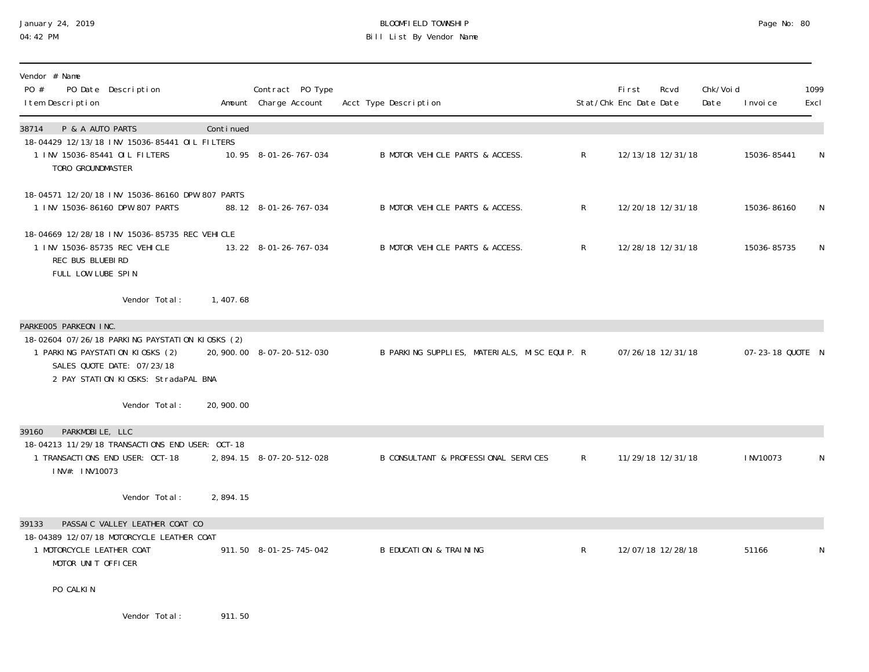### January 24, 2019 BLOOMFIELD TOWNSHIP Page No: 80 04:42 PM Bill List By Vendor Name

| Vendor # Name<br>PO Date Description<br>PO #<br>I tem Description                                                                                       |             | Contract PO Type<br>Amount Charge Account | Acct Type Description                        |                | First<br>Stat/Chk Enc Date Date | Rcvd              | Chk/Voi d<br>Date | I nvoi ce        | 1099<br>Excl |
|---------------------------------------------------------------------------------------------------------------------------------------------------------|-------------|-------------------------------------------|----------------------------------------------|----------------|---------------------------------|-------------------|-------------------|------------------|--------------|
| P & A AUTO PARTS<br>38714<br>18-04429 12/13/18 INV 15036-85441 OIL FILTERS<br>1 INV 15036-85441 OIL FILTERS                                             | Continued   | 10.95 8-01-26-767-034                     | B MOTOR VEHICLE PARTS & ACCESS.              | $\mathsf{R}$   |                                 | 12/13/18 12/31/18 |                   | 15036-85441      | N            |
| TORO GROUNDMASTER                                                                                                                                       |             |                                           |                                              |                |                                 |                   |                   |                  |              |
| 18-04571 12/20/18 INV 15036-86160 DPW 807 PARTS<br>1 INV 15036-86160 DPW 807 PARTS                                                                      |             | 88.12 8-01-26-767-034                     | B MOTOR VEHICLE PARTS & ACCESS.              | R.             |                                 | 12/20/18 12/31/18 |                   | 15036-86160      | N            |
| 18-04669 12/28/18 INV 15036-85735 REC VEHICLE<br>1 INV 15036-85735 REC VEHICLE<br>REC BUS BLUEBIRD<br>FULL LOW LUBE SPIN                                |             | 13.22 8-01-26-767-034                     | B MOTOR VEHICLE PARTS & ACCESS.              | $\mathsf{R}^-$ |                                 | 12/28/18 12/31/18 |                   | 15036-85735      | N            |
| Vendor Total:                                                                                                                                           | 1,407.68    |                                           |                                              |                |                                 |                   |                   |                  |              |
| PARKE005 PARKEON INC.                                                                                                                                   |             |                                           |                                              |                |                                 |                   |                   |                  |              |
| 18-02604 07/26/18 PARKING PAYSTATION KIOSKS (2)<br>1 PARKING PAYSTATION KIOSKS (2)<br>SALES QUOTE DATE: 07/23/18<br>2 PAY STATION KIOSKS: StradaPAL BNA |             | 20, 900. 00 8-07-20-512-030               | B PARKING SUPPLIES, MATERIALS, MISC EQUIP. R |                |                                 | 07/26/18 12/31/18 |                   | 07-23-18 QUOTE N |              |
| Vendor Total:                                                                                                                                           | 20, 900. 00 |                                           |                                              |                |                                 |                   |                   |                  |              |
| PARKMOBILE, LLC<br>39160<br>18-04213 11/29/18 TRANSACTIONS END USER: OCT-18                                                                             |             |                                           |                                              |                |                                 |                   |                   |                  |              |
| 1 TRANSACTIONS END USER: OCT-18<br>INV#: INV10073                                                                                                       |             | 2, 894. 15 8-07-20-512-028                | B CONSULTANT & PROFESSIONAL SERVICES         | $\mathsf{R}^-$ |                                 | 11/29/18 12/31/18 |                   | I NV10073        | N            |
| Vendor Total:                                                                                                                                           | 2,894.15    |                                           |                                              |                |                                 |                   |                   |                  |              |
| PASSAIC VALLEY LEATHER COAT CO<br>39133<br>18-04389 12/07/18 MOTORCYCLE LEATHER COAT                                                                    |             |                                           |                                              |                |                                 |                   |                   |                  |              |
| 1 MOTORCYCLE LEATHER COAT<br>MOTOR UNIT OFFICER                                                                                                         |             | 911.50 8-01-25-745-042                    | <b>B EDUCATION &amp; TRAINING</b>            | $\mathsf{R}$   |                                 | 12/07/18 12/28/18 |                   | 51166            | N            |
| PO CALKIN                                                                                                                                               |             |                                           |                                              |                |                                 |                   |                   |                  |              |
| Vendor Total:                                                                                                                                           | 911.50      |                                           |                                              |                |                                 |                   |                   |                  |              |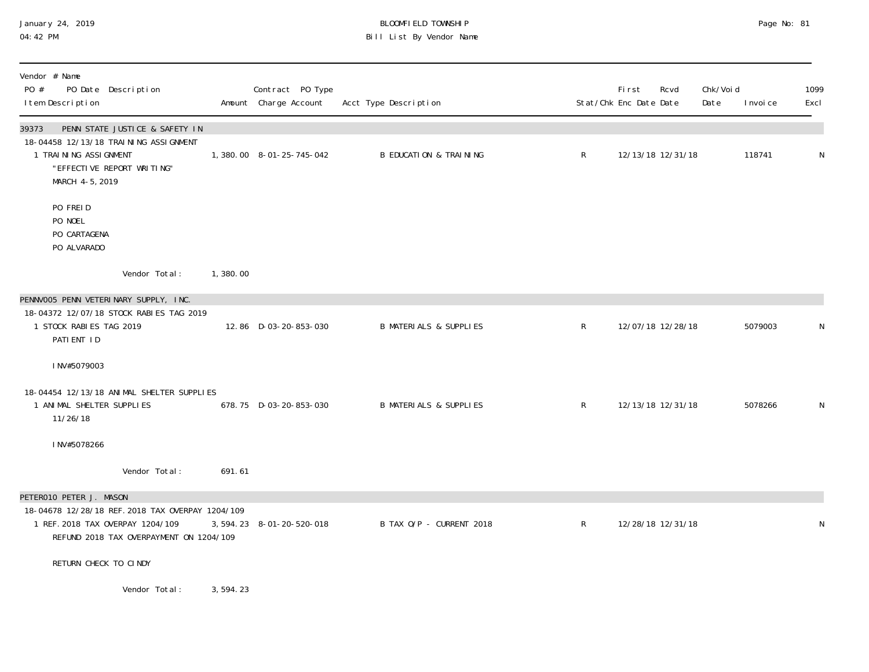# January 24, 2019 BLOOMFIELD TOWNSHIP Page No: 81 04:42 PM Bill List By Vendor Name

| Vendor # Name<br>PO #<br>PO Date Description<br>I tem Description                                                                                          |          | Contract PO Type<br>Amount Charge Account | Acct Type Description             |              | <b>First</b><br>Stat/Chk Enc Date Date | Rcvd              | Chk/Voi d<br>Date | I nvoi ce | 1099<br>Excl |
|------------------------------------------------------------------------------------------------------------------------------------------------------------|----------|-------------------------------------------|-----------------------------------|--------------|----------------------------------------|-------------------|-------------------|-----------|--------------|
| PENN STATE JUSTICE & SAFETY IN<br>39373<br>18-04458 12/13/18 TRAINING ASSIGNMENT<br>1 TRAINING ASSIGNMENT<br>"EFFECTIVE REPORT WRITING"<br>MARCH 4-5, 2019 |          | 1,380.00 8-01-25-745-042                  | <b>B EDUCATION &amp; TRAINING</b> | $\mathsf{R}$ |                                        | 12/13/18 12/31/18 |                   | 118741    | $\mathsf{N}$ |
| PO FREID<br>PO NOEL<br>PO CARTAGENA<br>PO ALVARADO                                                                                                         |          |                                           |                                   |              |                                        |                   |                   |           |              |
| Vendor Total:                                                                                                                                              | 1,380.00 |                                           |                                   |              |                                        |                   |                   |           |              |
| PENNVOO5 PENN VETERINARY SUPPLY, INC.<br>18-04372 12/07/18 STOCK RABIES TAG 2019<br>1 STOCK RABIES TAG 2019<br>PATIENT ID                                  |          | 12.86 D-03-20-853-030                     | <b>B MATERIALS &amp; SUPPLIES</b> | $\mathsf{R}$ |                                        | 12/07/18 12/28/18 |                   | 5079003   | N            |
| INV#5079003                                                                                                                                                |          |                                           |                                   |              |                                        |                   |                   |           |              |
| 18-04454 12/13/18 ANIMAL SHELTER SUPPLIES<br>1 ANIMAL SHELTER SUPPLIES<br>11/26/18                                                                         |          | 678.75 D-03-20-853-030                    | <b>B MATERIALS &amp; SUPPLIES</b> | $\mathsf{R}$ |                                        | 12/13/18 12/31/18 |                   | 5078266   | $\mathsf{N}$ |
| INV#5078266                                                                                                                                                |          |                                           |                                   |              |                                        |                   |                   |           |              |
| Vendor Total:                                                                                                                                              | 691.61   |                                           |                                   |              |                                        |                   |                   |           |              |
| PETERO10 PETER J. MASON                                                                                                                                    |          |                                           |                                   |              |                                        |                   |                   |           |              |
| 18-04678 12/28/18 REF. 2018 TAX OVERPAY 1204/109<br>1 REF. 2018 TAX OVERPAY 1204/109<br>REFUND 2018 TAX OVERPAYMENT ON 1204/109                            |          | 3, 594. 23 8-01-20-520-018                | B TAX O/P - CURRENT 2018          | $\mathsf{R}$ |                                        | 12/28/18 12/31/18 |                   |           | $\mathsf N$  |
| RETURN CHECK TO CINDY                                                                                                                                      |          |                                           |                                   |              |                                        |                   |                   |           |              |
| Vendor Total:                                                                                                                                              | 3,594.23 |                                           |                                   |              |                                        |                   |                   |           |              |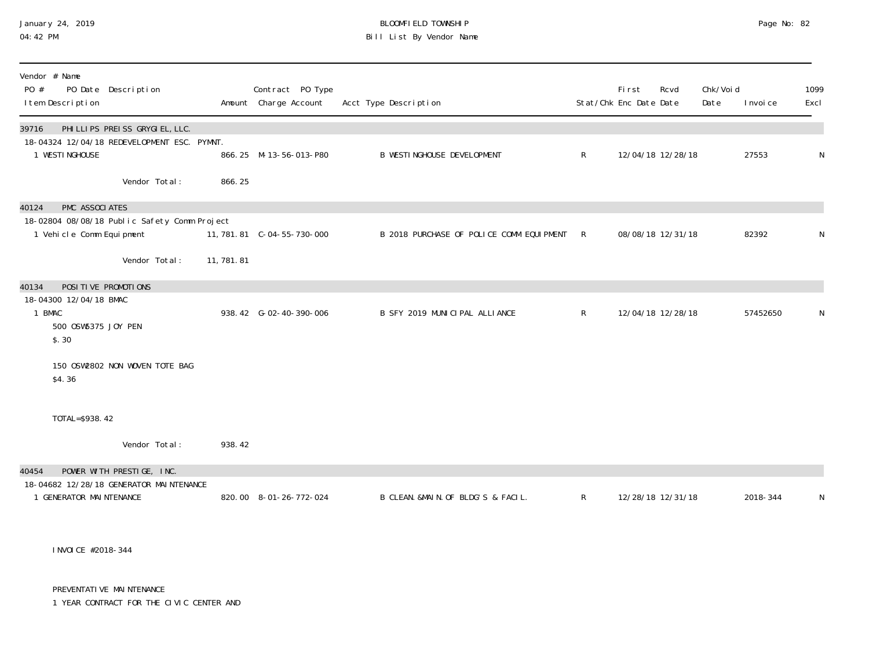# January 24, 2019 BLOOMFIELD TOWNSHIP Page No: 82 Bill List By Vendor Name

| Vendor # Name<br>PO #<br>I tem Description                                                          | PO Date Description               |             | Contract PO Type<br>Amount Charge Account | Acct Type Description                    |              | <b>First</b><br>Stat/Chk Enc Date Date | Rcvd | Chk/Voi d<br>Date | I nvoi ce | 1099<br>Excl |
|-----------------------------------------------------------------------------------------------------|-----------------------------------|-------------|-------------------------------------------|------------------------------------------|--------------|----------------------------------------|------|-------------------|-----------|--------------|
| 39716<br>18-04324 12/04/18 REDEVELOPMENT ESC. PYMNT.<br>1 WESTINGHOUSE                              | PHI LLI PS PREI SS GRYGI EL, LLC. |             | 866.25 M-13-56-013-P80                    | <b>B WESTINGHOUSE DEVELOPMENT</b>        | $\mathsf{R}$ | 12/04/18 12/28/18                      |      |                   | 27553     | N            |
|                                                                                                     | Vendor Total:                     | 866.25      |                                           |                                          |              |                                        |      |                   |           |              |
| PMC ASSOCIATES<br>40124<br>18-02804 08/08/18 Public Safety Comm Project<br>1 Vehicle Comm Equipment |                                   |             |                                           | B 2018 PURCHASE OF POLICE COMM EQUIPMENT | R            | 08/08/18 12/31/18                      |      |                   | 82392     | N            |
|                                                                                                     | Vendor Total:                     | 11, 781. 81 |                                           |                                          |              |                                        |      |                   |           |              |
| POSITIVE PROMOTIONS<br>40134<br>18-04300 12/04/18 BMAC<br>1 BMAC<br>500 0SW5375 JOY PEN<br>\$.30    |                                   |             | 938.42 G-02-40-390-006                    | B SFY 2019 MUNICIPAL ALLIANCE            | $\mathsf{R}$ | 12/04/18 12/28/18                      |      |                   | 57452650  | N            |
| \$4.36                                                                                              | 150 OSW2802 NON WOVEN TOTE BAG    |             |                                           |                                          |              |                                        |      |                   |           |              |
| TOTAL=\$938.42                                                                                      |                                   |             |                                           |                                          |              |                                        |      |                   |           |              |
|                                                                                                     | Vendor Total:                     | 938.42      |                                           |                                          |              |                                        |      |                   |           |              |
| 40454                                                                                               | POWER WITH PRESTIGE, INC.         |             |                                           |                                          |              |                                        |      |                   |           |              |
| 18-04682 12/28/18 GENERATOR MAINTENANCE<br>1 GENERATOR MAINTENANCE                                  |                                   |             | 820.00 8-01-26-772-024                    | B CLEAN. &MAIN. OF BLDG'S & FACIL.       | $\mathsf{R}$ | 12/28/18 12/31/18                      |      |                   | 2018-344  | N            |

INVOICE #2018-344

PREVENTATI VE MAI NTENANCE

1 YEAR CONTRACT FOR THE CIVIC CENTER AND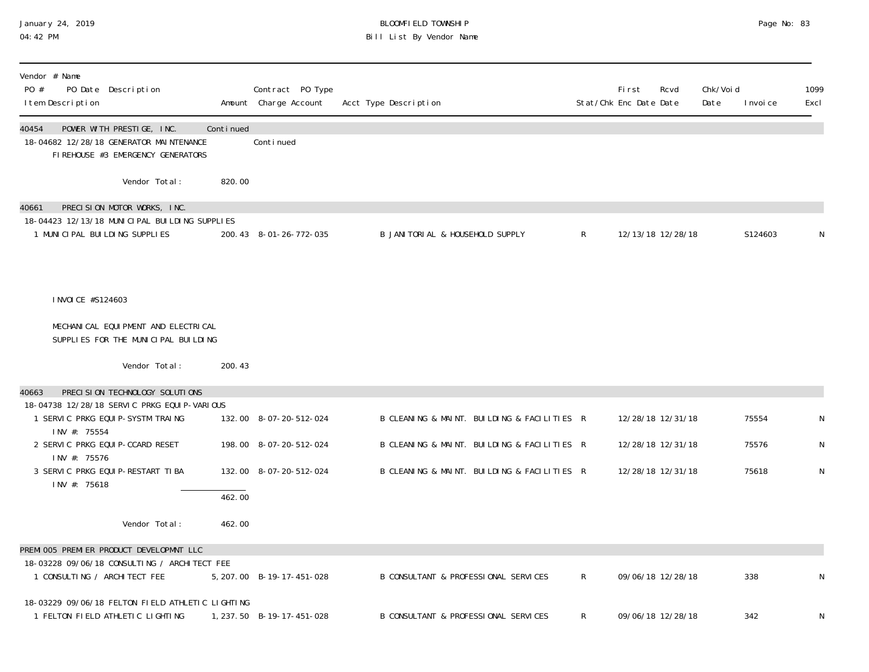### January 24, 2019 BLOOMFIELD TOWNSHIP Page No: 83 04:42 PM Bill List By Vendor Name

| Vendor # Name<br>PO #<br>PO Date Description<br>I tem Description                                                      |           | Contract PO Type<br>Amount Charge Account | Acct Type Description                       |              | First<br>Stat/Chk Enc Date Date | Rcvd              | Chk/Voi d<br>Date | I nvoi ce | 1099<br>Excl |
|------------------------------------------------------------------------------------------------------------------------|-----------|-------------------------------------------|---------------------------------------------|--------------|---------------------------------|-------------------|-------------------|-----------|--------------|
| 40454<br>POWER WITH PRESTIGE, INC.<br>18-04682 12/28/18 GENERATOR MAINTENANCE<br>FIREHOUSE #3 EMERGENCY GENERATORS     | Continued | Conti nued                                |                                             |              |                                 |                   |                   |           |              |
| Vendor Total:                                                                                                          | 820.00    |                                           |                                             |              |                                 |                   |                   |           |              |
| PRECISION MOTOR WORKS, INC.<br>40661<br>18-04423 12/13/18 MUNICIPAL BUILDING SUPPLIES<br>1 MUNICIPAL BUILDING SUPPLIES |           | 200.43 8-01-26-772-035                    | B JANITORIAL & HOUSEHOLD SUPPLY             | $\mathsf{R}$ |                                 | 12/13/18 12/28/18 |                   | S124603   | N            |
| I NVOI CE #S124603                                                                                                     |           |                                           |                                             |              |                                 |                   |                   |           |              |
| MECHANICAL EQUIPMENT AND ELECTRICAL<br>SUPPLIES FOR THE MUNICIPAL BUILDING                                             |           |                                           |                                             |              |                                 |                   |                   |           |              |
| Vendor Total:                                                                                                          | 200.43    |                                           |                                             |              |                                 |                   |                   |           |              |
| PRECISION TECHNOLOGY SOLUTIONS<br>40663<br>18-04738 12/28/18 SERVIC PRKG EQUIP-VARIOUS                                 |           |                                           |                                             |              |                                 |                   |                   |           |              |
| 1 SERVIC PRKG EQUIP-SYSTM TRAING<br>INV #: 75554                                                                       |           | 132.00 8-07-20-512-024                    | B CLEANING & MAINT. BUILDING & FACILITIES R |              |                                 | 12/28/18 12/31/18 |                   | 75554     | N            |
| 2 SERVIC PRKG EQUIP-CCARD RESET<br>INV #: 75576                                                                        |           | 198.00 8-07-20-512-024                    | B CLEANING & MAINT. BUILDING & FACILITIES R |              |                                 | 12/28/18 12/31/18 |                   | 75576     | ${\sf N}$    |
| 3 SERVIC PRKG EQUIP-RESTART TIBA<br>INV #: 75618                                                                       |           | 132.00 8-07-20-512-024                    | B CLEANING & MAINT. BUILDING & FACILITIES R |              |                                 | 12/28/18 12/31/18 |                   | 75618     | ${\sf N}$    |
|                                                                                                                        | 462.00    |                                           |                                             |              |                                 |                   |                   |           |              |
| Vendor Total:                                                                                                          | 462.00    |                                           |                                             |              |                                 |                   |                   |           |              |
| PREMI 005 PREMI ER PRODUCT DEVELOPMNT LLC<br>18-03228 09/06/18 CONSULTING / ARCHITECT FEE                              |           |                                           |                                             |              |                                 |                   |                   |           |              |
| 1 CONSULTING / ARCHITECT FEE                                                                                           |           | 5, 207.00 B-19-17-451-028                 | B CONSULTANT & PROFESSIONAL SERVICES        | $\mathsf{R}$ |                                 | 09/06/18 12/28/18 |                   | 338       | N            |
| 18-03229 09/06/18 FELTON FIELD ATHLETIC LIGHTING<br>1 FELTON FIELD ATHLETIC LIGHTING                                   |           | 1, 237.50 B-19-17-451-028                 | B CONSULTANT & PROFESSIONAL SERVICES        | R.           |                                 | 09/06/18 12/28/18 |                   | 342       | N            |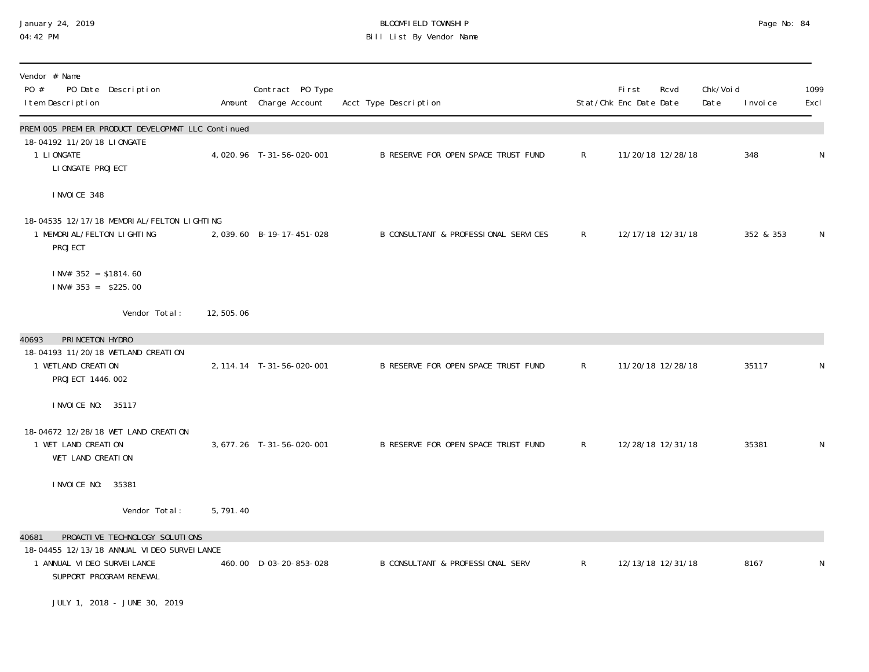## January 24, 2019 BLOOMFIELD TOWNSHIP Page No: 84 04:42 PM Bill List By Vendor Name

| Vendor # Name<br>PO #<br>PO Date Description<br>I tem Description                                                    |           | Contract PO Type<br>Amount Charge Account | Acct Type Description                       | Stat/Chk Enc Date Date | <b>First</b> | Rcvd              | Chk/Voi d<br>Date | I nvoi ce | 1099<br>Excl |
|----------------------------------------------------------------------------------------------------------------------|-----------|-------------------------------------------|---------------------------------------------|------------------------|--------------|-------------------|-------------------|-----------|--------------|
| PREMI 005 PREMI ER PRODUCT DEVELOPMNT LLC Continued<br>18-04192 11/20/18 LIONGATE<br>1 LIONGATE<br>LI ONGATE PROJECT |           | 4,020.96 T-31-56-020-001                  | B RESERVE FOR OPEN SPACE TRUST FUND         | $\mathsf{R}^-$         |              | 11/20/18 12/28/18 |                   | 348       | $\mathsf N$  |
| I NVOI CE 348                                                                                                        |           |                                           |                                             |                        |              |                   |                   |           |              |
| 18-04535 12/17/18 MEMORI AL/FELTON LIGHTING<br>1 MEMORI AL/FELTON LIGHTING<br>PROJECT                                |           | 2,039.60 B-19-17-451-028                  | B CONSULTANT & PROFESSIONAL SERVICES        | $\mathsf{R}$           |              | 12/17/18 12/31/18 |                   | 352 & 353 | N            |
| $1$ NV# 352 = \$1814.60<br>$1 \text{N} \text{V}$ # 353 = \$225.00                                                    |           |                                           |                                             |                        |              |                   |                   |           |              |
| Vendor Total:                                                                                                        | 12,505.06 |                                           |                                             |                        |              |                   |                   |           |              |
| 40693<br>PRINCETON HYDRO                                                                                             |           |                                           |                                             |                        |              |                   |                   |           |              |
| 18-04193 11/20/18 WETLAND CREATION<br>1 WETLAND CREATION<br>PROJECT 1446.002                                         |           | 2, 114. 14 T-31-56-020-001                | B RESERVE FOR OPEN SPACE TRUST FUND         | $R_{\perp}$            |              | 11/20/18 12/28/18 |                   | 35117     | N            |
| I NVOI CE NO: 35117                                                                                                  |           |                                           |                                             |                        |              |                   |                   |           |              |
| 18-04672 12/28/18 WET LAND CREATION<br>1 WET LAND CREATION<br>WET LAND CREATION                                      |           | 3, 677. 26 T-31-56-020-001                | B RESERVE FOR OPEN SPACE TRUST FUND         | $\mathsf{R}$           |              | 12/28/18 12/31/18 |                   | 35381     | N            |
| I NVOI CE NO:<br>35381                                                                                               |           |                                           |                                             |                        |              |                   |                   |           |              |
| Vendor Total:                                                                                                        | 5,791.40  |                                           |                                             |                        |              |                   |                   |           |              |
| PROACTIVE TECHNOLOGY SOLUTIONS<br>40681                                                                              |           |                                           |                                             |                        |              |                   |                   |           |              |
| 18-04455 12/13/18 ANNUAL VIDEO SURVEI LANCE<br>1 ANNUAL VI DEO SURVEI LANCE<br>SUPPORT PROGRAM RENEWAL               |           | 460.00 D-03-20-853-028                    | <b>B CONSULTANT &amp; PROFESSIONAL SERV</b> | $\mathsf{R}^-$         |              | 12/13/18 12/31/18 |                   | 8167      | N            |
| JULY 1, 2018 - JUNE 30, 2019                                                                                         |           |                                           |                                             |                        |              |                   |                   |           |              |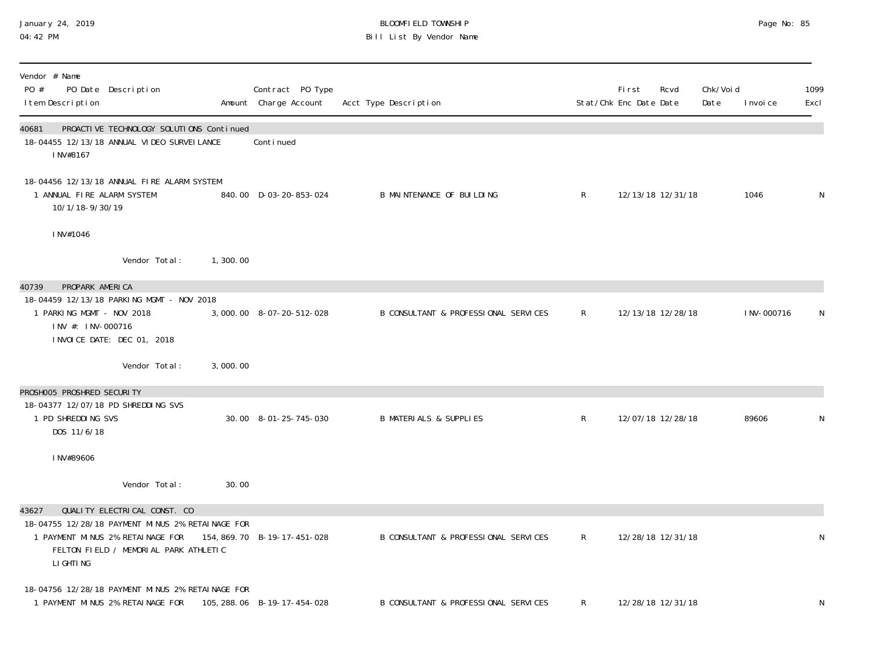### January 24, 2019 BLOOMFIELD TOWNSHIP Page No: 85 04:42 PM Bill List By Vendor Name

| Vendor # Name<br>PO #<br>PO Date Description<br>I tem Description                                                                                                                    |          | Contract PO Type<br>Amount Charge Account | Acct Type Description                |              | First<br>Stat/Chk Enc Date Date | Rcvd              | Chk/Voi d<br>Date | I nvoi ce   | 1099<br>Excl |
|--------------------------------------------------------------------------------------------------------------------------------------------------------------------------------------|----------|-------------------------------------------|--------------------------------------|--------------|---------------------------------|-------------------|-------------------|-------------|--------------|
| PROACTIVE TECHNOLOGY SOLUTIONS Continued<br>40681<br>18-04455 12/13/18 ANNUAL VIDEO SURVEILANCE<br>INV#8167                                                                          |          | Conti nued                                |                                      |              |                                 |                   |                   |             |              |
| 18-04456 12/13/18 ANNUAL FIRE ALARM SYSTEM<br>1 ANNUAL FIRE ALARM SYSTEM<br>10/1/18-9/30/19                                                                                          |          | 840.00 D-03-20-853-024                    | B MAINTENANCE OF BUILDING            | R            |                                 | 12/13/18 12/31/18 |                   | 1046        | N            |
| INV#1046                                                                                                                                                                             |          |                                           |                                      |              |                                 |                   |                   |             |              |
| Vendor Total:                                                                                                                                                                        | 1,300.00 |                                           |                                      |              |                                 |                   |                   |             |              |
| PROPARK AMERICA<br>40739<br>18-04459 12/13/18 PARKING MGMT - NOV 2018<br>1 PARKING MGMT - NOV 2018<br>INV #: INV-000716<br>INVOICE DATE: DEC 01, 2018                                |          | 3,000.00 8-07-20-512-028                  | B CONSULTANT & PROFESSIONAL SERVICES | R            |                                 | 12/13/18 12/28/18 |                   | I NV-000716 | N            |
| Vendor Total:                                                                                                                                                                        | 3,000.00 |                                           |                                      |              |                                 |                   |                   |             |              |
| PROSHOO5 PROSHRED SECURITY                                                                                                                                                           |          |                                           |                                      |              |                                 |                   |                   |             |              |
| 18-04377 12/07/18 PD SHREDDING SVS<br>1 PD SHREDDING SVS<br>DOS 11/6/18                                                                                                              |          | 30.00 8-01-25-745-030                     | <b>B MATERIALS &amp; SUPPLIES</b>    | $\mathsf{R}$ |                                 | 12/07/18 12/28/18 |                   | 89606       | N            |
| INV#89606                                                                                                                                                                            |          |                                           |                                      |              |                                 |                   |                   |             |              |
| Vendor Total:                                                                                                                                                                        | 30.00    |                                           |                                      |              |                                 |                   |                   |             |              |
| QUALITY ELECTRICAL CONST. CO<br>43627<br>18-04755 12/28/18 PAYMENT MINUS 2% RETAINAGE FOR<br>1 PAYMENT MINUS 2% RETAINAGE FOR<br>FELTON FIELD / MEMORIAL PARK ATHLETIC<br>LI GHTI NG |          | 154, 869. 70 B-19-17-451-028              | B CONSULTANT & PROFESSIONAL SERVICES | $\mathsf{R}$ |                                 | 12/28/18 12/31/18 |                   |             | N            |
| 18-04756 12/28/18 PAYMENT MINUS 2% RETAINAGE FOR<br>1 PAYMENT MINUS 2% RETAINAGE FOR                                                                                                 |          | 105, 288. 06 B-19-17-454-028              | B CONSULTANT & PROFESSIONAL SERVICES | $\mathsf{R}$ |                                 | 12/28/18 12/31/18 |                   |             | N            |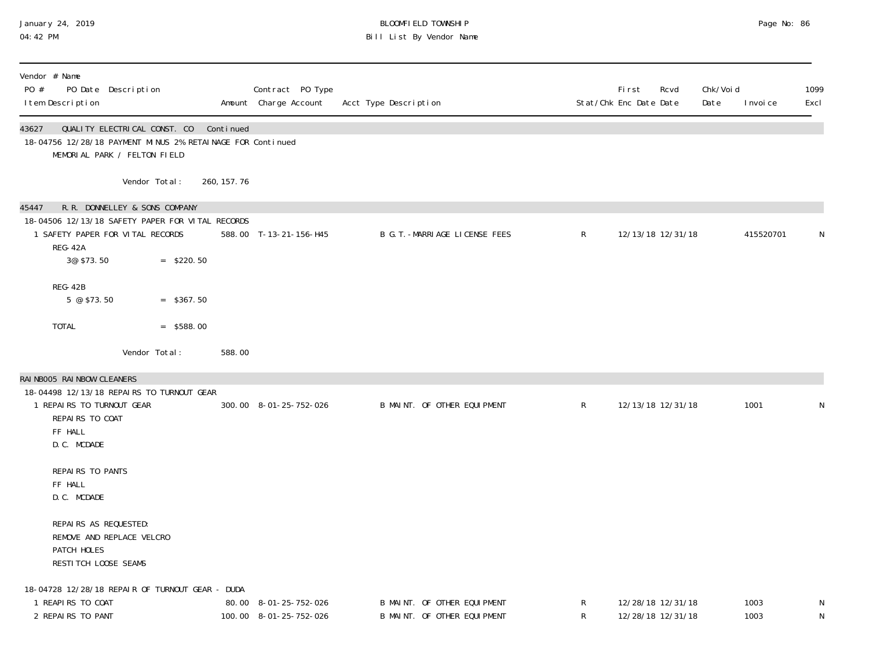#### January 24, 2019 BLOOMFIELD TOWNSHIP Page No: 86 04:42 PM Bill List By Vendor Name

| Vendor # Name<br>PO #<br>I tem Description                                                                                                        | PO Date Description                                          |              |           | Contract PO Type<br>Amount Charge Account       | Acct Type Description                                      |              | First<br>Rcvd<br>Stat/Chk Enc Date Date | Chk/Voi d<br>Date | I nvoi ce    | 1099<br>Excl |
|---------------------------------------------------------------------------------------------------------------------------------------------------|--------------------------------------------------------------|--------------|-----------|-------------------------------------------------|------------------------------------------------------------|--------------|-----------------------------------------|-------------------|--------------|--------------|
| 43627<br>18-04756 12/28/18 PAYMENT MINUS 2% RETAINAGE FOR Continued                                                                               | QUALITY ELECTRICAL CONST. CO<br>MEMORIAL PARK / FELTON FIELD |              | Continued |                                                 |                                                            |              |                                         |                   |              |              |
|                                                                                                                                                   | Vendor Total:                                                | 260, 157. 76 |           |                                                 |                                                            |              |                                         |                   |              |              |
| 45447<br>18-04506 12/13/18 SAFETY PAPER FOR VITAL RECORDS<br>1 SAFETY PAPER FOR VITAL RECORDS<br>REG-42A<br>3@ \$73.50                            | R.R. DONNELLEY & SONS COMPANY                                | $=$ \$220.50 |           | 588.00 T-13-21-156-H45                          | B G. T. - MARRI AGE LICENSE FEES                           | $\mathsf{R}$ | 12/13/18 12/31/18                       |                   | 415520701    | N            |
| REG-42B<br>$5 \circ $73.50$                                                                                                                       |                                                              | $=$ \$367.50 |           |                                                 |                                                            |              |                                         |                   |              |              |
| <b>TOTAL</b>                                                                                                                                      |                                                              | $=$ \$588.00 |           |                                                 |                                                            |              |                                         |                   |              |              |
|                                                                                                                                                   | Vendor Total:                                                |              | 588.00    |                                                 |                                                            |              |                                         |                   |              |              |
| RAINBOO5 RAINBOW CLEANERS<br>18-04498 12/13/18 REPAIRS TO TURNOUT GEAR<br>1 REPAIRS TO TURNOUT GEAR<br>REPAIRS TO COAT<br>FF HALL<br>D. C. MCDADE |                                                              |              |           | 300.00 8-01-25-752-026                          | B MAINT. OF OTHER EQUIPMENT                                | $\mathsf{R}$ | 12/13/18 12/31/18                       |                   | 1001         | N            |
| REPAIRS TO PANTS<br>FF HALL<br>D.C. MCDADE                                                                                                        |                                                              |              |           |                                                 |                                                            |              |                                         |                   |              |              |
| REPAIRS AS REQUESTED:<br>PATCH HOLES<br>RESTITCH LOOSE SEAMS                                                                                      | REMOVE AND REPLACE VELCRO                                    |              |           |                                                 |                                                            |              |                                         |                   |              |              |
| 18-04728 12/28/18 REPAIR OF TURNOUT GEAR - DUDA<br>1 REAPIRS TO COAT<br>2 REPAIRS TO PANT                                                         |                                                              |              |           | 80.00 8-01-25-752-026<br>100.00 8-01-25-752-026 | B MAINT. OF OTHER EQUIPMENT<br>B MAINT. OF OTHER EQUIPMENT | R<br>R       | 12/28/18 12/31/18<br>12/28/18 12/31/18  |                   | 1003<br>1003 | N<br>N       |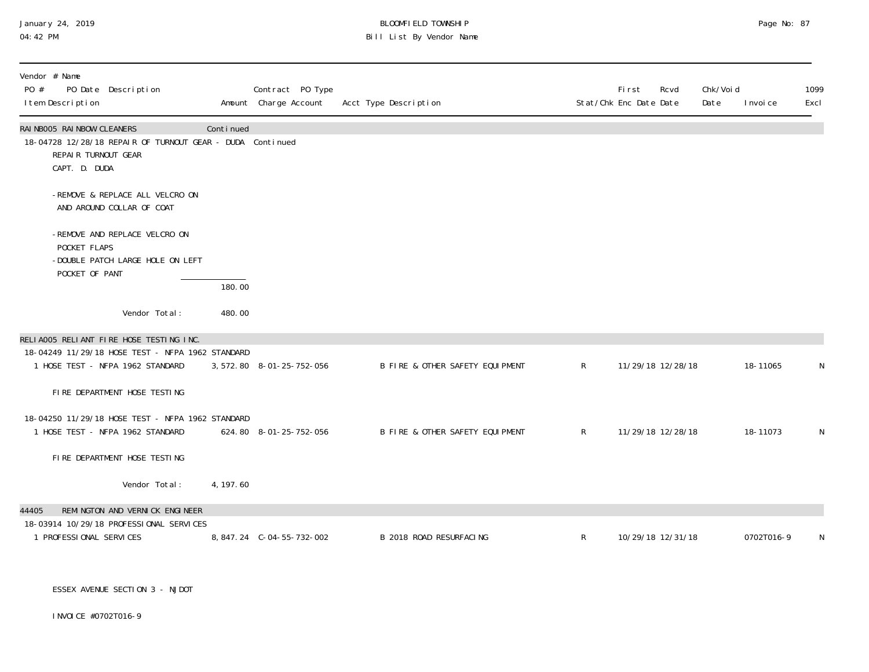## January 24, 2019 BLOOMFIELD TOWNSHIP Page No: 87 04:42 PM Bill List By Vendor Name

| Vendor # Name<br>PO Date Description<br>PO #<br>I tem Description                                                               |           | Contract PO Type<br>Amount Charge Account | Acct Type Description           |              | First<br>Stat/Chk Enc Date Date | Chk/Void<br>Rcvd<br>Date | I nvoi ce  | 1099<br>Excl |
|---------------------------------------------------------------------------------------------------------------------------------|-----------|-------------------------------------------|---------------------------------|--------------|---------------------------------|--------------------------|------------|--------------|
| RAINBOO5 RAINBOW CLEANERS<br>18-04728 12/28/18 REPAIR OF TURNOUT GEAR - DUDA Continued<br>REPAIR TURNOUT GEAR<br>CAPT. D. DUDA  | Continued |                                           |                                 |              |                                 |                          |            |              |
| -REMOVE & REPLACE ALL VELCRO ON<br>AND AROUND COLLAR OF COAT                                                                    |           |                                           |                                 |              |                                 |                          |            |              |
| -REMOVE AND REPLACE VELCRO ON<br>POCKET FLAPS<br>-DOUBLE PATCH LARGE HOLE ON LEFT<br>POCKET OF PANT                             |           |                                           |                                 |              |                                 |                          |            |              |
|                                                                                                                                 | 180.00    |                                           |                                 |              |                                 |                          |            |              |
| Vendor Total:                                                                                                                   | 480.00    |                                           |                                 |              |                                 |                          |            |              |
| RELIA005 RELIANT FIRE HOSE TESTING INC.<br>18-04249 11/29/18 HOSE TEST - NFPA 1962 STANDARD<br>1 HOSE TEST - NFPA 1962 STANDARD |           | 3, 572. 80 8-01-25-752-056                | B FIRE & OTHER SAFETY EQUIPMENT | $\mathsf R$  | 11/29/18 12/28/18               |                          | 18-11065   | N            |
| FIRE DEPARTMENT HOSE TESTING                                                                                                    |           |                                           |                                 |              |                                 |                          |            |              |
| 18-04250 11/29/18 HOSE TEST - NFPA 1962 STANDARD<br>1 HOSE TEST - NFPA 1962 STANDARD                                            |           | 624.80 8-01-25-752-056                    | B FIRE & OTHER SAFETY EQUIPMENT | $\mathsf{R}$ | 11/29/18 12/28/18               |                          | 18-11073   | N            |
| FIRE DEPARTMENT HOSE TESTING                                                                                                    |           |                                           |                                 |              |                                 |                          |            |              |
| Vendor Total:                                                                                                                   | 4, 197.60 |                                           |                                 |              |                                 |                          |            |              |
| REMINGTON AND VERNICK ENGINEER<br>44405                                                                                         |           |                                           |                                 |              |                                 |                          |            |              |
| 18-03914 10/29/18 PROFESSIONAL SERVICES<br>1 PROFESSIONAL SERVICES                                                              |           | 8, 847. 24 C-04-55-732-002                | B 2018 ROAD RESURFACING         | $\mathsf{R}$ | 10/29/18 12/31/18               |                          | 0702T016-9 | N            |
| ESSEX AVENUE SECTION 3 - NJDOT                                                                                                  |           |                                           |                                 |              |                                 |                          |            |              |
| INVOICE #0702T016-9                                                                                                             |           |                                           |                                 |              |                                 |                          |            |              |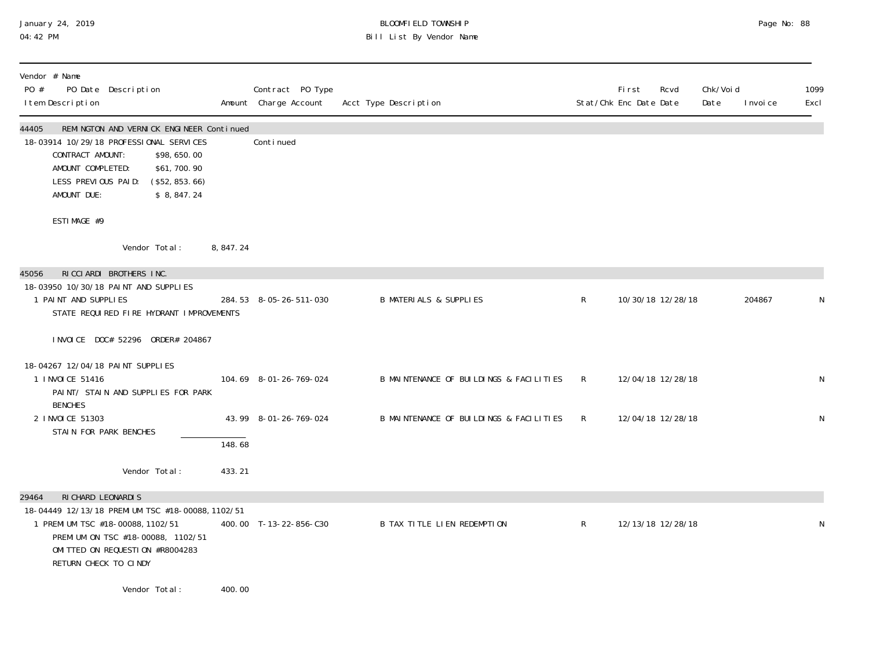# January 24, 2019 BLOOMFIELD TOWNSHIP Page No: 88 04:42 PM Bill List By Vendor Name

| Vendor # Name<br>PO Date Description<br>PO #<br>I tem Description                                                                                                                                                                         |            | Contract PO Type<br>Amount Charge Account | Acct Type Description                   |              | Fi rst<br>Rcvd<br>Stat/Chk Enc Date Date | Chk/Voi d<br>Date | 1099<br>Excl<br>I nvoi ce |   |
|-------------------------------------------------------------------------------------------------------------------------------------------------------------------------------------------------------------------------------------------|------------|-------------------------------------------|-----------------------------------------|--------------|------------------------------------------|-------------------|---------------------------|---|
| 44405<br>REMINGTON AND VERNICK ENGINEER Continued<br>18-03914 10/29/18 PROFESSIONAL SERVICES<br>CONTRACT AMOUNT:<br>\$98,650.00<br>AMOUNT COMPLETED:<br>\$61,700.90<br>LESS PREVIOUS PAID:<br>(\$52, 853.66)<br>AMOUNT DUE:<br>\$8,847.24 |            | Conti nued                                |                                         |              |                                          |                   |                           |   |
| ESTIMAGE #9                                                                                                                                                                                                                               |            |                                           |                                         |              |                                          |                   |                           |   |
| Vendor Total:                                                                                                                                                                                                                             | 8, 847. 24 |                                           |                                         |              |                                          |                   |                           |   |
| RICCIARDI BROTHERS INC.<br>45056<br>18-03950 10/30/18 PAINT AND SUPPLIES<br>1 PAINT AND SUPPLIES                                                                                                                                          |            | 284.53 8-05-26-511-030                    | <b>B MATERIALS &amp; SUPPLIES</b>       | $\mathsf{R}$ | 10/30/18 12/28/18                        |                   | 204867                    |   |
| STATE REQUIRED FIRE HYDRANT IMPROVEMENTS                                                                                                                                                                                                  |            |                                           |                                         |              |                                          |                   |                           |   |
| INVOICE DOC# 52296 ORDER# 204867                                                                                                                                                                                                          |            |                                           |                                         |              |                                          |                   |                           |   |
| 18-04267 12/04/18 PAINT SUPPLIES<br>1 INVOICE 51416<br>PAINT/ STAIN AND SUPPLIES FOR PARK<br><b>BENCHES</b>                                                                                                                               |            | 104.69 8-01-26-769-024                    | B MAINTENANCE OF BUILDINGS & FACILITIES | R            | 12/04/18 12/28/18                        |                   |                           | N |
| 2 INVOICE 51303<br>STAIN FOR PARK BENCHES                                                                                                                                                                                                 |            | 43.99 8-01-26-769-024                     | B MAINTENANCE OF BUILDINGS & FACILITIES | R            | 12/04/18 12/28/18                        |                   |                           | N |
|                                                                                                                                                                                                                                           | 148.68     |                                           |                                         |              |                                          |                   |                           |   |
| Vendor Total:                                                                                                                                                                                                                             | 433.21     |                                           |                                         |              |                                          |                   |                           |   |
| RI CHARD LEONARDI S<br>29464<br>18-04449 12/13/18 PREMIUM TSC #18-00088, 1102/51<br>1 PREMIUM TSC #18-00088, 1102/51<br>PREMIUM ON TSC #18-00088, 1102/51<br>OMITTED ON REQUESTION #R8004283<br>RETURN CHECK TO CINDY                     |            | 400.00 T-13-22-856-C30                    | <b>B TAX TITLE LIEN REDEMPTION</b>      | $\mathsf{R}$ | 12/13/18 12/28/18                        |                   |                           |   |
| Vendor Total:                                                                                                                                                                                                                             | 400.00     |                                           |                                         |              |                                          |                   |                           |   |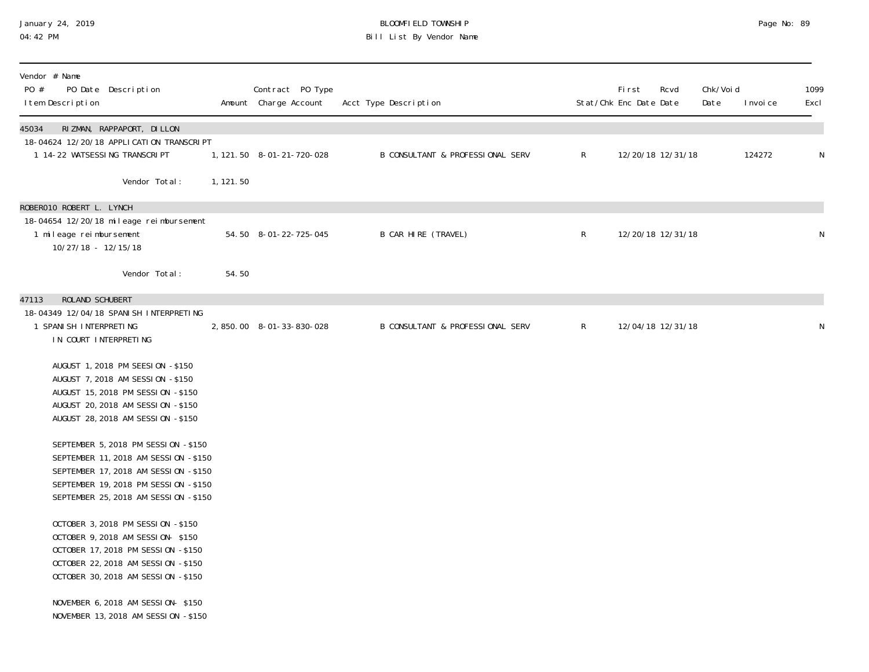## January 24, 2019 BLOOMFIELD TOWNSHIP Page No: 89 04:42 PM Bill List By Vendor Name

| Vendor # Name<br>PO #<br>PO Date Description<br>I tem Description                                                                                                                                                                                                                                                                                                                                                                                                                                                             |           | Contract PO Type<br>Amount Charge Account | Acct Type Description                       |              | First<br>Stat/Chk Enc Date Date | Rcvd              | Chk/Voi d<br>Date | I nvoi ce | 1099<br>Excl |
|-------------------------------------------------------------------------------------------------------------------------------------------------------------------------------------------------------------------------------------------------------------------------------------------------------------------------------------------------------------------------------------------------------------------------------------------------------------------------------------------------------------------------------|-----------|-------------------------------------------|---------------------------------------------|--------------|---------------------------------|-------------------|-------------------|-----------|--------------|
| RIZMAN, RAPPAPORT, DILLON<br>45034<br>18-04624 12/20/18 APPLI CATION TRANSCRIPT<br>1 14-22 WATSESSING TRANSCRIPT                                                                                                                                                                                                                                                                                                                                                                                                              |           | 1, 121. 50  8-01-21-720-028               | B CONSULTANT & PROFESSIONAL SERV            | $\mathsf{R}$ |                                 | 12/20/18 12/31/18 |                   | 124272    | ${\sf N}$    |
| Vendor Total:                                                                                                                                                                                                                                                                                                                                                                                                                                                                                                                 | 1, 121.50 |                                           |                                             |              |                                 |                   |                   |           |              |
| ROBERO10 ROBERT L. LYNCH<br>18-04654 12/20/18 mileage reimbursement<br>1 mileage reimbursement<br>10/27/18 - 12/15/18                                                                                                                                                                                                                                                                                                                                                                                                         |           | 54.50 8-01-22-725-045                     | B CAR HIRE (TRAVEL)                         | $\mathsf R$  |                                 | 12/20/18 12/31/18 |                   |           | N            |
| Vendor Total:                                                                                                                                                                                                                                                                                                                                                                                                                                                                                                                 | 54.50     |                                           |                                             |              |                                 |                   |                   |           |              |
| <b>ROLAND SCHUBERT</b><br>47113<br>18-04349 12/04/18 SPANI SH INTERPRETING<br>1 SPANI SH INTERPRETING<br>IN COURT INTERPRETING<br>AUGUST 1, 2018 PM SEESI 0N -\$150<br>AUGUST 7, 2018 AM SESSION -\$150<br>AUGUST 15, 2018 PM SESSION -\$150<br>AUGUST 20, 2018 AM SESSION -\$150<br>AUGUST 28, 2018 AM SESSION -\$150<br>SEPTEMBER 5, 2018 PM SESSION -\$150<br>SEPTEMBER 11, 2018 AM SESSION -\$150<br>SEPTEMBER 17, 2018 AM SESSION -\$150<br>SEPTEMBER 19, 2018 PM SESSION -\$150<br>SEPTEMBER 25, 2018 AM SESSION -\$150 |           | 2,850.00 8-01-33-830-028                  | <b>B CONSULTANT &amp; PROFESSIONAL SERV</b> | $\mathsf{R}$ |                                 | 12/04/18 12/31/18 |                   |           | N            |
| OCTOBER 3, 2018 PM SESSION -\$150<br>OCTOBER 9, 2018 AM SESSION- \$150<br>OCTOBER 17, 2018 PM SESSION -\$150<br>OCTOBER 22, 2018 AM SESSION -\$150<br>OCTOBER 30, 2018 AM SESSION -\$150<br>NOVEMBER 6, 2018 AM SESSION- \$150<br>NOVEMBER 13, 2018 AM SESSION -\$150                                                                                                                                                                                                                                                         |           |                                           |                                             |              |                                 |                   |                   |           |              |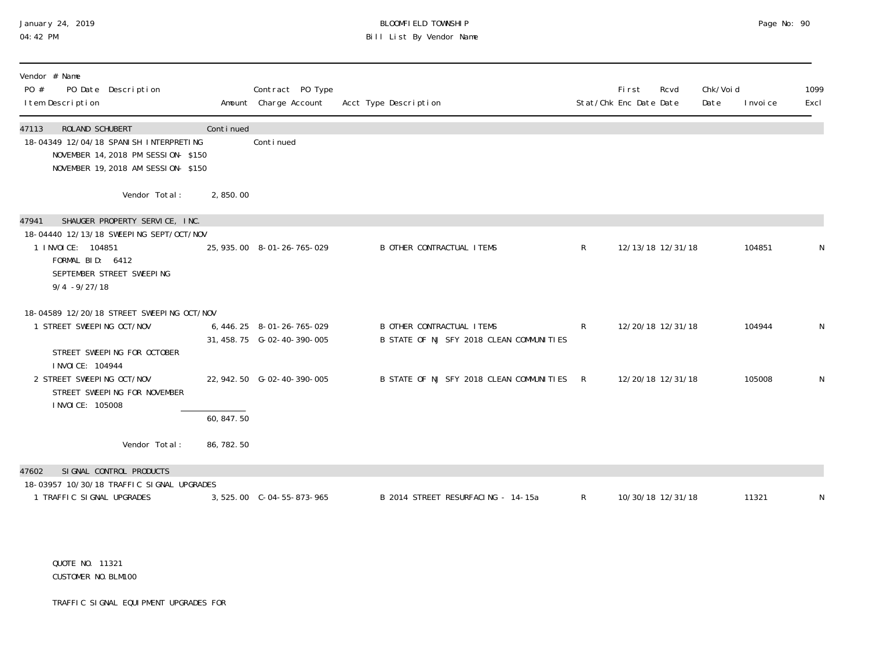# January 24, 2019 BLOOMFIELD TOWNSHIP Page No: 90 Bill List By Vendor Name

| Vendor # Name<br>PO #<br>PO Date Description<br>I tem Description                                                                                 |             | Contract PO Type<br>Amount Charge Account | Acct Type Description                                                        |              | Fi rst<br>Rcvd<br>Stat/Chk Enc Date Date | Chk/Voi d<br>Date | I nvoi ce | 1099<br>Excl |
|---------------------------------------------------------------------------------------------------------------------------------------------------|-------------|-------------------------------------------|------------------------------------------------------------------------------|--------------|------------------------------------------|-------------------|-----------|--------------|
| 47113<br>ROLAND SCHUBERT<br>18-04349 12/04/18 SPANI SH INTERPRETING<br>NOVEMBER 14, 2018 PM SESSION- \$150<br>NOVEMBER 19, 2018 AM SESSION- \$150 | Continued   | Continued                                 |                                                                              |              |                                          |                   |           |              |
| Vendor Total:                                                                                                                                     | 2,850.00    |                                           |                                                                              |              |                                          |                   |           |              |
| SHAUGER PROPERTY SERVICE, INC.<br>47941                                                                                                           |             |                                           |                                                                              |              |                                          |                   |           |              |
| 18-04440 12/13/18 SWEEPING SEPT/OCT/NOV<br>1 I NVOI CE: 104851<br>FORMAL BID: 6412<br>SEPTEMBER STREET SWEEPING<br>$9/4 - 9/27/18$                |             | 25, 935.00 8-01-26-765-029                | <b>B OTHER CONTRACTUAL ITEMS</b>                                             | $\mathsf{R}$ | 12/13/18 12/31/18                        |                   | 104851    | N            |
| 18-04589 12/20/18 STREET SWEEPING OCT/NOV<br>STREET SWEEPING OCT/NOV<br>STREET SWEEPING FOR OCTOBER                                               |             | 6, 446. 25 8-01-26-765-029                | <b>B OTHER CONTRACTUAL ITEMS</b><br>B STATE OF NJ SFY 2018 CLEAN COMMUNITIES | $\mathsf{R}$ | 12/20/18 12/31/18                        |                   | 104944    | N            |
| I NVOI CE: 104944<br>2 STREET SWEEPING OCT/NOV<br>STREET SWEEPING FOR NOVEMBER<br>I NVOI CE: 105008                                               |             | 22, 942. 50 G-02-40-390-005               | B STATE OF NJ SFY 2018 CLEAN COMMUNITIES R                                   |              | 12/20/18 12/31/18                        |                   | 105008    | N            |
|                                                                                                                                                   | 60, 847, 50 |                                           |                                                                              |              |                                          |                   |           |              |
| Vendor Total:                                                                                                                                     | 86, 782. 50 |                                           |                                                                              |              |                                          |                   |           |              |
| SI GNAL CONTROL PRODUCTS<br>47602                                                                                                                 |             |                                           |                                                                              |              |                                          |                   |           |              |
| 18-03957 10/30/18 TRAFFIC SIGNAL UPGRADES<br>1 TRAFFIC SIGNAL UPGRADES                                                                            |             | 3, 525.00 C-04-55-873-965                 | B 2014 STREET RESURFACING - 14-15a                                           | $\mathsf{R}$ | 10/30/18 12/31/18                        |                   | 11321     | N            |

 QUOTE NO. 11321 CUSTOMER NO.BLM100

TRAFFIC SIGNAL EQUIPMENT UPGRADES FOR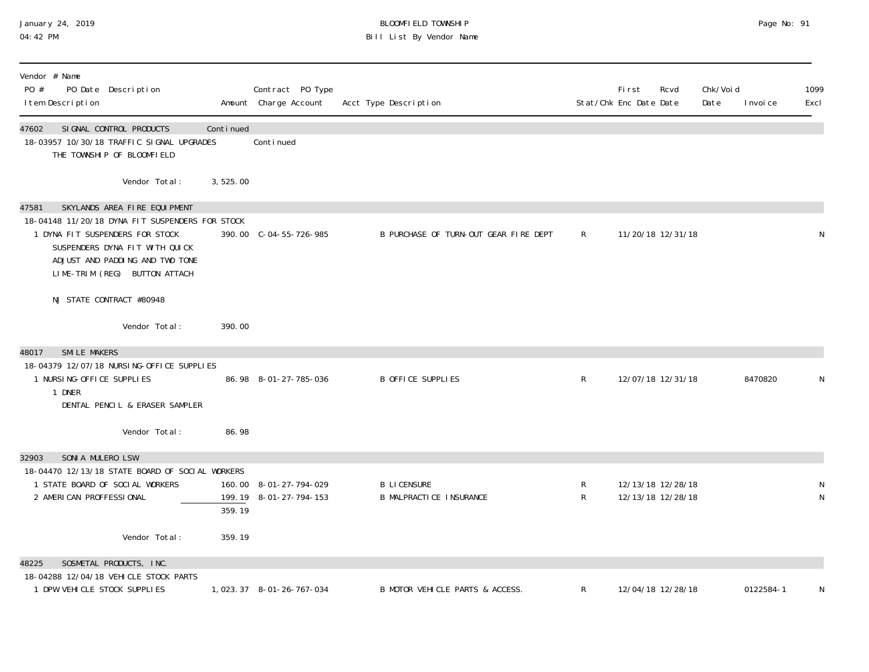# January 24, 2019 BLOOMFIELD TOWNSHIP Page No: 91 04:42 PM Bill List By Vendor Name

| Vendor # Name<br>PO #<br>PO Date Description<br>I tem Description                                                                                                                                                                 |           | Contract PO Type<br>Amount Charge Account        | Acct Type Description                                |        | <b>First</b><br>Stat/Chk Enc Date Date | Rcvd              | Chk/Voi d<br>Date | I nvoi ce | 1099<br>Excl |
|-----------------------------------------------------------------------------------------------------------------------------------------------------------------------------------------------------------------------------------|-----------|--------------------------------------------------|------------------------------------------------------|--------|----------------------------------------|-------------------|-------------------|-----------|--------------|
| SI GNAL CONTROL PRODUCTS<br>47602<br>18-03957 10/30/18 TRAFFIC SIGNAL UPGRADES<br>THE TOWNSHIP OF BLOOMFIELD                                                                                                                      | Continued | Conti nued                                       |                                                      |        |                                        |                   |                   |           |              |
| Vendor Total:                                                                                                                                                                                                                     | 3,525.00  |                                                  |                                                      |        |                                        |                   |                   |           |              |
| SKYLANDS AREA FIRE EQUIPMENT<br>47581<br>18-04148 11/20/18 DYNA FIT SUSPENDERS FOR STOCK<br>1 DYNA FIT SUSPENDERS FOR STOCK<br>SUSPENDERS DYNA FIT WITH QUICK<br>ADJUST AND PADDING AND TWO TONE<br>LIME-TRIM (REG) BUTTON ATTACH |           | 390.00 C-04-55-726-985                           | B PURCHASE OF TURN-OUT GEAR FIRE DEPT                | R      | 11/20/18 12/31/18                      |                   |                   |           | N            |
| NJ STATE CONTRACT #80948                                                                                                                                                                                                          |           |                                                  |                                                      |        |                                        |                   |                   |           |              |
| Vendor Total:                                                                                                                                                                                                                     | 390.00    |                                                  |                                                      |        |                                        |                   |                   |           |              |
| <b>SMILE MAKERS</b><br>48017<br>18-04379 12/07/18 NURSING-OFFICE SUPPLIES<br>1 NURSI NG-OFFICE SUPPLIES<br>1 DNER<br>DENTAL PENCIL & ERASER SAMPLER                                                                               |           | 86.98 8-01-27-785-036                            | <b>B OFFICE SUPPLIES</b>                             | R      |                                        | 12/07/18 12/31/18 |                   | 8470820   |              |
| Vendor Total:                                                                                                                                                                                                                     | 86.98     |                                                  |                                                      |        |                                        |                   |                   |           |              |
| SONIA MULERO LSW<br>32903<br>18-04470 12/13/18 STATE BOARD OF SOCIAL WORKERS<br>1 STATE BOARD OF SOCIAL WORKERS<br>2 AMERICAN PROFFESSIONAL                                                                                       | 359.19    | 160.00 8-01-27-794-029<br>199.19 8-01-27-794-153 | <b>B LICENSURE</b><br><b>B MALPRACTICE INSURANCE</b> | R<br>R | 12/13/18 12/28/18<br>12/13/18 12/28/18 |                   |                   |           | N<br>N       |
| Vendor Total:                                                                                                                                                                                                                     | 359.19    |                                                  |                                                      |        |                                        |                   |                   |           |              |
| SOSMETAL PRODUCTS, INC.<br>48225<br>18-04288 12/04/18 VEHICLE STOCK PARTS<br>1 DPW VEHICLE STOCK SUPPLIES                                                                                                                         |           | 1,023.37 8-01-26-767-034                         | B MOTOR VEHICLE PARTS & ACCESS.                      | R      | 12/04/18 12/28/18                      |                   |                   | 0122584-1 | N            |
|                                                                                                                                                                                                                                   |           |                                                  |                                                      |        |                                        |                   |                   |           |              |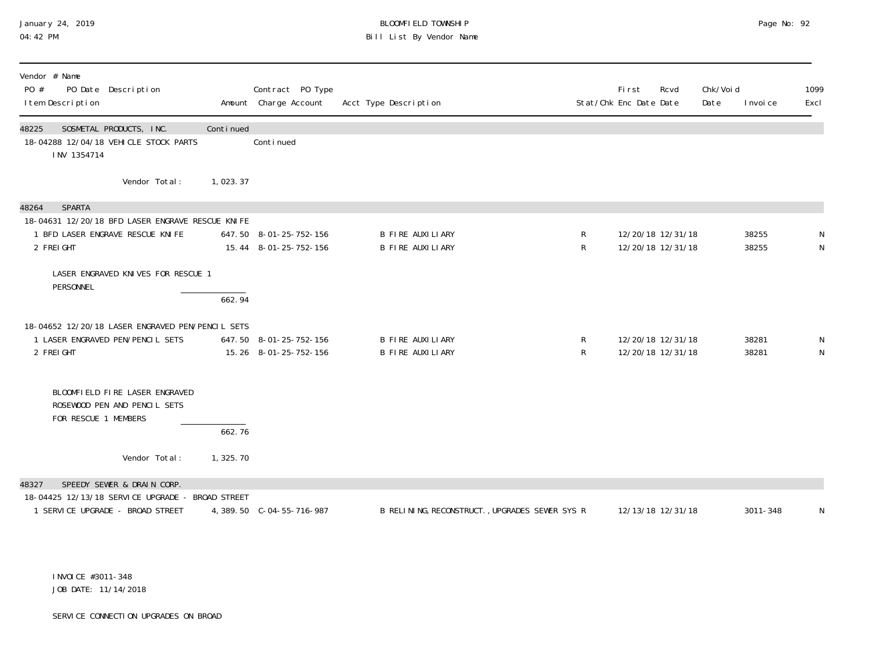# January 24, 2019 BLOOMFIELD TOWNSHIP Page No: 92<br>04:42 PM Bill List By Vendor Name

| Vendor # Name<br>PO #<br>PO Date Description<br>I tem Description                                                            |            | Contract PO Type<br>Amount Charge Account       | Acct Type Description                          |                   | <b>First</b><br>Stat/Chk Enc Date Date | Rcvd | Chk/Voi d<br>Date | I nvoi ce      | 1099<br>Excl     |
|------------------------------------------------------------------------------------------------------------------------------|------------|-------------------------------------------------|------------------------------------------------|-------------------|----------------------------------------|------|-------------------|----------------|------------------|
| SOSMETAL PRODUCTS, INC.<br>48225<br>18-04288 12/04/18 VEHICLE STOCK PARTS<br>INV 1354714                                     | Continued  | Continued                                       |                                                |                   |                                        |      |                   |                |                  |
| Vendor Total:                                                                                                                | 1,023.37   |                                                 |                                                |                   |                                        |      |                   |                |                  |
| <b>SPARTA</b><br>48264<br>18-04631 12/20/18 BFD LASER ENGRAVE RESCUE KNIFE<br>1 BFD LASER ENGRAVE RESCUE KNIFE<br>2 FREI GHT |            | 647.50 8-01-25-752-156<br>15.44 8-01-25-752-156 | <b>B FIRE AUXILIARY</b><br>B FIRE AUXILIARY    | $\mathsf R$<br>R  | 12/20/18 12/31/18<br>12/20/18 12/31/18 |      |                   | 38255<br>38255 | N                |
| LASER ENGRAVED KNIVES FOR RESCUE 1<br>PERSONNEL                                                                              | 662.94     |                                                 |                                                |                   |                                        |      |                   |                |                  |
| 18-04652 12/20/18 LASER ENGRAVED PEN/PENCIL SETS<br>1 LASER ENGRAVED PEN/PENCIL SETS<br>2 FREIGHT                            |            | 647.50 8-01-25-752-156<br>15.26 8-01-25-752-156 | B FIRE AUXILIARY<br><b>B FIRE AUXILIARY</b>    | R<br>$\mathsf{R}$ | 12/20/18 12/31/18<br>12/20/18 12/31/18 |      |                   | 38281<br>38281 | N<br>$\mathsf N$ |
| BLOOMFIELD FIRE LASER ENGRAVED<br>ROSEWOOD PEN AND PENCIL SETS<br>FOR RESCUE 1 MEMBERS                                       | 662.76     |                                                 |                                                |                   |                                        |      |                   |                |                  |
| Vendor Total:                                                                                                                | 1, 325. 70 |                                                 |                                                |                   |                                        |      |                   |                |                  |
| SPEEDY SEWER & DRAIN CORP.<br>48327<br>18-04425 12/13/18 SERVICE UPGRADE - BROAD STREET<br>1 SERVICE UPGRADE - BROAD STREET  |            |                                                 | B RELINING, RECONSTRUCT., UPGRADES SEWER SYS R |                   | 12/13/18 12/31/18                      |      |                   | 3011-348       | N                |

 INVOICE #3011-348 JOB DATE: 11/14/2018

SERVICE CONNECTION UPGRADES ON BROAD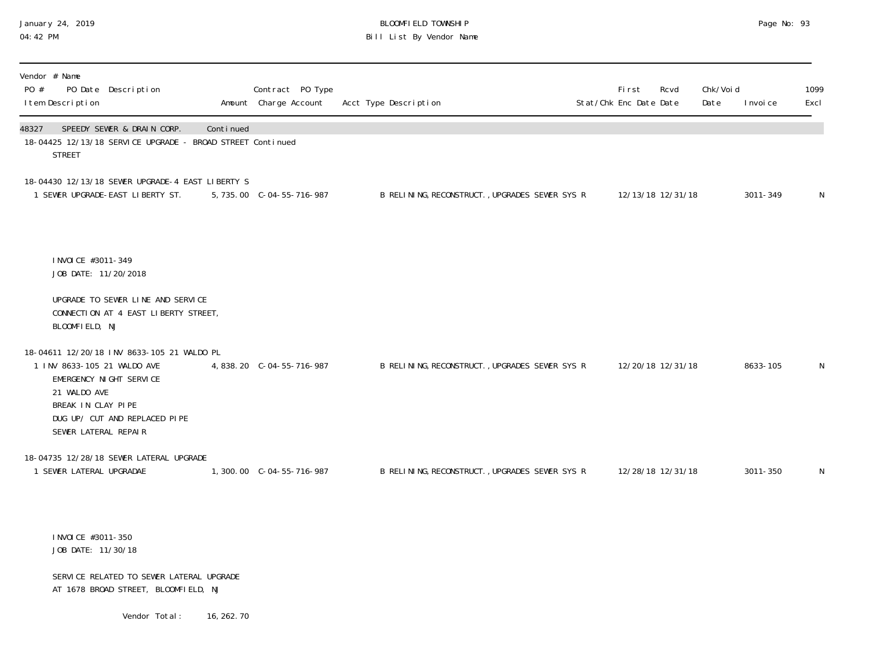## January 24, 2019 BLOOMFIELD TOWNSHIP Page No: 93 04:42 PM Bill List By Vendor Name

| Vendor # Name<br>PO #<br>PO Date Description<br>I tem Description                                                                                                                                   |             | Contract PO Type<br>Amount Charge Account | Acct Type Description                          | First<br>Stat/Chk Enc Date Date | Rcvd              | Chk/Voi d<br>Date | I nvoi ce | 1099<br>Excl |
|-----------------------------------------------------------------------------------------------------------------------------------------------------------------------------------------------------|-------------|-------------------------------------------|------------------------------------------------|---------------------------------|-------------------|-------------------|-----------|--------------|
| SPEEDY SEWER & DRAIN CORP.<br>48327<br>18-04425 12/13/18 SERVICE UPGRADE - BROAD STREET Continued<br><b>STREET</b>                                                                                  | Continued   |                                           |                                                |                                 |                   |                   |           |              |
| 18-04430 12/13/18 SEWER UPGRADE-4 EAST LIBERTY S<br>1 SEWER UPGRADE-EAST LIBERTY ST.                                                                                                                |             | 5, 735.00 C-04-55-716-987                 | B RELINING, RECONSTRUCT., UPGRADES SEWER SYS R |                                 | 12/13/18 12/31/18 |                   | 3011-349  | N            |
| I NVOI CE #3011-349<br>JOB DATE: 11/20/2018                                                                                                                                                         |             |                                           |                                                |                                 |                   |                   |           |              |
| UPGRADE TO SEWER LINE AND SERVICE<br>CONNECTION AT 4 EAST LIBERTY STREET,<br>BLOOMFIELD, NJ                                                                                                         |             |                                           |                                                |                                 |                   |                   |           |              |
| 18-04611 12/20/18 INV 8633-105 21 WALDO PL<br>1 INV 8633-105 21 WALDO AVE<br>EMERGENCY NIGHT SERVICE<br>21 WALDO AVE<br>BREAK IN CLAY PIPE<br>DUG UP/ CUT AND REPLACED PIPE<br>SEWER LATERAL REPAIR |             | 4,838.20 C-04-55-716-987                  | B RELINING, RECONSTRUCT., UPGRADES SEWER SYS R |                                 | 12/20/18 12/31/18 |                   | 8633-105  | N            |
| 18-04735 12/28/18 SEWER LATERAL UPGRADE<br>1 SEWER LATERAL UPGRADAE                                                                                                                                 |             | 1,300.00 C-04-55-716-987                  | B RELINING, RECONSTRUCT., UPGRADES SEWER SYS R |                                 | 12/28/18 12/31/18 |                   | 3011-350  | N            |
| I NVOI CE #3011-350<br>JOB DATE: 11/30/18                                                                                                                                                           |             |                                           |                                                |                                 |                   |                   |           |              |
| SERVICE RELATED TO SEWER LATERAL UPGRADE<br>AT 1678 BROAD STREET, BLOOMFIELD, NJ                                                                                                                    |             |                                           |                                                |                                 |                   |                   |           |              |
| Vendor Total:                                                                                                                                                                                       | 16, 262. 70 |                                           |                                                |                                 |                   |                   |           |              |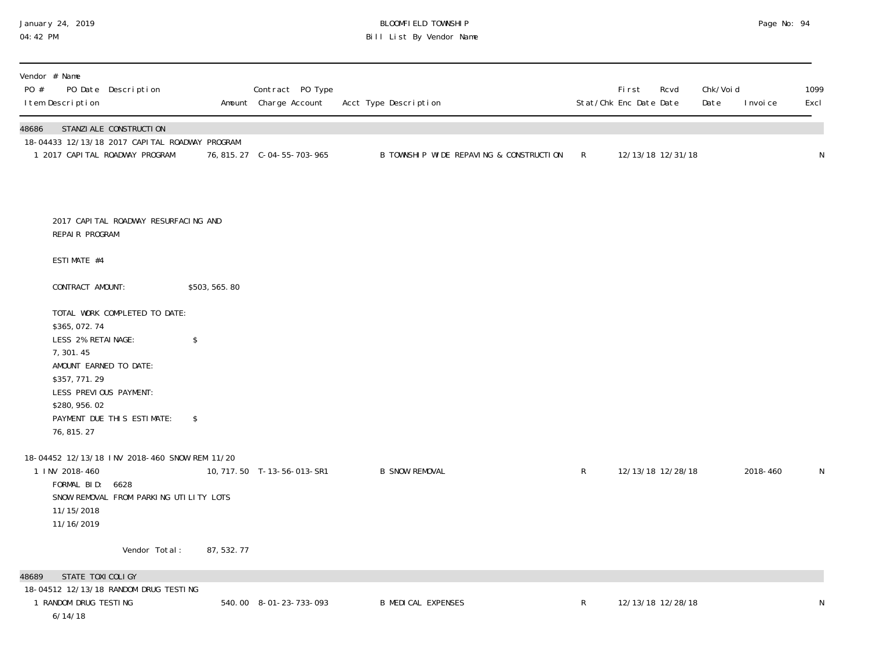# January 24, 2019 BLOOMFIELD TOWNSHIP Page No: 94 04:42 PM Bill List By Vendor Name

| Vendor # Name<br>PO #<br>PO Date Description<br>I tem Description                                                                                                                                                             |               | Contract PO Type<br>Amount Charge Account | Acct Type Description                   |              | First<br>Rcvd<br>Stat/Chk Enc Date Date | Chk/Voi d<br>Date | I nvoi ce | 1099<br>Excl |
|-------------------------------------------------------------------------------------------------------------------------------------------------------------------------------------------------------------------------------|---------------|-------------------------------------------|-----------------------------------------|--------------|-----------------------------------------|-------------------|-----------|--------------|
| 48686<br>STANZI ALE CONSTRUCTI ON<br>18-04433 12/13/18 2017 CAPITAL ROADWAY PROGRAM<br>1 2017 CAPITAL ROADWAY PROGRAM                                                                                                         |               | 76, 815. 27 C-04-55-703-965               | B TOWNSHIP WIDE REPAVING & CONSTRUCTION | R            | 12/13/18 12/31/18                       |                   |           | N            |
| 2017 CAPI TAL ROADWAY RESURFACING AND<br>REPAIR PROGRAM<br>ESTIMATE #4                                                                                                                                                        |               |                                           |                                         |              |                                         |                   |           |              |
| CONTRACT AMOUNT:                                                                                                                                                                                                              | \$503, 565.80 |                                           |                                         |              |                                         |                   |           |              |
| TOTAL WORK COMPLETED TO DATE:<br>\$365,072.74<br>LESS 2% RETAINAGE:<br>\$<br>7,301.45<br>AMOUNT EARNED TO DATE:<br>\$357, 771.29<br>LESS PREVIOUS PAYMENT:<br>\$280, 956.02<br>PAYMENT DUE THIS ESTIMATE:<br>\$<br>76, 815.27 |               |                                           |                                         |              |                                         |                   |           |              |
| 18-04452 12/13/18 INV 2018-460 SNOW REM 11/20<br>1 INV 2018-460<br>FORMAL BID: 6628<br>SNOW REMOVAL FROM PARKING UTILITY LOTS<br>11/15/2018<br>11/16/2019                                                                     |               | 10, 717. 50 T-13-56-013-SR1               | <b>B SNOW REMOVAL</b>                   | $\mathsf{R}$ | 12/13/18 12/28/18                       |                   | 2018-460  | N            |
| Vendor Total:                                                                                                                                                                                                                 | 87, 532. 77   |                                           |                                         |              |                                         |                   |           |              |
| STATE TOXI COLI GY<br>48689<br>18-04512 12/13/18 RANDOM DRUG TESTING<br>1 RANDOM DRUG TESTING<br>6/14/18                                                                                                                      |               | 540.00 8-01-23-733-093                    | <b>B MEDICAL EXPENSES</b>               | $\mathsf{R}$ | 12/13/18 12/28/18                       |                   |           | N            |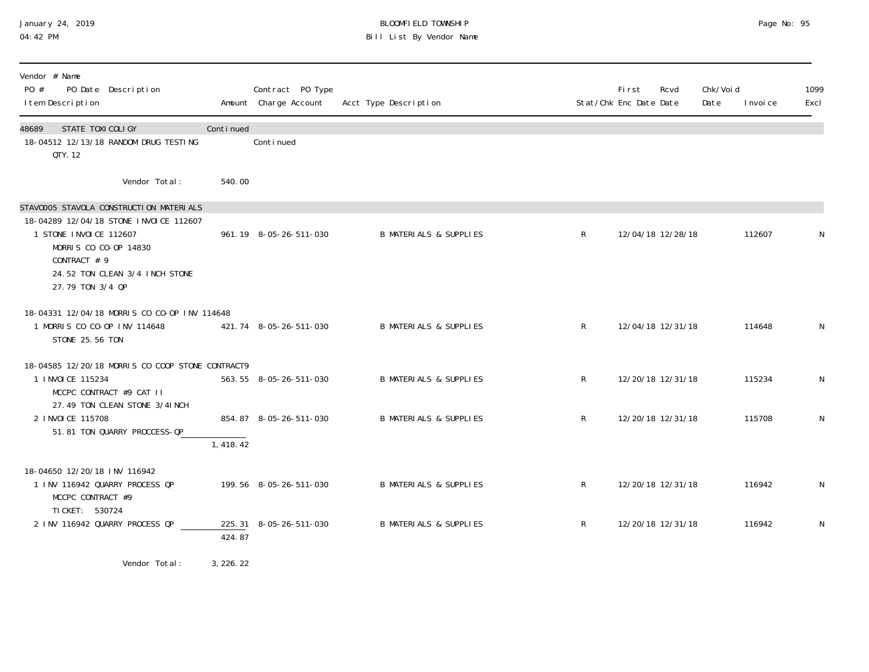## January 24, 2019 BLOOMFIELD TOWNSHIP Page No: 95 04:42 PM Bill List By Vendor Name

| Vendor # Name<br>PO #<br>PO Date Description<br>I tem Description                                                                                                                                          |           | Contract PO Type<br>Amount Charge Account | Acct Type Description             |              | Fi rst<br>Stat/Chk Enc Date Date | Rcvd              | Chk/Void<br>Date | I nvoi ce | 1099<br>Excl |
|------------------------------------------------------------------------------------------------------------------------------------------------------------------------------------------------------------|-----------|-------------------------------------------|-----------------------------------|--------------|----------------------------------|-------------------|------------------|-----------|--------------|
| STATE TOXICOLIGY<br>48689<br>18-04512 12/13/18 RANDOM DRUG TESTING<br>QTY. 12                                                                                                                              | Continued | Continued                                 |                                   |              |                                  |                   |                  |           |              |
| Vendor Total:                                                                                                                                                                                              | 540.00    |                                           |                                   |              |                                  |                   |                  |           |              |
| STAV0005 STAVOLA CONSTRUCTION MATERIALS<br>18-04289 12/04/18 STONE INVOICE 112607<br>1 STONE INVOICE 112607<br>MORRIS CO CO-OP 14830<br>CONTRACT # 9<br>24.52 TON CLEAN 3/4 INCH STONE<br>27.79 TON 3/4 QP |           | 961.19 8-05-26-511-030                    | <b>B MATERIALS &amp; SUPPLIES</b> | $\mathsf{R}$ |                                  | 12/04/18 12/28/18 |                  | 112607    |              |
| 18-04331 12/04/18 MORRIS CO CO-OP INV 114648<br>1 MORRIS CO CO-OP INV 114648<br>STONE 25.56 TON                                                                                                            |           | 421.74 8-05-26-511-030                    | <b>B MATERIALS &amp; SUPPLIES</b> | R            |                                  | 12/04/18 12/31/18 |                  | 114648    | N            |
| 18-04585 12/20/18 MORRIS CO COOP STONE CONTRACT9<br>1 INVOICE 115234<br>MCCPC CONTRACT #9 CAT II<br>27.49 TON CLEAN STONE 3/41 NCH                                                                         |           | 563.55 8-05-26-511-030                    | <b>B MATERIALS &amp; SUPPLIES</b> | R            |                                  | 12/20/18 12/31/18 |                  | 115234    | N            |
| 2 I NVOI CE 115708<br>51.81 TON QUARRY PROCCESS-QP                                                                                                                                                         | 1,418.42  | 854.87 8-05-26-511-030                    | <b>B MATERIALS &amp; SUPPLIES</b> | $\mathsf{R}$ |                                  | 12/20/18 12/31/18 |                  | 115708    | N            |
| 18-04650 12/20/18 INV 116942<br>1 INV 116942 QUARRY PROCESS QP<br>MCCPC CONTRACT #9                                                                                                                        |           | 199.56 8-05-26-511-030                    | <b>B MATERIALS &amp; SUPPLIES</b> | R            |                                  | 12/20/18 12/31/18 |                  | 116942    | N            |
| TI CKET: 530724<br>2 INV 116942 QUARRY PROCESS QP                                                                                                                                                          | 424.87    | 225.31 8-05-26-511-030                    | <b>B MATERIALS &amp; SUPPLIES</b> | R            |                                  | 12/20/18 12/31/18 |                  | 116942    | N            |

Vendor Total: 3,226.22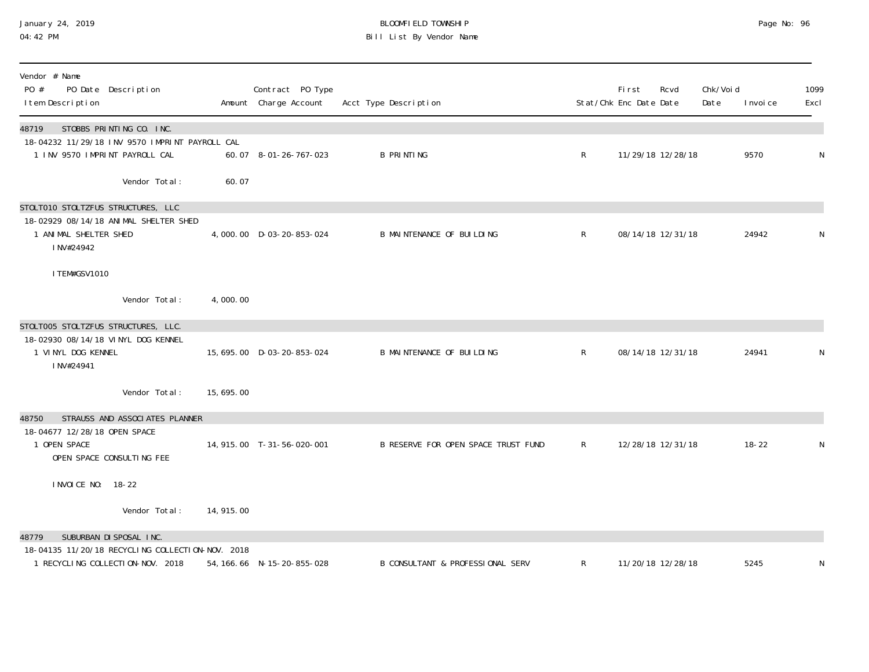| January 24, 2019 |  |
|------------------|--|
| 04:42 PM         |  |

# January 24, 2019 BLOOMFIELD TOWNSHIP Page No: 96 04:42 PM Bill List By Vendor Name

| Vendor # Name<br>PO #<br>PO Date Description<br>I tem Description                                                     |            | Contract PO Type<br>Amount Charge Account | Acct Type Description                       |              | <b>First</b><br>Stat/Chk Enc Date Date | Rcvd              | Chk/Voi d<br>Date | I nvoi ce | 1099<br>Excl |
|-----------------------------------------------------------------------------------------------------------------------|------------|-------------------------------------------|---------------------------------------------|--------------|----------------------------------------|-------------------|-------------------|-----------|--------------|
| STOBBS PRINTING CO. INC.<br>48719<br>18-04232 11/29/18 INV 9570 IMPRINT PAYROLL CAL<br>1 INV 9570 IMPRINT PAYROLL CAL |            | 60.07 8-01-26-767-023                     | <b>B PRINTING</b>                           | R            |                                        | 11/29/18 12/28/18 |                   | 9570      | N            |
| Vendor Total:                                                                                                         | 60.07      |                                           |                                             |              |                                        |                   |                   |           |              |
| STOLTO10 STOLTZFUS STRUCTURES, LLC<br>18-02929 08/14/18 ANIMAL SHELTER SHED<br>1 ANIMAL SHELTER SHED<br>INV#24942     |            | 4,000.00 D-03-20-853-024                  | <b>B MAINTENANCE OF BUILDING</b>            | $\mathsf{R}$ |                                        | 08/14/18 12/31/18 |                   | 24942     | N            |
| I TEM#GSV1010                                                                                                         |            |                                           |                                             |              |                                        |                   |                   |           |              |
| Vendor Total:                                                                                                         | 4,000.00   |                                           |                                             |              |                                        |                   |                   |           |              |
| STOLTOO5 STOLTZFUS STRUCTURES, LLC.<br>18-02930 08/14/18 VINYL DOG KENNEL<br>1 VINYL DOG KENNEL<br>INV#24941          |            | 15, 695. 00 D-03-20-853-024               | <b>B MAINTENANCE OF BUILDING</b>            | $\mathsf{R}$ |                                        | 08/14/18 12/31/18 |                   | 24941     | N            |
| Vendor Total:                                                                                                         | 15,695.00  |                                           |                                             |              |                                        |                   |                   |           |              |
| STRAUSS AND ASSOCIATES PLANNER<br>48750                                                                               |            |                                           |                                             |              |                                        |                   |                   |           |              |
| 18-04677 12/28/18 OPEN SPACE<br>1 OPEN SPACE<br>OPEN SPACE CONSULTING FEE                                             |            | 14, 915.00 T-31-56-020-001                | B RESERVE FOR OPEN SPACE TRUST FUND         | $\mathsf{R}$ |                                        | 12/28/18 12/31/18 |                   | $18 - 22$ | N            |
| I NVOI CE NO: 18-22                                                                                                   |            |                                           |                                             |              |                                        |                   |                   |           |              |
| Vendor Total:                                                                                                         | 14, 915.00 |                                           |                                             |              |                                        |                   |                   |           |              |
| SUBURBAN DI SPOSAL INC.<br>48779                                                                                      |            |                                           |                                             |              |                                        |                   |                   |           |              |
| 18-04135 11/20/18 RECYCLING COLLECTION-NOV. 2018<br>1 RECYCLING COLLECTION-NOV. 2018                                  |            | 54, 166. 66 N-15-20-855-028               | <b>B CONSULTANT &amp; PROFESSIONAL SERV</b> | R            |                                        | 11/20/18 12/28/18 |                   | 5245      | N            |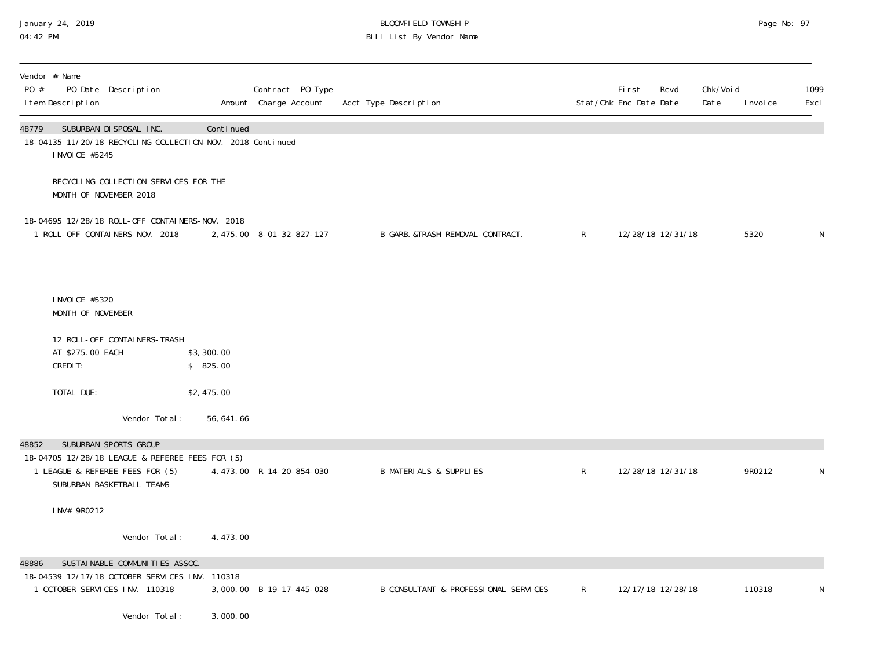# January 24, 2019 BLOOMFIELD TOWNSHIP Page No: 97 04:42 PM Bill List By Vendor Name

| Vendor # Name<br>PO Date Description<br>PO #<br>I tem Description                                                 |                        | Contract PO Type<br>Amount Charge Account | Acct Type Description                |              | <b>First</b><br>Stat/Chk Enc Date Date | Rcvd<br>Date | Chk/Voi d<br>I nvoi ce | 1099<br>Excl |
|-------------------------------------------------------------------------------------------------------------------|------------------------|-------------------------------------------|--------------------------------------|--------------|----------------------------------------|--------------|------------------------|--------------|
| SUBURBAN DI SPOSAL INC.<br>48779<br>18-04135 11/20/18 RECYCLING COLLECTION-NOV. 2018 Continued<br>I NVOI CE #5245 | Continued              |                                           |                                      |              |                                        |              |                        |              |
| RECYCLING COLLECTION SERVICES FOR THE<br>MONTH OF NOVEMBER 2018                                                   |                        |                                           |                                      |              |                                        |              |                        |              |
| 18-04695 12/28/18 ROLL-OFF CONTAINERS-NOV. 2018<br>1 ROLL-OFF CONTAINERS-NOV. 2018                                |                        | 2, 475.00 8-01-32-827-127                 | B GARB. &TRASH REMOVAL-CONTRACT.     | $\mathsf{R}$ | 12/28/18 12/31/18                      |              | 5320                   | N            |
| I NVOI CE #5320                                                                                                   |                        |                                           |                                      |              |                                        |              |                        |              |
| MONTH OF NOVEMBER                                                                                                 |                        |                                           |                                      |              |                                        |              |                        |              |
| 12 ROLL-OFF CONTAINERS-TRASH<br>AT \$275.00 EACH<br>CREDIT:                                                       | \$3,300.00<br>\$825.00 |                                           |                                      |              |                                        |              |                        |              |
| TOTAL DUE:                                                                                                        | \$2,475.00             |                                           |                                      |              |                                        |              |                        |              |
| Vendor Total:                                                                                                     | 56, 641.66             |                                           |                                      |              |                                        |              |                        |              |
| SUBURBAN SPORTS GROUP<br>48852                                                                                    |                        |                                           |                                      |              |                                        |              |                        |              |
| 18-04705 12/28/18 LEAGUE & REFEREE FEES FOR (5)<br>1 LEAGUE & REFEREE FEES FOR (5)<br>SUBURBAN BASKETBALL TEAMS   |                        | 4, 473.00 R-14-20-854-030                 | <b>B MATERIALS &amp; SUPPLIES</b>    | $\mathsf R$  | 12/28/18 12/31/18                      |              | 9R0212                 | N            |
| INV# 9R0212                                                                                                       |                        |                                           |                                      |              |                                        |              |                        |              |
| Vendor Total:                                                                                                     | 4, 473.00              |                                           |                                      |              |                                        |              |                        |              |
| SUSTAI NABLE COMMUNITIES ASSOC.<br>48886                                                                          |                        |                                           |                                      |              |                                        |              |                        |              |
| 18-04539 12/17/18 OCTOBER SERVICES INV. 110318<br>1 OCTOBER SERVICES INV. 110318                                  |                        | 3,000.00 B-19-17-445-028                  | B CONSULTANT & PROFESSIONAL SERVICES | R            | 12/17/18 12/28/18                      |              | 110318                 | N            |
| Vendor Total:                                                                                                     | 3,000.00               |                                           |                                      |              |                                        |              |                        |              |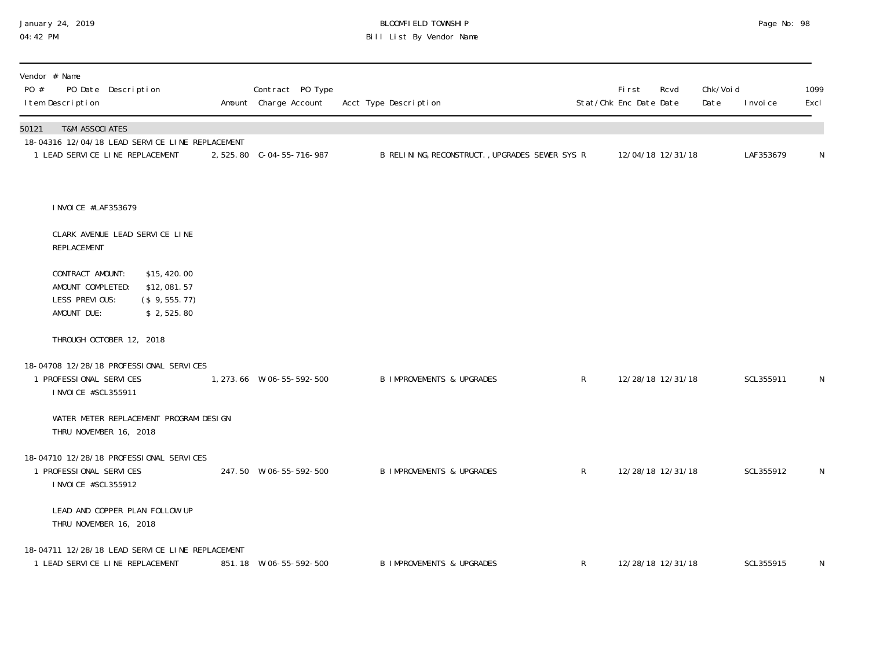# January 24, 2019 BLOOMFIELD TOWNSHIP Page No: 98 04:42 PM Bill List By Vendor Name

| Vendor # Name<br>PO #<br>PO Date Description<br>I tem Description                                                                    | Contract PO Type<br>Amount Charge Account | Acct Type Description                          |              | First<br>Stat/Chk Enc Date Date | Chk/Voi d<br>Rcvd<br>Date | I nvoi ce | 1099<br>Excl |
|--------------------------------------------------------------------------------------------------------------------------------------|-------------------------------------------|------------------------------------------------|--------------|---------------------------------|---------------------------|-----------|--------------|
| <b>T&amp;M ASSOCIATES</b><br>50121<br>18-04316 12/04/18 LEAD SERVICE LINE REPLACEMENT<br>1 LEAD SERVICE LINE REPLACEMENT             |                                           | B RELINING, RECONSTRUCT., UPGRADES SEWER SYS R |              | 12/04/18 12/31/18               |                           | LAF353679 | $\mathsf N$  |
| I NVOI CE #LAF353679<br>CLARK AVENUE LEAD SERVICE LINE<br>REPLACEMENT                                                                |                                           |                                                |              |                                 |                           |           |              |
| CONTRACT AMOUNT:<br>\$15,420.00<br>AMOUNT COMPLETED:<br>\$12,081.57<br>LESS PREVIOUS:<br>(\$9, 555. 77)<br>AMOUNT DUE:<br>\$2,525.80 |                                           |                                                |              |                                 |                           |           |              |
| THROUGH OCTOBER 12, 2018                                                                                                             |                                           |                                                |              |                                 |                           |           |              |
| 18-04708 12/28/18 PROFESSIONAL SERVICES<br>1 PROFESSIONAL SERVICES<br>I NVOI CE #SCL355911                                           | 1, 273.66 W-06-55-592-500                 | <b>B IMPROVEMENTS &amp; UPGRADES</b>           | $\mathsf{R}$ | 12/28/18 12/31/18               |                           | SCL355911 | N            |
| WATER METER REPLACEMENT PROGRAM DESIGN<br>THRU NOVEMBER 16, 2018                                                                     |                                           |                                                |              |                                 |                           |           |              |
| 18-04710 12/28/18 PROFESSIONAL SERVICES<br>1 PROFESSIONAL SERVICES<br>I NVOI CE #SCL355912                                           | 247.50 W-06-55-592-500                    | <b>B IMPROVEMENTS &amp; UPGRADES</b>           | $\mathsf{R}$ | 12/28/18 12/31/18               |                           | SCL355912 | N            |
| LEAD AND COPPER PLAN FOLLOW UP<br>THRU NOVEMBER 16, 2018                                                                             |                                           |                                                |              |                                 |                           |           |              |
| 18-04711 12/28/18 LEAD SERVICE LINE REPLACEMENT<br>1 LEAD SERVICE LINE REPLACEMENT                                                   | 851.18 W-06-55-592-500                    | <b>B IMPROVEMENTS &amp; UPGRADES</b>           | $\mathsf{R}$ | 12/28/18 12/31/18               |                           | SCL355915 | N            |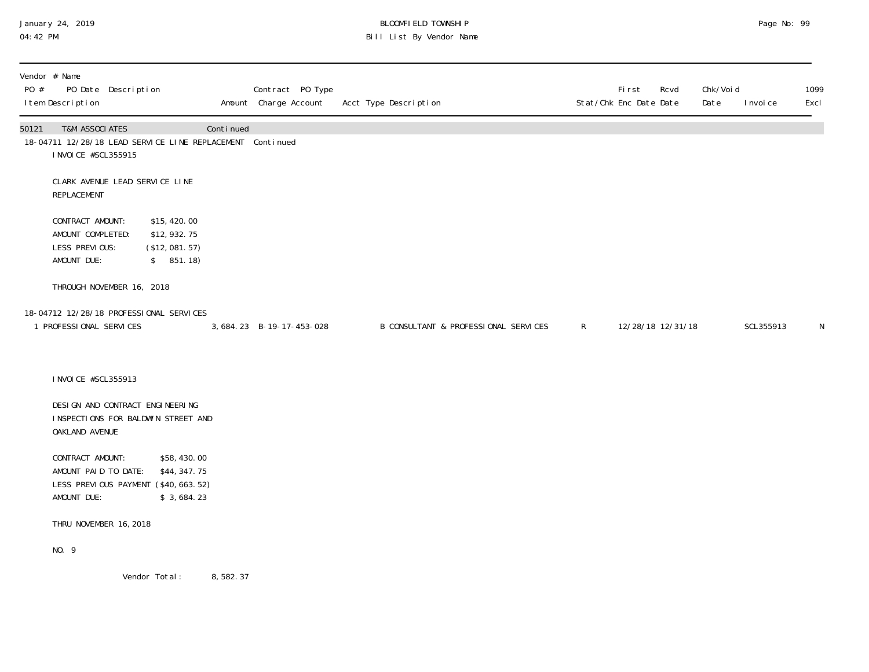# January 24, 2019 BLOOMFIELD TOWNSHIP Page No: 99 04:42 PM Bill List By Vendor Name

| PO #  | Vendor # Name<br>I tem Description                                     | PO Date Description |                                                                                   |           | Contract PO Type<br>Amount Charge Account | Acct Type Description                |              | First<br>Stat/Chk Enc Date Date | Rcvd | Chk/Voi d<br>Date | I nvoi ce | 1099<br>Excl |
|-------|------------------------------------------------------------------------|---------------------|-----------------------------------------------------------------------------------|-----------|-------------------------------------------|--------------------------------------|--------------|---------------------------------|------|-------------------|-----------|--------------|
| 50121 | <b>T&amp;M ASSOCIATES</b><br>I NVOI CE #SCL355915                      |                     | 18-04711 12/28/18 LEAD SERVICE LINE REPLACEMENT Continued                         | Continued |                                           |                                      |              |                                 |      |                   |           |              |
|       | CLARK AVENUE LEAD SERVICE LINE<br>REPLACEMENT                          |                     |                                                                                   |           |                                           |                                      |              |                                 |      |                   |           |              |
|       | CONTRACT AMOUNT:<br>AMOUNT COMPLETED:<br>LESS PREVIOUS:<br>AMOUNT DUE: |                     | \$15,420.00<br>\$12,932.75<br>(\$12,081.57)<br>\$851.18)                          |           |                                           |                                      |              |                                 |      |                   |           |              |
|       | THROUGH NOVEMBER 16, 2018                                              |                     |                                                                                   |           |                                           |                                      |              |                                 |      |                   |           |              |
|       | 1 PROFESSIONAL SERVICES                                                |                     | 18-04712 12/28/18 PROFESSIONAL SERVICES                                           |           | 3, 684. 23 B-19-17-453-028                | B CONSULTANT & PROFESSIONAL SERVICES | $\mathsf{R}$ | 12/28/18 12/31/18               |      |                   | SCL355913 | $\mathsf N$  |
|       | I NVOI CE #SCL355913                                                   |                     |                                                                                   |           |                                           |                                      |              |                                 |      |                   |           |              |
|       | DESIGN AND CONTRACT ENGINEERING<br>OAKLAND AVENUE                      |                     | INSPECTIONS FOR BALDWIN STREET AND                                                |           |                                           |                                      |              |                                 |      |                   |           |              |
|       | CONTRACT AMOUNT:<br>AMOUNT PAID TO DATE:<br>AMOUNT DUE:                |                     | \$58,430.00<br>\$44, 347. 75<br>LESS PREVIOUS PAYMENT (\$40,663.52)<br>\$3,684.23 |           |                                           |                                      |              |                                 |      |                   |           |              |
|       | THRU NOVEMBER 16, 2018                                                 |                     |                                                                                   |           |                                           |                                      |              |                                 |      |                   |           |              |
|       | NO. 9                                                                  |                     |                                                                                   |           |                                           |                                      |              |                                 |      |                   |           |              |
|       |                                                                        |                     | Vendor Total:                                                                     | 8,582.37  |                                           |                                      |              |                                 |      |                   |           |              |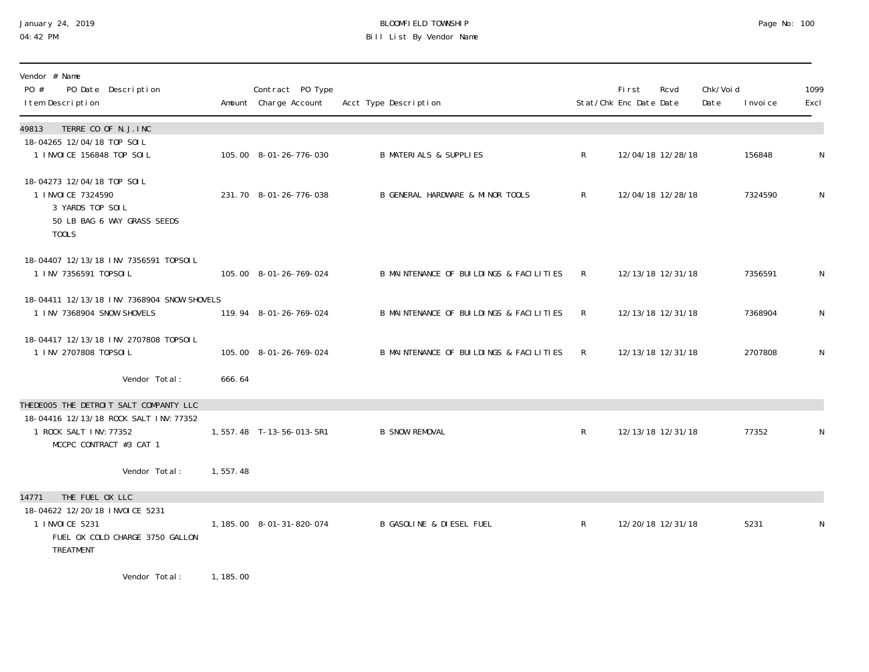# January 24, 2019 BLOOMFIELD TOWNSHIP Page No: 100 04:42 PM Bill List By Vendor Name

| Vendor # Name<br>PO #<br>PO Date Description<br>I tem Description                                             |          | Contract PO Type<br>Amount Charge Account | Acct Type Description                   |              | First<br>Stat/Chk Enc Date Date | Rcvd              | Chk/Voi d<br>Date | I nvoi ce | 1099<br>Excl |
|---------------------------------------------------------------------------------------------------------------|----------|-------------------------------------------|-----------------------------------------|--------------|---------------------------------|-------------------|-------------------|-----------|--------------|
| TERRE CO OF N.J. INC<br>49813                                                                                 |          |                                           |                                         |              |                                 |                   |                   |           |              |
| 18-04265 12/04/18 TOP SOIL<br>1 INVOICE 156848 TOP SOIL                                                       |          | 105.00 8-01-26-776-030                    | <b>B MATERIALS &amp; SUPPLIES</b>       | $\mathsf{R}$ |                                 | 12/04/18 12/28/18 |                   | 156848    | N            |
| 18-04273 12/04/18 TOP SOIL<br>1 I NVOI CE 7324590<br>3 YARDS TOP SOIL<br>50 LB BAG 6 WAY GRASS SEEDS<br>T00LS |          | 231.70 8-01-26-776-038                    | B GENERAL HARDWARE & MINOR TOOLS        | $\mathsf{R}$ |                                 | 12/04/18 12/28/18 |                   | 7324590   | N            |
| 18-04407 12/13/18 INV 7356591 T0PS0IL<br>1 INV 7356591 TOPSOIL                                                |          | 105.00 8-01-26-769-024                    | B MAINTENANCE OF BUILDINGS & FACILITIES | R            |                                 | 12/13/18 12/31/18 |                   | 7356591   | N            |
| 18-04411 12/13/18 INV 7368904 SNOW SHOVELS<br>1 INV 7368904 SNOW SHOVELS                                      |          | 119.94 8-01-26-769-024                    | B MAINTENANCE OF BUILDINGS & FACILITIES | $\mathsf{R}$ |                                 | 12/13/18 12/31/18 |                   | 7368904   | N            |
| 18-04417 12/13/18 INV 2707808 T0PS0IL<br>1 INV 2707808 TOPSOIL                                                |          | 105.00 8-01-26-769-024                    | B MAINTENANCE OF BUILDINGS & FACILITIES | R            |                                 | 12/13/18 12/31/18 |                   | 2707808   | N            |
| Vendor Total:                                                                                                 | 666.64   |                                           |                                         |              |                                 |                   |                   |           |              |
| THEDEOO5 THE DETROIT SALT COMPANTY LLC                                                                        |          |                                           |                                         |              |                                 |                   |                   |           |              |
| 18-04416 12/13/18 ROCK SALT INV: 77352<br>1 ROCK SALT INV: 77352<br>MCCPC CONTRACT #3 CAT 1                   |          | 1,557.48 T-13-56-013-SR1                  | <b>B SNOW REMOVAL</b>                   | $\mathsf{R}$ |                                 | 12/13/18 12/31/18 |                   | 77352     | N            |
| Vendor Total:                                                                                                 | 1,557.48 |                                           |                                         |              |                                 |                   |                   |           |              |
| THE FUEL OX LLC<br>14771                                                                                      |          |                                           |                                         |              |                                 |                   |                   |           |              |
| 18-04622 12/20/18 INVOICE 5231<br>1 INVOICE 5231<br>FUEL OX COLD CHARGE 3750 GALLON<br>TREATMENT              |          | 1, 185.00  8-01-31-820-074                | <b>B GASOLINE &amp; DIESEL FUEL</b>     | $\mathsf{R}$ |                                 | 12/20/18 12/31/18 |                   | 5231      | N            |
| .                                                                                                             |          |                                           |                                         |              |                                 |                   |                   |           |              |

Vendor Total: 1, 185.00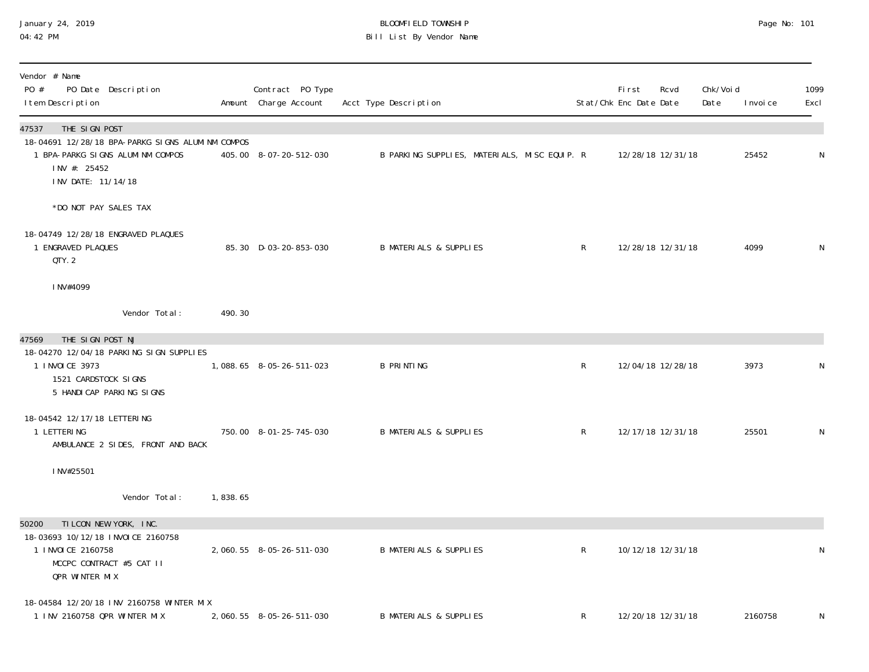### January 24, 2019 BLOOMFIELD TOWNSHIP Page No: 101 04:42 PM Bill List By Vendor Name

| Vendor # Name<br>PO #<br>PO Date Description<br>I tem Description                                                                                    |          | Contract PO Type<br>Amount Charge Account | Acct Type Description                        |              | <b>First</b><br>Stat/Chk Enc Date Date | Rcvd              | Chk/Void<br>Date | I nvoi ce | 1099<br>Excl |
|------------------------------------------------------------------------------------------------------------------------------------------------------|----------|-------------------------------------------|----------------------------------------------|--------------|----------------------------------------|-------------------|------------------|-----------|--------------|
| THE SIGN POST<br>47537<br>18-04691 12/28/18 BPA-PARKG SIGNS ALUMINM COMPOS<br>1 BPA-PARKG SIGNS ALUMINM COMPOS<br>INV #: 25452<br>INV DATE: 11/14/18 |          | 405.00 8-07-20-512-030                    | B PARKING SUPPLIES, MATERIALS, MISC EQUIP. R |              |                                        | 12/28/18 12/31/18 |                  | 25452     | N            |
| *DO NOT PAY SALES TAX                                                                                                                                |          |                                           |                                              |              |                                        |                   |                  |           |              |
| 18-04749 12/28/18 ENGRAVED PLAQUES<br>1 ENGRAVED PLAQUES<br>QTY. 2                                                                                   |          | 85.30 D-03-20-853-030                     | <b>B MATERIALS &amp; SUPPLIES</b>            | $\mathsf{R}$ |                                        | 12/28/18 12/31/18 |                  | 4099      | N            |
| INV#4099                                                                                                                                             |          |                                           |                                              |              |                                        |                   |                  |           |              |
| Vendor Total:                                                                                                                                        | 490.30   |                                           |                                              |              |                                        |                   |                  |           |              |
| THE SIGN POST NJ<br>47569<br>18-04270 12/04/18 PARKING SIGN SUPPLIES<br>1 INVOICE 3973<br>1521 CARDSTOCK SIGNS<br>5 HANDI CAP PARKING SIGNS          |          | 1,088.65 8-05-26-511-023                  | <b>B PRINTING</b>                            | $\mathsf R$  |                                        | 12/04/18 12/28/18 |                  | 3973      | N            |
| 18-04542 12/17/18 LETTERING<br>1 LETTERING<br>AMBULANCE 2 SIDES, FRONT AND BACK                                                                      |          | 750.00 8-01-25-745-030                    | <b>B MATERIALS &amp; SUPPLIES</b>            | $\mathsf{R}$ |                                        | 12/17/18 12/31/18 |                  | 25501     | N            |
| INV#25501                                                                                                                                            |          |                                           |                                              |              |                                        |                   |                  |           |              |
| Vendor Total:                                                                                                                                        | 1,838.65 |                                           |                                              |              |                                        |                   |                  |           |              |
| TILCON NEW YORK, INC.<br>50200<br>18-03693 10/12/18 INVOICE 2160758<br>1 I NVOI CE 2160758<br>MCCPC CONTRACT #5 CAT II<br><b>QPR WINTER MIX</b>      |          | 2,060.55 8-05-26-511-030                  | <b>B MATERIALS &amp; SUPPLIES</b>            | $\mathsf{R}$ |                                        | 10/12/18 12/31/18 |                  |           | N            |
| 18-04584 12/20/18 INV 2160758 WINTER MIX<br>1 INV 2160758 QPR WINTER MIX                                                                             |          | 2, 060. 55 8-05-26-511-030                | <b>B MATERIALS &amp; SUPPLIES</b>            | R            |                                        | 12/20/18 12/31/18 |                  | 2160758   | N            |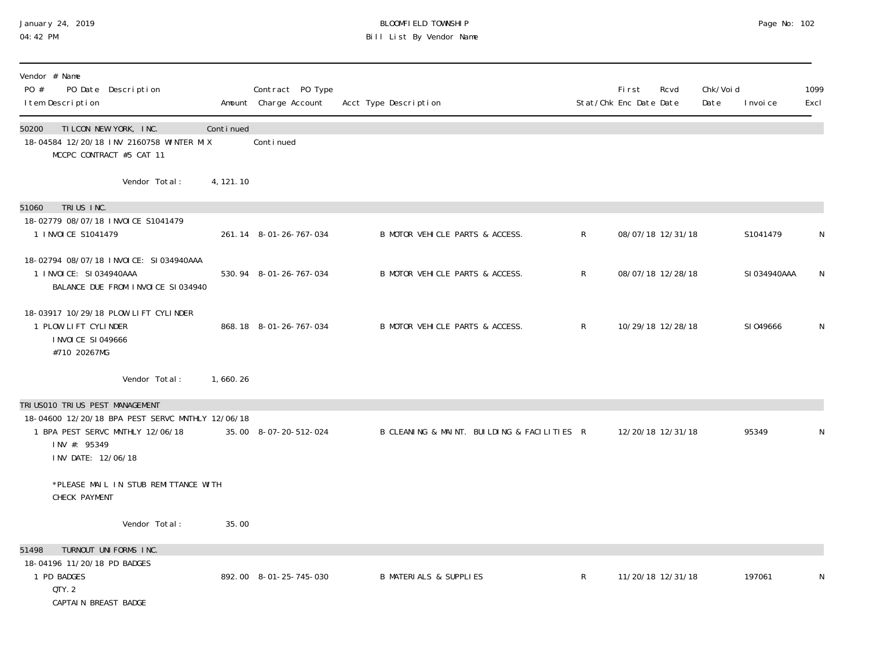## January 24, 2019 BLOOMFIELD TOWNSHIP Page No: 102 04:42 PM Bill List By Vendor Name

| Vendor # Name<br>PO #<br>PO Date Description<br>I tem Description                                                                                              |            | Contract PO Type<br>Amount Charge Account | Acct Type Description                       |              | First<br>Stat/Chk Enc Date Date | Rcvd              | Chk/Voi d<br>Date | I nvoi ce    | 1099<br>Excl |
|----------------------------------------------------------------------------------------------------------------------------------------------------------------|------------|-------------------------------------------|---------------------------------------------|--------------|---------------------------------|-------------------|-------------------|--------------|--------------|
| TILCON NEW YORK, INC.<br>50200<br>18-04584 12/20/18 INV 2160758 WINTER MIX<br>MCCPC CONTRACT #5 CAT 11                                                         | Continued  | Continued                                 |                                             |              |                                 |                   |                   |              |              |
| Vendor Total:                                                                                                                                                  | 4, 121. 10 |                                           |                                             |              |                                 |                   |                   |              |              |
| TRIUS INC.<br>51060<br>18-02779 08/07/18 INVOICE S1041479<br>1 INVOICE S1041479                                                                                |            | 261.14 8-01-26-767-034                    | B MOTOR VEHICLE PARTS & ACCESS.             | $\mathsf{R}$ |                                 | 08/07/18 12/31/18 |                   | S1041479     | N            |
| 18-02794 08/07/18 INVOICE: SI034940AAA<br>1 INVOICE: SI034940AAA<br>BALANCE DUE FROM INVOICE SI034940                                                          |            | 530.94 8-01-26-767-034                    | B MOTOR VEHICLE PARTS & ACCESS.             | $\mathsf R$  |                                 | 08/07/18 12/28/18 |                   | SI 034940AAA | N            |
| 18-03917 10/29/18 PLOW LIFT CYLINDER<br>1 PLOW LIFT CYLINDER<br>I NVOI CE SI 049666<br>#710 20267MG                                                            |            | 868.18 8-01-26-767-034                    | B MOTOR VEHICLE PARTS & ACCESS.             | $\mathsf{R}$ |                                 | 10/29/18 12/28/18 |                   | SI049666     | N            |
| Vendor Total:                                                                                                                                                  | 1,660.26   |                                           |                                             |              |                                 |                   |                   |              |              |
| TRI US010 TRI US PEST MANAGEMENT<br>18-04600 12/20/18 BPA PEST SERVC MNTHLY 12/06/18<br>1 BPA PEST SERVC MNTHLY 12/06/18<br>INV #: 95349<br>INV DATE: 12/06/18 |            | 35.00 8-07-20-512-024                     | B CLEANING & MAINT. BUILDING & FACILITIES R |              |                                 | 12/20/18 12/31/18 |                   | 95349        |              |
| *PLEASE MAIL IN STUB REMITTANCE WITH<br>CHECK PAYMENT                                                                                                          |            |                                           |                                             |              |                                 |                   |                   |              |              |
| Vendor Total:                                                                                                                                                  | 35.00      |                                           |                                             |              |                                 |                   |                   |              |              |
| TURNOUT UNIFORMS INC.<br>51498<br>18-04196 11/20/18 PD BADGES<br>1 PD BADGES<br>QTY. 2<br>CAPTAIN BREAST BADGE                                                 |            | 892.00 8-01-25-745-030                    | <b>B MATERIALS &amp; SUPPLIES</b>           | $\mathsf{R}$ |                                 | 11/20/18 12/31/18 |                   | 197061       |              |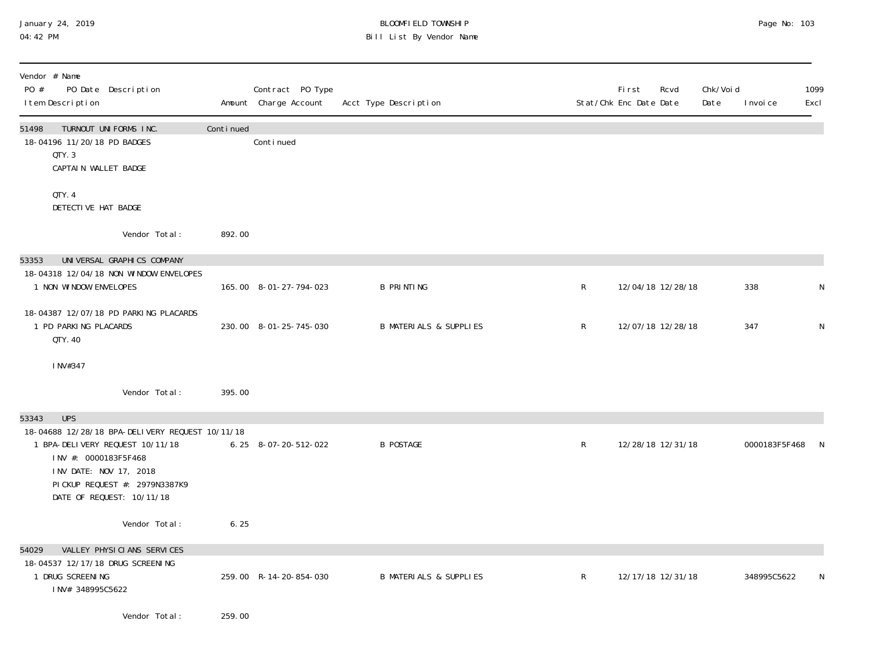# January 24, 2019 BLOOMFIELD TOWNSHIP Page No: 103 Bill List By Vendor Name

| Vendor # Name<br>PO #<br>PO Date Description<br>I tem Description                                                                                                                                                         |           | Contract PO Type<br>Amount Charge Account | Acct Type Description             |             | <b>First</b><br>Stat/Chk Enc Date Date | Rcvd              | Chk/Voi d<br>Date | I nvoi ce     | 1099<br>Excl |
|---------------------------------------------------------------------------------------------------------------------------------------------------------------------------------------------------------------------------|-----------|-------------------------------------------|-----------------------------------|-------------|----------------------------------------|-------------------|-------------------|---------------|--------------|
| 51498<br>TURNOUT UNIFORMS INC.<br>18-04196 11/20/18 PD BADGES<br>QTY.3<br>CAPTAIN WALLET BADGE                                                                                                                            | Continued | Continued                                 |                                   |             |                                        |                   |                   |               |              |
| QTY. 4<br>DETECTIVE HAT BADGE                                                                                                                                                                                             |           |                                           |                                   |             |                                        |                   |                   |               |              |
| Vendor Total:                                                                                                                                                                                                             | 892.00    |                                           |                                   |             |                                        |                   |                   |               |              |
| UNIVERSAL GRAPHICS COMPANY<br>53353                                                                                                                                                                                       |           |                                           |                                   |             |                                        |                   |                   |               |              |
| 18-04318 12/04/18 NON WINDOW ENVELOPES<br>1 NON WINDOW ENVELOPES                                                                                                                                                          |           | 165.00 8-01-27-794-023                    | <b>B PRINTING</b>                 | $\mathsf R$ |                                        | 12/04/18 12/28/18 |                   | 338           | N            |
| 18-04387 12/07/18 PD PARKING PLACARDS<br>1 PD PARKING PLACARDS<br>QTY, 40                                                                                                                                                 |           | 230.00 8-01-25-745-030                    | <b>B MATERIALS &amp; SUPPLIES</b> | R           |                                        | 12/07/18 12/28/18 |                   | 347           | N            |
| INV#347                                                                                                                                                                                                                   |           |                                           |                                   |             |                                        |                   |                   |               |              |
| Vendor Total:                                                                                                                                                                                                             | 395.00    |                                           |                                   |             |                                        |                   |                   |               |              |
| <b>UPS</b><br>53343<br>18-04688 12/28/18 BPA-DELIVERY REQUEST 10/11/18<br>1 BPA-DELIVERY REQUEST 10/11/18<br>INV #: 0000183F5F468<br>INV DATE: NOV 17, 2018<br>PICKUP REQUEST #: 2979N3387K9<br>DATE OF REQUEST: 10/11/18 |           | 6.25 8-07-20-512-022                      | <b>B POSTAGE</b>                  | $\mathsf R$ |                                        | 12/28/18 12/31/18 |                   | 0000183F5F468 |              |
| Vendor Total:                                                                                                                                                                                                             | 6.25      |                                           |                                   |             |                                        |                   |                   |               |              |
| VALLEY PHYSICIANS SERVICES<br>54029<br>18-04537 12/17/18 DRUG SCREENING<br>1 DRUG SCREENING<br>INV# 348995C5622                                                                                                           |           | 259.00 R-14-20-854-030                    | <b>B MATERIALS &amp; SUPPLIES</b> | R           |                                        | 12/17/18 12/31/18 |                   | 348995C5622   |              |
| Vendor Total:                                                                                                                                                                                                             | 259.00    |                                           |                                   |             |                                        |                   |                   |               |              |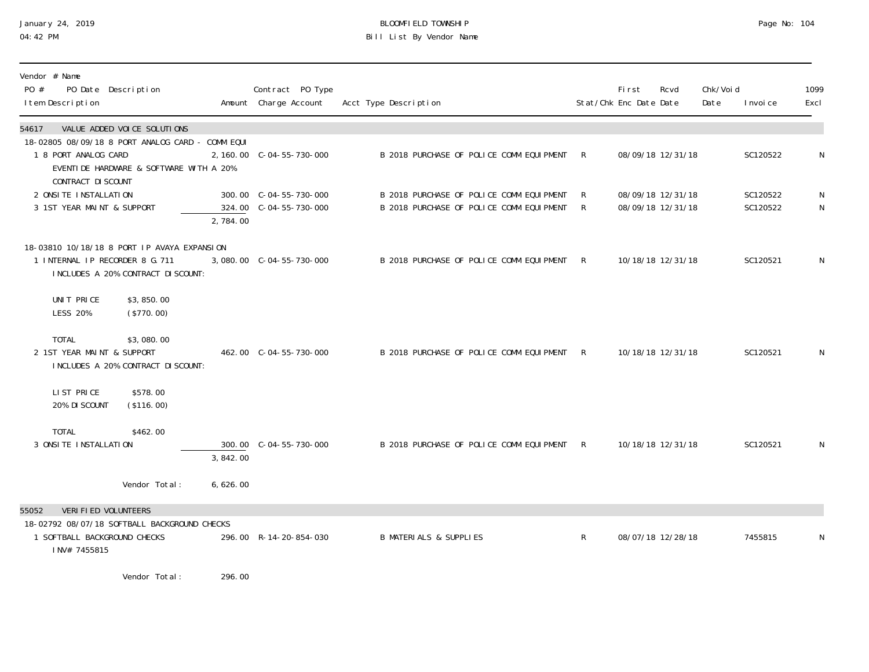# January 24, 2019 BLOOMFIELD TOWNSHIP Page No: 104 04:42 PM Bill List By Vendor Name

| Vendor # Name<br>PO #<br>I tem Description | PO Date Description |
|--------------------------------------------|---------------------|

| PO #  | $V$ CHUVI $\pi$ Name<br>I tem Description            | PO Date Description                                                                                                  |          | Contract PO Type<br>Amount Charge Account | Acct Type Description                                                                |              | First<br>Stat/Chk Enc Date Date | Rcvd                                   | Chk/Voi d<br>Date | I nvoi ce            | 1099<br>Excl |
|-------|------------------------------------------------------|----------------------------------------------------------------------------------------------------------------------|----------|-------------------------------------------|--------------------------------------------------------------------------------------|--------------|---------------------------------|----------------------------------------|-------------------|----------------------|--------------|
| 54617 |                                                      | VALUE ADDED VOICE SOLUTIONS                                                                                          |          |                                           |                                                                                      |              |                                 |                                        |                   |                      |              |
|       | 1 8 PORT ANALOG CARD<br>CONTRACT DI SCOUNT           | 18-02805 08/09/18 8 PORT ANALOG CARD - COMM EQUI<br>EVENTIDE HARDWARE & SOFTWARE WITH A 20%                          |          | 2, 160.00 C-04-55-730-000                 | B 2018 PURCHASE OF POLICE COMM EQUIPMENT                                             | R            |                                 | 08/09/18 12/31/18                      |                   | SC120522             | N            |
|       | 2 ONSI TE INSTALLATION<br>3 1ST YEAR MAINT & SUPPORT |                                                                                                                      | 2,784.00 |                                           | B 2018 PURCHASE OF POLICE COMM EQUIPMENT<br>B 2018 PURCHASE OF POLICE COMM EQUIPMENT | R<br>R       |                                 | 08/09/18 12/31/18<br>08/09/18 12/31/18 |                   | SC120522<br>SC120522 | N<br>N       |
|       |                                                      | 18-03810 10/18/18 8 PORT IP AVAYA EXPANSION<br>1 INTERNAL IP RECORDER 8 G. 711<br>INCLUDES A 20% CONTRACT DI SCOUNT: |          |                                           | B 2018 PURCHASE OF POLICE COMM EQUIPMENT                                             | R            |                                 | 10/18/18 12/31/18                      |                   | SC120521             | N            |
|       | UNIT PRICE<br><b>LESS 20%</b>                        | \$3,850.00<br>(\$770.00)                                                                                             |          |                                           |                                                                                      |              |                                 |                                        |                   |                      |              |
|       | <b>TOTAL</b><br>2 1ST YEAR MAINT & SUPPORT           | \$3,080.00<br>INCLUDES A 20% CONTRACT DI SCOUNT:                                                                     |          | 462.00 C-04-55-730-000                    | B 2018 PURCHASE OF POLICE COMM EQUIPMENT                                             | R            |                                 | 10/18/18 12/31/18                      |                   | SC120521             | N            |
|       | LIST PRICE<br>20% DI SCOUNT                          | \$578.00<br>(\$116.00)                                                                                               |          |                                           |                                                                                      |              |                                 |                                        |                   |                      |              |
|       | <b>TOTAL</b><br>3 ONSI TE INSTALLATION               | \$462.00                                                                                                             | 3,842.00 |                                           | B 2018 PURCHASE OF POLICE COMM EQUIPMENT R                                           |              |                                 | 10/18/18 12/31/18                      |                   | SC120521             | N            |
|       |                                                      | Vendor Total:                                                                                                        | 6,626.00 |                                           |                                                                                      |              |                                 |                                        |                   |                      |              |
| 55052 | VERI FI ED VOLUNTEERS                                |                                                                                                                      |          |                                           |                                                                                      |              |                                 |                                        |                   |                      |              |
|       | 1 SOFTBALL BACKGROUND CHECKS<br>INV# 7455815         | 18-02792 08/07/18 SOFTBALL BACKGROUND CHECKS                                                                         |          | 296.00 R-14-20-854-030                    | <b>B MATERIALS &amp; SUPPLIES</b>                                                    | $\mathsf{R}$ |                                 | 08/07/18 12/28/18                      |                   | 7455815              | N            |

Vendor Total: 296.00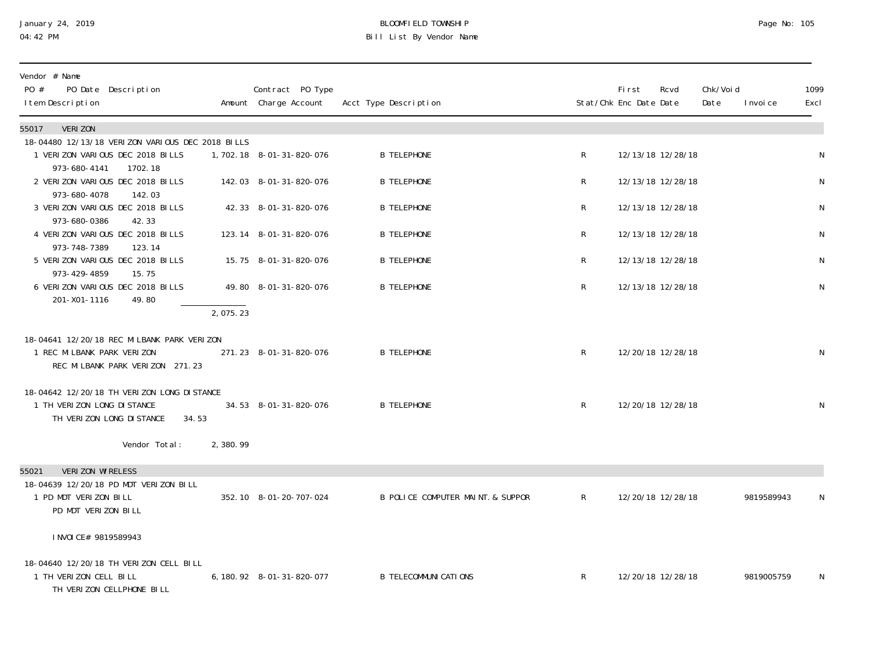# January 24, 2019 BLOOMFIELD TOWNSHIP Page No: 105 04:42 PM Bill List By Vendor Name

| Vendor # Name<br>PO #<br>PO Date Description<br>I tem Description                                               | Contract PO Type<br>Amount Charge Account | Acct Type Description             |              | <b>First</b><br>Stat/Chk Enc Date Date | Rcvd | Chk/Voi d<br>Date<br>I nvoi ce | 1099<br>Excl |
|-----------------------------------------------------------------------------------------------------------------|-------------------------------------------|-----------------------------------|--------------|----------------------------------------|------|--------------------------------|--------------|
| <b>VERIZON</b><br>55017                                                                                         |                                           |                                   |              |                                        |      |                                |              |
| 18-04480 12/13/18 VERIZON VARIOUS DEC 2018 BILLS<br>1 VERIZON VARIOUS DEC 2018 BILLS<br>973-680-4141<br>1702.18 | 1,702.18 8-01-31-820-076                  | <b>B TELEPHONE</b>                | R            | 12/13/18 12/28/18                      |      |                                | $\mathsf N$  |
| 2 VERIZON VARIOUS DEC 2018 BILLS<br>973-680-4078<br>142.03                                                      | 142.03 8-01-31-820-076                    | <b>B TELEPHONE</b>                | $\mathsf{R}$ | 12/13/18 12/28/18                      |      |                                | N            |
| 3 VERIZON VARIOUS DEC 2018 BILLS<br>973-680-0386<br>42.33                                                       | 42.33 8-01-31-820-076                     | <b>B TELEPHONE</b>                | R            | 12/13/18 12/28/18                      |      |                                | N            |
| 4 VERIZON VARIOUS DEC 2018 BILLS<br>973-748-7389<br>123.14                                                      | 123.14 8-01-31-820-076                    | <b>B TELEPHONE</b>                | R            | 12/13/18 12/28/18                      |      |                                | N            |
| 5 VERIZON VARIOUS DEC 2018 BILLS<br>973-429-4859<br>15.75                                                       | 15.75 8-01-31-820-076                     | <b>B TELEPHONE</b>                | R            | 12/13/18 12/28/18                      |      |                                | $\mathsf N$  |
| 6 VERIZON VARIOUS DEC 2018 BILLS<br>201-X01-1116<br>49.80                                                       | 49.80 8-01-31-820-076                     | <b>B TELEPHONE</b>                | $\mathsf{R}$ | 12/13/18 12/28/18                      |      |                                | N            |
| 2,075.23                                                                                                        |                                           |                                   |              |                                        |      |                                |              |
| 18-04641 12/20/18 REC MILBANK PARK VERIZON<br>1 REC MILBANK PARK VERIZON<br>REC MILBANK PARK VERIZON 271.23     | 271.23 8-01-31-820-076                    | <b>B TELEPHONE</b>                | $\mathsf{R}$ | 12/20/18 12/28/18                      |      |                                | N            |
| 18-04642 12/20/18 TH VERIZON LONG DISTANCE<br>1 TH VERIZON LONG DISTANCE<br>TH VERIZON LONG DISTANCE<br>34.53   | 34.53 8-01-31-820-076                     | <b>B TELEPHONE</b>                | $\mathsf{R}$ | 12/20/18 12/28/18                      |      |                                | $\mathsf N$  |
| Vendor Total:<br>2,380.99                                                                                       |                                           |                                   |              |                                        |      |                                |              |
| 55021<br><b>VERIZON WIRELESS</b>                                                                                |                                           |                                   |              |                                        |      |                                |              |
| 18-04639 12/20/18 PD MDT VERIZON BILL<br>1 PD MDT VERIZON BILL<br>PD MDT VERIZON BILL                           | 352.10 8-01-20-707-024                    | B POLICE COMPUTER MAINT. & SUPPOR | $\mathsf{R}$ | 12/20/18 12/28/18                      |      | 9819589943                     | N            |
| I NVOI CE# 9819589943                                                                                           |                                           |                                   |              |                                        |      |                                |              |
| 18-04640 12/20/18 TH VERIZON CELL BILL<br>1 TH VERIZON CELL BILL<br>TH VERIZON CELLPHONE BILL                   | 6, 180. 92 8-01-31-820-077                | <b>B TELECOMMUNI CATI ONS</b>     | $\mathsf{R}$ | 12/20/18 12/28/18                      |      | 9819005759                     | N            |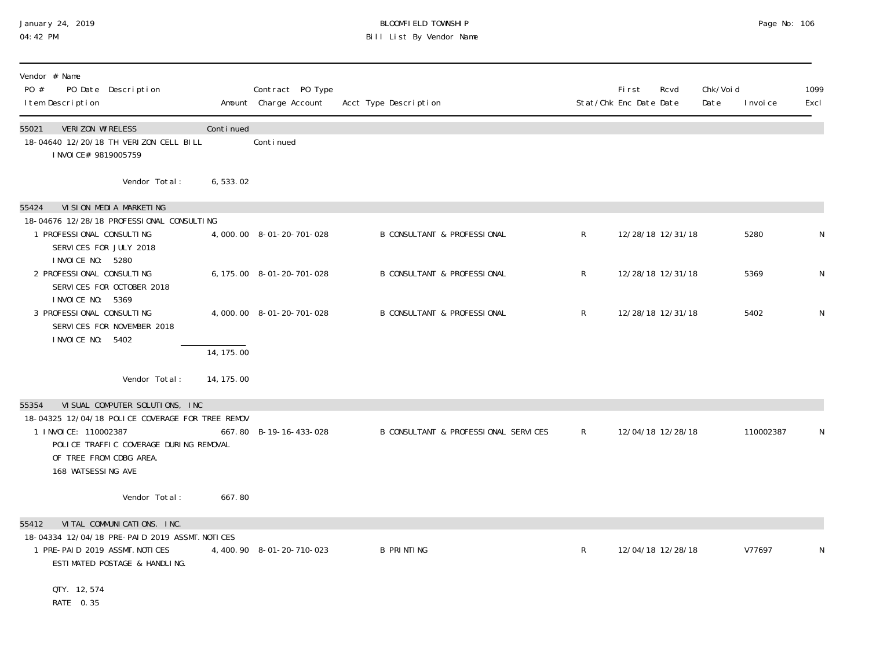## January 24, 2019 BLOOMFIELD TOWNSHIP Page No: 106 04:42 PM Bill List By Vendor Name

| Vendor # Name<br>PO #<br>PO Date Description<br>I tem Description                                                                                                   |            | Contract PO Type<br>Amount Charge Account | Acct Type Description                  |              | <b>First</b><br>Stat/Chk Enc Date Date | Rcvd              | Chk/Voi d<br>Date | I nvoi ce | 1099<br>Excl |
|---------------------------------------------------------------------------------------------------------------------------------------------------------------------|------------|-------------------------------------------|----------------------------------------|--------------|----------------------------------------|-------------------|-------------------|-----------|--------------|
| VERIZON WIRELESS<br>55021<br>18-04640 12/20/18 TH VERIZON CELL BILL<br>I NVOI CE# 9819005759                                                                        | Continued  | Continued                                 |                                        |              |                                        |                   |                   |           |              |
| Vendor Total:                                                                                                                                                       | 6,533.02   |                                           |                                        |              |                                        |                   |                   |           |              |
| 55424<br>VI SI ON MEDI A MARKETI NG<br>18-04676 12/28/18 PROFESSIONAL CONSULTING                                                                                    |            |                                           |                                        |              |                                        |                   |                   |           |              |
| 1 PROFESSIONAL CONSULTING<br>SERVICES FOR JULY 2018<br>I NVOI CE NO: 5280                                                                                           |            | 4,000.00 8-01-20-701-028                  | <b>B CONSULTANT &amp; PROFESSIONAL</b> | $\mathsf R$  |                                        | 12/28/18 12/31/18 |                   | 5280      | N            |
| 2 PROFESSIONAL CONSULTING<br>SERVICES FOR OCTOBER 2018<br>I NVOI CE NO: 5369                                                                                        |            | 6, 175.00 8-01-20-701-028                 | <b>B CONSULTANT &amp; PROFESSIONAL</b> | $\mathsf R$  |                                        | 12/28/18 12/31/18 |                   | 5369      | N            |
| 3 PROFESSIONAL CONSULTING<br>SERVICES FOR NOVEMBER 2018<br>I NVOI CE NO: 5402                                                                                       |            | 4,000.00 8-01-20-701-028                  | <b>B CONSULTANT &amp; PROFESSIONAL</b> | $\mathsf{R}$ |                                        | 12/28/18 12/31/18 |                   | 5402      | N            |
|                                                                                                                                                                     | 14, 175.00 |                                           |                                        |              |                                        |                   |                   |           |              |
| Vendor Total:                                                                                                                                                       | 14, 175.00 |                                           |                                        |              |                                        |                   |                   |           |              |
| VI SUAL COMPUTER SOLUTIONS, INC.<br>55354                                                                                                                           |            |                                           |                                        |              |                                        |                   |                   |           |              |
| 18-04325 12/04/18 POLICE COVERAGE FOR TREE REMOV<br>1 INVOICE: 110002387<br>POLICE TRAFFIC COVERAGE DURING REMOVAL<br>OF TREE FROM CDBG AREA.<br>168 WATSESSING AVE |            | 667.80 B-19-16-433-028                    | B CONSULTANT & PROFESSIONAL SERVICES   | R            |                                        | 12/04/18 12/28/18 |                   | 110002387 | N            |
| Vendor Total:                                                                                                                                                       | 667.80     |                                           |                                        |              |                                        |                   |                   |           |              |
| VITAL COMMUNICATIONS. INC.<br>55412<br>18-04334 12/04/18 PRE-PAID 2019 ASSMT. NOTICES<br>1 PRE-PAID 2019 ASSMT. NOTICES<br>ESTIMATED POSTAGE & HANDLING.            |            | 4, 400. 90 8-01-20-710-023                | <b>B PRINTING</b>                      | R            |                                        | 12/04/18 12/28/18 |                   | V77697    | N            |
| QTY. 12,574<br>RATE 0.35                                                                                                                                            |            |                                           |                                        |              |                                        |                   |                   |           |              |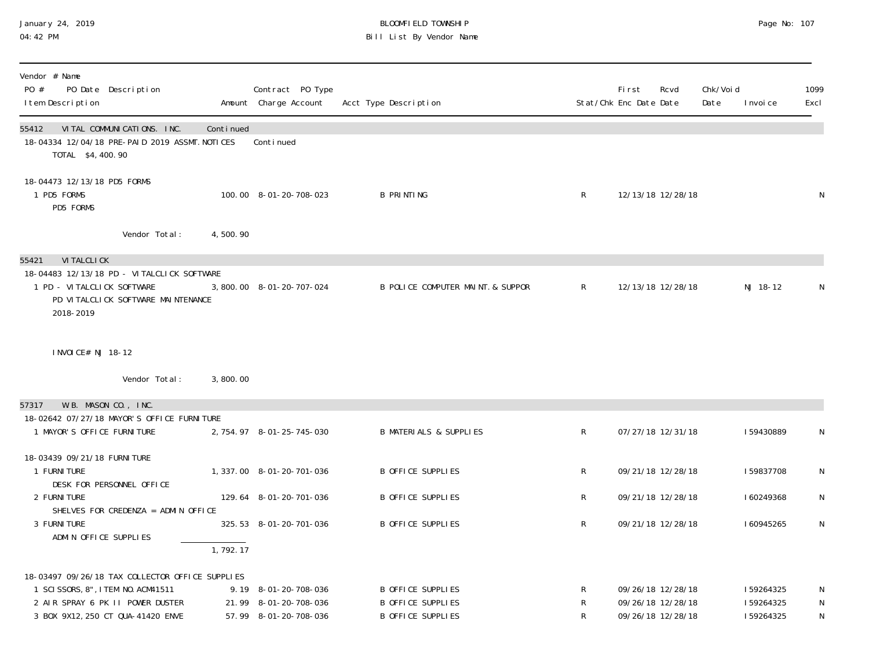# January 24, 2019 BLOOMFIELD TOWNSHIP Page No: 107 Bill List By Vendor Name

| Vendor # Name<br>PO #<br>PO Date Description<br>I tem Description                                                           |           | Contract PO Type<br>Amount Charge Account | Acct Type Description             |              | First<br>Rcvd<br>Stat/Chk Enc Date Date | Chk/Voi d<br>Date<br>I nvoi ce | 1099<br>Excl |
|-----------------------------------------------------------------------------------------------------------------------------|-----------|-------------------------------------------|-----------------------------------|--------------|-----------------------------------------|--------------------------------|--------------|
| VITAL COMMUNICATIONS. INC.<br>55412<br>18-04334 12/04/18 PRE-PAID 2019 ASSMT. NOTICES<br>TOTAL \$4,400.90                   | Continued | Conti nued                                |                                   |              |                                         |                                |              |
| 18-04473 12/13/18 PD5 FORMS<br>1 PD5 FORMS<br>PD5 FORMS                                                                     |           | 100.00 8-01-20-708-023                    | <b>B PRINTING</b>                 | $\mathsf{R}$ | 12/13/18 12/28/18                       |                                | N            |
| Vendor Total:                                                                                                               | 4,500.90  |                                           |                                   |              |                                         |                                |              |
| 55421<br><b>VI TALCLI CK</b>                                                                                                |           |                                           |                                   |              |                                         |                                |              |
| 18-04483 12/13/18 PD - VITALCLICK SOFTWARE<br>1 PD - VITALCLICK SOFTWARE<br>PD VITALCLICK SOFTWARE MAINTENANCE<br>2018-2019 |           | 3,800.00 8-01-20-707-024                  | B POLICE COMPUTER MAINT. & SUPPOR | $\mathsf{R}$ | 12/13/18 12/28/18                       | NJ 18-12                       | $\mathsf N$  |
| I NVOI CE# NJ 18-12                                                                                                         |           |                                           |                                   |              |                                         |                                |              |
| Vendor Total:                                                                                                               | 3,800.00  |                                           |                                   |              |                                         |                                |              |
| W.B. MASON CO., INC.<br>57317                                                                                               |           |                                           |                                   |              |                                         |                                |              |
| 18-02642 07/27/18 MAYOR'S OFFICE FURNITURE                                                                                  |           |                                           |                                   |              |                                         |                                |              |
| 1 MAYOR'S OFFICE FURNITURE                                                                                                  |           | 2, 754.97 8-01-25-745-030                 | <b>B MATERIALS &amp; SUPPLIES</b> | $\mathsf R$  | 07/27/18 12/31/18                       | 159430889                      | N            |
|                                                                                                                             |           |                                           |                                   |              |                                         |                                |              |
| 18-03439 09/21/18 FURNI TURE<br>1 FURNI TURE                                                                                |           | 1, 337.00 8-01-20-701-036                 | B OFFICE SUPPLIES                 | $\mathsf R$  | 09/21/18 12/28/18                       | 159837708                      | $\mathsf{N}$ |
| DESK FOR PERSONNEL OFFICE                                                                                                   |           |                                           |                                   |              |                                         |                                |              |
| 2 FURNI TURE                                                                                                                |           | 129.64 8-01-20-701-036                    | <b>B OFFICE SUPPLIES</b>          | $\mathsf{R}$ | 09/21/18 12/28/18                       | 160249368                      | N            |
| SHELVES FOR CREDENZA = ADMIN OFFICE<br>3 FURNI TURE                                                                         |           | 325.53 8-01-20-701-036                    | <b>B OFFICE SUPPLIES</b>          | $\mathsf R$  | 09/21/18 12/28/18                       | 160945265                      | $\mathsf N$  |
| ADMIN OFFICE SUPPLIES                                                                                                       |           |                                           |                                   |              |                                         |                                |              |
|                                                                                                                             | 1,792.17  |                                           |                                   |              |                                         |                                |              |
| 18-03497 09/26/18 TAX COLLECTOR OFFICE SUPPLIES                                                                             |           |                                           |                                   |              |                                         |                                |              |
| 1 SCI SSORS, 8", I TEM NO. ACM41511                                                                                         |           | 9.19 8-01-20-708-036                      | B OFFICE SUPPLIES                 | R            | 09/26/18 12/28/18                       | 159264325                      | N            |
| 2 AIR SPRAY 6 PK II POWER DUSTER                                                                                            |           | 21.99 8-01-20-708-036                     | <b>B OFFICE SUPPLIES</b>          | R            | 09/26/18 12/28/18                       | 159264325                      | N            |
| 3 BOX 9X12, 250 CT QUA-41420 ENVE                                                                                           |           | 57.99 8-01-20-708-036                     | <b>B OFFICE SUPPLIES</b>          | $\mathsf R$  | 09/26/18 12/28/18                       | 159264325                      | N            |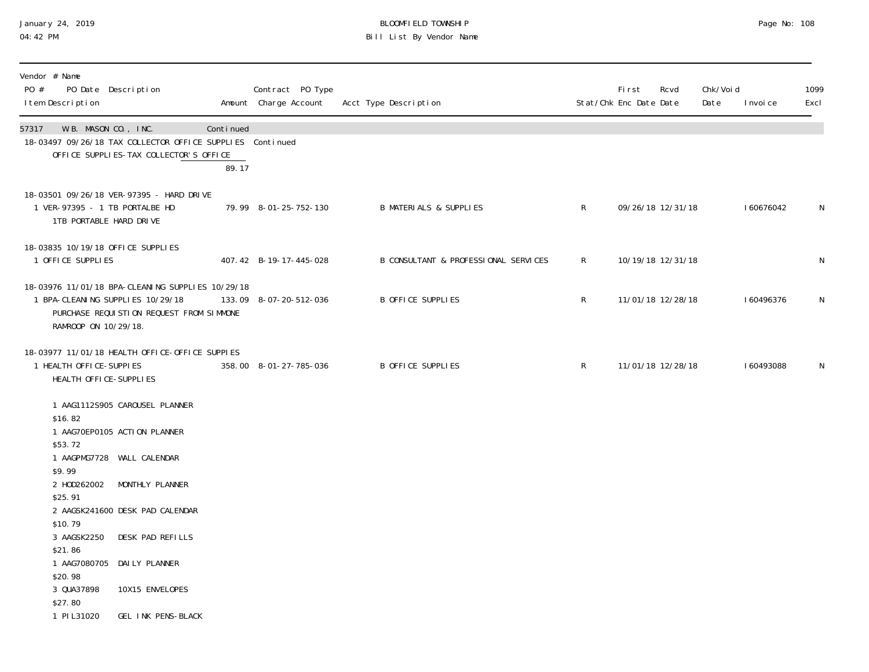# January 24, 2019 BLOOMFIELD TOWNSHIP Page No: 108 04:42 PM Bill List By Vendor Name

| Vendor # Name<br>PO #<br>PO Date Description<br>I tem Description                                                                             |                                                                                                                                                                                                                                               |                    | Contract PO Type<br>Amount Charge Account | Acct Type Description                |              | <b>First</b><br>Stat/Chk Enc Date Date | Rcvd | Chk/Voi d<br>Date | I nvoi ce | 1099<br>Excl |
|-----------------------------------------------------------------------------------------------------------------------------------------------|-----------------------------------------------------------------------------------------------------------------------------------------------------------------------------------------------------------------------------------------------|--------------------|-------------------------------------------|--------------------------------------|--------------|----------------------------------------|------|-------------------|-----------|--------------|
| 57317 W.B. MASON CO., INC.                                                                                                                    | 18-03497 09/26/18 TAX COLLECTOR OFFICE SUPPLIES Continued<br>OFFICE SUPPLIES-TAX COLLECTOR'S OFFICE                                                                                                                                           | Continued<br>89.17 |                                           |                                      |              |                                        |      |                   |           |              |
| 1 VER-97395 - 1 TB PORTALBE HD<br>1TB PORTABLE HARD DRIVE                                                                                     | 18-03501 09/26/18 VER-97395 - HARD DRIVE                                                                                                                                                                                                      |                    | 79.99 8-01-25-752-130                     | <b>B MATERIALS &amp; SUPPLIES</b>    | $\mathsf{R}$ | 09/26/18 12/31/18                      |      |                   | 160676042 | N            |
| 18-03835 10/19/18 OFFICE SUPPLIES<br>1 OFFICE SUPPLIES                                                                                        |                                                                                                                                                                                                                                               |                    | 407.42 B-19-17-445-028                    | B CONSULTANT & PROFESSIONAL SERVICES | $\mathsf{R}$ | 10/19/18 12/31/18                      |      |                   |           | N            |
| 1 BPA-CLEANING SUPPLIES 10/29/18<br>RAMROOP ON 10/29/18.                                                                                      | 18-03976 11/01/18 BPA-CLEANING SUPPLIES 10/29/18<br>PURCHASE REQUISTION REQUEST FROM SIMMONE                                                                                                                                                  |                    | 133.09 8-07-20-512-036                    | B OFFICE SUPPLIES                    | R            | 11/01/18 12/28/18                      |      |                   | 160496376 | N            |
| 1 HEALTH OFFICE-SUPPIES<br>HEALTH OFFICE-SUPPLIES                                                                                             | 18-03977 11/01/18 HEALTH OFFICE-OFFICE SUPPIES                                                                                                                                                                                                |                    | 358.00 8-01-27-785-036                    | B OFFICE SUPPLIES                    | $\mathsf{R}$ | 11/01/18 12/28/18                      |      |                   | 160493088 | N            |
| \$16.82<br>\$53.72<br>\$9.99<br>2 HOD262002<br>\$25.91<br>\$10.79<br>3 AAGSK2250<br>\$21.86<br>\$20.98<br>3 QUA37898<br>\$27.80<br>1 PIL31020 | 1 AAG1112S905 CAROUSEL PLANNER<br>1 AAG70EP0105 ACTION PLANNER<br>1 AAGPMG7728 WALL CALENDAR<br>MONTHLY PLANNER<br>2 AAGSK241600 DESK PAD CALENDAR<br>DESK PAD REFILLS<br>1 AAG7080705 DAILY PLANNER<br>10X15 ENVELOPES<br>GEL INK PENS-BLACK |                    |                                           |                                      |              |                                        |      |                   |           |              |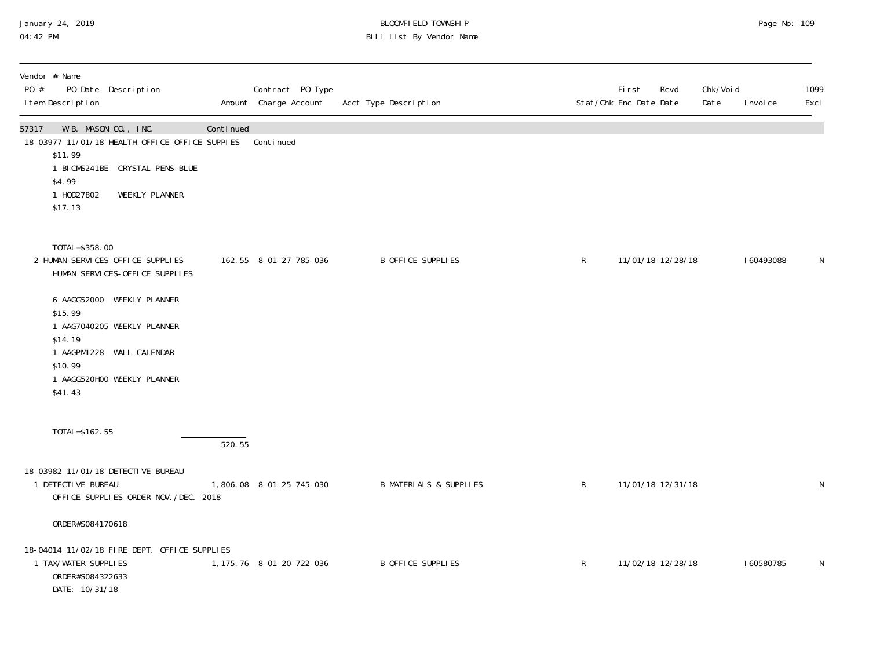## January 24, 2019 BLOOMFIELD TOWNSHIP Page No: 109 04:42 PM Bill List By Vendor Name

| Vendor # Name<br>PO #<br>PO Date Description<br>I tem Description                                                                                                                                                                                         |           | Contract PO Type<br>Amount Charge Account | Acct Type Description             |              | First<br>Stat/Chk Enc Date Date | Rcvd              | Chk/Voi d<br>Date | I nvoi ce | 1099<br>Excl |
|-----------------------------------------------------------------------------------------------------------------------------------------------------------------------------------------------------------------------------------------------------------|-----------|-------------------------------------------|-----------------------------------|--------------|---------------------------------|-------------------|-------------------|-----------|--------------|
| W.B. MASON CO., INC.<br>57317<br>18-03977 11/01/18 HEALTH OFFICE-OFFICE SUPPIES<br>\$11.99<br>1 BICMS241BE CRYSTAL PENS-BLUE<br>\$4.99<br>1 H0D27802<br>WEEKLY PLANNER<br>\$17.13                                                                         | Continued | Continued                                 |                                   |              |                                 |                   |                   |           |              |
| TOTAL=\$358.00<br>2 HUMAN SERVICES-OFFICE SUPPLIES<br>HUMAN SERVICES-OFFICE SUPPLIES<br>6 AAGG52000 WEEKLY PLANNER<br>\$15.99<br>1 AAG7040205 WEEKLY PLANNER<br>\$14.19<br>1 AAGPM1228 WALL CALENDAR<br>\$10.99<br>1 AAGG520H00 WEEKLY PLANNER<br>\$41.43 |           | 162.55 8-01-27-785-036                    | B OFFICE SUPPLIES                 | R            |                                 | 11/01/18 12/28/18 |                   | 160493088 | N            |
| TOTAL=\$162.55                                                                                                                                                                                                                                            | 520.55    |                                           |                                   |              |                                 |                   |                   |           |              |
| 18-03982 11/01/18 DETECTIVE BUREAU<br>1 DETECTIVE BUREAU<br>OFFICE SUPPLIES ORDER NOV. /DEC. 2018                                                                                                                                                         |           | 1,806.08 8-01-25-745-030                  | <b>B MATERIALS &amp; SUPPLIES</b> | $\mathsf{R}$ |                                 | 11/01/18 12/31/18 |                   |           | N            |
| ORDER#S084170618                                                                                                                                                                                                                                          |           |                                           |                                   |              |                                 |                   |                   |           |              |
| 18-04014 11/02/18 FIRE DEPT. OFFICE SUPPLIES<br>1 TAX/WATER SUPPLIES<br>ORDER#S084322633<br>DATE: 10/31/18                                                                                                                                                |           | 1, 175. 76 8-01-20-722-036                | B OFFICE SUPPLIES                 | R            |                                 | 11/02/18 12/28/18 |                   | 160580785 | N            |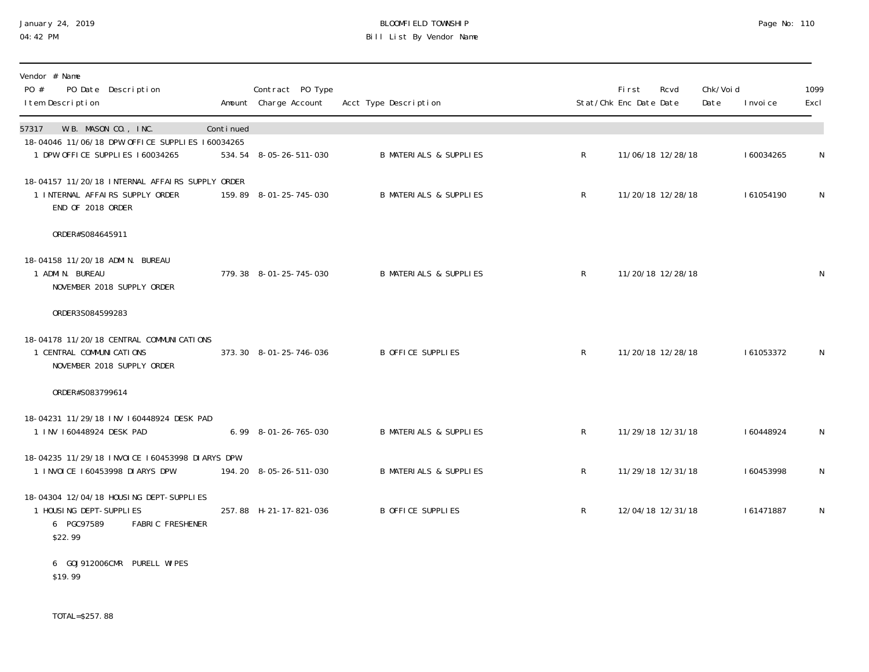## January 24, 2019 BLOOMFIELD TOWNSHIP Page No: 110 04:42 PM Bill List By Vendor Name

| Vendor # Name<br>PO #<br>PO Date Description<br>I tem Description                                                      |           | Contract PO Type<br>Amount Charge Account | Acct Type Description             |              | First<br>Stat/Chk Enc Date Date | Rcvd              | Chk/Voi d<br>Date | I nvoi ce | 1099<br>Excl |
|------------------------------------------------------------------------------------------------------------------------|-----------|-------------------------------------------|-----------------------------------|--------------|---------------------------------|-------------------|-------------------|-----------|--------------|
| W.B. MASON CO., INC.<br>57317<br>18-04046 11/06/18 DPW OFFICE SUPPLIES 160034265<br>1 DPW OFFICE SUPPLIES 160034265    | Continued | 534.54 8-05-26-511-030                    | <b>B MATERIALS &amp; SUPPLIES</b> | $\mathsf{R}$ |                                 | 11/06/18 12/28/18 |                   | 160034265 | N            |
| 18-04157 11/20/18 INTERNAL AFFAIRS SUPPLY ORDER<br>1 INTERNAL AFFAIRS SUPPLY ORDER<br>END OF 2018 ORDER                |           | 159.89 8-01-25-745-030                    | <b>B MATERIALS &amp; SUPPLIES</b> | $\mathsf{R}$ | 11/20/18 12/28/18               |                   |                   | 161054190 | $\mathsf{N}$ |
| ORDER#S084645911                                                                                                       |           |                                           |                                   |              |                                 |                   |                   |           |              |
| 18-04158 11/20/18 ADMIN. BUREAU<br>1 ADMIN. BUREAU<br>NOVEMBER 2018 SUPPLY ORDER                                       |           | 779.38 8-01-25-745-030                    | <b>B MATERIALS &amp; SUPPLIES</b> | R            |                                 | 11/20/18 12/28/18 |                   |           | N            |
| ORDER3S084599283                                                                                                       |           |                                           |                                   |              |                                 |                   |                   |           |              |
| 18-04178 11/20/18 CENTRAL COMMUNICATIONS<br>1 CENTRAL COMMUNI CATIONS<br>NOVEMBER 2018 SUPPLY ORDER                    |           | 373.30 8-01-25-746-036                    | <b>B OFFICE SUPPLIES</b>          | $\mathsf{R}$ |                                 | 11/20/18 12/28/18 |                   | 161053372 | N            |
| ORDER#S083799614                                                                                                       |           |                                           |                                   |              |                                 |                   |                   |           |              |
| 18-04231 11/29/18 INV 160448924 DESK PAD<br>1 INV 160448924 DESK PAD                                                   |           | $6.99$ $8-01-26-765-030$                  | <b>B MATERIALS &amp; SUPPLIES</b> | $\mathsf{R}$ |                                 | 11/29/18 12/31/18 |                   | 160448924 | $\mathsf{N}$ |
| 18-04235 11/29/18 INVOICE 160453998 DIARYS DPW<br>1 INVOICE 160453998 DIARYS DPW                                       |           | 194.20 8-05-26-511-030                    | <b>B MATERIALS &amp; SUPPLIES</b> | $\mathsf{R}$ |                                 | 11/29/18 12/31/18 |                   | 160453998 | N            |
| 18-04304 12/04/18 HOUSING DEPT-SUPPLIES<br>1 HOUSING DEPT-SUPPLIES<br><b>FABRIC FRESHENER</b><br>6 PGC97589<br>\$22.99 |           | 257.88 H-21-17-821-036                    | B OFFICE SUPPLIES                 | $\mathsf{R}$ |                                 | 12/04/18 12/31/18 |                   | 161471887 | N            |
| 6 GOJ912006CMR PURELL WIPES<br>\$19.99                                                                                 |           |                                           |                                   |              |                                 |                   |                   |           |              |

TOTAL=\$257.88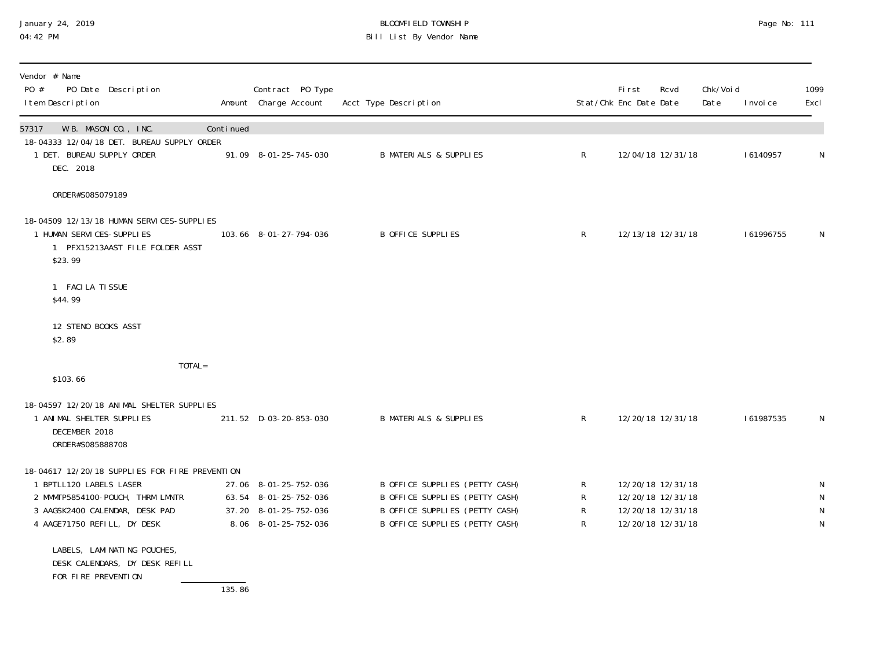## January 24, 2019 BLOOMFIELD TOWNSHIP Page No: 111 04:42 PM Bill List By Vendor Name

| Vendor # Name<br>PO #<br>PO Date Description<br>I tem Description                                                    |           | Contract PO Type<br>Amount Charge Account      | Acct Type Description                                            |                    | Fi rst<br>Stat/Chk Enc Date Date       | Rcvd              | Chk/Voi d<br>Date | I nvoi ce | 1099<br>Excl      |
|----------------------------------------------------------------------------------------------------------------------|-----------|------------------------------------------------|------------------------------------------------------------------|--------------------|----------------------------------------|-------------------|-------------------|-----------|-------------------|
| W.B. MASON CO., INC.<br>57317                                                                                        | Continued |                                                |                                                                  |                    |                                        |                   |                   |           |                   |
| 18-04333 12/04/18 DET. BUREAU SUPPLY ORDER<br>1 DET. BUREAU SUPPLY ORDER<br>DEC. 2018                                |           | 91.09 8-01-25-745-030                          | <b>B MATERIALS &amp; SUPPLIES</b>                                | $\mathsf{R}$       |                                        | 12/04/18 12/31/18 |                   | 16140957  | N                 |
| ORDER#S085079189                                                                                                     |           |                                                |                                                                  |                    |                                        |                   |                   |           |                   |
| 18-04509 12/13/18 HUMAN SERVICES-SUPPLIES<br>1 HUMAN SERVICES-SUPPLIES<br>1 PFX15213AAST FILE FOLDER ASST<br>\$23.99 |           | 103.66 8-01-27-794-036                         | B OFFICE SUPPLIES                                                | $\mathsf{R}$       |                                        | 12/13/18 12/31/18 |                   | 161996755 | N.                |
| 1 FACILA TISSUE<br>\$44.99                                                                                           |           |                                                |                                                                  |                    |                                        |                   |                   |           |                   |
| 12 STENO BOOKS ASST<br>\$2.89                                                                                        |           |                                                |                                                                  |                    |                                        |                   |                   |           |                   |
| TOTAL=<br>\$103.66                                                                                                   |           |                                                |                                                                  |                    |                                        |                   |                   |           |                   |
| 18-04597 12/20/18 ANIMAL SHELTER SUPPLIES<br>1 ANIMAL SHELTER SUPPLIES<br>DECEMBER 2018<br>ORDER#S085888708          |           | 211.52 D-03-20-853-030                         | <b>B MATERIALS &amp; SUPPLIES</b>                                | $\mathsf{R}$       |                                        | 12/20/18 12/31/18 |                   | 161987535 | N                 |
| 18-04617 12/20/18 SUPPLIES FOR FIRE PREVENTION                                                                       |           |                                                |                                                                  |                    |                                        |                   |                   |           |                   |
| 1 BPTLL120 LABELS LASER<br>2 MMMTP5854100-POUCH, THRM LMNTR                                                          |           | 27.06 8-01-25-752-036<br>63.54 8-01-25-752-036 | B OFFICE SUPPLIES (PETTY CASH)<br>B OFFICE SUPPLIES (PETTY CASH) | $\mathsf{R}$<br>R  | 12/20/18 12/31/18<br>12/20/18 12/31/18 |                   |                   |           | N<br>$\mathsf{N}$ |
| 3 AAGSK2400 CALENDAR, DESK PAD<br>4 AAGE71750 REFILL, DY DESK                                                        |           | 37.20 8-01-25-752-036<br>8.06 8-01-25-752-036  | B OFFICE SUPPLIES (PETTY CASH)<br>B OFFICE SUPPLIES (PETTY CASH) | $\mathsf{R}$<br>R. | 12/20/18 12/31/18<br>12/20/18 12/31/18 |                   |                   |           | N<br>N            |
| LABELS, LAMINATING POUCHES,<br>DESK CALENDARS, DY DESK REFILL<br>FOR FIRE PREVENTION                                 |           |                                                |                                                                  |                    |                                        |                   |                   |           |                   |

135.86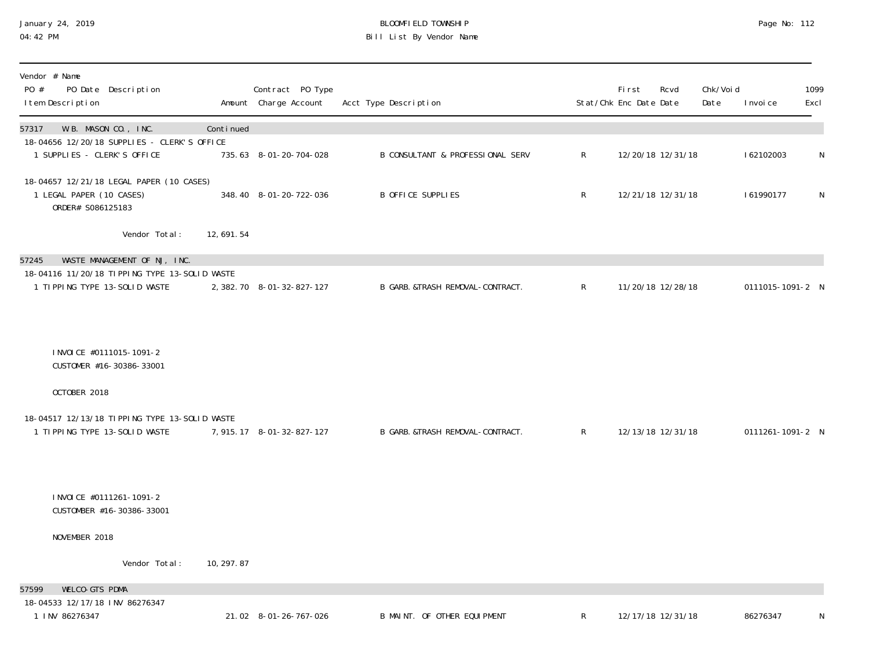## January 24, 2019 BLOOMFIELD TOWNSHIP Page No: 112 04:42 PM Bill List By Vendor Name

| Vendor # Name<br>PO #<br>PO Date Description<br>I tem Description                         |             | Contract PO Type<br>Amount Charge Account | Acct Type Description             |                | <b>First</b><br>Rcvd<br>Stat/Chk Enc Date Date | Chk/Voi d<br>Date | I nvoi ce        | 1099<br>Excl |
|-------------------------------------------------------------------------------------------|-------------|-------------------------------------------|-----------------------------------|----------------|------------------------------------------------|-------------------|------------------|--------------|
| W.B. MASON CO., INC.<br>57317                                                             | Continued   |                                           |                                   |                |                                                |                   |                  |              |
| 18-04656 12/20/18 SUPPLIES - CLERK'S OFFICE<br>1 SUPPLIES - CLERK'S OFFICE                |             | 735.63 8-01-20-704-028                    | B CONSULTANT & PROFESSIONAL SERV  | R              | 12/20/18 12/31/18                              |                   | 162102003        | $\mathsf N$  |
| 18-04657 12/21/18 LEGAL PAPER (10 CASES)<br>1 LEGAL PAPER (10 CASES)<br>ORDER# S086125183 |             | 348.40 8-01-20-722-036                    | <b>B OFFICE SUPPLIES</b>          | $\mathsf{R}$   | 12/21/18 12/31/18                              |                   | 161990177        | N            |
| Vendor Total:                                                                             | 12,691.54   |                                           |                                   |                |                                                |                   |                  |              |
| WASTE MANAGEMENT OF NJ, INC.<br>57245                                                     |             |                                           |                                   |                |                                                |                   |                  |              |
| 18-04116 11/20/18 TIPPING TYPE 13-SOLID WASTE<br>1 TIPPING TYPE 13-SOLID WASTE            |             | 2, 382. 70 8-01-32-827-127                | B GARB. &TRASH REMOVAL-CONTRACT.  | $\mathsf{R}$   | 11/20/18 12/28/18                              |                   | 0111015-1091-2 N |              |
|                                                                                           |             |                                           |                                   |                |                                                |                   |                  |              |
| INVOICE #0111015-1091-2<br>CUSTOMER #16-30386-33001                                       |             |                                           |                                   |                |                                                |                   |                  |              |
| OCTOBER 2018                                                                              |             |                                           |                                   |                |                                                |                   |                  |              |
| 18-04517 12/13/18 TIPPING TYPE 13-SOLID WASTE                                             |             |                                           |                                   |                |                                                |                   |                  |              |
| 1 TIPPING TYPE 13-SOLID WASTE                                                             |             | 7, 915.17 8-01-32-827-127                 | B GARB. & TRASH REMOVAL-CONTRACT. | $\mathsf{R}^-$ | 12/13/18 12/31/18                              |                   | 0111261-1091-2 N |              |
| INVOICE #0111261-1091-2<br>CUSTOMBER #16-30386-33001                                      |             |                                           |                                   |                |                                                |                   |                  |              |
| NOVEMBER 2018                                                                             |             |                                           |                                   |                |                                                |                   |                  |              |
| Vendor Total:                                                                             | 10, 297. 87 |                                           |                                   |                |                                                |                   |                  |              |
| WELCO-GTS PDMA<br>57599                                                                   |             |                                           |                                   |                |                                                |                   |                  |              |
| 18-04533 12/17/18 INV 86276347<br>1 INV 86276347                                          |             | 21.02 8-01-26-767-026                     | B MAINT. OF OTHER EQUIPMENT       | R              | 12/17/18 12/31/18                              |                   | 86276347         | N            |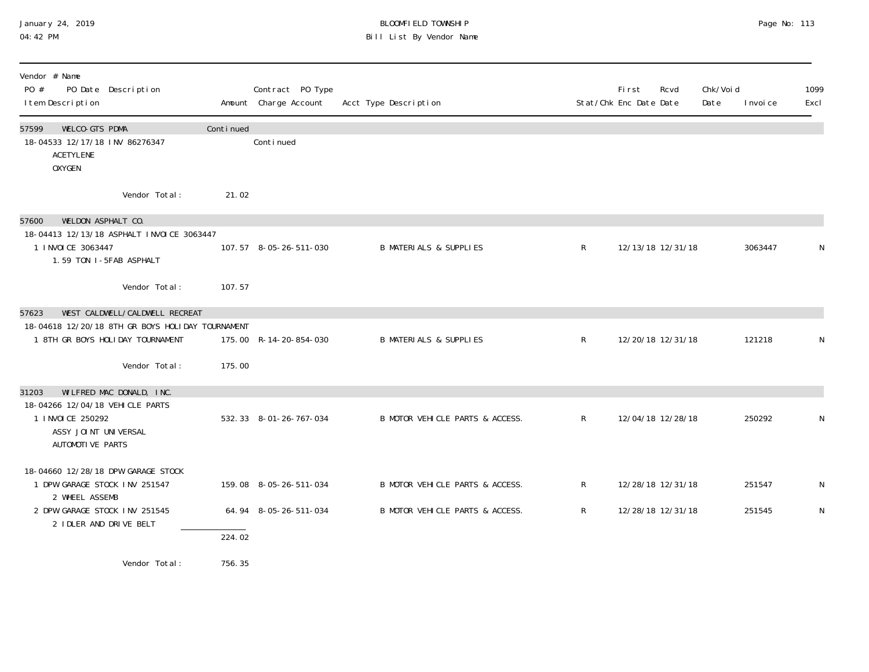# January 24, 2019 BLOOMFIELD TOWNSHIP Page No: 113 Bill List By Vendor Name

| Vendor # Name<br>PO #<br>PO Date Description<br>I tem Description                                                                                |                  | Contract PO Type<br>Amount Charge Account | Acct Type Description             |              | Fi rst<br>Stat/Chk Enc Date Date | Rcvd              | Chk/Voi d<br>Date | I nvoi ce | 1099<br>Excl |
|--------------------------------------------------------------------------------------------------------------------------------------------------|------------------|-------------------------------------------|-----------------------------------|--------------|----------------------------------|-------------------|-------------------|-----------|--------------|
| 57599<br>WELCO-GTS PDMA<br>18-04533 12/17/18 INV 86276347<br><b>ACETYLENE</b><br><b>OXYGEN</b>                                                   | Continued        | Continued                                 |                                   |              |                                  |                   |                   |           |              |
| Vendor Total:                                                                                                                                    | 21.02            |                                           |                                   |              |                                  |                   |                   |           |              |
| WELDON ASPHALT CO.<br>57600<br>18-04413 12/13/18 ASPHALT INVOICE 3063447<br>1 I NVOI CE 3063447<br>1.59 TON I-5FAB ASPHALT                       |                  | 107.57 8-05-26-511-030                    | <b>B MATERIALS &amp; SUPPLIES</b> | $\mathsf{R}$ |                                  | 12/13/18 12/31/18 |                   | 3063447   | N            |
| Vendor Total:                                                                                                                                    | 107.57           |                                           |                                   |              |                                  |                   |                   |           |              |
| WEST CALDWELL/CALDWELL RECREAT<br>57623<br>18-04618 12/20/18 8TH GR BOYS HOLIDAY TOURNAMENT<br>1 8TH GR BOYS HOLIDAY TOURNAMENT<br>Vendor Total: | 175.00           | 175.00 R-14-20-854-030                    | <b>B MATERIALS &amp; SUPPLIES</b> | $\mathsf{R}$ |                                  | 12/20/18 12/31/18 |                   | 121218    | N            |
| WILFRED MAC DONALD, INC.<br>31203<br>18-04266 12/04/18 VEHICLE PARTS<br>1 I NVOI CE 250292<br>ASSY JOINT UNIVERSAL<br>AUTOMOTI VE PARTS          |                  | 532.33 8-01-26-767-034                    | B MOTOR VEHICLE PARTS & ACCESS.   | $\mathsf{R}$ |                                  | 12/04/18 12/28/18 |                   | 250292    | N            |
| 18-04660 12/28/18 DPW GARAGE STOCK<br>1 DPW GARAGE STOCK INV 251547<br>2 WHEEL ASSEMB                                                            |                  | 159.08 8-05-26-511-034                    | B MOTOR VEHICLE PARTS & ACCESS.   | R            |                                  | 12/28/18 12/31/18 |                   | 251547    | N            |
| 2 DPW GARAGE STOCK INV 251545<br>2 I DLER AND DRIVE BELT                                                                                         |                  | 64.94 8-05-26-511-034                     | B MOTOR VEHICLE PARTS & ACCESS.   | $\mathsf{R}$ |                                  | 12/28/18 12/31/18 |                   | 251545    | ${\sf N}$    |
| Vendor Total:                                                                                                                                    | 224.02<br>756.35 |                                           |                                   |              |                                  |                   |                   |           |              |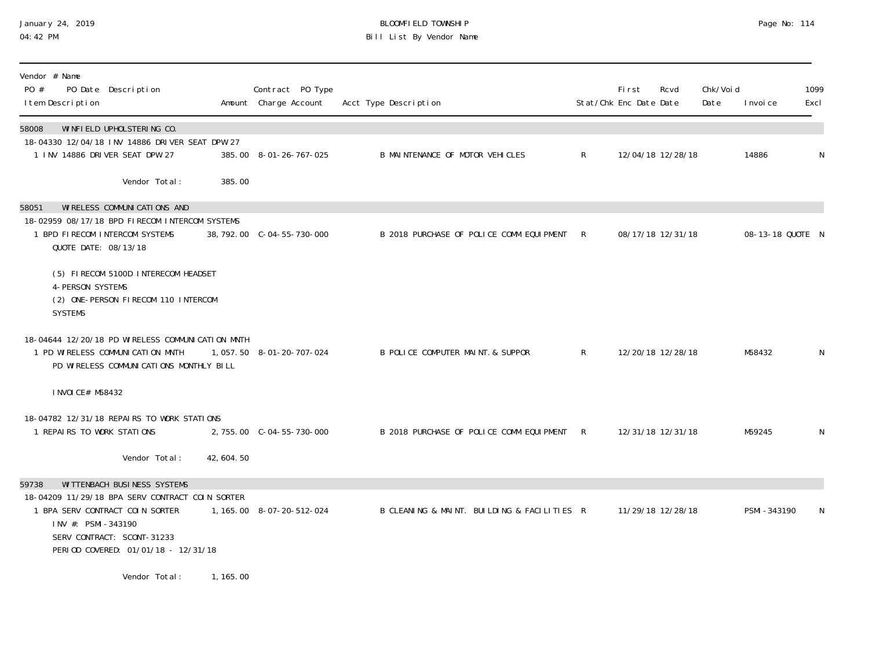### January 24, 2019 BLOOMFIELD TOWNSHIP Page No: 114 04:42 PM Bill List By Vendor Name

| Vendor # Name<br>PO #<br>PO Date Description<br>I tem Description                                                                                                                                                     |                             | Contract PO Type<br>Amount Charge Account | Acct Type Description                       |              | Fi rst<br>Stat/Chk Enc Date Date | Rcvd              | Chk/Voi d<br>Date | I nvoi ce        | 1099<br>Excl |
|-----------------------------------------------------------------------------------------------------------------------------------------------------------------------------------------------------------------------|-----------------------------|-------------------------------------------|---------------------------------------------|--------------|----------------------------------|-------------------|-------------------|------------------|--------------|
| WINFIELD UPHOLSTERING CO.<br>58008<br>18-04330 12/04/18 INV 14886 DRIVER SEAT DPW 27<br>1 INV 14886 DRIVER SEAT DPW 27                                                                                                |                             | 385.00 8-01-26-767-025                    | B MAINTENANCE OF MOTOR VEHICLES             | $\mathsf{R}$ |                                  | 12/04/18 12/28/18 |                   | 14886            | N            |
| Vendor Total:                                                                                                                                                                                                         | 385.00                      |                                           |                                             |              |                                  |                   |                   |                  |              |
| WI RELESS COMMUNI CATIONS AND<br>58051<br>18-02959 08/17/18 BPD FIRECOM INTERCOM SYSTEMS<br>1 BPD FIRECOM INTERCOM SYSTEMS<br>QUOTE DATE: 08/13/18                                                                    |                             |                                           | B 2018 PURCHASE OF POLICE COMM EQUIPMENT    | $\mathsf{R}$ |                                  | 08/17/18 12/31/18 |                   | 08-13-18 QUOTE N |              |
| (5) FIRECOM 5100D INTERECOM HEADSET<br><b>4-PERSON SYSTEMS</b><br>(2) ONE-PERSON FIRECOM 110 INTERCOM<br><b>SYSTEMS</b>                                                                                               |                             |                                           |                                             |              |                                  |                   |                   |                  |              |
| 18-04644 12/20/18 PD WIRELESS COMMUNICATION MNTH<br>1 PD WIRELESS COMMUNICATION MNTH<br>PD WIRELESS COMMUNICATIONS MONTHLY BILL                                                                                       |                             | 1, 057.50 8-01-20-707-024                 | B POLICE COMPUTER MAINT. & SUPPOR           | $\mathsf{R}$ |                                  | 12/20/18 12/28/18 |                   | M58432           | N            |
| I NVOI CE# M58432                                                                                                                                                                                                     |                             |                                           |                                             |              |                                  |                   |                   |                  |              |
| 18-04782 12/31/18 REPAIRS TO WORK STATIONS<br>1 REPAIRS TO WORK STATIONS                                                                                                                                              |                             |                                           | B 2018 PURCHASE OF POLICE COMM EQUIPMENT R  |              |                                  | 12/31/18 12/31/18 |                   | M59245           | N            |
| Vendor Total:                                                                                                                                                                                                         | 42, 604. 50                 |                                           |                                             |              |                                  |                   |                   |                  |              |
| WITTENBACH BUSINESS SYSTEMS<br>59738<br>18-04209 11/29/18 BPA SERV CONTRACT COIN SORTER<br>1 BPA SERV CONTRACT COIN SORTER<br>INV #: PSMI-343190<br>SERV CONTRACT: SCONT-31233<br>PERIOD COVERED: 01/01/18 - 12/31/18 |                             | 1, 165.00 8-07-20-512-024                 | B CLEANING & MAINT. BUILDING & FACILITIES R |              |                                  | 11/29/18 12/28/18 |                   | PSMI-343190      | N            |
| $\mathbf{u}$ , and $\mathbf{v}$ , and $\mathbf{v}$                                                                                                                                                                    | $\sim$ $\sim$ $\sim$ $\sim$ |                                           |                                             |              |                                  |                   |                   |                  |              |

Vendor Total: 1,165.00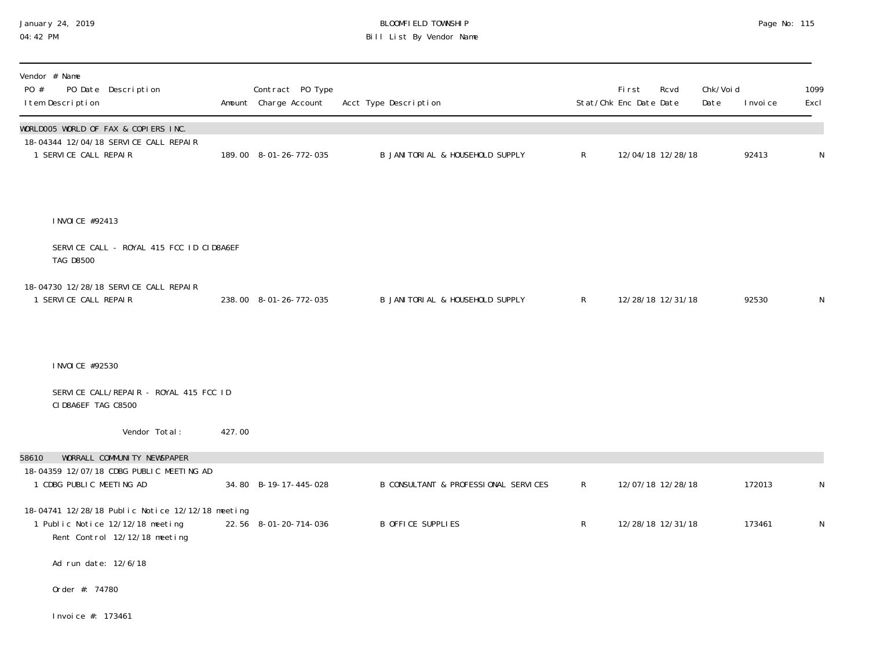## January 24, 2019 BLOOMFIELD TOWNSHIP Page No: 115 04:42 PM Bill List By Vendor Name

| Vendor # Name<br>PO #<br>PO Date Description<br>I tem Description                                                     |        | Contract PO Type<br>Amount Charge Account | Acct Type Description                |              | First<br>Stat/Chk Enc Date Date | Rcvd              | Chk/Voi d<br>Date | I nvoi ce | 1099<br>Excl |
|-----------------------------------------------------------------------------------------------------------------------|--------|-------------------------------------------|--------------------------------------|--------------|---------------------------------|-------------------|-------------------|-----------|--------------|
| WORLDOO5 WORLD OF FAX & COPIERS INC.<br>18-04344 12/04/18 SERVICE CALL REPAIR<br>1 SERVICE CALL REPAIR                |        | 189.00 8-01-26-772-035                    | B JANI TORI AL & HOUSEHOLD SUPPLY    | $\mathsf R$  |                                 | 12/04/18 12/28/18 |                   | 92413     | N            |
| I NVOI CE #92413                                                                                                      |        |                                           |                                      |              |                                 |                   |                   |           |              |
| SERVICE CALL - ROYAL 415 FCC ID CID8A6EF<br><b>TAG D8500</b>                                                          |        |                                           |                                      |              |                                 |                   |                   |           |              |
| 18-04730 12/28/18 SERVICE CALL REPAIR<br>1 SERVICE CALL REPAIR                                                        |        | 238.00 8-01-26-772-035                    | B JANI TORI AL & HOUSEHOLD SUPPLY    | $\mathsf{R}$ |                                 | 12/28/18 12/31/18 |                   | 92530     | N            |
| I NVOI CE #92530                                                                                                      |        |                                           |                                      |              |                                 |                   |                   |           |              |
| SERVICE CALL/REPAIR - ROYAL 415 FCC ID<br>CID8A6EF TAG C8500                                                          |        |                                           |                                      |              |                                 |                   |                   |           |              |
| Vendor Total:                                                                                                         | 427.00 |                                           |                                      |              |                                 |                   |                   |           |              |
| WORRALL COMMUNITY NEWSPAPER<br>58610<br>18-04359 12/07/18 CDBG PUBLIC MEETING AD<br>1 CDBG PUBLIC MEETING AD          |        | 34.80 B-19-17-445-028                     | B CONSULTANT & PROFESSIONAL SERVICES | $\mathsf{R}$ |                                 | 12/07/18 12/28/18 |                   | 172013    | N            |
| 18-04741 12/28/18 Public Notice 12/12/18 meeting<br>1 Public Notice 12/12/18 meeting<br>Rent Control 12/12/18 meeting |        | 22.56 8-01-20-714-036                     | <b>B OFFICE SUPPLIES</b>             | $\mathsf R$  |                                 | 12/28/18 12/31/18 |                   | 173461    | $\mathsf N$  |
| Ad run date: 12/6/18                                                                                                  |        |                                           |                                      |              |                                 |                   |                   |           |              |
| Order #: 74780                                                                                                        |        |                                           |                                      |              |                                 |                   |                   |           |              |
| Invoice #: 173461                                                                                                     |        |                                           |                                      |              |                                 |                   |                   |           |              |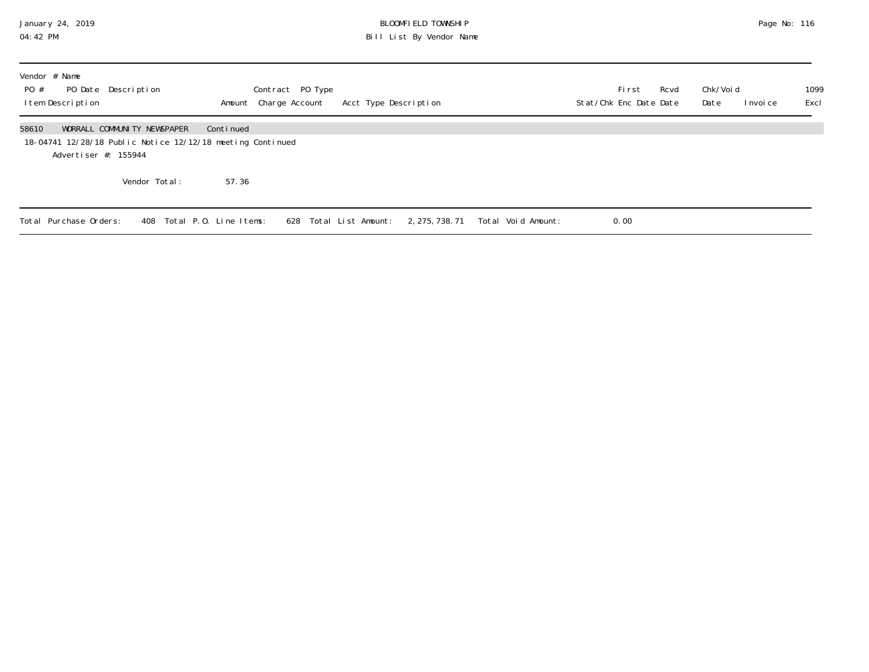## January 24, 2019 BLOOMFIELD TOWNSHIP Page No: 116 04:42 PM Bill List By Vendor Name

| Vendor # Name<br>PO Date Description<br>PO #<br>Item Description                            |                             |                            | Contract PO Type<br>Amount Charge Account | Acct Type Description  |                 |                    | Stat/Chk Enc Date Date | Fi rst | Rcvd | Chk/Voi d<br>Date | I nvoi ce | 1099<br>Excl |
|---------------------------------------------------------------------------------------------|-----------------------------|----------------------------|-------------------------------------------|------------------------|-----------------|--------------------|------------------------|--------|------|-------------------|-----------|--------------|
| 58610<br>18-04741 12/28/18 Public Notice 12/12/18 meeting Continued<br>Advertiser #: 155944 | WORRALL COMMUNITY NEWSPAPER | Continued                  |                                           |                        |                 |                    |                        |        |      |                   |           |              |
|                                                                                             | Vendor Total:               | 57.36                      |                                           |                        |                 |                    |                        |        |      |                   |           |              |
| Total Purchase Orders:                                                                      |                             | 408 Total P.O. Line Items: |                                           | 628 Total List Amount: | 2, 275, 738. 71 | Total Void Amount: | 0.00                   |        |      |                   |           |              |